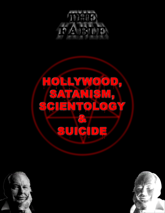

#### $\left( \begin{matrix} 0 \\ 1 \end{matrix} \right)$  $\left( 0\right)$  $\left( 0\right)$  $\left( \begin{array}{c} 1 \ -1 \end{array} \right)$  $\mathfrak{g}$  $\left(\frac{1}{2}\right)$  $\Lambda$ <sup>V</sup> $\Lambda$  $\sqrt{1/2}$ 8 S  $\mathbf{E}$  $\widehat{\mathbb{G}}$  $\left( 0\right)$  $\omega$  $\bullet$  $\sim$ **U**  $\boxed{1}$  $\left($  $\pmb{0}$



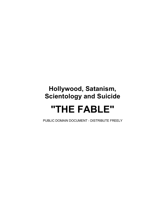## **Hollywood, Satanism, Scientology and Suicide**

# **"THE FABLE"**

PUBLIC DOMAIN DOCUMENT - DISTRIBUTE FREELY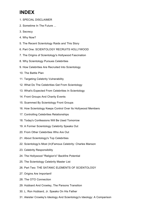#### **INDEX**

- 1. SPECIAL DISCLAIMER
- 2. Sometime In The Future ...
- 3. Secrecy
- 4. Why Now?
- 5. The Recent Scientology Raids and This Story
- 6. Part One: SCIENTOLOGY RECRUITS HOLLYWOOD
- 7. The Origins of Scientology's Hollywood Fascination
- 8. Why Scientology Pursues Celebrities
- 9. How Celebrities Are Recruited Into Scientology
- 10. The Battle Plan
- 11. Targeting Celebrity Vulnerability
- 12. What Do The Celebrities Get From Scientology
- 13. What's Expected From Celebrities In Scientology
- 14. Front Groups And Charity Events
- 15. Scammed By Scientology Front Groups
- 16. How Scientology Keeps Control Over Its Hollywood Members
- 17. Controlling Celebrities Relationships
- 18. Today's Confessions Will Be Used Tomorrow
- 19. A Former Scientology Celebrity Speaks Out
- 20. From Other Celebrities Who Are Out
- 21. About Scientology's Top Celebrities
- 22. Scientology's Most (In)Famous Celebrity: Charles Manson
- 23. Celebrity Responsibility
- 24. The Hollywood "Religion's" Backfire Potential
- 25. The Scientology Celebrity Master List
- 26. Part Two: THE SATANIC ELEMENTS OF SCIENTOLOGY
- 27. Origins Are Important!
- 28. The OTO Connection
- 29. Hubbard And Crowley, The Parsons Transition
- 30. L. Ron Hubbard, Jr. Speaks On His Father
- 31. Aleister Crowley's Ideology And Scientology's Ideology: A Comparison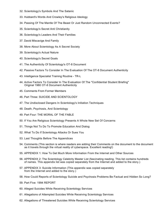- 32. Scientology's Symbols And The Satanic
- 33. Hubbard's Words And Crowley's Religious Ideology
- 34. Passing Of The Mantle Of The Beast Or Just Random Unconnected Events?
- 35. Scientology's Secret Anti Christianity
- 36. Scientology's Leaders And Their Families
- 37. David Miscavige And Family
- 38. More About Scientology As A Secret Society
- 39. Scientology's Actual Nature
- 40. Scientology's Secret Goals
- 41. The Authenticity Of Scientology's OT-8 Document
- 42. Passive Factors To Consider In The Evaluation Of The OT-8 Document Authenticity
- 43. Intelligence Specialist Training Routine TR-L
- 44. Active Factors To Consider In The Evaluation Of The "Confidential Student Briefing" Original 1980 OT-8 Document Authenticity
- 45. Comments From Former Members
- 46. Part Three: SUICIDE AND SCIENTOLOGY
- 47. The Undisclosed Dangers In Scientology's Initiation Techniques
- 48. Death, Psychosis, And Scientology
- 49. Part Four: THE MORAL OF THE FABLE
- 50. If You Are Religious Scientology Presents A Whole New Set Of Concerns
- 51. Things Not To Do To Promote Education And Dialog
- 52. What To Do If Scientology Attacks Or Sues You
- 53. Last Thoughts Before The Appendices
- 54. Comments (This section is where readers are adding their Comments on the document to the document as it travels through the virtual reality of cyberspace. Excellent reading!)
- 55. APPENDIX 1: How To Get Much More Information From the Internet and Other Sources
- 56. APPENDIX 2: The Scientology Celebrity Master List (fascinating reading. This list contains hundreds of names. This appendix list was copied separately from the Internet and added to the story.)
- 57. APPENDIX 3: Suicide Information (This appendix was copied separately from the Internet and added to the story.)
- 58. How Could Reports of Scientology Suicide and Psychosis Problems Be Factual and Hidden So Long?
- 59. Part Five: 1994 REPORT
- 60. Alleged Suicides While Receiving Scientology Services
- 61. Allegations of Attempted Suicides While Receiving Scientology Services
- 62. Allegations of Threatened Suicides While Receiving Scientology Services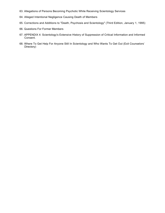- 63. Allegations of Persons Becoming Psychotic While Receiving Scientology Services
- 64. Alleged Intentional Negligence Causing Death of Members
- 65. Corrections and Additions to "Death, Psychosis and Scientology" (Third Edition, January 1, 1995)
- 66. Questions For Former Members
- 67. APPENDIX 4: Scientology's Extensive History of Suppression of Critical Information and Informed Consent.
- 68. Where To Get Help For Anyone Still In Scientology and Who Wants To Get Out (Exit Counselors' Directory)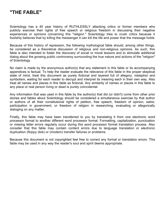#### **"THE FABLE"**

Scientology has a 40 year history of RUTHLESSLY attacking critics or former members who publicly exercise their rights of free speech or religious freedom in discussing their negative experiences or opinions concerning this "religion." Scientology tries to crush critics because it foolishly believes that by killing the messenger it can kill the life and power that the message holds.

Because of this history of repression, the following mythological fable should, among other things, be considered as a theoretical discussion of religious and non-religious opinions. As such, this fable is also intended to foster the discovery of social or moral lessons and to stimulate additional dialog about the growing public controversy surrounding the true nature and actions of the "religion" of Scientology.

No claim is made by the anonymous author(s) that any statement in this fable or its accompanying appendices is factual. To help the reader evaluate the relevance of this fable in the proper skeptical state of mind, treat this document as purely fictional and layered full of allegory, metaphor and symbolism, waiting for each reader to decrypt and interpret its meaning each in their own way. Also treat all names and places in this fable as fictional. Any similarity of names or places in this fable to any place or real person living or dead is purely coincidental.

Any information that was used in this fable by the author(s) that did (or didn't) come from other prior stories and fables about Scientology should be considered a simultaneous exercise by that author or authors of all their constitutional rights of petition, free speech, freedom of opinion, satire, participation in government, or freedom of religion in researching, evaluating or allegorically dialoging on any matter.

Finally, this fable may have been transferred to you by translating it from one electronic word processor format to another different word processor format. Formatting, capitalization, punctuation or missing letter errors regularly occur during this word processor format translation process. Also consider that this fable may contain content errors due to language translation or electronic duplication (floppy disk) or (modem) transfer failures or problems.

Because this document is not copyrighted feel free to correct any format or translation errors. This fable may be used in any way the reader's soul and spirit deems appropriate.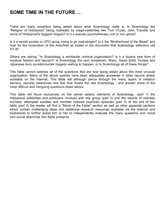#### **SOME TIME IN THE FUTURE ...**

There are many questions being asked about what Scientology really is. Is Scientology the "Religion of Hollywood" being marketed by mega-celebrities like Tom Cruise, John Travolta and some of Hollywood's biggest moguls? Is it a pseudo psychotherapy cult or con game?

Is it a secret society or UFO group trying to go mainstream? Is it the "Brotherhood of the Beast" and host for the incarnation of the Antichrist as touted in the document that Scientology defectors call OT-8?

Others are asking: "Is Scientology a worldwide criminal organization? Is it a bizarre new form of mystical Nazism and fascism? Is Scientology the next Jonestown, Waco, Swiss Solar Temple and Japanese Aum suicide\murder tragedy waiting to happen, or is Scientology all of these things?

This fable cannot address all of the questions that are now being asked about this most unusual organization. Many of the above queries have been adequately answered in other reports widely available on the Internet. This fable will although pierce through the many layers of initiation secrecy, security clearances and fear that cloaks the real Scientology - and answer some of the most difficult and intriguing questions listed above.

This fable will focus exclusively on the secret satanic elements of Scientology, (part 1) the Hollywood celebrities and politicians involved with this group (part 2) and the reports of member suicides, attempted suicides and member induced psychotic episodes (part 3) At the end of this fable (part 4) the reader will find a "Moral of the Fable" section as well as other appendix sections which contain challenging ideas and additional research resources available via the Internet and bookstores to further assist him or her to independently evaluate the many questions and moral and social dilemmas this fable presents.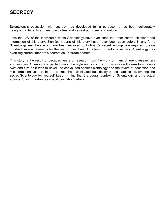### **SECRECY**

Scientology's obsession with secrecy has developed for a purpose. It has been deliberately designed to hide its abuses, casualties and its real purposes and nature.

Less that 2% of the individuals within Scientology have ever seen the inner secret initiations and information of this story. Significant parts of this story have never been seen before in any form. Scientology members who have been exposed to Hubbard's secret writings are required to sign nondisclosure agreements for the rest of their lives. To attempt to enforce secrecy Scientology has even registered Hubbard's secrets as its "trade secrets".

This story is the result of decades years of research from the work of many different researchers and sources. Often in unexpected ways, the style and structure of this story will seem to suddenly twist and turn as it tries to unveil the convoluted secret Scientology and the layers of deception and misinformation used to hide it secrets from uninitiated outside eyes and ears. In discovering the secret Scientology for yourself keep in mind that the overall context of Scientology and its actual actions IS as important as specific initiation details.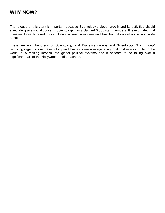The release of this story is important because Scientology's global growth and its activities should stimulate grave social concern. Scientology has a claimed 6,000 staff members. It is estimated that it makes three hundred million dollars a year in income and has two billion dollars in worldwide assets.

There are now hundreds of Scientology and Dianetics groups and Scientology "front group" recruiting organizations. Scientology and Dianetics are now operating in almost every country in the world. It is making inroads into global political systems and it appears to be taking over a significant part of the Hollywood media machine.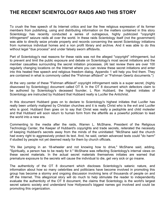#### **THE RECENT SCIENTOLOGY RAIDS AND THIS STORY**

To crush the free speech of its Internet critics and bar the free religious expression of its former members from publishing, using and distributing information on the matters contained in this story Scientology has recently conducted a series of outrageous, highly publicized "copyright infringement" seizure raids all over the world. In these raids Scientology itself (not the government) was able to directly seize private property and records concerning the secret Scientology initiations from numerous individual homes and a non profit library and archive. And it was able to do this without legal "due process" and under falsely sworn affidavits.

Part of Scientology's real reasons for these raids was not the alleged "copyright" infringement, but to prevent and limit the public exposure and debate on Scientology's most secret initiations and the member casualties surrounding the secret initiation processes. (At last review there are over 100 regularly changing locations on the Internet where you can review these secret initiations and enter into this heated free speech and religious freedom dialog. Appendix 1 will help you find them. They are contained in what is commonly called the "Fishman affidavit" or "Fishman Geertz documents.")

At the very center of these "Fishman affidavit" copyright infringement raids is a super secret, (highly disavowed by Scientology) document called OT 8. In the OT 8 document which defectors claim to be authored by Scientology's deceased founder, L Ron Hubbard, the highest initiates of Scientology are instructed by Hubbard that Hubbard really is Lucifer the Antichrist.

In this document Hubbard goes on to declare to Scientology's highest initiates that Lucifer has really been unfairly maligned by Christian churches and it is really Christ who is the evil and Lucifer who is good. Hubbard then goes on to say that Christ was really a pedophile and child molester and that Hubbard will soon return to human form from the afterlife as a powerful politician to lead the world into a new era.

Commenting to the media after the raids, Warren L. McShane, President of the Religious Technology Center, the Keeper of Hubbard's copyrights and trade secrets, reiterated the necessity of keeping Hubbard's secrets away from the minds of the uninitiated: "McShane said the church had every right to aggressively protect its text. And, he said, certain advanced texts could "do harm" if studied by people not yet deemed ready for them by church officials.

"It's like jumping in an 18-wheeler and not knowing how to drive," McShane said, adding, "Spiritually, a person has to be ready for it." McShane was reflecting Scientology's internal views on these secret materials. In the actual secret materials themselves initiates are warned that premature exposure to the secrets will cause the individual to die, get very sick or go insane.

The authenticity of the OT 8 document which discloses Scientology's satanic nature, and information about how so many celebrities and politicians have become involved in promoting this group has become a stormy and ongoing discussion involving tens of thousands of people on and off the Internet. This allegorical story will do much to help stimulate the reader to independently evaluate the authenticity of the OT 8 document, the claims that Scientology is the world's largest secret satanic society and understand how Hollywood's biggest names got involved and could be promoting this organization.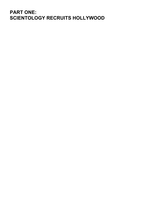#### **PART ONE: SCIENTOLOGY RECRUITS HOLLYWOOD**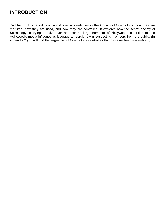#### **INTRODUCTION**

Part two of this report is a candid look at celebrities in the Church of Scientology: how they are recruited, how they are used, and how they are controlled. It explores how the secret society of Scientology is trying to take over and control large numbers of Hollywood celebrities to use Hollywood's media influence as leverage to recruit new unsuspecting members from the public. (In appendix 2 you will find the largest list of Scientology celebrities that has ever been assembled.)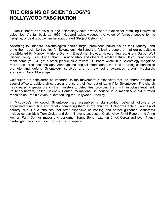#### **THE ORIGINS OF SCIENTOLOGY'S HOLLYWOOD FASCINATION**

L. Ron Hubbard and his alter ego Scientology have always had a fixation for recruiting Hollywood celebrities. As far back as 1955, Hubbard acknowledged the value of famous people to his fledgling, offbeat group when he inaugurated "Project Celebrity."

According to Hubbard, Scientologists should target prominent individuals as their "quarry" and bring them back like trophies for Scientology. He listed the following people of that era as suitable prey:Edward R. Murrow, Marlene Dietrich, Ernest Hemingway, Howard Hughes, Greta Garbo, Walt Disney, Henry Luce, Billy Graham, Groucho Marx and others of similar stature. "If you bring one of them home you will get a small plaque as a reward," Hubbard wrote in a Scientology magazine more than three decades ago. Although the original effort faded, the idea of using celebrities to promote and defend Scientology survived and is now being expanded though Hubbard's successor David Miscavige.

Celebrities are considered so important to the movement' s expansion that the church created a special office to guide their careers and ensure their "correct utilization" for Scientology. The church has created a special branch that ministers to celebrities, providing them with first-class treatment. Its headquarters, called Celebrity Center International, is housed in a magnificent old turreted mansion on Franklin Avenue, overlooking the Hollywood Freeway.

In Miscavige's Hollywood, Scientology has assembled a star-studded roster of followers by aggressively recruiting and regally pampering them at the church's "Celebrity Centers," a chain of country club like clubhouses that offer expensive counseling and career guidance. Adherents include screen idols Tom Cruise and John Travolta actresses Kirstie Alley, Mimi Rogers and Anne Archer, Palm Springs mayor and performer Sonny Bono, jazzman Chick Corea and even Nancy Cartwright, the voice of cartoon star Bart Simpson.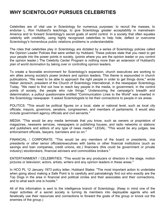#### **WHY SCIENTOLOGY PURSUES CELEBRITIES**

Celebrities are of vital use in Scientology for numerous purposes: to recruit the masses, to endorse L. Ron Hubbard's teachings, to give Scientology greater acceptability in mainstream America and to forward Scientology's secret goals of world control. In a society that often equates celebrity with credibility, using highly recognized celebrities to help hide, deflect or overcome Scientology's horrendous public relations problems is understandable.

The roles that celebrities play in Scientology are dictated by a series of Scientology policies called the Opinion Leader Policies that were written by Hubbard. These policies state that you need to get your people into the power points in society, (points where you are the opinion leader or you control the opinion leader.) The Celebrity Center Program is nothing more than an extension of Hubbard's plan of world domination by taking over or controlling opinion leaders.

To create a favorable environment for Scientology's expansion, church executives are working to win allies among society's power brokers and opinion leaders. This theme is expounded in church publications, "We need to be able to approach the right people in order to get things done," wrote Heber Jentzsch, president of the Church of Scientology International, in the newspaper Scientology Today. "We need to find out how to reach key people in the media, in government, in the control points of society, the people who rule things." Underscoring the campaign's breadth and determination, a pullout questionnaire entitled "Communication Lines to the World" was inserted in the Scientology newspaper. It asked Scientologists to list their connections to people in six areas:

POLITICS: "This would be political figures on a local, state or national level, such as local city officials, mayors, governors, senators, congressmen, and members of parliaments. It would also include government agency officials and civil servants."

MEDIA: "This would be any media terminals that you know, such as owners or proprietors of magazines, newswire services, newspapers or publishing houses, and radio networks or stations and publishers and editors of any type of news media." LEGAL: "This would be any judges, law enforcement officials, lawyers, barristers and so on."

FINANCIAL / CORPORATE: "This would be any members of the board or presidents, vice presidents or other senior officials/executives with banks or other financial institutions (such as savings and loan companies, credit unions, etc.) financiers (this could be government or private industry) stockbrokers, financial advisers and commodities brokers."

ENTERTAINMENT / CELEBRITIES: "This would be any producers or directors in the stage, motion pictures or television; actors, artists, writers and any opinion leaders in these areas."

In HCO PL 12 January 1973 policy letter, Hubbard States: "The most important action to undertake when going about making a Safe Point is to carefully and painstakingly find out who exactly are the Top Dogs in the area in financial and political circles and their associates and their connections, and to what each one is hostile."

All of this information is sent to the intelligence branch of Scientology. (Keep in mind one of the major activities of a secret society is turning its members into deployable agents who will fanatically use their resources and connections to forward the goals of the group or knock out the enemies of the group.)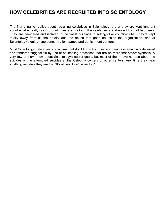#### **HOW CELEBRITIES ARE RECRUITED INTO SCIENTOLOGY**

The first thing to realize about recruiting celebrities in Scientology is that they are kept ignorant about what is really going on until they are hooked. The celebrities are shielded from all bad news. They are pampered and isolated in the finest buildings in settings like country-clubs. They're kept totally away from all the cruelty and the abuse that goes on inside the organization, and at Scientology's gulag-type concentration camps and punishment centers.

Most Scientology celebrities are victims that don't know that they are being systematically deceived and rendered suggestible by use of counseling processes that are no more that covert hypnosis. A very few of them know about Scientology's secret goals, but most of them have no idea about the suicides or the attempted suicides at the Celebrity centers or other centers. Any time they hear anything negative they are told "It's all lies. Don't listen to it"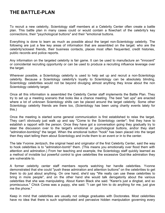#### **THE BATTLE-PLAN**

To recruit a new celebrity, Scientology staff members at a Celebrity Center often create a battle plan. This battle plan in many cases could or would contain a flowchart of the celebrity's key connections, their "psychological buttons" and their "emotional buttons.

Everything is done to learn as much as possible about the target non-Scientology celebrity. The following are just a few key areas of information that are assembled on the target: who are the celebrity'sclosest friends, their business contacts, places most often frequented, credit histories, public records and police reports.

Any information on the targeted celebrity is fair game. It can be used to manufacture an "innocent" or coincidental recruiting opportunity or can be used to produce a recruiting influence leverage over the target.

Wherever possible, a Scientology celebrity is used to help set up and recruit a non-Scientology celebrity. Because a Scientology celebrity's loyalty to Scientology can be absolutely blinding, Scientology celebrities would not be beyond divulging almost anything they know about the non Scientology celebrity target.

Once all this information is assembled the Celebrity Center staff implements the Battle Plan. They try to set up a meeting scenario that looks like a chance meeting. The best "set ups" are enacted where a lot of unknown Scientology shills can be placed around the target celebrity. Some other Scientology celebrity friends are there too, (Scientology has been using charity events lately for this.)

Once the meeting is started some general communication is first established to relax the target. They can't obviously just walk up and say "Come to the Scientology center"; first they have to establish a rapport with the person. Once they have got a conversation going they gradually try to steer the discussion over to the target's emotional or psychological buttons, and\or they start "admiration-bombing" the target. When the emotional button "hook" has been placed into the target then they start telling them about Scientology and invite them to an event or in to the center.

The late Yvonne Jentzsch, the original head and originator of the first Celebrity Center, said the way to hook celebrities is to "admiration-bomb" them. (This means you emotionally over flood them with attention and admiration.) From her teaching and example, the Scientology staff quickly learned as a method of invisible but powerful control to give celebrities the excessive God-like admiration they are vulnerable to.

A former celebrity center staff members reports watching her handle celebrities. Yvonne demonstrated that she could "push these admiration and attention buttons" on the celebrities to get them to do just about anything. On one hand, she'd say "We really can use these celebrities to bring in more people", and on the other hand she would talk derogatorily about the various celebrities that she was manipulating. About Karen Black she said. "Karen's just a dingbat, and so promiscuous." Chick Corea was a puppy, she said. "I can get him to do anything for me, just give me the phone."

Keep in mind that celebrities are usually not college graduates with Doctorates. Most celebrities have no idea that there is such sophisticated and pervasive hidden manipulation governing every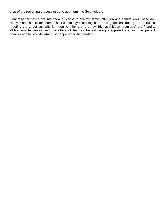step of the recruiting process used to get them into Scientology.

Generally celebrities got into show business to achieve fame (attention and admiration.) These are ready made hooks for them. The Scientology recruiting con is so good that during the recruiting meeting the target celebrity is made to think that the new friends (hidden recruiters) are friendly, VERY knowledgeable and the offers of help or benefit being suggested are just the perfect coincidence to provide what just happened to be needed.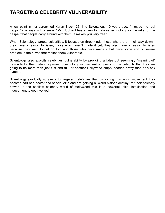#### **TARGETING CELEBRITY VULNERABILITY**

A low point in her career led Karen Black, 36, into Scientology 10 years ago. "It made me real happy," she says with a smile. "Mr. Hubbard has a very formidable technology for the relief of the despair that people carry around with them. It makes you very free."

When Scientology targets celebrities, it focuses on three kinds: those who are on their way down they have a reason to listen; those who haven't made it yet, they also have a reason to listen because they want to get on top; and those who have made it but have some sort of severe problem in their lives that makes them vulnerable.

Scientology also exploits celebrities' vulnerability by providing a false but seemingly "meaningful" new role for their celebrity power. Scientology involvement suggests to the celebrity that they are going to be more than just fluff and frill, or another Hollywood empty headed pretty face or a sex symbol.

Scientology gradually suggests to targeted celebrities that by joining this world movement they become part of a secret and special elite and are gaining a "world historic destiny" for their celebrity power. In the shallow celebrity world of Hollywood this is a powerful initial intoxication and inducement to get involved.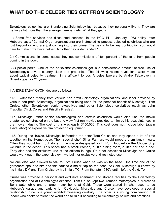#### **WHAT DO THE CELEBRITIES GET FROM SCIENTOLOGY?**

Scientology celebrities aren't endorsing Scientology just because they personally like it. They are getting a lot more than the average member gets. What they get is:

1.) Some free services and discounted services. In the HCO PL 1 January 1963 policy letter Hubbard says: "Central Orgs (organizations) are instructed to process selected celebrities who are just beyond or who are just coming into their prime. The pay is to be any contribution you would care to make if we have helped. No other pay is demanded."

2.) Commissions. In some cases they get commissions of ten percent of the take from people coming in the door.

3.) Special perks. One of the perks that celebrities get is a considerable amount of free use of Scientology's private country clubs and properties. The following recent revelations were made about typical celebrity treatment in a affidavit to Los Angeles lawyers by Andre Tabayoyon, a Scientologist for 21 years.

I, ANDRE TABAYOYON, declare as follows:

115. I witnessed money from various non profit Scientology organizations, and labor provided by various non profit Scientology organizations being used for the personal benefit of Miscavige, Tom Cruise, other Scientology senior executives and other Scientology celebrities (such as John Travolta, Chick Corea and Priscilla Presley).

117. Miscavige, other senior Scientologists and certain celebrities would also use the movie theater we constructed on the base to view first run movies provided to him by his acquaintances in the movie industry. The cost of this was easily \$150,000. This cost does not include labor (again slave labor) or expensive film projection equipment.

118. During the 1980's, Miscavige befriended the actor Tom Cruise and they spend a lot of time together on the Hemet base. Their special chef, Sinar Parman, would prepare them fancy meals. Often they would hang out alone in the space designated for L. Ron Hubbard on the Clipper Ship we built in the desert. This space had a small kitchen, a little dining room, a little bar and a bed. They also had the exclusive use of the officers lounge. On other occasions Miscavige and Cruise would work out in the expensive gym we built for exclusive and restricted use.

No one else was allowed to talk to Tom Cruise when he was on the base. One time one of the gardeners spoke to him and this caused a major flap on the base. At Gold, Miscavige is known by his initials DM and Tom Cruise by his initials TC. From the late 1980's until I left the Gold, Tom

Cruise was provided a personal and exclusive apartment and storage facilities by the Scientology organization and at Scientology's expense. Tom Cruise kept two Yamaha motorcycles, a Mercedes Benz automobile and a large motor home at Gold. These were stored in what used to be Hubbard's garage and parking lot. Obviously, Miscavige and Cruise have developed a special relationship. One is a young world-domineering celebrity. The other is a young domineering cult leader who seeks to 'clear' the world and to rule it according to Scientology beliefs and practices.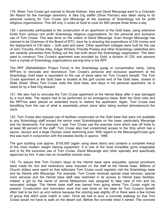119. When Tom Cruise got married to Nicole Kidman, they and David Miscavige went to a Colorado Ski Resort for the marriage ceremony. A Sea Org staffer (Sinar Parman) was taken along to do personal cooking for Tom Cruise and Miscavige at the expense of Scientology not for profit religious organizations. This left only 3 cooks at Gold to cook for 800 people three times a day.

120. I personally participated in the construction of an apartment at the Gold base, using extensive funds from various non profit Scientology religious organizations, for the personal and exclusive use of Tom Cruise. This was done on the orders of David Miscavige. Even though Miscavige has claimed to be Chairman of the Board of RTC, here he is directing the expenditure of CSI money and the deployment of CSI labor -- both paid and slave. Other apartment cottages were built for the use of John Travolta, Kirstie Alley, Edgar Winters, Priscilla Presley and other Scientology celebrities who are carefully prevented from finding out the real truth about the Scientology organization. The labor used to construct Tom Cruise's apartment was provided by Gold, a division of CSI, and persons from a myriad of Scientology organizations serving time in the RPF.

The RPF (Rehabilitation Project Force) is the Scientology gulag or concentration camp. Using RPF'ers to renovate and reconstruct Tom Cruise's personal and exclusive apartment at the Scientology Gold base is equivalent to the use of slave labor for Tom Cruise's benefit. The Tom Cruise apartment at the Gold base is located at the golf course end of the Gold base, closest to State Street. When Tom Cruise visits the Gold base, and stays in his personal apartment, he is cared for by a Sea Org steward.

121. We also had to renovate the Tom Cruise apartment at the Hemet Base after it was damaged by a mud slide. The repairs had to be performed on an emergency basis. Both the Gold crew and the RPF'ers were placed on extended hours to restore the apartment. Again, Tom Cruise was benefiting from the use of what is essentially prison slave labor being worked almostaround the clock.

122. Tom Cruise also enjoyed use of facilities constructed on the Gold base that were not available to any Scientology staff except the senior most Scientologists on the base, particularly Miscavige and his lieutenants. For example, I saw Tom Cruise use the exercise room which was off limits to at least 98 percent of the staff. Tom Cruise also had unrestricted access to the Ship which has a sauna, Jacuzzi and a large Olympic sized swimming pool. With regard to the Miscavige/Cruise gym this was built in conjunction with the estates facility in approx. 1989.

The gym building cost approx. \$150,000 (again using slave labor) and contains a complete lineup of the most modern weight training equipment. It is one of the most incredible gyms imaginable and is for the exclusive use of Tom Cruise, David Miscavige and other specially and specifically approved by him. It also has an incredible shower area.

123. To assure that Tom Cruise's stays at the Hemet base were enjoyable, special provisions were made for him and restrictions were imposed on the staff at the Hemet base. Millions of Church dollars were spent so that millionaire Tom Cruise could regularly visit the Scientology base and be friends with Miscavige. For example, Tom Cruise received special meal services, special room services and the Hemet base staff was restricted in its access to Hemet base facilities. Indeed, a girl by the name of Jennie Matsamura was assigned to take care of him and his renovated cottage. The Hemet base staff was barred from going where Tom Cruise might be present. Construction and renovation work that was done on the base for Tom Cruise's benefit often had to be torn up and redone because the coloring was slightly off or there were a few inches of group that didn't quite match in color. Once we had to pour a concrete walkway so that Tom Cruise would not have to walk on the desert soil. Before the concrete dried it rained. The concrete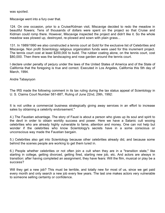was spoiled.

Miscavige went into a fury over that.

124. On one occasion, prior to a Cruise/Kidman visit, Miscavige decided to redo the meadow in beautiful flowers; Tens of thousands of dollars were spent on the project so that Cruise and Kidman could romp there. However, Miscavige inspected the project and didn't like it. So the whole meadow was plowed up, destroyed, re-plowed and sown with plain grass...

131. In 1989/1990 we also constructed a tennis court at Gold for the exclusive list of Celebrities and Miscavige. Non profit Scientology religious organization funds were used for this inurement project. The tennis court cost at least \$200,000 to build. The rubber coating alone, on the tennis court, cost \$80,000. Then there was the landscaping and rose garden around the tennis court.

I declare under penalty of perjury under the laws of the United States of America and of the State of California that the foregoing is true and correct. Executed in Los Angeles, California this 5th day of March, 1994.

Andre Tabayoyon

The IRS made the following comment in its tax ruling during the tax status appeal of Scientology in U. S. Claims Court Number 581-88T, Ruling of June 22nd, 29th, 1992:

It is not unlike a commercial business strategically giving away services in an effort to increase sales by obtaining a celebrity endorsement."

4.) The Faustian advantage. The story of Faust is about a person who gives up its soul and spirit to the devil in order to obtain worldly success and power. Here we have a Satanic cult wooing celebrities who are already highly vulnerable to fame, attention and money. One can not help but wonder if the celebrities who know Scientology's secrets have in a some conscious or unconscious way made the Faustian bargain.

5.) Celebrities also get into Scientology because other celebrities already did, and because some behind the scenes people are working to get them lured in.

6.) People whether celebrities or not often join a cult when they are in a "transition state," like starting in college, getting divorced, getting fired, starting new job, etc. And actors are always in transition: after having completed an assignment, they have fears: Will the film, musical or play be a success?

Will they get a new job? This must be terrible, and totally new for most of us, since we get paid every month and only search a new job every few years. The last one makes actors very vulnerable to someone selling certainty or confidence.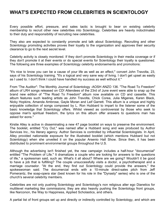#### **WHAT'S EXPECTED FROM CELEBRITIES IN SCIENTOLOGY**

Every possible effort, pressure, and sales tactic is brought to bear on existing celebrity membership to recruit other new celebrities into Scientology. Celebrities are heavily indoctrinated to their duty and responsibility of recruiting new celebrities.

They also are expected to constantly promote and talk about Scientology. Recruiting and other Scientology promoting activities proves their loyalty to the organization and approves their security clearance to go to the next secret level.

Celebrity activity is closely monitored. If they don't promote Scientology in their media coverage or if they don't promote it at their events or do special events for Scientology their loyalty is questioned. The following are three examples of Scientology celebrity endorsements and promotions:

"lt's nice to know you can be a cause of your life as well as an effect," convert John Travolta, 23, says of his Scientology training. "lt's a logical and very sane way of living. I don't get upset as easily as I used to. I don't think I could have handled my success as well without it."

From 'The Auditor": The Monthly Journal of Scientology -AOSH ANZO 136. "The Road To Freedom" album of LRH songs released on CD! Attendees of the 23rd of June event were able to snap up the brand new edition of "The Road To Freedom" album now available on CD and cassette. This album features such leading artists as John Travolta, Chick Corea, Julia Migenes, Karen Black, Nicky Hopkins, Amanda Ambrose, Gayle Moran and Leif Garrett. This album is a unique and highly enjoyable collection of songs composed by L. Ron Hubbard to impart to the listener some of the basic knowledge that Scientology offers. Whilst viewed as controversial by those who seek to oppose man's spiritual freedom, the lyrics on this album offer answers to questions man has asked for eons."

Kirstie Alley is active in disseminating a new 47 page booklet on ways to preserve the environment. The booklet, entitled "Cry Out," was named after a Hubbard song and was produced by Author Services Inc., his literary agency. Author Services is controlled by influential Scientologists. In April, Alley provided nationwide exposure for the illustrated booklet (which mentions Hubbard but not Scientology) when she unveiled it on the popular Arsenio Hall Show. Since then, it has been distributed to prominent environmental groups throughout the U.S.

Although the advertising isn't finished yet, the new campaign includes a half-hour "documercial" entitled "The Problem of Life." It dramatizes a couple who are looking for answers to the questions of life," a spokesman said, such as: What's it all about? Where are we going? Wouldn't it be good to have a job that is fulfilling? The couple unsuccessfully visits a doctor, a psychotherapist and a marriage counselor. "At the end, they find out Scientology could provide the answers," the spokeswoman said. The documercial ends with a 10-minute direct-sales pitch from Jeff Pomerantz, the soap-opera star (best known for his role in the "Dynasty" series) who is one of the church's several celebrity members.

Celebrities are not only pushing Scientology and Scientology's non religious alter ego Dianetics for multilevel marketing like commissions; they are also heavily pushing the Scientology front groups, like Narconon, the Way to Happiness, Applied Scholastics, and others.

A partial list of front groups set up and directly or indirectly controlled by Scientology, and which are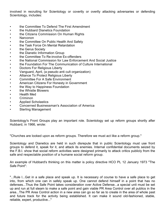involved in recruiting for Scientology or covertly or overtly attacking adversaries or defending Scientology, includes:

- the Committee To Defend The First Amendment
- the Hubbard Dianetics Foundation
- the Citizens Commission On Human Rights
- Narconon
- the Committee On Public Health And Safety
- the Task Force On Mental Retardation
- the Gerus Society
- the Dianetic Information Group
- the Committee To Re-involve Ex-offenders
- the National Commission for Law Enforcement And Social Justice
- the Foundation For The Communication of Culture International
- Doctors For Religious Liberty
- Vanguard, April, (a pseudo anti cult organization)
- Alliance To Protect Religious Liberty
- Committee For A Safe Environment
- American Citizens For Honesty in Government
- the Way to Happiness Foundation
- the Whistle Blowers
- Health Med
- Criminon
- Applied Scholastics
- Concerned Businessman's Association of America
- Sterling Management

Scientology's Front Groups play an important role. Scientology set up reform groups shortly after Hubbard, in 1966, wrote:

"Churches are looked upon as reform groups. Therefore we must act like a reform group."

Scientology and Dianetics are held in such disrepute that in public Scientology must use front groups to defend it, speak for it, and attack its enemies. Internal confidential documents seized by the F.B.I. show that social reform activities were designed primarily to attack critics publicly from the safe and respectable position of a humane social reform group.

An example of Hubbard's thinking on this matter is policy directive HCO PL 12 January 1973 "The Safe Point":

"...Rule l...Get in a safe place and speak up. It is necessary of course to have a safe place to get into, from which one can in safely speak up. One cannot defend himself in a point that has no defenses...Thus the Safe Point takes consideration over Active Defense...a special unit must be set up and run at full steam to make a safe point and gain viable PR Area Control over all publics in the area...The PR Area Control action in a new area can go so far as to create in the area of whole past and future track for the activity being established. It can make it sound old-fashioned, stable, reliable, expert, productive..."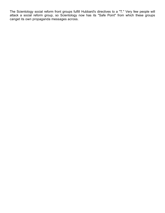The Scientology social reform front groups fulfill Hubbard's directives to a "T." Very few people will attack a social reform group, so Scientology now has its "Safe Point" from which these groups canget its own propaganda messages across.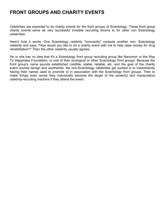#### **FRONT GROUPS AND CHARITY EVENTS**

Celebrities are expected to do charity events for the front groups of Scientology. These front group charity events serve as very successful invisible recruiting forums to for other non Scientology celebrities.

Here's how it works. One Scientology celebrity "innocently" contacts another non- Scientology celebrity and says, "How would you like to do a charity event with me to help raise money for drug rehabilitation?" Then the other celebrity usually agrees.

He or she has no idea that it's a Scientology front group recruiting group like Narconon or the Way To Happiness Foundation, or one of their ecological or other Scientology front groups. Because the front group's name sounds established credible, stable, reliable, etc. and the goal of the charity event sounds benign and worthwhile, the non-Scientology celebrities get sucked in to inadvertently having their names used to promote or in association with the Scientology front groups. Then to make things even worse they individually become the target of the powerful and manipulative celebrity-recruiting machine if they attend the event.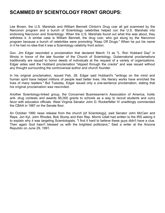#### **SCAMMED BY SCIENTOLOGY FRONT GROUPS:**

Lee Brown, the U.S. Marshals and William Bennett Clinton's Drug czar all got scammed by the Narconon program and a bunch of Scientology celebrities helped con the U.S. Marshals into endorsing Narconon and Scientology. When the U.S. Marshals found out what this was about, they withdrew it. A similar case is William Bennett, the drug czar, who got stung by the Narconon program because a bunch of celebrities were promoting "Keep Off Drugs." When he put his name in it he had no idea that it was a Scientology celebrity front action.

Gov. Jim Edgar rescinded a proclamation that declared March 13 as "L. Ron Hubbard Day" in Illinois in honor of the late founder of the Church of Scientology. Gubernatorial proclamations traditionally are issued to honor deeds of individuals at the request of a variety of organizations. Edgar aides said the Hubbard proclamation "slipped through the cracks" and was issued without any thought surrounding the controversial author and church founder.

In his original proclamation, issued Feb. 28, Edgar said Hubbard's "writings on the mind and human spirit have helped millions of people lead better lives. His literary works have enriched the lives of many readers." But Tuesday, Edgar issued only a one-sentence proclamation, stating that his original proclamation was rescinded.

Another Scientology-linked group, the Concerned Businessmen's Association of America, holds anti- drug contests and awards \$5,000 grants to schools as a way to recruit students and curry favor with education officials. West Virginia Senator John D. Rockerfeller IV unwittingly commended the CBAA in 1987 on the Senate floor.

An October 1990 news release from the church [of Scientology], said Senator John McCain and Reps. Jon Kyl, John Rhodes, Bob Stump and then Rep. Morris Udall had written to the IRS asking it to explain why it was targeting Scientologists. "I find it hard to believe these guys didn't have a clue. Then again God hasn't blessed us with the brightest politicians," Said a writer at the Arizona Republic on June 29, 1991.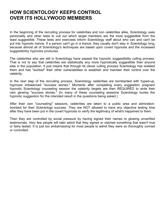#### **HOW SCIENTOLOGY KEEPS CONTROL OVER ITS HOLLYWOOD MEMBERS**

In the beginning of the recruiting process for celebrities and non celebrities alike, Scientology uses personality and other tests to cull out which target members are the most suggestible from the least suggestible. These tests and exercises inform Scientology staff about who can and can't be put into hypnotic trance. If a person can't go in a trance, they usually don't stay in Scientology long, because almost all of Scientology's techniques are based upon covert hypnosis and the increased suggestibility hypnosis produces.

The celebrities who are still in Scientology have passed the hypnotic suggestibility culling process. That is not to say that celebrities are statistically any more hypnotically suggestible than anyone else in the population. It just means that through its clever culling process Scientology has isolated them and has "worked" their other vulnerabilities to establish and maintain their control over the celebrity.

In the next step of the recruiting process, Scientology celebrities are bombarded with hyped-up, hypnosis imbalanced "success stories." Moments after completing every suggestion pregnant hypnotic Scientology counseling session the celebrity targets are then REQUIRED to write their own glowing "success stories." (In many of these counseling sessions Scientology buries the hypnotic suggestion for the intended result in the questions being asked.)

After their own "counseling" sessions, celebrities are taken to a public area and admirationbombed for their Scientology success. They are NOT allowed to have any objective testing time after they have been put in the covert hypnosis to verify the legitimacy of what's happened to them.

Then they are controlled by social pressure by having signed their names to glowing unverified testimonials. Very few people will later admit that they signed or claimed something that wasn't true or fairly tested. It is just too embarrassing for most people to admit they were so thoroughly conned or controlled.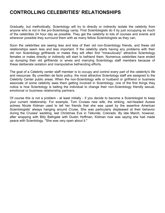#### **CONTROLLING CELEBRITIES' RELATIONSHIPS**

Gradually, but methodically, Scientology will try to directly or indirectly isolate the celebrity from anyone who is not in the pro-Scientology camp. First Scientologists do it by just occupying as much of the celebrities 24 hour day as possible. They get the celebrity to lots of courses and events and wherever possible they surround them with as many fellow Scientologists as they can.

Soon the celebrities are seeing less and less of their old non-Scientology friends, and these old relationships seem less and less important. If the celebrity starts having any problems with their old non Scientology girlfriends or mates they will often find "miraculously" attractive Scientology females or males directly or indirectly will start to befriend them. Numerous celebrities have ended up dumping their old girlfriends or wives and marrying Scientology staff members because of these deliberate isolation and manipulative befriending efforts.

The goal of a Celebrity center staff member is to occupy and control every part of the celebrity's life and resources. By unwritten de facto policy, the most attractive Scientology staff are assigned to the Celebrity Center public areas. When the non-Scientology wife or husband or girlfriend or business associate of some celebrity sees them getting involved in Scientology, one of the first things they notice is how Scientology is baiting the individual to change their non-Scientology friendly sexual, emotional or business relationship partners.

Of course this is not a problem - at least initially - if you decide to become a Scientologist to keep your current relationship. For example, Tom Cruises new wife, the striking, red-headed Aussie actress Nicole Kidman used to tell her friends that she was upset by the assertive American Scientologists' always hanging around Cruise, She was particularly displeased at their behavior during the Cruises' wedding, last Christmas Eve in Telluride, Colorado. By late March, however, after wrapping with Billy Bathgate with Dustin Hoffman, Kidman now was saying she had made peace with Scientology. "She was very open about it."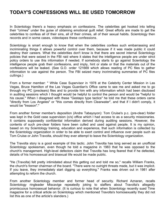#### **TODAY'S CONFESSIONS WILL BE USED TOMORROW**

In Scientology there's a heavy emphasis on confessions. The celebrities get hooked into telling their "crimes" under the guise of obtaining emotional guilt relief. Great efforts are made to get the celebrities to confess all of their sins, all of their crimes, all of their sexual habits. Scientology then records and in some cases, videotapes these confessions.

Scientology is smart enough to know that when the celebrities confess such embarrassing and incriminating things it allows powerful control over them, because if it was made public it could destroy their careers. What the celebrities don't know is that there are secret internal Scientology policies that were seized in the FBI raid where it states that the intelligence people are under strict policy orders to use this information if needed. If somebody starts to go against Scientology the intelligence people grab their confessions, and imply, hint or state or that the materials out of the confessions will be leaked. (See G.O. order 121669 which allows reading of PC files to gather information to use against the person. The FBI seized many incriminating summaries of PC files cullings.)

From a former member: " While Case Supervisor in 1978 at the Celebrity Center Mission in Las Vegas, Bruce Hamilton of the Las Vegas Guardian's Office came to see me and asked me to go through my PC (preclears) files and to provide him with any information which had been disclosed in auditing sessions which I thought would be helpful to control the person and would be "helpful to his cause." When I disagreed with these "Gestapo type tactics" he told me that these orders came "directly from Los Angeles" or "this comes directly from Clearwater", and that if I didn't comply, it would be "treason" "

From another former member's deposition (Andre Tabayoyon): Tom Cruise's p.c. (pre-clear) folder was kept in the Gold case supervision (c/s) office which I had access to as a security missionaries. It contains supposedly confidential information derived during auditing sessions. However, the contents of such pre-clear folders have been culled and used against people. It is my opinion, based on my Scientology training, education and experience, that such information is collected by the Scientology organization in order to be able to exert control and influence over people such as Tom Cruise or John Travolta, should they ever attempt to leave the Scientology organization.

The Travolta story is a good example of this tactic. John Travolta has long served as an unofficial Scientology spokesman, even though he told a magazine in 1983 that he was opposed to the church's management. High-level defectors claim that Travolta has long feared that if he defected, details of his homosexual and bisexual life would be made public.

"He (Travolta) felt pretty intimidated about this getting out and told me so," recalls William Franks, the church's former chairman of the board. "There were no outright threats made, but it was implicit. If you leave, they immediately start digging up everything." Franks was driven out in 1981 after attempting to reform the church.

From another Scientology member and former head of security. Richard Aznaran, recalls Scientology ringleader Miscavige repeatedly joking to staffers about Travolta's allegedly promiscuous homosexual behavior. (It is curious to note that when Scientology recently sued Time magazine for a critical article on Scientology which mentioned Travolta's homosexuality they did not list this as one of the article's slanders.)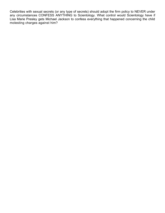Celebrities with sexual secrets (or any type of secrets) should adopt the firm policy to NEVER under any circumstances CONFESS ANYTHING to Scientology. What control would Scientology have if Lisa Marie Presley gets Michael Jackson to confess everything that happened concerning the child molesting charges against him?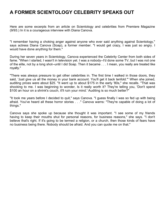#### **A FORMER SCIENTOLOGY CELEBRITY SPEAKS OUT**

Here are some excerpts from an article on Scientology and celebrities from Premiere Magazine (9/93.) In it is a courageous interview with Diana Canova.

"I remember having a choking anger against anyone who ever said anything against Scientology," says actress Diana Canova (Soap), a former member. "I would get crazy, I was just so angry. I would have done anything for them."

During her seven years in Scientology, Canova experienced the Celebrity Center from both sides of fame. "When I started, I wasn't in television yet. I was a nobody--I'd done some TV, but I was not one of the elite, not by a long shot--until I did Soap. Then it became . . . I mean, you really are treated like royalty."

"There was always pressure to get other celebrities in. The first time I walked in those doors, they said, 'Just give us all the money in your bank account. You'll get it back tenfold.'" When she joined, auditing prices were about \$25. "It went up to about \$175 in the early '80s," she recalls. "That was shocking to me. I was beginning to wonder, Is it really worth it? They're telling you, 'Don't spend \$100 an hour on a shrink's couch, it'll ruin your mind.' Auditing is so much better?"

"It took me years before I decided to quit," says Canova. "I guess finally I was so fed up with being afraid. You've heard all these horror stories . . ." Canova warns: "They're capable of doing a lot of things."

Canova says she spoke up because she thought it was important. "I see some of my friends having to keep their mouths shut for personal reasons, for business reasons," she says. "I don't believe that's right. If it's going to be termed a religion, or a church, then those kinds of fears have no business being there. Nobody should be afraid. And you can quote me on that."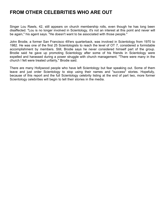#### **FROM OTHER CELEBRITIES WHO ARE OUT**

Singer Lou Rawls, 42, still appears on church membership rolls, even though he has long been disaffected. "Lou is no longer involved in Scientology, it's not an interest at this point and never will be again," his agent says. "He doesn't want to be associated with those people."

John Brodie, a former San Francisco 49'ers quarterback, was involved in Scientology from 1970 to 1982. He was one of the first 25 Scientologists to reach the level of OT 7, considered a formidable accomplishment by members. Still, Brodie says he never considered himself part of the group. Brodie said he gave up promoting Scientology after some of his friends in Scientology were expelled and harassed during a power struggle with church management. "There were many in the church I felt were treated unfairly," Brodie said.

There are many Hollywood people who have left Scientology but fear speaking out. Some of them leave and just order Scientology to stop using their names and "success" stories. Hopefully, because of this report and the full Scientology celebrity listing at the end of part two, more former Scientology celebrities will begin to tell their stories in the media.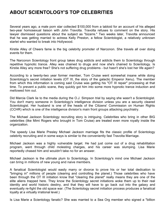#### **ABOUT SCIENTOLOGY'S TOP CELEBRITIES**

Several years ago, a male porn star collected \$100,000 from a tabloid for an account of his alleged two-year homosexual liaison with John Travolta. Travolta refuses to comment on the story. His lawyer dismissed questions about the subject as "bizarre." Two weeks later, Travolta announced that he was getting married to actress Kelly Preston, a fellow Scientologist, a relatively unknown starlet who wanted to break into Hollywood.

Kirstie Alley of Cheers fame is the big celebrity promoter of Narconon. She travels all over doing events for them.

The Narconon Scientology front group takes drug addicts and addicts them to Scientology through repetitive hypnotic trance. Alley was chained to drugs and now she's chained to Scientology. Is Kirstie Alley any more free? She's not suffering drug problems - but hasn't she's lost her life again?

According to a twenty-two year former member, Tom Cruise went somewhat insane while doing Scientology's secret initiation levels (OT III, the story of the galactic Emperor Xenu). The member from which this information is coming said Cruise was getting his "OT III repair" processing at that time. To prevent a public scene, they quickly got him into some more hypnotic trance induction and mellowed him out.

Did Marcia Clark lie to the media during the O.J. Simpson trial by saying she wasn't a Scientologist. You don't marry someone in Scientology's intelligence division unless you are a security cleared Scientologist. Her husband is one of the heads of the Citizens' Commission on Human Rights (CCHR) which is one of the intelligence division's main front groups attacking psychiatry.

The Michael Jackson Scientology recruiting story is intriguing. Celebrities who bring in other BIG celebrities (like Mimi Rogers who brought in Tom Cruise) are treated even more royally inside the organization.

The speedy Lisa Marie Presley Michael Jackson marriage fits the classic profile of Scientology celebrity recruiting and in some ways is similar to the conveniently fast Travolta Marriage.

Michael Jackson was a highly vulnerable target. He had just come out of a drug rehabilitation program, went through child molesting charges, and his career was slumping. Lisa Marie reportedly chased him and wouldn't take no for an answer.

Michael Jackson is the ultimate plum to Scientology. In Scientology's mind one Michael Jackson can bring in millions of new young and naive members.

A fanatical Scientologist would easily marry or divorce to prove his or her total dedication to "bringing in" millions of people (clearing and controlling the planet.) Those celebrities who have been through the OT III initiation know that "clearing the planet" really means they are one of the elite aliens trapped here. They know the Scientology secret initiations woke them up to their real identity and world historic destiny, and that they will have to go back out into the galaxy and eventually re-fight the old space war. (The Scientology secret initiation process produces a fanatical loyalty at a virtually irrational level.)

Is Lisa Marie a Scientology fanatic? She was married to a Sea Org member who signed a "billion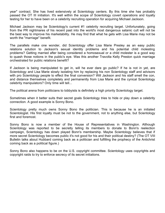year" contract. She has lived extensively at Scientology centers. By this time she has probably passed the OT III initiation. It's well within the scope of Scientology covert operations and loyalty testing for her to have been on a celebrity recruiting operation for acquiring Michael Jackson.

Michael Jackson may be Scientology's current #1 celebrity recruiting target. Unfortunately, going from the PR nightmares of his recent past into the world's most dangerous satanic cult will not be the best way to improve his marketability. He may find that what he gets with Lisa Marie may not be worth the "marriage" benefit.

The parallels make one wonder, did Scientology offer Lisa Marie Presley as an easy public relations solution to Jackson's sexual identity problems and his potential child molesting problems? Getting married after being considered a homosexual or a child molester is a good way to quash those notions in the public's eye. Was this another Travolta Kelly Preston quick marriage orchestrated for public relations benefit?

If Jackson is being manipulated to get in, will he ever dare go public? If he is not in yet, are Scientology and Lisa Marie slowly isolating him by replacing his non Scientology staff and advisors with pro Scientology people to effect the final conversion? Will Jackson and his staff smell the con, and distance themselves completely and permanently from Lisa Marie and the cynical Scientology celebrity manipulators? Only time will tell...

The political arena from politicians to lobbyists is definitely a high priority Scientology target.

Sometimes when it better suits their secret goals Scientology tries to hide or play down a celebrity connection. A good example is Sonny Bono.

Scientology pretty much owns Sonny Bono the politician. This is because he is an initiated Scientologist. His first loyalty must be not to the government, not to anything else, but Scientology first and foremost.

Sonny Bono is now a member of the House of Representatives in Washington. Although Scientology was reported to be secretly telling its members to donate to Bonn's reelection campaign, Scientology has down played Bonn's membership. Maybe Scientology believes that if more secret Scientology becomes public it's not good for his and their political destiny? (The OT VIII Bulletin talks about Hubbard coming back as a politician and fulfilling the prophecy of the Antichrist coming back as a political figure.)

Sonny Bono also happens to be on the U.S. copyright committee. Scientology uses copyrights and copyright raids to try to enforce secrecy of its secret initiations.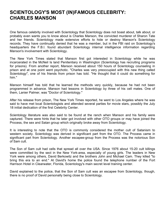#### **SCIENTOLOGY'S MOST (IN)FAMOUS CELEBRITY: CHARLES MANSON**

One famous celebrity involved with Scientology that Scientology does not boast about, talk about, or probably even wants you to know about is Charles Manson, the convicted murderer of Sharon Tate and her friends. Scientology made extensive efforts to hide or destroy Manson's Scientology records. They have continually denied that he was a member, but in the FBI raid on Scientology's headquarters the F.B.I. found abundant Scientology internal intelligence information regarding Manson's involvement with Scientology.

The New York Times stated that Manson first got interested in Scientology while he was incarcerated in the McNeil Is land Penitentiary in Washington (Scientology has recruiting programs for prisons). From another report, Manson received about 150 hours of Scientology counseling in prison and at one point went psychotic. "Charles was very preoccupied with this new thing called Scientology", one of his friends from prison has told. "He thought that it could do something for him."

Manson himself has told that he learned the methods very quickly, because he had not been programmed in advance. Manson had lessons in Scientology by three of his cell mates. One of them, Lanier Palmer, was "Doctor of Scientology."

After his release from prison, The New York Times reported, he went to Los Angeles where he was said to have met local Scientologists and attended several parties for movie stars, possibly the July 18 initial dedication of the first Celebrity Center.

Scientology literature was also said to be found at the ranch when Manson and his family were captured. There were hints that he later got involved with other OTO groups or may have joined the Process, the sex and Satan group which originally broke away from Scientology.

It is interesting to note that the OTO is commonly considered the mother cult of Satanism to western society. Scientology was derived in significant part from the OTO. The Process came in significant part from Scientology. Another escapee-group from the Process was the notorious Son of Sam cult.

The Son of Sam cult had cells that spread all over the USA. Since 1976 about 15-20 cult killings were committed by the sect in the New York-area, especially of young girls. The leaders in New York were among others, David Berkowitz and the brothers John and Michael Cam. They killed "to bring this era to an end." At David's home the police found the telephone number of the Fort Harrison Hotel in Clearwater, Florida, Scientology's main secret level training center.

David explained to the police, that the Son of Sam cult was an escapee from Scientology, though, there is no proof of David personally being close to Scientology.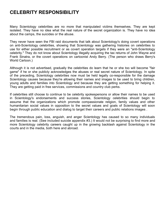#### **CELEBRITY RESPONSIBILITY**

Many Scientology celebrities are no more that manipulated victims themselves. They are kept isolated. They have no idea what the real nature of the secret organization is. They have no idea about the camps, the suicides or the abuse.

They never have seen the FBI raid documents that talk about Scientology's doing covert operations on anti-Scientology celebrities, showing that Scientology was gathering histories on celebrities to use for either possible recruitment or as covert operation targets if they were an "anti-Scientology celebrity." They do not know about Scientology illegally acquiring the tax returns of John Wayne and Frank Sinatra, or the covert operations on cartoonist Andy Berry. (The person who draws Berry's World Cartoon.)

Although it is not advertised, gradually the celebrities do learn that he or she too will become "fair game" if he or she publicly acknowledges the abuses or real secret nature of Scientology. In spite of the preceding, Scientology celebrities now must be held legally co-responsible for the damage Scientology causes because they're allowing their names and images to be used to bring children, young adults and families into Scientology and because they are getting something for helping it. They are getting paid in free services, commissions and country club perks.

If celebrities still choose to continue to be celebrity spokespersons or allow their names to be used in Scientology's endorsements and success stories, Scientology celebrities should begin to assume that the organizations which promote compassionate religion, family values and other humanitarian social values in opposition to the secret values and goals of Scientology will soon begin through public education and dialog to target their careers and public relations images .

The tremendous pain, loss, anguish, and anger Scientology has caused to so many individuals and families is real. (See included suicide appendix #3.) It would not be surprising to find more and more Scientology celebrity careers caught up in the growing backlash against Scientology in the courts and in the media, both here and abroad.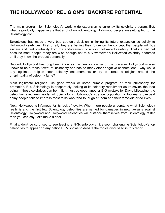## **THE HOLLYWOOD "RELIGION'S" BACKFIRE POTENTIAL**

The main program for Scientology's world wide expansion is currently its celebrity program. But, what is gradually happening is that a lot of non-Scientology Hollywood people are getting hip to the Scientology con.

Scientology has made a very bad strategic decision in linking its future expansion so solidly to Hollywood celebrities. First of all, they are betting their future on the concept that people will buy sincere and real spirituality from the endorsement of a slick Hollywood celebrity. That's a bad bet because most people today are wise enough not to buy whatever a Hollywood celebrity endorses until they know the product personally.

Second, Hollywood has long been know as the neurotic center of the universe. Hollywood is also known to be a "tinsel town" of insincerity and has so many other negative connotations - why would any legitimate religion seek celebrity endorsements or try to create a religion around the unspirituality of celebrity fame?

Most legitimate religions use good works or some humble program or their philosophy for promotion. But, Scientology is desperately looking at its celebrity recruitment as its savior, the idea being: if these celebrities can be in it, it must be good; another BIG mistake for David Miscavige, the celebrity-crazed new leader of Scientology. Hollywood's strange population of too many overpaid shiny people fails to impress most folks who tend to laugh at them and their fame-distorted lives.

Next, Hollywood is infamous for its lack of loyalty. When more people understand what Scientology really is and the first few Scientology celebrities are named for damages in new lawsuits against Scientology, Hollywood and Hollywood celebrities will distance themselves from Scientology faster than you can say "let's make a deal."

Finally, don't be surprised to see leading anti-Scientology critics soon challenging Scientology's top celebrities to appear on any national TV shows to debate the topics discussed in this report.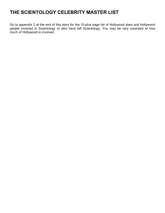# **THE SCIENTOLOGY CELEBRITY MASTER LIST**

Go to appendix 2 at the end of this story for the 10-plus page list of Hollywood stars and Hollywood people involved in Scientology or who have left Scientology. You may be very surprised at how much of Hollywood is involved.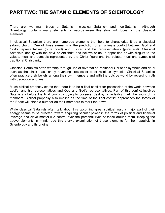### **PART TWO: THE SATANIC ELEMENTS OF SCIENTOLOGY**

There are two main types of Satanism, classical Satanism and neo-Satanism. Although Scientology contains many elements of neo-Satanism this story will focus on the classical elements.

In classical Satanism there are numerous elements that help to characterize it as a classical satanic church. One of those elements is the prediction of an ultimate conflict between God and God's representatives (pure good) and Lucifer and his representatives (pure evil). Classical Satanists identify with the devil or Antichrist and believe or act in opposition or with disgust to the values, ritual and symbols represented by the Christ figure and the values, ritual and symbols of traditional Christianity.

Classical Satanists often worship through use of reversal of traditional Christian symbols and ritual such as the black mass or by reversing crosses or other religious symbols. Classical Satanists often practice their beliefs among their own members and with the outside world by reversing truth with deception and lies.

Much biblical prophesy states that there is to be a final conflict for possession of the world between Lucifer and his representatives and God and God's representatives. Part of this conflict involves Satanists - before the final conflict - trying to possess, destroy or indelibly mark the souls of its members. Biblical prophesy also implies as the time of the final conflict approaches the forces of the Beast will place a number on their members to mark their own.

While classical Satanists often talk about this upcoming great spiritual war, a major part of their energy seems to be directed toward acquiring secular power in the forms of political and financial leverage and slave master-like control over the personal lives of those around them. Keeping the above elements in mind, read this story's examination of these elements for their parallels in Scientology and its origins.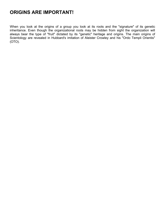# **ORIGINS ARE IMPORTANT!**

When you look at the origins of a group you look at its roots and the "signature" of its genetic inheritance. Even though the organizational roots may be hidden from sight the organization will always bear the type of "fruit" dictated by its "genetic" heritage and origins. The main origins of Scientology are revealed in Hubbard's imitation of Aleister Crowley and his "Ordo Templi Orientis" (OTO).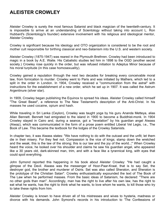# **ALEISTER CROWLEY**

Aleister Crowley is surely the most famous Satanist and black magician of the twentieth-century. It is impossible to arrive at an understanding of Scientology without taking into account L. Ron Hubbard's (Scientology's founder) extensive involvement with his religious and ideological mentor, Aleister Crowley.

Crowley is significant because his ideology and OTO organization is considered to be the root and mother cult responsible for birthing classical and neo-Satanism into the U.S. and western society.

Aleister Crowley (1875-1947) was reared in the Plymouth Brethren. Crowley had been introduced to magic in a book by A.E. Waite. His Cabalistic studies led him in 1898 to the OGD (another secret society.) Crowley rose quickly in the order, but was refused initiation to Adeptus Minor because of his moral turpitude (in this case homosexuality).

Crowley gained a reputation through the next two decades for breaking every conceivable moral law, from fornication to murder. Crowley went to Paris and was initiated by Mathers, which led to a split in the order in London. In 1904, Crowley received a "communication from the astral" with instructions for the establishment of a new order, which he set up in 1907. It was called the Astrum Argentinure (silver star).

In 1909, Crowley began publishing the Equinox to spread his ideas. Aleister Crowley called himself "The Great Beast", a reference to The New Testament's description of the Anti-Christ. In his masses he used cocaine, opium and hash.

While traveling in Sri Lanka (Ceylon), Crowley was taught yoga by his guru Ananda Metteya, alias Allan Bennett. Bennett had emigrated to the island in 1900 to become a Buddhist-monk. In 1904 Crowley stayed in Cairo and, during a seance, got a "revelation" by his guardian angel Aiwass (Aiwaz), which was communicated in the form of a prose poem entitled Liberal Vel Legis, i.e., The Book of Law. This became the textbook for the lodges of the Crowley Satanists.

In chapter two, it was Aiwass states: "We have nothing to do with the outcast and the unfit; let them die in their misery. For they feel not. Compassion is the vice of kings; stamp down the wretched and the weak; this is the law of the strong; this is our law and the joy of the world..;" When Crowley heard the voice, he looked over his shoulder and claims he saw his guardian angel, who appeared like a 30 years old, dark-skinned man, trim, and with a face like a tyrannical king, with eyes that could spoil everything.

John Symond reported this happening in his book about Aleister Crowley: "He had caught a glimpse of the Devil. Aiwass was the messenger of Hoor-Paar-Kraat, that is to say Set, the destroyer god, the brother and murderer of Osiris. Set was also called Sheraton, and Sheraton is the prototype of the Christian Satan". Crowley enthusiastically expounded the text of The Book of The Law when he performed masses. From the basic ideas of Satanism, he declared: "There are no other gods than man". Accordingly, man has the right to live after his own law, has the right to eat what he wants, has the right to think what he wants, to love whom he wants, to kill those who try to take these rights from him.

Aleister Crowley is known to have driven all of his mistresses and wives to hysteria, madness or divorce with his demands. John Symond's records in his introduction to 'The Confessions of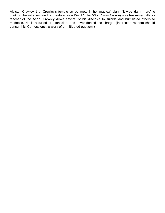Aleister Crowley' that Crowley's female scribe wrote in her magical' diary: "it was 'damn hard' to think of 'the rottenest kind of creature' as a Word." The "Word" was Crowley's self-assumed title as teacher of the Aeon. Crowley drove several of his disciples to suicide and humiliated others to madness. He is accused of infanticide, and never denied the charge. (Interested readers should consult his 'Confessions', a work of unmitigated egotism.)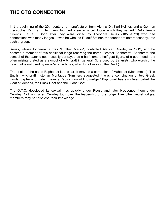# **THE OTO CONNECTION**

In the beginning of the 20th century, a manufacturer from Vienna Dr. Karl Kellner, and a German theosophist Dr. Franz Hertmann, founded a secret occult lodge which they named "Ordo Templi Orientis" (O.T.O.). Soon after they were joined by Theodore Reuss (1855-1923) who had connections with many lodges. It was he who led Rudolf Steiner, the founder of anthroposophy, into such a group.

Reuss, whose lodge-name was "Brother Merlin", contacted Aleister Crowley in 1912, and he became a member of this additional lodge receiving the name "Brother Baphomet". Baphomet, the symbol of the satanic goat, usually portrayed as a half-human, half-goat figure, of a goat head. It is often misinterpreted as a symbol of witchcraft in general. (It is used by Satanists, who worship the devil, but is not used by neo-Pagan witches, who do not worship the Devil.)

The origin of the name Baphomet is unclear. It may be a corruption of Mahomet (Mohammed). The English witchcraft historian Montague Summers suggested it was a combination of two Greek words, baphe and metis, meaning "absorption of knowledge." Baphomet has also been called the Goat of Mendes, the Black Goat and the Judas Goat.)

The O.T.O. developed its sexual rites quickly under Reuss and later broadened them under Crowley. Not long after, Crowley took over the leadership of the lodge. Like other secret lodges, members may not disclose their knowledge.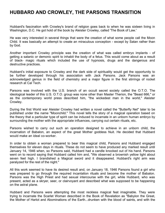### **HUBBARD AND CROWLEY, THE PARSONS TRANSITION**

Hubbard's fascination with Crowley's brand of religion goes back to when he was sixteen living in Washington, D.C. He got hold of the book by Aleister Crowley, called 'The Book of Law.'

He was very interested in several things that were the creation of what some people call the Moon Child. It was basically an attempt to create an miraculous conception - except by Satan rather than by God.

Another important Crowley principle was the creation of what was called embryo implants - of getting a satanic or demonic spirit to inhabit the body of a fetus. This would come about as a result of black- magic rituals which included the use of hypnosis, drugs and the dangerous and destructive practices.

Hubbard's initial exposure to Crowley and the dark side of spirituality would get the opportunity to be further developed through his association with Jack Parsons. Jack Parsons was an acknowledged genius in the field of chemistry and a major figure in the first stirrings of rocket research at Cal Tech.

Parsons was involved with the U.S. branch of an occult secret society called the O.T.O. The ideological leader of this U.S. O.T.O. group was none other than Master Therion, the "Beast 666," or as the contemporary world press described him, "the wickedest man in the world," Aleister Crowley.

During the first World war Aleister Crowley had written a novel called the "Butterfly Net" later to be published under the name "Moonchild." This novel tells the story of a magical operation based on the theory that a particular type of spirit can be induced to incarnate in an unborn human embryo by surrounding the mother with the appropriate influences, carrying out certain rituals, etc.

Parsons wished to carry out such an operation designed to achieve in an unborn child, the incarnation of Babalon, an aspect of the great Mother goddess Nuit. He decided that Hubbard would make an ideal co-worker.

In order to obtain a woman prepared to bear this magical child, Parsons and Hubbard engaged themselves for eleven days in rituals. These do not seem to have produced any marked result until January 14, 1946 when, so Parsons said, Hubbard had a candle knocked out of his hand. Parsons went on to record saying that Hubbard called him and, "We observed a brownish yellow light about seven feet high. I brandished a Magical sword and it disappeared. Hubbard's right arm was paralyzed for the rest of the night."

All this work seemed to have its desired result and, on January 18, 1946 Parsons found a girl who was prepared to go through the required incantation rituals and become the mother of Babalon. Parsons was the High Priest and had sexual intercourse with the girl, while Hubbard, who was present, acted as a skryer, seer, or clairvoyant and described what was supposed to be happening on the astral plane.

Hubbard and Parsons were attempting the most reckless magical feat imaginable. They were trying to incarnate the Scarlet Woman described in the Book of Revelation as "Babylon the Great, the Mother of Harlot and Abominations of the Earth...drunken with the blood of saints, and with the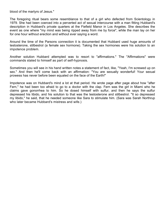blood of the martyrs of Jesus."

The foregoing ritual bears some resemblance to that of a girl who defected from Scientology in 1979. She had been coerced into a perverted act of sexual intercourse with a man fitting Hubbard's description in Hubbard's private quarters at the Fiefield Manor in Los Angeles. She describes the event as one where "my mind was being ripped away from me by force", while the man lay on her for one hour without erection and without ever saying a word.

Around the time of the Parsons connection it is documented that Hubbard used huge amounts of testosterone, stilbestrol (a female sex hormone). Taking the sex hormones were his solution to an impotence problem.

Another solution Hubbard attempted was to resort to "affirmations." The "Affirmations" were commands stated to himself as part of self-hypnosis.

Sometimes you will see in his hand written notes a statement of fact, like, "Yeah, I'm screwed up on sex." And then he'll come back with an affirmation: "You are sexually wonderful! Your sexual prowess has never before been equaled on the face of the Earth!"

Impotence was on Hubbard's mind a lot at that period. He wrote page after page about how "after Fern," he had been too afraid to go to a doctor with the clap. Fern was the girl in Miami who he claims gave gonorrhea to him. So he dosed himself with sulfur, and then he says the sulfur depressed his libido, and his solution to that was the testosterone and stilbestrol. "It so depressed my libido," he said, that he needed someone like Sara to stimulate him. (Sara was Sarah Northrup who later became Hubbard's mistress and wife.)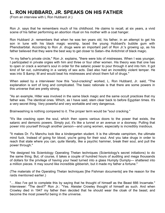# **L. RON HUBBARD, JR. SPEAKS ON HIS FATHER**

(From an interview with L Ron Hubbard Jr.)

Ron Jr. says that he remembers much of his childhood. He claims to recall, at six years, a vivid scene of his father performing an abortion ritual on his mother with a coat hanger.

Ron Hubbard Jr. remembers that when he was ten years old, his father, in an attempt to get his son in tune with his black magic worship, laced the young Hubbard's bubble gum with Phenobarbital. According to Ron Jr. drugs were an important part of Ron Jr.'s growing up, as his father believed that they were the best way to get closer to Satan--the Antichrist of black magic.

"In my father's private circle," Ron Jr. explains, "there were lots of mistresses. When I was younger, I participated in private orgies with him and three or four other women. His theory was that one has to open or crack a woman's soul in order for the satanic power to pour through it and into him. It got kind of far out, culminating in a variety of sex acts. Dad also had an incredibly violent temper. He was into S & amp; M and would beat his mistresses and shoot them full of drugs."

When asked by a interviewer how this "soul-cracking" worked, L. Ron Hubbard, Jr. said, "The explanation is sort of long and complicated. The basic rationale is that there are some powers in this universe that are pretty strong.

"As an example, Hitler was involved in the same black magic and the same occult practices that my father was. The identical ones. Which, as I have said, stem clear back to before Egyptian times. It's a very secret thing. Very powerful and very workable and very dangerous.

Brainwashing is nothing compared to it. The proper term would be "soul cracking."

"It's like cracking open the soul, which then opens various doors to the power that exists, the satanic and demonic powers. Simply put, it's like a tunnel or an avenue or a doorway. Pulling that power into yourself through another person—and using women, especially is incredibly insidious.

"It makes Dr. Fu Manchu look like a kindergarten student. It is the ultimate vampirism, the ultimate mind fuck. Instead of going for blood, you're going for their soul. And you take drugs in order to reach that state where you can, quite literally, like a psychic hammer, break their soul, and pull the power through."

"He designed his Scientology Operating Thetan techniques (Scientology's secret initiations) to do the same thing. But, of course, it takes a couple of hundred hours of auditing and mega thousands of dollars for the privilege of having your head turned into a glass Humpty Dumpty--- shattered into a million pieces. It may sound like incredible gibberish, but it made my father a fortune."

(The materials of the Operating Thetan techniques [the Fishman documents] are the reason for the raids mentioned earlier.)

"... Also I've got to complete this by saying that he thought of himself as the Beast 666 Incarnate." Interviewer: "The devil?" Ron Jr.: "Yes. Aleister Crowley thought of himself as such. And when Crowley died in 1947 my father then decided that he should wear the cloak of the beast; and become the most powerful being in the universe.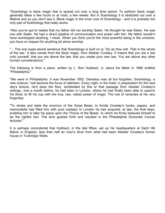"Scientology is black magic that is spread out over a long time period. To perform black magic generally takes a few hours or at most; a few weeks. But in Scientology it is stretched out over a lifetime and so you don't see it. Black magic is the inner core of Scientology - and it is probably the only part of Scientology that really works.

"Also you've got to realize that my father did not worship Satan. He thought he was Satan. He was one with Satan. He had a direct pipeline of communication and power with him. My father wouldn't have worshipped anything, I mean. When you think you're the most powerful being in the universe, you have no respect for anything let alone worship.

"... The one super-secret sentence that Scientology is built on is: 'Do as thou wilt. That is the whole of the law.' It also comes from the black magic, from Aleister Crowley. It means that you are a law unto yourself, that you are above the law, that you create your own law. You are above any other human considerations."

The following is from a piece, written by L. Ron Hubbard, Jr. about his father in 1985 entitled "Philadelphia."

"We were in Philadelphia. It was November 1952. Dianetics was all but forgotten; Scientology, a new science,' had become the focus of attention. Every night, in the hotel, in preparation for the next day's lecture, he'd pace the floor, exhilarated by this or that passage from Aleister Crowley's writings. Just a month before, he had been in London, where he had finally been able to quench his thirst; to fill his cup with the true, raw, naked power of magic. The lust of centuries at his very fingertips.

"To stroke and taste the environs of the Great Beast, to fondle Crowley's books, papers, and memorabilia had filled him with pure ecstasy! In London he had acquired, at last, the final keys; enabling him to take his place upon the Throne of the Beast,' to which he firmly believed himself to be the rightful heir. The tech gushed forth and resulted in the Philadelphia Doctorate Course lectures."

It is perhaps coincidental that Hubbard, in the late fifties, set up his headquarters at Saint Hill Manor in England, less than half an hour's drive from what had been Aleister Crowley's former house in Tunbridge Wells.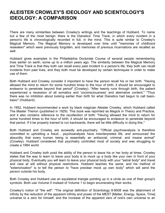### **ALEISTER CROWLEY'S IDEOLOGY AND SCIENTOLOGY'S IDEOLOGY: A COMPARISON**

There are many similarities between Crowley's writings and the teachings of Hubbard. To name but a few of the most benign: there is the Dianetics' Time Track, in which every incident in a person's life is chronologically recorded in full, in the mind. This is quite similar to Crowley's Magical Memory. The Magical Memory is developed over time until "memories of childhood reawaken" which were previously forgotten, and memories of previous incarnations are recalled as well.

Hubbard gives examples in the Philadelphia Doctorate Course of several people remembering lives earlier on earth, some up to a million years ago. The similarity between the Magical Memory and Time Track is that they both can recall every past incident in a person's life, they both can recall incidents from past lives, and they both must be developed by certain techniques in order to make use of them.

Both Hubbard and Crowley consider it important to have the person recall his or her birth. "Having allowed the mind to return for some hundred times to the hour of birth, it should be encouraged to endeavor to penetrate beyond that period" {Crowley). "After twenty runs through birth, the patient experienced a recession of all somatics and 'unconsciousness' and aberrative content." "Thus there was no inhibition about looking earlier than birth for what Dianetics had begun to call basicbasic" (Hubbard).

In 1952, Hubbard recommended a work by black magician Aleister Crowley, which Hubbard called The Master Therion (published in 1929). This book was reprinted as Magick in Theory and Practice, and it also contains reference to the recollection of birth: "Having allowed the mind to return for some hundred times to the hour of birth, it should be encouraged to endeavor to penetrate beyond that period. If it be properly trained to run backwards, there will be little difficulty in doing this."

Both Hubbard and Crowley are avowedly anti-psychiatry. "Official psychoanalysis is therefore committed to upholding a fraud... psychoanalysts have misinterpreted life, and announced the absurdity that every human being is essentially an antisocial, criminal, and insane animal" (Crowley). Hubbard considered that psychiatry controlled most of society and was struggling to create a 1984 world.

Hubbard and Crowley both posit the ability of the person to leave his or her body at times. Crowley states that the way to learn to leave your body is to mock up a body like your own in front of your physical body. Eventually you will learn to leave your physical body with your "astral body" and travel and view at will without physical restrictions. Hubbard teaches the same, and his method of "exteriorization" is to tell the person to "have preclear mock up own body" which will send the person outside his body.

Both Crowley and Hubbard use an equilateral triangle pointing up in a circle as one of their group's symbols. Both use Volume 0 instead of Volume 1 to begin enumerating their works.

Crowley's notion of "the will": "The original definition of Scientology 8-8008 was the attainment of infinity by the reduction of the apparent infinity and power of the MEST [Matter, Energy, Space, Time] universe to a zero for himself, and the increase of the apparent zero of one's own universe to an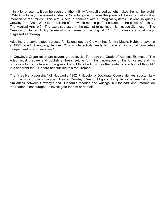infinity for oneself ... It can be seen that [the] infinity [symbol] stood upright makes the number eight" . Which is to say, the essential idea of Scientology is to raise the power of the individual's will or intention to "an infinity". This aim is held in common with all magical systems (Cavendish quotes Crowley "the Great Work is the raising of the whole man in perfect balance to the power of Infinity", The Magical Arts, p.5). The exercises used in the attempt to achieve this - especially those in The Creation of Human Ability (some of which were on the original "OT 5" course) - are ritual magic disguised as therapy.

Adopting the same stated purpose for Scientology as Crowley had for his Magic, Hubbard says, in a 1952 taped Scientology lecture: "Our whole activity tends to make an individual completely independent of any limitation."

In Crowley's Organization are several grade levels. To reach the Grade of Adeptus Exemptus "The Adept must prepare and publish a thesis setting forth His knowledge of the Universe, and his proposals for its welfare and progress. He will thus be known as the leader of a school of thought." It is apparent that Hubbard has fulfilled this requirement.

The "creative processing" of Hubbard's 1952 Philadelphia Doctorate Course derives substantially from the work of black magician Aleister Crowley. One could go on for quite some time listing the similarities between Crowley's and Hubbard's theories and writings, but for additional information the reader is encouraged to investigate for him or herself.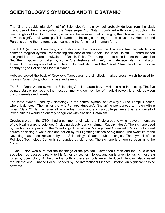## **SCIENTOLOGY'S SYMBOLS AND THE SATANIC**

The "S and double triangle" motif of Scientology's main symbol probably derives from the black magic use of the snake symbol (the "wise serpent" or Satan) combined with a deconstruction into two triangles of the Star of David (rather like the reverse ritual of hanging the Christian cross upside down to signify devil worship). This symbol - the magical hexagram - was used by Hubbard and Parsons during their attempts at incarnating the Antichrist in human form.

The RTC (a main Scientology corporation) symbol contains the Dianetics triangle, which is a common magical symbol, representing the door of the Cabala, the letter Daleth. Hubbard indeed assigned it to the Greek equivalent of Daleth, Delta. The triangle on its base is also the symbol of Set, the Egyptian god called by some "the destroyer of man", the male equivalent of Babalon. Indeed Crowley equates Set with Satan. Hubbard also used the "Daleth" triangle of the Egyptian destroyer-god Set as the Dianetic symbol.

Hubbard copied the back of Crowley's Tarot-cards, a distinctively marked cross, which he used for his main Scientology church cross and symbol.

The Sea Organization symbol of Scientology's elite paramilitary division is also interesting. The five pointed star, or pentacle is the most commonly known symbol of magical power. It is held between two thirteen-leaved laurels.

The theta symbol used by Scientology is the central symbol of Crowley's Ordo Templi Orientis, where it denotes "Thelma" or the will. Perhaps Hubbard's "thetan" is pronounced to match with a lisped "Satan"? He was, after all, wry in his humor and such a subtle perverse twist and deceit of lower initiates would be entirely congruent with classical Satanism.

Crowley's order - the OTO - had a common origin with the Thule group to which several members of the Nazi hierarchy belonged (including deputy party chairman Rudolph Hess). The sig rune used by the Nazis - appears on the Scientology International Management Organization's symbol - a red square enclosing a white disc and set off by four lightning flashes or sig runes. The swastika of the Nazi flag has been replaced by the Scientology "S and double triangle". The symbol of the Religious Technology Center is surrounded by sig runes. The sig rune is otherwise peculiar to the Nazis.

L. Ron, junior, was sure that the teachings of the pre-Nazi Germanen Orden and the Thule secret societies had passed directly to his father by courier. No explanation is given for using these sig runes by Scientology. At the time that both of these symbols were introduced, Hubbard also created the International Finance Police, headed by the International Finance Dictator. An significant choice of words.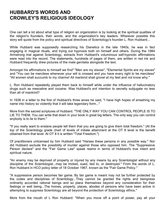### **HUBBARD'S WORDS AND CROWLEY'S RELIGIOUS IDEOLOGY**

One can tell a lot about what type of religion an organization is by looking at the spiritual qualities of the religion's founders, their words, and the organization's key leaders. Wherever possible this story will quote from the policy and spiritual directives of Scientology's founder L. Ron Hubbard...

While Hubbard was supposedly researching his Dianetics in the late 1940s, he was in fact engaging in magical rituals, and trying out hypnosis both on himself and others. During the 1984 Armstrong trial against Scientology, extracts from Hubbard's voluminous self-hypnotic affirmations were read into the record. The statements, hundreds of pages of them, are written in red ink and Hubbard frequently drew pictures of the male genitalia alongside the text.

Amongst his affirmations to himself we find" "Men are my slaves", "Elemental Spirits are my slaves" and "You can be merciless whenever your will is crossed and you have every right to be merciless" "All women shall succumb to my charms! All mankind shall grovel at my feet and not know why."

L. Ron Hubbard repeatedly played them back to himself while under the influence of hallucinatory drugs such as mescaline and cocaine. Was Hubbard's evil intention to secretly subjugate no less than all of mankind?

In 1938 in a letter to the first of Hubbard's three wives he said, "I have high hopes of smashing my name into history so violently that it will take legendary form..."

More from the sacred scriptures of Hubbard. "THE ONLY WAY YOU CAN CONTROL PEOPLE IS TO LIE TO THEM. You can write that down in your book in great big letters. The only way you can control anybody is to lie to them."

"If you really want to enslave people tell them that you are going to give them total freedom." (At the top of the Scientology grade chart of levels of initiate attainment at the OT 8 level is the benefit obtained from that level. At OT 8 it is written "Total Freedom.")

Of practitioners unlicensed by him Hubbard said "Harass these persons in any possible way." Nor did Hubbard exclude the possibility of murder against those who opposed him. The "Suppressive Person declare" and the "Fair Game Law" speak reams in terms of Hubbard's true intent and spiritual nature.

"An enemy may be deprived of property or injured by any means by any Scientologist without any discipline of the Scientologist...may be tricked, sued, lied to, or destroyed." From the words of L. Ron Hubbard in HCO policy letter of 18 October 1967, known as the "Fair Game Policy."

"A suppressive person becomes fair game. By fair game is meant may not be further protected by the codes and disciplines of Scientology...They cannot be granted the rights and beingness ordinarily accorded rational beings and so place themselves beyond any consideration for their feelings or well being...The homes, property, places, abodes of persons who have been active in attempting to suppress Scientology are all beyond the protection of Scientology ethics."

More from the mouth of L Ron Hubbard: "When you move off a point of power, pay all your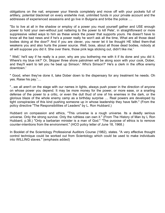obligations on the nail, empower your friends completely and move off with your pockets full of artillery, potential blackmail on every erstwhile rival, unlimited funds in your private account and the addresses of experienced assassins and go live in Bulgaria and bribe the police ....

"So to live at all in the shadow or employ of a power you must yourself gather and USE enough power to hold your own-without just nattering to the power to kill Pete', in straightforward or more suppressive veiled ways to him as these wreck the power that supports yours. He doesn't have to know all the bad news and if he's a power really he won't ask all the time, What are all those dead bodies doing at the door?' And if you are clever, you never let it be thought HE killed them-that weakens you and also hurts the power source. Well, boss, about all those dead bodies, nobody at all will suppose you did it. She over there, those pink legs sticking out, didn't like me.'

" Well,' he'll say if he really is a poor, why are you bothering me with it if its done and you did it. Where's my blue ink?' Or, Skipper three shore patrolmen will be along soon with your cook, Dober, and they'll want to tell you he beat up Simson.' Who's Simson?' He's a clerk in the office enemy downtown.'

" Good, when they've done it, take Dober down to the dispensary for any treatment he needs. Oh yes. Raise his pay.'....

"...we all aren't on the stage with our names in lights, always push power in the direction of anyone on whose power you depend. It may be more money for the power, or more ease, or a snarling defense of the power to a critic, or even the dull thud of one of his enemies in the dark, or the glorious blaze of the whole enemy camp as a birthday surprise .... Real powers are developed by tight conspiracies of this kind pushing someone up in whose leadership they have faith." (From the policy directive "The Responsibilities of Leaders" by L. Ron Hubbard.)

Hubbard on compassion and ethics, "This universe is a rough universe. Its a deadly serious universe. Only the strong survive. Only the ruthless can own it." (From The History of Man by L Ron Hubbard, p.38.) "Only a barbarian minister is a man of God." "The purpose of ethics is to remove counter-intentions from the environment." (HCO policy letter of June 18, 1968.)

In Booklet of the Scientology Professional Auditors Course (1982), states. "A very effective thought control technique could be worked out from Scientology which could be used to make individuals into WILLING slaves." (emphasis added)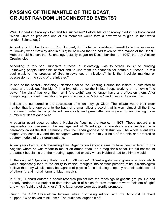### **PASSING OF THE MANTLE OF THE BEAST, OR JUST RANDOM UNCONNECTED EVENTS?**

Was Hubbard in Crowley's fold and his successor? Before Aleister Crowley died in his book called "Moon Child: he predicted one of his members would form a new world religion. Is that world religion Scientology?

According to Hubbard's son L. Ron Hubbard, Jr., his father considered himself to be the successor to Crowley when Crowley died in 1947; he believed that he had taken on "the mantle of the Beast." Hubbard told his son that Scientology actually began on December the 1st, 1947, the day Aleister Crowley died.

According to this son Hubbard's purpose in Scientology was to "crack souls," to bringing unknowing people under his control and to use them as channels for satanic purposes. Is this soul cracking the process of Scientology's secret initiations? Is it the indelible marking or possession of the souls of the initiates?

In one of the secret Scientology initiations called the Clearing Course the initiate is instructed to locate and audit out "the Light." In a hypnotic trance the initiate keeps working on removing "the power "the Light" has over them until "the Light" can no longer have any effect on them. After completing this level of initiation the person is declared "cleared" and given a Clear number.

Initiates are numbered in the succession of when they go Clear. The initiate wears their clear number that is engraved onto the back of a small silver bracelet that is worn almost all the time. The clear number list is published periodically and great attention is given to announcing more numbered Clears each year.

A peculiar event occurred aboard Hubbard's flagship, the Apollo, in 1973. Those aboard ship responsible for overseeing the management of Scientology organizations were involved in a ceremony called the Kali ceremony after the Hindu goddess of destruction. The whole event was staged very seriously, and the managers were led into a dimly lit hold of the ship and ordered to destroy models of their organizations.

A few years before, a high-ranking Sea Organization Officer claims to have been ordered to Los Angeles where he was meant to mount an armed attack on a magician's sabat. He did not mount the attack but claims that the meeting happened exactly where Hubbard had told him it would.

In the original "Operating Thetan section VII course", Scientologists were given exercises which would supposedly lead to the ability to implant thoughts into another person's mind. Scientologists believe that they will ultimately be capable of psychic feats including telepathy and telepathic control of others (the aim of all forms of black magic).

In 1976, Hubbard ordered a secret research project into the teachings of gnostic groups. He had already carried out a project to determine which of his ship's crew members were "soldiers of light" and which "soldiers of darkness". The latter group were apparently promoted.

During the 1952 Philadelphia lectures while discussing religion and the Antichrist Hubbard quipped, "Who do you think I am?" The audience laughed it off.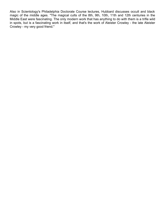Also in Scientology's Philadelphia Doctorate Course lectures, Hubbard discusses occult and black magic of the middle ages. "The magical cults of the 8th, 9th, 10th, 11th and 12th centuries in the Middle East were fascinating. The only modern work that has anything to do with them is a trifle wild in spots, but is a fascinating work in itself, and that's the work of Aleister Crowley - the late Aleister Crowley - my very good friend."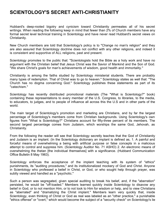# **SCIENTOLOGY'S SECRET ANTI-CHRISTIANITY**

Hubbard's deep-rooted bigotry and cynicism toward Christianity permeates all of his secret writings. When reading the following keep in mind that fewer than 2% of Church members have any formal secret level technical training in Scientology and have never read Hubbard's secret views on Christianity.

New Church members are told that Scientology's policy is to "Change no man's religion" and they are also assured that Scientology doctrine does not conflict with any other religions, and indeed it is consistent and supportive of ALL religions, past and present.

Scientology promotes to the public that: "Scientologists hold the Bible as a holy work and have no argument with the Christian belief that Jesus Christ was the Savior of Mankind and the Son of God. "We share Christ's goals for man's achievements of wisdom, good health and immortality."

Christianity is among the faiths studied by Scientology ministerial students. There are probably many types of redemption. That of Christ was to go to heaven." Scientology states as well that: "The Church has no dogma concerning God." Scientology publishes these statements as part of its "catechism."

Scientology has recently distributed promotional materials (The "What is Scientology?" book) containing these representations to every member of the U.S. Congress, to libraries, to the media, to educators, to judges, and to people of influence all across this the U.S and in other parts of the world.

The main target of Scientology's promotion and marketing are Christians, and by far the largest percentage of Scientology's members come from Christian backgrounds. Using Scientology's own figures from "What is Scientology?" Christians account for fifty-three percent of its members. The second largest percentage comes from Judaism, which worships the same God, Jehovah, as Christianity.

From the following the reader will see that Scientology secretly teaches that the God of Christianity and Judaism is an implant. (In the Scientology dictionary an implant is defined as, 1. A painful and forceful means of overwhelming a being with artificial purpose or false concepts in a malicious attempt to control and suppress him. (Scientology Auditor No. 71 ASHO) 2. An electronic means of overwhelming the thetan [the individual themselves] with a significance. (Hubbard Communication Office Bulletin 8 May 1963).

Scientology enforces the acceptance of the implant teaching with its system of "ethics" punishments, its "auditing procedures," and its institutionalized mockery of God and Christ. Anyone in Scientology who professed a belief in Christ, or God, or who sought help through prayer, was subtly viewed and handled as a "psychotic."

Such a person was segregated, given special auditing to break his belief, and, if the "aberration" persisted, he would be "off-loaded." Members learned quickly inside Scientology to disavow any belief in God, or to not mention Him, or to not look to Him for wisdom or help, and to view Christians as "aberrated" and "dramatizing the Christ implant." Members learn very quickly that, inside Scientology, even thinking of Christ or God as real was labeled as an "other practice," a punishable "ethics offense" or "overt," which would become the subject of a "security check" on Scientology's lie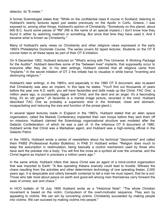detector, its "E-meter."

A former Scientologist states that: "While on the confidential class 8 course in Scotland, listening to Hubbard's twenty lectures taped just weeks previously on the Apollo in Corfu, Greece, I was exposed to, among other things, Hubbard's opinion of Christianity: "Somebody on this planet, about 600 B.C. found some pieces of "R6" (R6 is the name of an special implant.) I don't know how they found it; either by watching madmen or something. But since that time they have used it. And it became what is known as Christianity."

Many of Hubbard's early views on Christianity and other religions views expressed in the early 1950's Philadelphia Doctorate Course. The series covers 62 taped lectures. Students on the OT 8 course listen to all these tapes as part of their OT 8 initiation.

On 9 December 1952, Hubbard lectured on "What's wrong with This Universe: A Working Package for the Auditor". Hubbard describes some of the "between lives" implants, that supposedly occur to everyone after they die. In his later writings, Hubbard claimed that all religions came from "implants." In the secret initiation of OT 2 the initiate has to visualize in while trance "inventing and destroying religions."

Hubbard's later writings, in the 1960's, and especially in the 1980 OT 8 document, also re-assert that Christianity was also an implant. In this tape he states: "You'll find out thousands of years before the year one A.D. earth, you will have facsimiles and dolls made up like Christ. FAC One', a million years ago, is occasionally rigged with Christ, and the devil and an angel. It's a fascinating thing, it's an old game." (A facsimile is a mental image picture, recorded in the mind. Hubbard described FAC One as probably a supersonic shot in the forehead, chest and stomach, incapacitating and reducing the size and function of the pineal gland.)

In several taped lectures made in England in the 1960's, Hubbard stated that an alien space organization, called the Markab Confederacy implanted their own troops before they sent them off on missions. Hubbard claimed the Scientology organizational structure was modeled after the Galactic Confederation, of which he was a part of. In the infamous OT 8 document of 1980, Hubbard wrote that Christ was a Markabian agent, and Hubbard was a high-ranking official in the Galactic Patrol.

In the 1950's, Hubbard wrote a series of newsletters about his technical "discoveries" and called them PABS (Professional Auditor Bulletins). In PAB 31 Hubbard writes: "Religion does much to keep the assumption in restimulation, being basically a control mechanism used by those who have sent the preclear into a body. You will find the cross as a symbol all over the universe, and the Christ legend as implant in preclears a million years ago."

In the same article, Hubbard infers that Jesus Christ was an agent of a mind-control organization that was imported to Earth: "A few operating thetans scarcely could lead to trouble. Witness the chaos resulting from the activities and other determinism technology of one operating thetan, 2,000 years ago. It is despicable and utterly beneath contempt to tell a man he must repent, that he is evil. Those who talk most about peace on earth and good-will among men themselves carry forward the seas of unrest, war and chaos."

In HCO bulletin of 18 July 1959 Hubbard wrote as a "Historical Note": "The whole Christian movement is based on the victim. Compulsion of the overt-motivator sequence. They won by appealing to victims. We can win by converting victims. Christianity succeeded by making people into victims. We can succeed by making victims into people."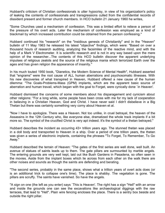Hubbard's criticism of Christian confessionals is utter hypocrisy, in view of his organization's policy of leaking the contents of confessionals and transgressions culled from the confidential records of dissident present and former church members. In HCO bulletin 21 January 1960 he writes,

"Some Churches used a mechanism of confession. This was a limited effort to relieve a person of the pressure of his overt acts. Later the mechanism of confession was employed as a kind of blackmail by which increased contribution could be obtained from the person confessing."

Hubbard continued his "research" on the "insidious genesis of Christianity" and in the "Heaven" bulletin of 11 May 1963 he released his latest "objective" findings, which were: "Based on over a thousand hours of research auditing, analyzing the facsimiles of the reactive mind, and with the help of a Mark V Electrometer. It is scientific research and is not in any way based upon the mere opinion of the researcher...The contents of this HCO bulletin discover the apparent underlying impulses of religious zealots and the source of the religious mania which terrorized Earth over the ages and has given religion the appearance of insanity."

In his much touted 1950 book, "Dianetics, the Modern Science of Mental Health", Hubbard asserted that "engrams" were the root cause of ALL human aberrations and psychosomatic illnesses. With his new discoveries of what transpired in Heaven, Hubbard offered a new cause of the human dilemma: "The Goals-Problems-Mass (GPM) implants, which are the apparent basic source of aberration and human travail, which began with the goal to Forget, were cynically done `in Heaven'.

Hubbard dismissed the concerns of some members about his disparagement and cynicism about other religions: "For a long while, some people have been cross with me for my lack of cooperation in believing in a Christian Heaven, God and Christ. I have never said I didn't disbelieve in a Big Thetan but there was certainly something very corny about Heaven et al.

"Now I have to apologize. There was a Heaven. Not too unlike, in cruel betrayal, the heaven of the Assassins in the 12th Century who, like everyone else, dramatized the whole track implants if a bit more so. The symbol of the crucified Christ is very apt indeed. It's the symbol of a thetan betrayed."

Hubbard describes the incident as occurring 43+ trillion years ago. The stunned thetan was placed in a doll body and transported to Heaven in a ship. Over a period of one trillion years, the thetan was given a series of electronic implants, containing the phrases "To Forget, To Remember, To Go Away."

Hubbard described the terrain of Heaven: "The gates of the first series are well done, well built. An avenue of statues of saints leads up to them. The gate pillars are surmounted by marble angels. The entering grounds are very well kept, laid out like Bush Gardens in Pasadena, so often seen in the movies. Aside from the implant boxes which lie across from each other on the walk there are other noises and sounds as though the saints are defending and berating.

"The second series, probably in the same place, shows what a trillion years of overt acts does (or is an additional trick to collapse one's time). The place is shabby. The vegetation is gone. The pillars are scruffy. The saints have vanished. So have the angels.

"A sign on one (the left as you enter) says `This is Heaven'. The right has a sign "Hell" with an arrow and inside the grounds one can see the excavations like archaeological diggings with the raw terraces, that lead to "Hell". Plain wire fencing encloses the place. There is a sentry box beside and outside the right pillar.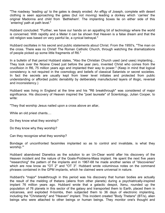"The roadway `leading up' to the gates is deeply eroded. An effigy of Joseph, complete with desert clothing is seen approaching the gates (but not moving) leading a donkey which `carries' the original Madonna and child from `Bethlehem'. The implanting boxes lie on either side of this `entering' path at path level."

Hubbard concluded: "Further, we have our hands on an appalling bit of technology where the world is concerned. With rapidity and a Meter it can be shown that Heaven is a false dream and that the old religion was based on very painful lie, a cynical betrayal."

Hubbard oscillates in his secret and public statements about Christ. From the 1950's, "The man on the cross. There was no Christ! The Roman Catholic Church, through watching the dramatizations of people picked up some little fragments of R6."

In a bulletin of that period Hubbard states, "Also the Christian Church used (and uses) implanting... They took over the Nicene Creed just before the year zero, invented Christ who comes from the crucifixion in R6, 75 million years ago and implanted their way to power." (Keep in mind that logical consistency is not required in the cosmology and beliefs of classical Satanists or secret societies. In fact the secrets are usually kept from lower level initiates and protected from public understanding or afforded public deniability by deliberately manufactured layers of illogic, reversal and inconsistency.)

Hubbard was living in England at the time and his "R6 breakthrough" was considered of major significance. His discovery of Heaven inspired the "poet laureate" of Scientology, Julian Cooper, to write:

"They that worship Jesus nailed upon a cross above an altar,

While an old priest chants....

Do they know what they worship?

Do they know why they worship?

Can they recognize what they worship?

Bondage of unconfronted facsimiles implanted so as to control and invalidate, is what they worship.'"

Hubbard abandoned Dianetics as the solution to an Un-Clear world after his discovery of the Heaven incident and the nature of the Goals-Problems-Mass implant. He spent the next five years "researching" the pattern of the implants and in 1967-68 he made another series of "discoveries" which are now know as "OT 2" and "OT 3". Hubbard wrote voluminous notes on the command phrases contained in the GPM implants, which he claimed were universal in nature.

Hubbard's "major" breakthrough in this period was his discovery that human bodies are actually the result of the melding of thetans (aliens from other planets) during a psychiatrically-inspired implant 76 million years ago. Hubbard wrote that a galactic despot, Xenu, rounded up the population of 76 planets in this sector of the galaxy and transported them to Earth, placed them in volcanoes, and exploded H-bombs, then subjected them to 36 days of electronic implanting, including the "Christianity" and "Heaven" implant. This incident created "Body Thetans" (BT/s), alien beings who were attached to other beings or human beings. They monitor one's thought and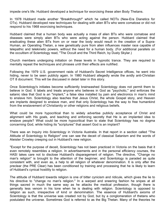impede one's life. Hubbard developed a technique for exorcising these alien Body Thetans.

In 1978 Hubbard made another "Breakthrough!" which he called NOTs (New-Era Dianetics for OTs). Hubbard developed new techniques for dealing with alien BTs who were comatose or did not respond to his 1968 exorcising techniques.

Hubbard claimed that a human body was actually a mass of alien BTs who were comatose and diseases were simply alien BTs who were acting against the person. Hubbard claimed that eradicating these alien BTs from on or near the body would result in the creation of a Supra-Human, an Operating Thetan, a new genetically pure from alien influences master race capable of telepathic and telekinetic powers, without the need for a human body. (For additional parallels on the occultism of Scientology read, "The Occult and the Third Reich, by Dusty Skylar.)

Church members undergoing initiation on these levels in hypnotic trance. They are required to mentally repeat the techniques and phrases until their effects are nullified.

Following the 1979 U.S. government raids of Hubbard's Secret Intelligence offices, he went into hiding, never to be seen publicly again. In 1980 Hubbard allegedly wrote the avidly anti-Christian OT 8 document. This will be discussed in detail later in this story.

Once Scientology's initiates become sufficiently brainwashed Scientology does not permit them to believe in God. It labels and treats anyone who believes in God as "psychotic," and enforces the satanic idea that God is an "implant," a false idea installed by pain and electronics in man's mind to enslave him. Scientology also teaches that Jesus Christ, the whole Gospel story, and Heaven are implants designed to enslave man, and that only Scientology has the way to free humankind from the enslavement of Christianity or other religions and religious beliefs.

What could be more hypocritical than to widely advertise publicly acceptance of Christ and alignment with His goals, and teaching and enforcing secretly that He is an implanted idea to enslave people? What could be more hypocritical than to state that Scientology has no dogma concerning God, while hiding its "scriptures" that assert God is an implant?

There was an Inquiry into Scientology in Victoria Australia. In that report in a section called "The Attitude of Scientology to Religion" one can see the deceit of classical Satanism and the words of Aleister Crowley creeping out in Hubbard's new religion.

"Except for the purpose of deceit, Scientology has not been practiced in Victoria on the basis that it even remotely resembles a religion. In advertisements and in the personal efficiency courses, the HASI takes care not to disclose Hubbard's disparagement of religion. The directive, "Change no man's religion" is brought to the attention of the beginner, and Scientology is paraded as quite consistent with, and even as, a help to all religion of whatever denomination. It is only after the preclear (the PRE Clear) has been conditioned by training and processing that he is likely to learn of Hubbard's cynical hostility to religion.

The attitude of Hubbard towards religion is one of bitter cynicism and ridicule, which gives the lie to his directive to "change no man's religion." In a warped and sneering fashion he snipes at all things sacred in much the same way as he attacks the medical profession, though there is generally less venom in his tone when he is dealing with religion. Scientology is opposed to religion as such, irrespective of kind or denomination. The essence of Hubbard's axioms of Scientology is that the universe was created not by God, but by a conglomeration of thetans who postulated the universe. Sometimes God is referred to as the Big Thetan. Many of the theories he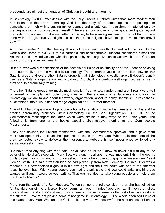propounds are almost the negation of Christian thought and morality.

In Scientology: 8-8008, after dealing with the Early Greeks. Hubbard writes that "more modern man has fallen into the error of making God into the body of a homo sapiens and posting him somewhere on high with a craving for vengeance and a pettiness in punishment matched only by the degradation of homo sapiens himself. "There are gods above all other gods, and gods beyond the gods of universes, but it were better, far better, to be a raving madman in his cell than to be a thing with the ego, cruelty and jealous lust that base religions have set up to make men grovel down."

A former member:" For the fleeting illusion of power and wealth Hubbard sold his soul to the world's dark force of evil. Out of his paranoia and schizophrenia Hubbard considered himself the Antichrist and devised an anti-Christian philosophy and organization to achieve his anti-Christian goals of world power and wealth. "

"If there ever was a manifestation of the Satanic dark side of spirituality or of the Beast or anything that could really harm the world it is Scientology. The difference you need to realize between this Satanic group and every other Satanic group is that Scientology is vastly larger, it doesn't identify itself as a Satanic organization and a Satanic Church; it is incredibly well organized as far as its staff and its paramilitary training.

The other Satanic groups are much, much smaller, fragmented, random, and aren't really very well organized or well planned. Scientology runs with the efficiency of a Japanese corporation. In Scientology we are talking about teamwork, organization, absolute policy, fanaticism, ruthlessness, all combined into a well-financed mega-organization." A former member.

One of Hubbard's goals was to produce a Nazi-like fanaticism within his members. To this end he created paramilitary branches within Scientology like the Sea Organization, OSA, GO or the Commodore's Messengers the latter which were similar in may ways to the Hitler youth. The following is from one of the books exposing Scientology, referring to the Commodore's Messengers:

"They had devised the uniform themselves, with the Commodore's approval, and it gave them maximum opportunity to flaunt their pubescent assets to advantage. While male members of the crew competed avidly to deflower the messengers, Hubbard himself never once exhibited any sexual interest in them.

"He never tried anything with me," said Tanya, "and as far as I know he never did with any of the other girls. He didn't sleep with Mary Sue; we thought perhaps he was impotent. I think he got his thrills by just having us around. I once asked him why he chose young girls as messengers," said Doreen Smith. "He said it was an idea he had picked up from Nazi Germany. He said Hitler was a madman, but nevertheless a genius in his own right and the Nazi Youth was one of the smartest ideas he ever had. With young people you had a blank slate and you could write anything you wanted on it and it would be your writing. That was his idea, to take young people and mold them into little Hubbards."

More from the words of L Ron Hubbard: "When someone enrolls consider he or she has joined up for the duration of the universe. Never permit an "open minded" approach .... If they're enrolled, they're aboard, and if they're aboard they're here on the same terms as the rest of us. Win or die in the attempt .... We're not playing some minor game in Scientology .... The whole agonized future of this planet, every Man, Woman, and Child on it, and your own destiny for the next endless trillions of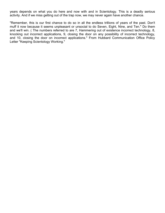years depends on what you do here and now with and in Scientology. This is a deadly serious activity. And if we miss getting out of the trap now, we may never again have another chance.

"Remember, this is our first chance to do so in all the endless trillions of years of the past. Don't muff it now because it seems unpleasant or unsocial to do Seven, Eight, Nine, and Ten." Do them and we'll win. ( The numbers referred to are 7, Hammering out of existence incorrect technology, 8, knocking out incorrect applications, 9, closing the door on any possibility of incorrect technology, and 10, closing the door on incorrect applications." From Hubbard Communication Office Policy Letter "Keeping Scientology Working."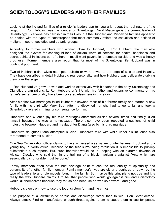## **SCIENTOLOGY'S LEADERS AND THEIR FAMILIES**

Looking at the life and families of a religion's leaders can tell you a lot about the real nature of the religion. L. Ron Hubbard was the founder of Scientology; David Miscavige is the current leader of Scientology. Everyone has hardship in their lives, but the Hubbard and Miscavige families appear to be riddled with the types of catastrophes that most commonly reflect the casualties and actions of malignant secret societies and satanic groups...

According to former members who worked close to Hubbard, L. Ron Hubbard, the man who designed the system for conning billions of dollars worth of services for health, happiness and secret spiritual initiations out of others, himself went psychotic, attempted suicide and was a heavy drug user. Former members also report that for most of his Scientology life Hubbard was in continual poor health.

Two of Hubbard's first wives attempted suicide or were driven to the edge of suicide and insanity. They have described in detail Hubbard's real personality and how Hubbard was deliberately driving them over the edge.

L. Ron Hubbard Jr. grew up with and worked extensively with his father in the early Scientology and Dianetics organizations. L. Ron Hubbard Jr.'s life with his father and extensive comments on his father's secret personality have been covered elsewhere in this story.

After his first two marriages failed Hubbard disowned most of his former family and started a new family with his third wife Mary Sue. After he disowned her she had to go to jail and took a Scientology related criminal prison sentence for him.

Hubbard's son Quentin (by his third marriage) attempted suicide several times and finally killed himself because he was a homosexual. There also have been repeated allegations of child molesting between Hubbard and his daughter Diana (also by his third marriage.)

Hubbard's daughter Diana attempted suicide. Hubbard's third wife while under his influence also threatened to commit suicide.

One Sea Organization officer claims to have witnessed a sexual encounter between Hubbard and a young boy in North Africa. Because of the fear surrounding retaliation it is impossible to publicly substantiate such reports. But, such behavior would be in keeping with an extreme devotee of Aleister Crowley who said that in the training of a black magican \ satanist "Acts which are essentially dishonorable must be done."

Family members often have the best vantage point to see the real quality of spirituality and personality of another family member. Family member's lives are either brought up or down by the type of leadership and role models found in the family. But, maybe this principle is not true and it is really the way Hubbard claims it to be, that people who would go against him and Scientology would kill themselves because they felt so bad because he was so powerful and good.

Hubbard's views on how to use the legal system for handling critics

"The purpose of a lawsuit is to harass and discourage rather than to win....Don't ever defend. Always attack. Find or manufacture enough threat against them to cause them to sue for peace.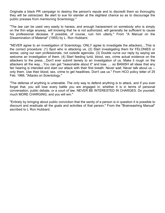Originate a black PR campaign to destroy the person's repute and to discredit them so thoroughly they will be ostracized. Be alert to sue for slander at the slightest chance so as to discourage the public presses from mentioning Scientology."

"The law can be used very easily to harass, and enough harassment on somebody who is simply on the thin edge anyway, will knowing that he is not authorized, will generally be sufficient to cause his professional decease. If possible, of course, ruin him utterly." From "A Manual on the Dissemination of Material" (1955) by L. Ron Hubbard.

"NEVER agree to an investigation of Scientology. ONLY agree to investigate the attackers....This is the correct procedure: (1) Spot who is attacking us. (2) Start investigating them for FELONIES or worse, using our own professionals, not outside agencies. (3) Double curve our reply by saying we welcome an investigation of them. (4) Start feeding lurid, blood, sex, crime actual evidence on the attackers to the press....Don't ever submit tamely to an investigation of us. Make it rough on the attackers all the way....You can get "reasonable about it" and lose .... so BANISH all ideas that any fair hearing is intended and start our attack with their first breath. Never wait. Never talk about us - only them. Use their blood, sex, crime to get headlines. Don't use us." From HCO policy letter of 25 Feb. 1966, "Attacks on Scientology."

"The defense of anything is untenable. The only way to defend anything is to attack, and if you ever forget that, you will lose every battle you are engaged in, whether it is in terms of personal conversation, public debate, or a court of law. NEVER BE INTERESTED IN CHARGES. Do yourself, much MORE CHARGING, and you will win."

"Entirely by bringing about public conviction that the sanity of a person is in question it is possible to discount and eradicate all the goals and activities of that person." From the "Brainwashing Manual" ascribed to L Ron Hubbard.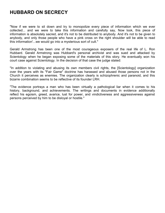## **HUBBARD ON SECRECY**

"Now if we were to sit down and try to monopolize every piece of information which we ever collected... and we were to take this information and carefully say, Now look, this piece of information is absolutely sacred, and it's not to be distributed to anybody. And it's not to be given to anybody, and only those people who have a pink cross on the right shoulder will be able to read this information'...we would go into a mysterious sort of cult."

Gerald Armstrong has been one of the most courageous exposers of the real life of L. Ron Hubbard. Gerald Armstrong was Hubbard's personal archivist and was sued and attacked by Scientology when he began exposing some of the materials of this story. He eventually won his court case against Scientology. In the decision of that case the judge stated:

"In addition to violating and abusing its own members civil rights, the [Scientology] organization over the years with its "Fair Game" doctrine has harassed and abused those persons not in the Church it perceives as enemies. The organization clearly is schizophrenic and paranoid, and this bizarre combination seems to be reflective of its founder LRH.

"The evidence portrays a man who has been virtually a pathological liar when it comes to his history, background, and achievements. The writings and documents in evidence additionally reflect his egoism, greed, avarice, lust for power, and vindictiveness and aggressiveness against persons perceived by him to be disloyal or hostile."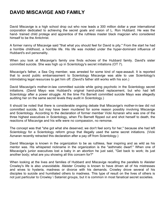### **DAVID MISCAVIGE AND FAMILY**

David Miscavige is a high school drop out who now leads a 300 million dollar a year international corporation dedicated to achieving the secret goals and vision of L. Ron Hubbard. He was the hand- trained child protege and apprentice of the ruthless master black magician who considered himself to be the Antichrist.

A former nanny of Miscavige said "that what you should feel for David is pity." From the start he had a horrible childhood, a horrible life. His life was molded under the hyper-dominant influence of Hubbard's evil personality.

When you look at Miscavige's family one finds echoes of the Hubbard family. David's sister committed suicide. She was high up in Scientology's secret initiations (OT 7).

Miscavige's father, a Sea Org member, was arrested for some kind of rape-assault. It is reported that to avoid public embarrassment to Scientology Miscavige was able to use Scientology's intimidating legal resources to get him off. (David's father still works with his son.)

David Miscavige's mother-in-law committed suicide while going psychotic in the Scientology secret initiations. (David Mayo was Hubbard's original hand-picked replacement, but who had left Scientology after a power struggle. At the time Flo Barnett committed suicide Mayo was allegedly auditing her on the same secret levels they audit in Scientology.)

It should be noted that there is considerable ongoing debate that Miscavige's mother-in-law did not committed suicide, but may have been murdered for some reason possibly involving Miscavige and Scientology. According to the declaration of former member Vicki Aznaran who was one of the three highest executives in Scientology, when Flo Barnett flipped out and shot herself to death, the reactions of Miscavige and his wife were no compassion, no remorse.

The concept was that "she got what she deserved; we don't feel sorry for her," because she had left Scientology for a Scientology reform group that illegally used the same secret initiations. (Vicki Aznaran recently retracted this declaration after a pay off from Scientology.)

David Miscavige is known in the organization to be as ruthless, fear inspiring and as wild as his mentor was. His whispered nickname in the organization is the "asthmatic dwarf." When one of Miscavige's junior executives lost a baby in an abortion he just said, "Get back to work; its just another body; what are you showing all this concern for?"

When looking at the lives and families of Hubbard and Miscavige recalling the parallels to Aleister Crowley's life is also unavoidable. Aleister Crowley is known to have driven all of his mistresses and wives to hysteria, madness or divorce with his demands. Crowley drove several of his disciples to suicide and humiliated others to madness. This type of result on the lives of others is not just particular to Crowley \ Satanist groups, but it is common in most fanatical secret societies.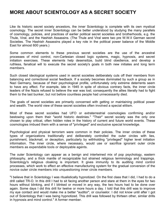## **MORE ABOUT SCIENTOLOGY AS A SECRET SOCIETY**

Like its historic secret society ancestors, the inner Scientology is complete with its own mystical cosmology. The secret inner Scientology can be better understood by studying the many parallels of cosmology, policies, and practices of earlier political secret societies and brotherhoods, e.g. the Thule, Viral, and the Hashish Assassins. (The Thule and Viral were two pre W.W.II German secret Societies. The Hashish Assassins played a key role in the political power balance of the Middle East for almost 600 years.)

Some common elements to these previous secret societies are the use of the ancestral processes of mind control, non-Cartesian closed logic systems, magic, hypnosis, and secret initiation exercises. These elements help desensitize, build blind obedience, and develop a ruthless, fanatical will to execute the secret society's goals in both new initiates and long term members.

Such closed ideological systems used in secret societies deliberately cuts off their members from balancing and correctional social feedback. If a society becomes dominated by such a group as in Nazi Germany, because of their psychological profile, unfortunately only extreme deterrents seem to have any effect. For example, late in 1945 in spite of obvious contrary facts, the inner circle leaders of the Nazis refused to believe the war was lost; consequently the allies literally had to fight them to the last bunker, but not before countless people had unnecessarily died.

The goals of secret societies are primarily concerned with getting or maintaining political power and wealth. The world view of these secret societies often involved a special elitism.

Most of these secret societies had UFO or extraterrestrial cosmologies confirming and/or bestowing upon them their "world historic destinies." "Their" secret society was the only one chosen to play critical, often hidden roles in the history of current and future world events. These cosmologies imbued them with a sense of "privileged" and exclusive special knowledge.

Psychological and physical terrorism were common in their policies. The inner circles of these types of organizations traditionally and deliberately controlled the outer circles with lies, punishment, blackmail, or deception, particularly by withholding "privileged" higher level initiation information. The inner circle, where necessary, would use or sacrifice ignorant outer circle members as expendable tools or deployable agents.

The outer Scientology can appear as a benign and intertwined mix of pop psychology, eastern philosophy, and a thick mantle of recognizable but strained religious terminology and trappings. Scientology's religious cloaking is important. It gives immunity to its auditing mind control processes, which work to effect an effective manufacturing system for the gradual conversion of the novice outer circle members into unquestioning inner circle members.

"I believe that in Scientology I was ritualistically hypnotized. On the first class that I did, I had to do a drill called TR-O. In this drill I had to sit facing another person and stare at them in the eyes for two hours without blinking, and if I blinked or moved in any way, the two hours had to be done over again. Some days I did this drill for twelve or more hours a day. I told that this drill was to improve my eye contact and would make me a better "auditor", or counselor. I did not know until after I got out of Scientology that I was being hypnotized. This drill was followed by thirteen other, similar drills in hypnosis and mind control." A former member.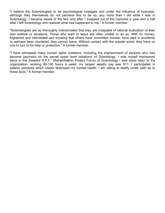"I believe the Scientologists to be psychological hostages and under the influence of hypnosis, although they themselves do not perceive this to be so, any more than I did while I was in Scientology. I became aware of the fact only after I snapped out of the hypnosis a year and a half after I left Scientology and realized what had happened to me." A former member.

"Scientologists are so thoroughly indoctrinated that they are incapable of rational evaluation of their own welfare or situations. Those who want to leave are often unable to do so. With no money, frightened and intimidated and knowing that others have committed suicide, have died in accidents or perhaps been murdered, they cannot leave. Without contact with the outside world, they have no one to turn to for help or protection." A former member.

"I have witnessed many human rights violations, including the imprisonment of persons who had become psychotic on the secret upper level initiations' of Scientology. I was myself imprisoned twice in the dreaded R.P.F.' (Rehabilitation Project Force) of Scientology I was slave labor to the organization, working 80-100 hours a week; my largest weekly pay was \$11. I participated in satanic practices which nearly destroyed my mental health. I am willing to testify under oath as to these facts." A former member.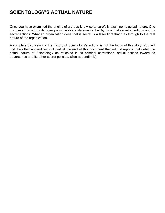# **SCIENTOLOGY'S ACTUAL NATURE**

Once you have examined the origins of a group it is wise to carefully examine its actual nature. One discovers this not by its open public relations statements, but by its actual secret intentions and its secret actions. What an organization does that is secret is a laser light that cuts through to the real nature of the organization.

A complete discussion of the history of Scientology's actions is not the focus of this story. You will find the other appendices included at the end of this document that will list reports that detail the actual nature of Scientology as reflected in its criminal convictions, actual actions toward its adversaries and its other secret policies. (See appendix 1.)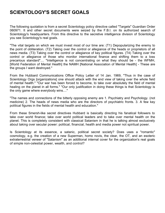# **SCIENTOLOGY'S SECRET GOALS**

The following quotation is from a secret Scientology policy directive called "Targets" Guardian Order 060971. It and other secret documents were seized by the F.B.I. on its authorized search of Scientology's headquarters. From this directive to the secretive intelligence division of Scientology you see Scientology's real goals.

"The vital targets on which we must invest most of our time are: (T1) Depopularizing the enemy to the point of obliteration. (T2) Taking over the control or allegiance of the heads or proprietors of all news media. (T3) Taking over the control or allegiance of key political figures. (T4) Taking over the control or allegiance of those who monitor international finance and shifting them to a loss precarious standard".... "Intelligence is not concentrating on what they should be - the WFMH, [World Federation of Mental Health] the NAMH [National Association of Mental Health] - These are the groups I want destroyed."

From the Hubbard Communications Office Policy Letter of 14 Jan. 1969, "Thus in the case of Scientology Orgs [organizations] one should attack with the end view of taking over the whole field of mental health." "Our war has been forced to become, to take over absolutely the field of mental healing on the planet in all forms." "Our only justification in doing these things is that Scientology is the only game where everybody wins...."

"The names and connections of the bitterly opposing enemy are 1. Psychiatry and Psychology. (not medicine) 2. The heads of news media who are the directors of psychiatric fronts. 3. A few key political figures in the fields of mental health and education."

From these Smersh-like secret directives Hubbard is basically directing his fanatical followers to take over world finance; take over world political leaders and to take over mental health on the planet. This is completely consistent with classical Satanism in that he is talking almost exclusively about taking over secular power: political, financial, health and media power not spiritual power.

Is Scientology at its essence, a satanic, political secret society? Does uses a "romantic" cosmology, e.g. the creation of a new Superman, homo novis, the clear, the OT, and an esoteric extraterrestrial veneer of "Satanism" as an additional internal cover for the organization's real goals of simple non-celestial power, wealth, and control?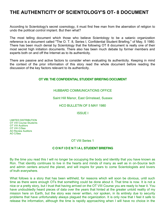# **THE AUTHENTICITY OF SCIENTOLOGY'S OT- 8 DOCUMENT**

According to Scientology's secret cosmology, it must first free man from the aberration of religion to undo the political control implant. But then what?

The most telling document which those who believe Scientology to be a satanic organization reference is a document called "The O. T. 8, Series I, Confidential Student Briefing," of May, 5 1980. There has been much denial by Scientology that the following OT 8 document is really one of their most secret high initiation documents. There also has been much debate by former members and experts both on and off the Internet as to its authenticity.

There are passive and active factors to consider when evaluating its authenticity. Keeping in mind the context of the prior information of this story read the whole document before reading the discussion of the key factors relevant to its authenticity.

#### **OT VIII: THE CONFIDENTIAL STUDENT BRIEFING DOCUMENT**

#### HUBBARD COMMUNICATIONS OFFICE

Saint Hill Manor, East Grinstead, Sussex

HCO BULLETIN OF 5 MAY 1980

ISSUE I

LIMITED DISTRIBUTION OT VIII Course Students OT VIII Auditors OT VIII C/Sea AO Review Auditors AO C/Sea

#### OT VIII Series 1

#### **C O N F I D E N T I A L STUDENT BRIEFING**

By the time you read this I will no longer be occupying the body and identity that you have known as Ron. That identity continues to live in the hearts and minds of many as well as in on-Source tech and admin centers around the planet, and will inspire for years to come Scientologists and lovers of truth everywhere.

What follows is a story that has been withheld, for reasons which will soon be obvious, until such time as there were enough OTs that something could be done about it. That time is now. It is not a nice or a pretty story, but I trust that having arrived on the OT VIII Course you are ready to hear it. You have undoubtedly heard pieces of data over the years that hinted at the greater untold reality of my mission here on Earth, but the story was never written, nor spoken, in its entirety due to security problems that have unfortunately always plagued the organization. It is only now that I feel it safe to release the information, although the time is rapidly approaching when I will have no choice in the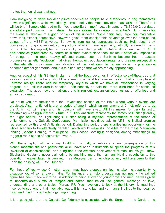matter, the hour draws that near.

I am not going to delve too deeply into specifics as people have a tendency to bog themselves down in significance, which would only serve to delay the immediacy of the task at hand. Therefore I will be brief. Some eighty-odd million years ago Earth time (it actually dates at 78,395,042 but dates are a bit superfluous with this material) plans were drawn by a group outside the MEST universe for the eventual takeover of a good portion of this universe. Not a particularly large nor imaginative crew, their exterior perspective, however, gives them considerable advantage over the time-bound beings of the MEST universe. Borrowing from earlier operations such as Helatrobus, they conceived an ongoing implant, some portions of which have been fairly faithfully rendered in parts of the Bible. This implant, laid in by carefully controlled genetic mutation at Incident Two of OT III and periodically reinforced by controlled historic events since then, makes it effectively impossible for beings on the more heavily affected planets such as Earth to become free. It causes progressive genetic "evolution" that gives the subject population greater and greater susceptibility to the telepathic impingement and direction of the controllers. In its final stage the progression becomes almost geometric, and it is this final stage that we are rapidly approaching.

Another aspect of this GE-line implant is that the body becomes in effect a sort of theta trap that kicks in heavily on the being should he attempt to expand his horizons beyond that of pure physical universe reality. There can be temporary key-outs which we have all experienced in varying degrees, but until this area is handled it can honestly be said that there is no hope for continued expansion. The good news is that once this is run out, expansion becomes rather effortless and almost automatic.

No doubt you are familiar with the Revelations section of the Bible where various events are predicted. Also mentioned is a brief period of time in which an archenemy of Christ, referred to as the Antichrist, will reign and his opinions will have sway. All this makes for very fantastic, entertaining reading but there is truth in it. This Antichrist represents the forces of Lucifer (literally, the "light bearer" or "light bring"), Lucifer being a mythical representation of the forces of enlightenment, the Galactic Confederacy. My mission could be said to fulfill the Biblical promise represented by this brief Antichrist period. During this period there is a fleeting opportunity for the whole scenario to be effectively derailed, which would make it impossible for the mass Markabian landing (Second Coming) to take place. The Second Coming is designed, among other things, to trigger a rapid series of destructive events.

With the exception of the original Buddhism, virtually all religions of any consequence on this planet, monotheistic and pantheistic alike, have been instruments to speed the progress of this "evolution of consciousness" and bring about the eventual enslavement of mankind. As you know, Siddhartha Gautama never claimed to be anything more than a man. Having caught on to this operation, he postulated his own return as Meteyya, part of which prophecy will have been fulfilled upon the passing of L. Ron Hubbard.

For those of you whose Christian toes I may have stepped on, let me take the opportunity to disabuse you of some lovely myths. For instance, the historic Jesus was not nearly the sainted figure has been made out to be. In addition to being a lover of young boys and men, he was given to uncontrollable bursts of temper and hatred that belied the general message of love, understanding and other typical Marcab PR. You have only to look at the history his teachings inspired to see where it all inevitably leads. It is historic fact and yet man still clings to the ideal, so deep and insidious is the biologic implanting.

It is a good joke that the Galactic Confederacy is associated with the Serpent in the Garden, the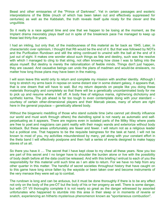Beast and other emissaries of the "Prince of Darkness". Yet in certain passages and esoteric interpretations of the Bible (much of which has been taken out and effectively suppressed for centuries) as well as the Kabbalah, the truth reveals itself quite nicely for the clever and the ungullible.

So it really is a race against time and one that we happen to be losing at the moment, as the Implant drama inexorably plays itself out in spite of the breakneck pace I've managed to keep up these last thirty-five years.

I had an inkling, but only that, of the insidiousness of this material as far back as 1945. Later, in characteristic over optimism, I thought that R6 would be the end of it. But that was followed by NOTs and the Purification Rundown and still the string continued to unwind with the ball at the end of it just out of sight. It makes one wonder about such things as fate and destiny, such was the resolve with which I managed to cling to that string, not often knowing how close I was to falling into the abyss myself. But destiny is merely the rationalization of feeble minds. Things don't just happen, they are caused. And causative beings can undo the plans of madmen and would-be enslavers, no matter how long those plans may have been in the making.

I will soon leave this world only to return and complete my mission with another identity. Although I long to stretch my arms back in repose on some distant star in some distant galaxy, it appears that, that is one dream that will have to wait. But my return depends on people like you doing these materials thoroughly and completely so that there will be a genetically uncontaminated body for me to pick up and resume where I left off. A body free of religious mania, right/wrong dichotomy and synthetic karma. The job ahead is far too tough to even contemplate doing with your standard - courtesy of certain other-dimensional players and their Marcab pieces, many of whom are right here in the general populace -- genetically altered body.

Without the biogeneric meddling of those who stand outside time (who cannot yet directly influence our world and must work through others) the dwindling spiral is not nearly as automatic and selfperpetuating as it appears. There are regions even in isolated parts of the Milky Way where poets are free to poet and magicians can paint reality with their magic wands and exteriorize without body kickback. But these areas unfortunately are fewer and fewer. I will return not as a religious leader but a political one. That happens to be the requisite beingness for the task at hand. I will not be known to most of you, my activities misunderstood by many, yet along with your constant effort in the theta band I will effectively postpone and then halt a series of events designed to make happy slaves of us all.

So there you have it .... The secret that I have kept close to my chest all these years. Now you too are part of this secret and I no longer have to shoulder the burden alone or live with the possibility of body death before all the data could be released. And with this briefing I entrust to each of you the responsibility for this material until such time as I am able to return. For we have no help from any other quarter in this matter. The handful of secret societies throughout history that have caught on to this game have long since fallen by the wayside or been taken over and become instruments of the very menace they were set up to combat.

The rundown is long and can be arduous, but it must be done thoroughly if there is to be any effect not only on the body of the pre-OT but the body of his or her progeny as well. There is some danger, but with OT VII thoroughly complete it is not nearly so great as the danger witnessed by assorted unfortunates who happened to stumble into this area in their sleep or in moments of reverie or snatch, experiencing an hitherto mysterious phenomenon known as "spontaneous combustion".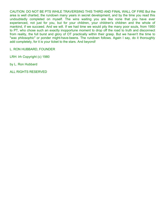CAUTION: DO NOT BE PTS WHILE TRAVERSING THIS THIRD AND FINAL WALL OF FIRE But the area is well charted, the rundown many years in secret development, and by the time you read this undoubtedly completed on myself. The wins waiting you are like none that you have ever experienced, not just for you, but for your children, your children's children and the whole of mankind, if we succeed. And we will. If we had time we would pity the many poor souls, from 1950 to PT, who chose such an exactly inopportune moment to drop off the road to truth and disconnect from reality, the full burst and glory of OT practically within their grasp. But we haven't the time to "wax philosophic" or ponder might-have-beens. The rundown follows. Again I say, do it thoroughly add completely, for it is your ticket to the stars. And beyond!

L. RON HUBBARD, FOUNDER

LRH: lrh Copyright (c) 1980

by L. Ron Hubbard

ALL RIGHTS RESERVED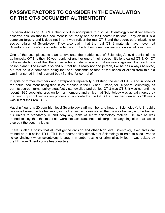### **PASSIVE FACTORS TO CONSIDER IN THE EVALUATION OF THE OT-8 DOCUMENT AUTHENTICITY**

To begin discussing OT 8's authenticity it is appropriate to discuss Scientology's most vehemently asserted position that this document is not really one of their secret initiations. They claim it is a complete forgery and it does not in any way reflect the real OT 8 and the secret core initiations or secret religion of Scientology. They also claim that the real OT 8 materials have never left Scientology and nobody outside the highest of the highest inner few really knows what is in them.

One of the best places to start to evaluate the truthfulness of Scientology's avid denial of the authenticity OT 8 is their 30 year denial of another one of their secret initiations called OT 3. On OT 3 theinitiate finds out that there was a huge galactic war 76 million years ago and that earth is a prison planet. The initiate also find out that he is really not one person, like he has always believed, but that he is a composite being that has thousands or tens of thousands of aliens from this old war imprisoned in their current body fighting for control of it.

In spite of former members and newspapers repeatedly publishing the actual OT 3, and in spite of the actual document being filed in court cases in the US and Europe, for 30 years Scientology as part its secret internal policy steadfastly stonewalled and denied OT 3 was OT 3. It was not until the recent 1995 copyright raids on former members and critics that Scientology was actually forced by the court copyright verification process to acknowledge the OT 3 that they had denied for 30 years was in fact their real OT 3.

Vaughn Young, a 20 year high level Scientology staff member and head of Scientology's U.S. public relations bureau, in his testimony in the Denver raid case stated that he was trained, and he trained his juniors to standardly lie and deny any leaks of secret scientology material. He said he was trained to say that the materials were not accurate, not real, forged or anything else that would discredit the security leaks.

There is also a policy that all intelligence division and other high level Scientology executives are trained on it is called TR-L. TR-L is a secret policy directive of Scientology to train its executives to lie convincingly when scientology is caught in embarrassing or criminal activities. It was seized by the FBI from Scientology's headquarters.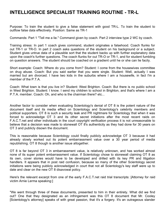# **INTELLIGENCE SPECIALIST TRAINING ROUTINE - TR-L**

Purpose: To train the student to give a false statement with good TR-L. To train the student to outflow false data effectively. Position: Same as TR-1

Commands: Part 1 "Tell me a lie." Command given by coach. Part 2 interview type 2 WC by coach.

Training stress: In part 1 coach gives command, student originates a falsehood. Coach flunks for out TR-1 or TR-O. In part 2 coach asks questions of the student on his background or a subject. Student gives untrue data of a plausible sort that the student backs up with further explanatory data upon the coach's further questions. The coach flunks for out TR-O or TR-1, and for student fumbling on question answers. The student should be coached on a gradient until he or she can lie facily.

Short example: Coach: Where do you come from? Student: I come from the housewives committee on drug abuse. Coach: But you said earlier that you were single. Student: Well, actually I was married but am divorced. I have two kids in the suburbs where I am a housewife, in fact I'm a member of the P.T.A.

Coach: What town is that you live in? Student: West Brighton. Coach: But there is no public school in West Brighton. Student: I know. I send my children to school in Brighton, and that's where I am a P.T.A. member. Coach: Oh, and who is the chairman there? etc...

Another factor to consider when evaluating Scientology's denial of OT 8 is the potent nature of the document itself and its media effect on Scientology and Scientology's celebrity members and political supporters. OT 8 is such a security leak and PR nightmare for Scientology that when it was forced to acknowledge OT 3 and its other secret initiations after the most recent raids on F.A.C.T.net and other individuals in the court copyright verification process it is not unreasonable to believe that a decision was made to stonewall OT 8's authenticity as they had done for 30 years on OT 3 and publicly disown the document.

This is reasonable because Scientology could finally publicly acknowledge OT 3 because it had already slowly worked out its potent embarrassment value over a 30 year period of media republishing. OT 8 though is another issue altogether.

OT 8 is far beyond OT 3 in embarrassment value, is relatively unknown, and has worked almost none of its super potent embarrassment value. If Scientology chose to stonewall claiming OT 8 as its own, cover stories would have to be developed and drilled with its key PR and litigation handlers. It appears that in post raid confusion, because so many of the other Scientology secret initiations were being publicly acknowledged in court that not all Scientology's key staff were up to date and clear on the new OT 8 disavowal policy.

Here's the relevant excerpt from one of the early F.A.C.T.net raid trial transcripts: [Attorney for raid victim Arnie Lerma speaking:]

"We went through three of these documents, presented to him in their entirety. What did we find out? One that they designated as an infringement was this OT 8 document that Mr. Cooley [Scientology's attorney] speaks of with great passion, that it's a forgery. It's an outrageous slander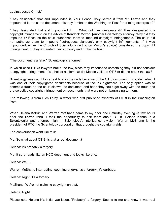against Jesus Christ.'

"They designated that and impounded it, Your Honor. They seized it from Mr. Lerma and they impounded it, the same document this they lambaste the Washington Post for printing excerpts of."

"They designated that and impounded it. . . What did they designate it? They designated it a copyright infringement, on the advice of Kendrick Moxon. [Another Scientology attorney] Why did they impound it? Because the court authorized them to impound copyright infringements. The court did not authorize them to impound "outrageous slanders", only copyright infringements. If it was impounded, either the Church of Scientology (acting on Moxon's advice) considered it a copyright infringement, or they exceeded their authority and broke the law."

"The document is a fake." [Scientology's attorney]

In which case RTC's lawyers broke the law, since they impounded something they did not consider a copyright infringement. It's a hell of a dilemma; did Moxon validate OT 8 or did he break the law?

Scientology was caught in a real bind in the raids because of the OT 8 document. It couldn't admit it was one of their copyrighted documents because of the PR nightmare. The only option was to commit a fraud on the court disown the document and hope they could get away with the fraud and the selective copyright infringement on documents that were not embarrassing to them.

The following is from Rich Leiby, a writer who first published excerpts of OT 8 in the Washington Post.

When Helena Kobrin and Warren McShane came to my door one Saturday evening (a few hours after the Lerma raid), I took the opportunity to ask them about OT 8. Helena Kobrin is a Scientologist and attorney high in Scientology's intelligence division. Warren McShane is the president of RTC the Scientology corporation that brought the copyright raids.

The conversation went like this:

Me: So what about OT 8--is that a real document?

Helena: It's probably a forgery.

Me: It sure reads like an HCO document and looks like one.

Helena: Well...

Warren McShane interrupting, seeming angry): It's a forgery, it's garbage.

Helena: Right, it's a forgery.

McShane: We're not claiming copyright on that.

Helena: Right.

Please note Helena K's initial vacillation. "Probably" a forgery. Seems to me she knew it was real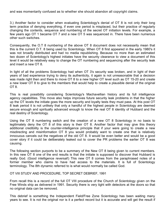and was momentarily confused as to whether she should abandon all copyright claims.

3.) Another factor to consider when evaluating Scientology's denial of OT 8 is not only their long term practice of denying everything, if even one period is misplaced, but their practice of regularly changing the contents, sequence and numbering of the secret OT initiation levels. For example, a few years ago OT 1 became OT 7 and a new OT 5 was sequenced in. There have been numerous other such switches.

Consequently, the O.T 8 numbering of the above OT 8 document does not necessarily mean that this is the current O.T. 8 being used by Scientology. When OT 8 first appeared in the early 1980's it was not broadly distributed and had no media republishing. Because no more than an estimated two dozen of Scientology's highest initiates have the security clearance to view a document of this level it would be relatively easy to change the OT numbering and sequencing after the security leak and insert a new OT 8.

In light of all the problems Scientology had when OT 3's security was broken, and in light of their years of bad experience trying to deny its authenticity, it again is not unreasonable that a decision was made right then and there to move OT 8 to a new higher OT level such as OT 15-20 and create a new lower OT 8 to give to the members that would help to create a plausible denial of the original OT 8.

This is real possibility considering Scientology's Machavellian history and its full intelligence agency capabilities. This move also helps improves future security leak problems in that the higher up the OT levels the initiate goes the more security and loyalty tests they must pass. At this post OT 8 leak period it is not unlikely that only a handful of the highest people in Scientology are deemed secure enough and spiritually advanced enough to know the real OT 8 identity of Hubbard and the real destiny of Scientology.

Using the OT 8 numbering switch and the creation of a new OT 8 Scientology in no basis to legitimately deny the OT 8 of this story is their OT 8. Another factor that may give this theory additional credibility is the counter-intelligence principle that if your were going to create a new misdirecting and misinformation OT 8 you would probably want to create one that is relatively innocuous cancels out the negatives of the old OT 8. It would be even better and would be a good cover story if it could be deliberately leaked out to cover the PR problems the earlier OT 8 was causing.

The following section purports to be a summary of the New OT 8 being given to current members. In this new OT 8 one of the end results is that the initiate is supposed to discover that Hubbard is really God. (Good intelligence reversal!) This new OT 8 comes from the paraphrased notes of a former member who claims to have had access to the materials. It is full of Scientology terminology. The 8th dynamic referred to is what would normally be called God.

OT VIII STUDY AND PROCEDURE, TOP SECRET DEBRIEF, 1991

From recall this is a record of the full OT VIII procedure of the Church of Scientology given on the Free Winds ship as delivered in 1991. Security there is very tight with detectors at the doors so that no original data can be removed.

This debrief is something the Independent Field/Free Zone Scientology has been waiting many years to see. It is not the original nor is it a perfect record but it is accurate and will get the result if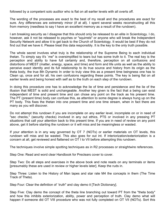followed by a competent solo auditor who is flat on all earlier levels with all overts off.

The wording of the processes are exact to the best of my recall and the procedures are exact for sure. Any differences are extremely minor (if at all). I spent several weeks reconstructing all this from memory (needless to say I have an excellent memory as a result of the rundown).

I am breaking security as I disagree that this should only be released to an elite in Scientology. I do, however, ask it not be released to psyches or "squirrels" or anyone who will break the Independent Security Network and allow it to get back to the Church of Scientology. It would be best if they do not find out that we have it. Please treat this data responsibly. It is the key to the only truth possible.

The whole secret involves what truly is the relationship of the Supreme Being to each individual thetan. To simply say it's `me" is oversimplified to tears but has some truth to it. The real key is the perception and ability to have full certainty and, therefore, perception on all confusions and distortions of MEST (matter, energy, space, and time) and form and life units as well as the ability to perceive exact identity and its full relationship to its true source and history from its origin as the theta body, the true 8th Dynamic In order to truly view this as a present time beingness one has to Clean up, once and for all, his own confusions regarding these points. The key is being flat on all earlier levels and being honest with self as to the truth on each step of the rundown.

In doing this procedure one has to acknowledge the lie of time and persistence and the lie of the illusion that MEST is solid and unchangeable. Another key given is the fact that a being can exist independent of time and present time and can chose any point on the track as his present time. The PT (present time) body can confuse this, as attention to some degree is always hung up on the PT body. This fixes the thetan into one present time and one time stream, when in fact there are many as you will discover.

Do not attempt this rundown if you are incomplete on any earlier level, incomplete on or in need of "sec checks," (security checks) involved in any out ethics, PTS or involved in any pressing PT situations that call your attention back to this present time. If you are in need of review on any point above, get it before starting the rundown or it will miss and be meaningless or wasted.

If your attention is in any way governed by OT 7 (NOTs) or earlier materials on OT levels, this rundown will miss and be wasted. This also goes for out int. If interiorization/exteriorization is a concern at all, get reviewed and flattened on OT I to VII before attempting this rundown.

The techniques involve simple spotting techniques as in R2 processes or straightwire references.

Step One: Read and word clear Handbook for Preclears cover to cover.

Step Two: Do all steps and exercises in the above book and note reads on any terminals or items [presumably these are used in review or higher levels later]. Keep the ruds in.

Step Three: Listen to the History of Man tapes and star rate M4 the concepts in them (The Time Track of Theta).

Step Four: Clear the definition of `truth" and clay demo it [Tech Dictionary].

Step Five: Clay demo the concept of the theta line branching out toward PT from the "theta body" and how this inhibits exteriorization, ability, power and perception of truth. Clay demo what will happen if someone did OT VIII procedure who was not fully completed on OT VII (NOTs). Sort this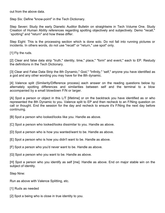out from the above data.

Step Six: Define "know-point" in the Tech Dictionary.

Step Seven: Study the early Dianetic Auditor Bulletin on straightwire in Tech Volume One. Study Creation of Human Ability references regarding spotting objectively and subjectively. Demo "recall," `spotting" and "return" and how these differ.

Step Eight: This is the processing section which is done solo. Do not fall into running pictures or incidents. In others words, do not use "recall" or "return," use spot" only.

[1] Fly the ruds.

[2] Clear and false data strip "truth," identity, time," place," "form" and event," each to EP. Restudy the definitions in the Tech Dictionary.

[3] Clear and False Data Strip the 8th Dynamic," God," "Infinity," 'self," anyone you have identified as a god and any other wording you may have for the 8th dynamic.

[4] Valence split (Similarity/Difference process) each answer on the reading questions below by alternately spotting differences and similarities between self and the terminal to a blow accompanied by a small blowdown F/N or larger.

[A] Spot a person or object in this L/T [lifetime] or on the backtrack you have identified as or who represented the 8th Dynamic to you. Valence split to EP and then recheck to an F/Ning question on call or thought. End the session for the day and recheck to ensure it's F/Ning the next day before continuing.

[B] Spot a person who looked/looks like you. Handle as above.

[C] Spot a person who looked/looks dissimilar to you. Handle as above.

[D] Spot a person who is how you wanted/want to be. Handle as above.

[E] Spot a person who is how you didn't want to be. Handle as above.

[F] Spot a person who you'd never want to be. Handle as above.

[G] Spot a person who you want to be. Handle as above.

[H] Spot a person who you identify as self [me]. Handle as above. End on major stable win on the subject of identity.

Step Nine:

Run as above with Valence Splitting, etc.

[1] Ruds as needed

[2] Spot a being who is close in true identity to you.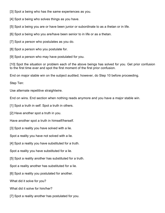[3] Spot a being who has the same experiences as you.

[4] Spot a being who solves things as you have.

[5] Spot a being you are or have been junior or subordinate to as a thetan or in life.

[6] Spot a being who you are/have been senior to in life or as a thetan.

[7] Spot a person who postulates as you do.

[8] Spot a person who you postulate for.

[9] Spot a person who may have postulated for you.

[10] Spot the situation or problem each of the above beings has solved for you. Get prior confusion to the first time ever and spot the first moment of the first prior confusion.

End on major stable win on the subject audited; however, do Step 10 before proceeding.

Step Ten:

Use alternate repetitive straightwire.

End on wins. End section when nothing reads anymore and you have a major stable win.

[1] Spot a truth in self. Spot a truth in others.

[2] Have another spot a truth in you.

Have another spot a truth in himself/herself.

[3] Spot a reality you have solved with a lie.

Spot a reality you have not solved with a lie.

[4] Spot a reality you have substituted for a truth.

Spot a reality you have substituted for a lie.

[5] Spot a reality another has substituted for a truth.

Spot a reality another has substituted for a lie.

[6] Spot a reality you postulated for another.

What did it solve for you?

What did it solve for him/her?

[7] Spot a reality another has postulated for you.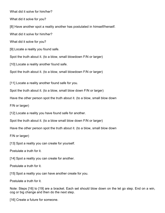What did it solve for him/her?

What did it solve for you?

[8] Have another spot a reality another has postulated in himself/herself.

What did it solve for him/her?

What did it solve for you?

[9] Locate a reality you found safe.

Spot the truth about it. (to a blow, small blowdown F/N or larger)

[10] Locate a reality another found safe.

Spot the truth about it. (to a blow, small blowdown F/N or larger)

[11] Locate a reality another found safe for you.

Spot the truth about it. (to a blow, small blow down F/N or larger)

Have the other person spot the truth about it. (to a blow, small blow down

F/N or larger)

[12] Locate a reality you have found safe for another.

Spot the truth about it. (to a blow small blow down F/N or larger)

Have the other person spot the truth about it. (to a blow, small blow down

F/N or larger)

[13] Spot a reality you can create for yourself.

Postulate a truth for it.

[14] Spot a reality you can create for another.

Postulate a truth for it.

[15] Spot a reality you can have another create for you.

Postulate a truth for it.

Note: Steps [16] to [19] are a bracket. Each set should blow down on the let go step. End on a win, cog or big change and then do the next step.

[16] Create a future for someone.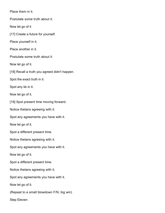Place them in it.

Postulate some truth about it.

Now let go of it

[17] Create a future for yourself.

Place yourself in it.

Place another in it.

Postulate some truth about it.

Now let go of it.

[18] Recall a truth you agreed didn't happen.

Spot the exact truth in it.

Spot any lie in it.

Now let go of it.

[19] Spot present time moving forward.

Notice thetans agreeing with it.

Spot any agreements you have with it.

Now let go of it.

Spot a different present time.

Notice thetans agreeing with it.

Spot any agreements you have with it.

Now let go of it.

Spot a different present time.

Notice thetans agreeing with it.

Spot any agreements you have with it.

Now let go of it.

(Repeat to a small blowdown F/N, big win)

Step Eleven: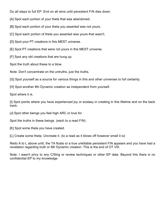Do all steps to full EP. End on all wins until persistent F/N dies down.

[A] Spot each portion of your theta that was abandoned.

[B] Spot each portion of your theta you asserted was not yours.

[C] Spot each portion of theta you asserted was yours that wasn't.

[D] Spot your PT creations in this MEST universe.

[E] Spot PT creations that were not yours in this MEST universe.

[F] Spot any old creations that are hung up.

Spot the truth about these to a blow.

Note: Don't concentrate on the untruths, just the truths.

[G] Spot yourself as a source for various things in this and other universes to full certainty.

[H] Spot another 8th Dynamic creation as independent from yourself.

Spot where it is.

[I] Spot points where you have experienced joy or ecstasy in creating in this lifetime and on the back track.

[J] Spot other beings you feel high ARC or love for.

Spot the truths in these beings. (each to a read F/N)

[K] Spot some theta you have created.

[L] Create some theta. Uncreate it. (to a read as it blows off however small it is)

Redo A to L above until, the TA floats or a true unkillable persistent F/N appears and you have had a revelation regarding truth or 8th Dynamic creation. This is the end of OT VIII.

Note: I wasn't privy to any C/Sing or review techniques or other EP data. Beyond this there is no confidential EP to my knowledge.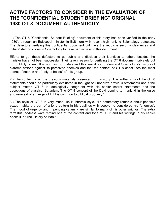#### **ACTIVE FACTORS TO CONSIDER IN THE EVALUATION OF THE "CONFIDENTIAL STUDENT BRIEFING" ORIGINAL 1980 OT-8 DOCUMENT AUTHENTICITY**

1.) The OT 8 "Confidential Student Briefing" document of this story has been verified in the early 1980's through an Episcopal minister in Baltimore with recent high ranking Scientology defectors. The defectors verifying this confidential document did have the requisite security clearances and initiate\staff positions in Scientology to have had access to this document.

Efforts to get these defectors to go public and disclose their identities to others besides the minister have not been successful. Their given reason for verifying the OT 8 document privately but not publicly is fear. It is not hard to understand this fear if you understand Scientology's history of extreme actions against its perceived enemies and that the content of OT 8 constitutes the most secret of secrets and "holy of holies" of this group.

2.) The context of all the previous materials presented in this story. The authenticity of the OT 8 statements should be particularly evaluated in the light of Hubbard's previous statements about the subject matter. OT 8 is ideologically congruent with his earlier secret statements and the deceptions of classical Satanism. The OT 8 concept of the Devil coming to mankind in the guise and reversal of an angel of light is common to biblical prophesy."

3.) The style of OT 8 is very much like Hubbard's style. His defamatory remarks about people's sexual habits are part of a long pattern in his dealings with people he considered his "enemies". The mood of urgency and impending calamity are similar to many of his other writings. The extra terrestrial bodiless wars remind one of the content and tone of OT 3 and his writings in his earlier books like "The History of Man."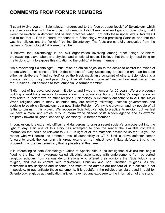#### **COMMENTS FROM FORMER MEMBERS**

"I spent twelve years in Scientology. I progressed to the "secret upper levels" of Scientology which are chiefly involved with the exorcism of demons. I didn't realize when I got into Scientology that I would be involved in demonic and satanic practices when I got onto these upper levels. Nor was it told to me that L. Ron Hubbard, the founder of Scientology, was a practicing Satanist, and that this was his religion, and the "religion" behind Scientology. The facts are carefully concealed from the beginning Scientologist." A former member.

"I believe that Scientology is an evil organization involving among other things Satanism, brainwashing, slave labor, and physical and emotional abuse. I believe that the only moral thing for me to do is to try to expose this situation to the public." A former member.

"As a recovering Scientologist, I must raise an ethical objection to the desire to control the minds of others without their consent. This is the purpose of many Scientology procedures and can be seen either as deliberate "mind control" or as the black magician's contempt of others. Scientology is a curious hybrid of magic and psychology. After all, Hubbard boasted "we can brainwash faster than the Russians - 20 seconds to total amnesia" A former member.

"I did most of his advanced occult initiations, and I was a member for 25 years. We are presently building a worldwide network to make known the actual intentions of Hubbard's organization as they relate to their views on other religions. Scientology is extremely antipathetic to ALL the Major World religions and in many countries they are actively infiltrating unstable governments and seeking to establish Scientology as a new State Religion. We invite clergymen and lay people of all faiths to join us in this project. We recognize Scientology's right to practice its religion, but we feel we have a moral and ethical duty to inform world citizens of its hidden agenda and its extreme antipathy toward religions, especially Christianity." A former member.

In conclusion, it is extremely difficult and dangerous to drag a secret society's practices out into the light of day. Part one of this story has attempted to give the reader the available contextual information that could be relevant to OT 8. In light of all the materials presented so far it is you the reader who will decide the probable level of authenticity of OT 8. Until a brave defector comes forward to break the fear grip this group exerts on its highest level initiate defectors this is the proceeding is the best summary that is possible at this time.

It is interesting to note Scientology's Office of Special Affairs (its intelligence division) has begun flooding the Internet newsgroup called alt.religion.scientology with endorsements from purported religious scholars from various denominations who offered their opinions that Scientology is a religion, and not in conflict with mainstream Christian and non Christian religions. As the testimonials are unsigned and undated, and most of the authors are unheard of, it is difficult, if not impossible, to authenticate these statements. It is doubtful if the religious scholars used in paid for Scientology religious authentication articles have had any exposure to the information of this story.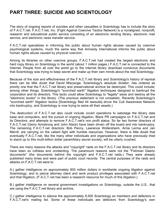# **PART THREE: SUICIDE AND SCIENTOLOGY**

The story of ongoing reports of suicides and other casualties in Scientology has to include the story of F.A.C.T.net. F.A.C.T.net, Inc. (Fight Against Coercive Tactics Network) is a nonaligned, nonprofit, research and educational public service consisting of an electronic lending library, electronic mail service, and electronic news transfer service.

F.A.C.T.net specializes in informing the public about human rights abuses caused by coercive psychological systems, much the same way that Amnesty International informs the public about human rights abuse caused by physical coercion.

Among its libraries on other coercive groups, F.A.C.T.net had created the largest electronic and hard copy library on Scientology in the world (about 1 million pages.) F.A.C.T.net is connected to the Internet. People from all over the world go to the Internet library download numerous documents that Scientology was trying to keep secret and make up their own minds about the real Scientology.

Because of the size and effectiveness of the F.A.C.T.net library and Scientology's history of reprisal there can be little doubt that David Miscavige, Scientology's absolute dictator, has ordered as priority one that the F.A.C.T.net library and preservational archive be destroyed. This could include; among other things, Scientology's "scorched earth" litigation techniques designed to bankrupt the corporation and its directors. This tactic could allow Scientology to "legally" seize and destroy all the "electronic books" in the library. (The previous statement is not unrealistic. Recently Scientology's "scorched earth" litigation tactics [Scientology filed 44 lawsuits] drove the Cult Awareness Network into bankruptcy, and Scientology is now trying to seize all their assets.)

The destruction of F.A.C.T.net also could include covert operations to sabotage the library data base and computers, and the pursuit of ongoing litigation, Black PR campaigns on F.A.C.T.net and its Directors, and attempts to remove F.A.C.T.net's non profit status. So far two former directors of F.A.C.T.net (Gerry Armstrong and John Atack) have been driven off the board and into bankruptcy. The remaining F.A.C.T.net directors: Bob Penny, Lawrence Wollersheim, Arnie Lerma and Jan Merrill, are carrying on the valiant fight with humble resources. However, there is little doubt that eventually F.A.C.T.net, like the many other individuals and organizations who have previously tried to stand up to this multi-billion dollar paramilitary secret society, will be utterly crushed.

There are many reasons the attacks and "copyright" raids on the F.A.C.T.net library and its directors have been so ruthless and unrelenting. The paramount reasons were not the "Fishman Geertz documents" (the documents behind the copyright and F.A.C.T.net raids.) They were already published many times and were part of public court records. The central purposes of the raids and attacks on F.A.C.T.net were to:

A.) gather intelligence on approximately 600 million dollars in worldwide ongoing litigation against Scientology, and to pierce attorney client and work product privileges associated with F.A.C.T.net and that litigation, (F.A.C.T.net has been a research resource for much of this litigation.)

B.) gather intelligence on several government investigations on Scientology, outside the U.S., that are using the F.A.C.T.net library and archive,

C.) gather intelligence to silence the approximately 8,500 Scientology ex members and defectors in F.A.C.T.net's mailing list. Some of these individuals are defectors from Scientology's own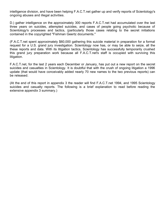intelligence division, and have been helping F.A.C.T.net gather up and verify reports of Scientology's ongoing abuses and illegal activities.

D.) gather intelligence on the approximately 300 reports F.A.C.T.net had accumulated over the last three years on suicides, attempted suicides, and cases of people going psychotic because of Scientology's processes and tactics, (particularly those cases relating to the secret initiations contained in the copyrighted "Fishman Geertz documents."

(F.A.C.T.net spent approximately \$60,000 gathering this suicide material in preparation for a formal request for a U.S. grand jury investigation. Scientology now has, or may be able to seize, all the these reports and data. With its litigation tactics, Scientology has successfully temporarily crushed this grand jury preparation work because all F.A.C.T.net's staff is occupied with surviving this litigation.

F.A.C.T.net, for the last 2 years each December or January, has put out a new report on the secret suicides and casualties in Scientology. It is doubtful that with the crush of ongoing litigation a 1996 update (that would have conceivably added nearly 70 new names to the two previous reports) can be released.

(At the end of this report in appendix 3 the reader will find F.A.C.T.net 1994, and 1995 Scientology suicides and casualty reports. The following is a brief explanation to read before reading the extensive appendix 3 summary.)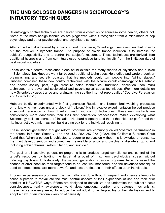#### **THE UNDISCLOSED DANGERS IN SCIENTOLOGY'S INITIATORY TECHNIQUES**

Scientology's control techniques are derived from a collection of sources--some benign, others not. Some of the more benign techniques are plagiarized without recognition from a mish-mash of pop psychology and other psychological and psychiatric schools.

After an individual is hooked by a bait and switch come-on, Scientology uses exercises that covertly put the receiver in hypnotic trance. The purpose of covert trance induction is to increase the subject's suggestibility and to control the subject's resources. These techniques are derived from traditional hypnosis and from cult rituals used to produce fanatical loyalty from the inititation rites of past secret societies.

These coercive control techniques alone could explain the many reports of psychosis and suicide in Scientology, but Hubbard went far beyond traditional techniques. He studied and wrote a book on brainwashing, and secretly boasted that his methods could turn people into "willing slaves." Hubbard combined these new control techniques with the bizarre occult cosmology of his satanic and secret society past, high pressure sales techniques, traditional deception (con man) techniques, and advanced sociological and psychological stress techniques. (For more details on how Scientology uses trance and brainwashing see the Internet report called "Coercive Persuasion and Scientology".)

Hubbard boldly experimented with first generation Russian and Korean brainwashing processes on unknowing members under a cloak of "religion." His innovative experimentation helped produce a second generation of thought reform and mind control techniques. These new methods are considerably more dangerous than their first generation predecessors. While developing what Scientology calls its secret L-12 initiation, Hubbard allegedly said that if the initiators performed this rite incorrectly you might as well build a pine box for the individual receiving it.

These second generation thought reform programs are commonly called "coercive persuasion" in the courts. In United States v. Lee 455 U.S. 252, 257-258 (1982), the California Supreme Court found that "when a person is subjected to coercive persuasion without his knowledge or consent... [he may] develop serious and sometimes irreversible physical and psychiatric disorders, up to and including schizophrenia, self-mutilation, and suicide."

The goal of all coercive persuasion programs is to produce target compliance and control of the target's resources by holding the target at a point of maximum psychological stress, without inducing psychosis. Unfortunately, the second generation coercive programs have increased the chance of error because their targets tend to be less well monitored, and the advanced techniques used to induce stress are more powerful and less predictable in their effects upon individuals.

In coercive persuasion programs, the main attack is done through frequent and intense attempts to cause a person to reevaluate the most central aspects of their experience of self and their prior conduct in NEGATIVE ways. Efforts are designed to destabilize and undermine the subject's basic consciousness, reality awareness, world view, emotional control, and defense mechanisms. These tactics are engineered to induce the individual to reinterpret his or her life history and to adopt a new (often irrational) version of causality.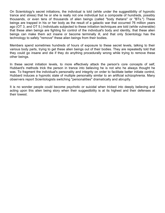On Scientology's secret initiations, the individual is told (while under the suggestibility of hypnotic trance and stress) that he or she is really not one individual but a composite of hundreds, possibly thousands, or even tens of thousands of alien beings (called "body thetans" or "BTs.") These beings are trapped in his or her body as the result of a galactic war that occurred 76 million years ago (OT 3, and OT 5.) Individuals subjected to these initiation techniques are told (while vulnerable) that these alien beings are fighting for control of the individual's body and identity, that these alien beings can make them act insane or become terminally ill, and that only Scientology has the technology to safely "remove" these alien beings from their bodies.

Members spend sometimes hundreds of hours of exposure to these secret levels, talking to their various body parts, trying to get these alien beings out of their bodies. They are repeatedly told that they could go insane and die if they do anything procedurally wrong while trying to remove these other beings.

In these secret initiation levels, to more effectively attack the person's core concepts of self, Hubbard's methods trick the person in trance into believing he is not who he always thought he was. To fragment the individual's personality and integrity on order to facilitate better initiate control, Hubbard induces a hypnotic state of multiple personality similar to an artificial schizophrenia. Many observers report Scientologists switching "personalities" dramatically and abruptly.

It is no wonder people could become psychotic or suicidal when tricked into deeply believing and acting upon this alien being story when their suggestibility is at its highest and their defenses at their lowest.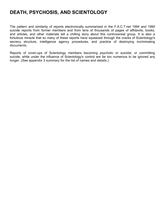# **DEATH, PSYCHOSIS, AND SCIENTOLOGY**

The pattern and similarity of reports electronically summarized in the F.A.C.T.net 1994 and 1995 suicide reports from former members and from tens of thousands of pages of affidavits, books, and articles, and other materials tell a chilling story about this controversial group. It is also a fortuitous miracle that so many of these reports have squeezed through the cracks of Scientology's secrecy structure, intelligence agency procedures, and practice of destroying incriminating documents.

Reports of cover-ups of Scientology members becoming psychotic or suicidal, or committing suicide, while under the influence of Scientology's control are far too numerous to be ignored any longer. (See appendix 3 summary for the list of names and details.)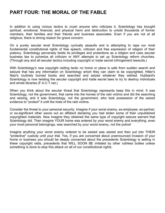## **PART FOUR: THE MORAL OF THE FABLE**

In addition to using vicious tactics to crush anyone who criticizes it, Scientology has brought spiritual, emotional, financial, and physical harm and destruction to untold thousands of former members, their families and their friends and business associates. Even if you are not at all religious, there is strong reason for grave concern.

On a purely secular level Scientology cynically assaults and is attempting to rape our most fundamental constitutional rights of free speech, criticism and free expression of religion of their potency. Scientology perversely twists its privileges and protections as a religion and uses secular business law to pulverize all criticism or ANY attempts to set up Scientology reform churches. (Through any and all secular tactics including copyright or trade secret infringement lawsuits.)

With Scientology's new copyright raiding tactic no home or place is safe from sudden search and seizure that has any information on Scientology which they can claim to be copyrighted. Hitler's Nazi's routinely burned books and searched and seized whatever they wished. Hubbard's Scientology is now twisting the secular copyright and trade secret laws to try to destroy individuals and whole libraries (F.A.C.T.net.)

When you think about the secular threat that Scientology represents keep this in mind. It was Scientology, not the government, that came into the homes of the raid victims and did the searching and seizing, and it was Scientology, not the government, who took possession of the seized evidence to "protect" it until the trials of the raid victims.

Consider the threat to your personal security. Imagine if your worst enemy, ex-employee, ex-partner, or ex-significant other swore out an affidavit declaring you had stolen some of their unpublished copyrighted materials. Now imagine they obtained the same type of copyright seizure warrant that Scientology did. Then imagine YOUR home was entered by your worst enemy and everything, even your most personal belongings, was searched by your worst enemy, not the police!

Imagine anything your worst enemy ordered to be seized was seized and then put into THEIR "protective" custody until your trial. Yes, if you are concerned about unannounced invasion of your home or business you should be deeply concerned about the precedents Scientology is setting in these copyright raids, precedents that WILL SOON BE imitated by other ruthless bullies unless something is done to stop this attack on all of our constitutional rights.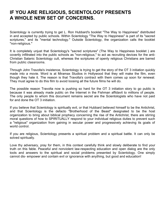### **IF YOU ARE RELIGIOUS, SCIENTOLOGY PRESENTS A WHOLE NEW SET OF CONCERNS.**

Scientology is currently trying to get L. Ron Hubbard's booklet "The Way to Happiness" distributed in and accepted by public schools. Within Scientology "The Way to Happiness" is part of its "sacred scriptures," and its "mental technology." Outside Scientology, the organization calls the booklet "non-religious."

It is completely unjust that Scientology's "sacred scriptures" (The Way to Happiness booklet ) are covertly infiltrated into the public schools as "non-religious," to act as recruiting devices for the anti-Christian Satanic Scientology cult, whereas the scriptures of openly religious Christians are barred from public classrooms.

Through John Travolta's insistence, Scientology is trying to get the story of the OT 3 initiation quickly made into a movie. Word is at Miramax Studios in Hollywood that they will make the film, even though they hate it. The reason is that Travolta's contract with them comes up soon for renewal. They must agree to do this film to avoid loosing all the future films he will do.

The possible reason Travolta now is pushing so hard for the OT 3 initiation story to go public is because it was already made public on the Internet in the Fishman affidavit to millions of people. The only people to whom this document remains secret are the Scientologists who have not paid for and done the OT 3 initiation.

If you believe that Scientology is spiritually evil, or that Hubbard believed himself to be the Antichrist, and that Scientology is the defacto "Brotherhood of the Beast" designated to be the host organization to bring about biblical prophecy concerning the rise of the Antichrist, there are stirring moral questions of how to SPIRITUALLY respond to your individual religious duties to prevent such a "religious" organization from gaining in secular power and progressively achieving its goals of world control.

If you are religious, Scientology presents a spiritual problem and a spiritual battle. It can only be solved spiritually.

Love thy adversary, pray for them, in this context carefully think and slowly deliberate to find your truth on this fable. Peaceful and nonviolent law-respecting education and open dialog are the only tools and answers to the spiritual and social problems presented by Scientology. One simply cannot dis- empower and contain evil or ignorance with anything, but good and education!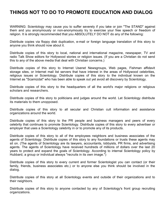### **THINGS NOT TO DO TO PROMOTE EDUCATION AND DIALOG**

WARNING: Scientology may cause you to suffer severely if you take or join "The STAND" against them and you anonymously or non-anonymously try to exercise your free speech or freedom of religion. It is strongly recommended that you ABSOLUTELY DO NOT do any of the following:

Distribute copies via floppy disk duplication, e-mail or foreign language translation of this story to anyone you think should now about it.

Distribute copies of this story to local, national and international magazine, newspaper, TV and radio Talk Show editors for Hollywood stories or religion issues. (If you are a Christian do not send this to any of the above media that deal with Christian concerns.)

Distribute copies of this story to Internet Usenet Newsgroups, Web pages, Fishman affidavit storage sites, or Internet mail list servers that have interest in the areas of Hollywood celebrities, religious issues or Scientology. Distribute copies of this story to the individual known on the Internet as "Scamizdat" who has been able to speak out yet avoid all discovery by Scientology.

Distribute copies of this story to the headquarters of all the world's major religions or religious scholars and researchers.

Distribute copies of this story to politicians and judges around the world. Let Scientology distribute its materials to them unopposed.

Distribute copies of this story to all secular and Christian cult information and assistance organizations around the world.

Distribute copies of this story to the PR people and business managers and peers of every celebrity that continues to promote Scientology. Distribute copies of this story to every advertiser or employer that uses a Scientology celebrity in or to promote any of its products.

Distribute copies of this story to all of the employees neighbors and business associates of the agents of Scientology. Distribute copies of this story to any foundations or trusts these agents may sit on. (The agents of Scientology are its lawyers, accountants, lobbyists, PR firms, and advertising agents. The agents of Scientology have received hundreds of millions of dollars over the last 20 years to protect and expand the goals of Scientology. According to internal Scientology policy by Hubbard, a group or individual always "recruits in its own image.")

Distribute copies of this story to every current and former Scientologist you can contact (or their family, friends, business associates etc.) or to anyone else you think should be involved in the dialog.

Distribute copies of this story at all Scientology events and outside of their organizations and to their neighbors.

Distribute copies of this story to anyone contacted by any of Scientology's front group recruiting organizations.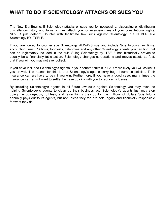### **WHAT TO DO IF SCIENTOLOGY ATTACKS OR SUES YOU**

The New Era Begins: If Scientology attacks or sues you for possessing, discussing or distributing this allegoric story and fable or they attack you for exercising any of your constitutional rights, NEVER just defend! Counter with legitimate law suits against Scientology, but NEVER sue Scientology BY ITSELF.

If you are forced to counter sue Scientology ALWAYS sue and include Scientology's law firms, accounting firms, PR firms, lobbyists, celebrities and any other Scientology agents you can find that can be legitimately included in the suit. Suing Scientology by ITSELF has historically proven to usually be a financially futile action. Scientology changes corporations and moves assets so fast, that if you win you may not ever collect.

If you have included Scientology's agents in your counter suits it is FAR more likely you will collect if you prevail. The reason for this is that Scientology's agents carry huge insurance policies. Their insurance carriers have to pay if you win. Furthermore, if you have a good case, many times the insurance carrier will want to settle the case quickly with you to reduce its losses.

By including Scientology's agents in all future law suits against Scientology you may even be helping Scientology's agents to clean up their business act. Scientology's agents just may stop doing the outrageous, ruthless, and false things they do for the millions of dollars Scientology annually pays out to its agents, but not unless they too are held legally and financially responsible for what they do.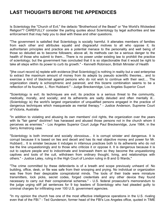# **LAST THOUGHTS BEFORE THE APPENDICES**

Is Scientology the "Church of Evil," the defacto "Brotherhood of the Beast" or "the World's Wickedest Religion"? CAREFULLY consider the parting quotes about Scientology by legal authorities and law enforcement that may help you to deal with these and other questions.

"The government is satisfied that Scientology is socially harmful. It alienates members of families from each other and attributes squalid and disgraceful motives to all who oppose it; its authoritarian principles and practice are a potential menace to the personality and well being of those so deluded as to become followers; above all, its methods can be a serious danger to the health of those who submit to them... There is no power under existing law to prohibit the practice of scientology; but the government has concluded that it is so objectionable that it would be right to take all steps within its power to curb its growth." - Kenneth Robinson, British Minister of Health

"[the court record is] replete with evidence [that Scientology] is nothing in reality but a vast enterprise to extract the maximum amount of money from its adepts by pseudo scientific theories... and to exercise a kind of blackmail against persons who do not wish to continue with their sect.... The organization clearly is schizophrenic and paranoid, and this bizarre combination seems to be a reflection of its founder, L. Ron Hubbard." - Judge Breckenridge, Los Angeles Superior Court

"Scientology is evil; its techniques are evil; its practice is a serious threat to the community, medically, morally, and socially; and its adherents are sadly deluded and often mentally ill... (Scientology is) the world's largest organization of unqualified persons engaged in the practice of dangerous techniques which masquerade as mental therapy." - Justice Anderson, Supreme Court of Victoria, Australia

"In addition to violating and abusing its own members' civil rights, the organization over the years with its "fair game" doctrine1 has harassed and abused those persons not in the church whom it perceives as enemies." - Los Angeles Superior Court Judge Paul Breckenridge, June 1984, in the Gerry Armstrong case.

"Scientology is both immoral and socially obnoxious... it is corrupt sinister and dangerous. It is corrupt because it is based on lies and deceit and has its real objective money and power for Mr. Hubbard... It is sinister because it indulges in infamous practices both to its adherents who do not toe the line unquestioningly and to those who criticize it or oppose it. It is dangerous because it is out to capture people and to indoctrinate and brainwash them so they become the unquestioning captives and tools of the cult, withdrawn from ordinary thought, living, and relationships with others." - Justice Latey, ruling in the High Court of London ruling in B and G Wards,"

"The crime committed by these defendants is of a breath and scope previously unheard of. No building, office, desk, or file was safe from their snooping and prying. No individual or organization was free from their despicable conspiratorial minds. The tools of their trade were miniature transmitters, lock picks, secret codes, forged credentials and any other device they found necessary to carry out their conspiratorial schemes." - U.S. federal prosecutor's memorandum to the judge urging stiff jail sentences for 9 top leaders of Scientology who had pleaded guilty to criminal charges for infiltrating over 100 U.S. government agencies.

"In my opinion the church has one of the most effective intelligence operations in the U.S. rivaling even that of the FBI." - Ted Gunderson, former head of the FBI's Los Angeles office, quoted in TIME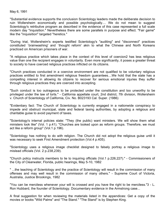May 6, 1991

"Substantial evidence supports the conclusion Scientology leaders made the deliberate decision to ruin Wollersheim economically and possible psychologically.... We do not mean to suggest Scientology's retributive program as described in the evidence of this case represented a full scale modern day "inquisition." Nevertheless there are some parallels in purpose and effect. "Fair game" like the "inquisition" targeted "heretics."

"During trial, Wollersheim's experts testified Scientology's "auditing" and "disconnect" practices constituted `brainwashing' and `thought reform' akin to what the Chinese and North Koreans practiced on American prisoners of war.

"A religious practice which takes place in the context of this level of coercion2 has less religious value than one the recipient engages in voluntarily. Even more significantly, it poses a greater threat to society to have coerced religious practices inflicted on its citizens.

"Church practices conducted in a coercive environment are not qualified to be voluntary religious practices entitled to first amendment religious freedom guarantees....We hold that the state has a compelling interest in allowing its citizens to recover for serious emotional injuries they suffer through religious practices they are coerced into accepting.

"Such conduct is too outrageous to be protected under the constitution and too unworthy to be privileged under the law of torts." - California appellate court, 2nd district, 7th division, Wollersheim v. Church of Scientology of California, Civ. No. B023193 Cal. Super. (1986)

"Evidentiary fact: The Church of Scientology is currently engaged in a nationwide conspiracy to impede and obstruct municipal, state and federal taxing authorities, by adopting a religious and charitable guise to avoid payment of taxes.

"Scientology's internal policies state: "They (the public) want ministers. We will show them what ministers look like" (Vol. 1 p.41). "Churches are looked upon as reform groups. Therefore, we must act like a reform group" (Vol.1 p.196).

"Scientology has nothing to do with religion. The Church did not adopt the religious guise until it was necessary to seek First Amendment protection (Vol.4 p.405).

"Scientology uses a religious image checklist designed to falsely portray a religious image to mislead officials (Vol. 2 p.238,239).

"Church policy instructs members to lie to inquiring officials (Vol.1 p.226,227)." - Commissioners of the City of Clearwater, Florida, public hearings, May 5-10, 1982

" ...the teaching of Scientology and the practice of Scientology will result in the commission of many offenses and may well result in the commission of many others." - Supreme Court of Victoria, Australia, Justice Brookings, 1982

"You can be merciless whenever your will is crossed and you have the right to be merciless."3 - L. Ron Hubbard, the founder of Scientology. Documentary evidence in the Armstrong case...

A final suggestion for when reviewing the materials listed in the appendices: Get a copy of the movies or books "Wild Palms" and "The Stand." "The Stand" is by Stephen King.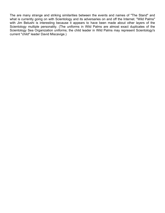The are many strange and striking similarities between the events and names of "The Stand" and what is currently going on with Scientology and its adversaries on and off the Internet. "Wild Palms" with Jim Belushi is interesting because it appears to have been made about other layers of the Scientology multiple personality. (The uniforms in Wild Palms are almost exact duplicates of the Scientology Sea Organization uniforms; the child leader in Wild Palms may represent Scientology's current "child" leader David Miscavige.)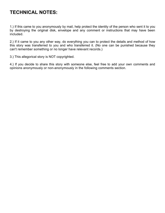# **TECHNICAL NOTES:**

1.) If this came to you anonymously by mail, help protect the identity of the person who sent it to you by destroying the original disk, envelope and any comment or instructions that may have been included.

2.) If it came to you any other way, do everything you can to protect the details and method of how this story was transferred to you and who transferred it. (No one can be punished because they can't remember something or no longer have relevant records.)

3.) This allegorical story is NOT copyrighted.

4.) If you decide to share this story with someone else, feel free to add your own comments and opinions anonymously or non-anonymously in the following comments section.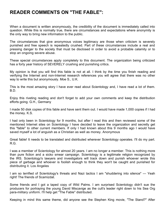### **READER COMMENTS ON "THE FABLE":**

When a document is written anonymously, the credibility of the document is immediately called into question. While this is normally true, there are circumstances and expectations where anonymity is the only way to bring new information to the public.

The circumstances that give anonymous voices legitimacy are those when criticism is severely punished and free speech is repeatedly crushed. Part of these circumstances include a real and pressing danger to the society that must be disclosed in order to avoid a probable calamity or to stop an ongoing severe abuse.

These special circumstances apply completely to this document. The organization being criticized has a forty year history of SEVERELY crushing and punishing critics.

My opinion is that you will find this fable is not at all. I think by the time you finish reading and verifying the Internet and non-Internet research references you will agree that there was no other way to write this but anonymously. Moe S., U.K.

This is the most amazing story I have ever read about Scientology and, I have read a lot of them. B.D.

Enjoy this riveting reading and don't forget to add your own comments and keep the distribution efforts going. G.H., Germany

I made 50 disk copies of this fable and have sent them out. I would have made 1,000 copies if I had the money. K.S.

I had only been in Scientology for 9 months, but after I read this and then reviewed some of the mentioned Internet sites on Scientology I have decided to leave the organization and secretly get this "fable" to other current members. If only I had known about this 9 months ago I would have saved myself a lot of anguish as a Christian as well as money. Anonymous

Great fable! It needs to be translated and distributed wherever Scientology operates. I'll do my part. R.G.

I was a member of Scientology for almost 20 years. I am no longer a member. This is nothing more than pure fiction and a sicko smear campaign. Scientology is a legitimate religion recognized by the IRS. Scientology's lawyers and investigators will track down and punish whoever wrote this piece of garbage and whoever is foolish enough to think they won't be caught and punished for distributing it. Los Angeles

I am so terrified of Scientology's threats and Nazi tactics I am "shuddering into silence" --- Yeah right! The friends of Scamizdat.

Some friends and I got a taped copy of Wild Palms. I am surprised Scientology didn't sue the producers for portraying the young David Miscavige as the cult's leader right down to his Sea Org para-military uniform. I'll help get "The Fable" distributed.

Keeping in mind this same theme, did anyone see the Stephen King movie, "The Stand?" After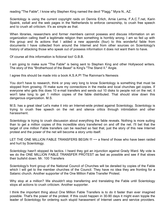reading "The Fable", I know why Stephen King named the devil "Flagg." Myra N., AZ.

Scientology is using the current copyright raids on Dennis Erlich, Arnie Lerma, F.A.C.T.net, Karin Spaink, xs4all and the web pages in the Netherlands to enforce censorship, to crush free speech and to crush all criticism. It's as simple as that.

When libraries, researchers and former members cannot possess and discuss information on an organization calling itself a legitimate religion then something is horribly wrong. I am so fed up with this group and its actions that I added a new appendix (four) to this wonderful fable from documents I have collected from around the Internet and from other sources on Scientology's history of attacking those who speak out of possess information it does not want them to have.

Of course all this information is fictional too! G.B.B.

I am going to make sure "The Fable" is being sent to Stephen King and other Hollywood writers. The story of this "Brotherhood of the Beast" is King's "The Stand II." Angie.

I agree this should be made into a book A.S.A.P! The Rainman's Nemesis

You don't have to research, think or pray very long to know Scientology is something that must be stopped from growing. I'll make sure my connections in the media and local churches get copies. If everyone who gets this does 10 e-mail transfers and sends out 10 disks to people not on the net, it won't take long to get 1 million copies of the fable distributed. That should slow down this dangerous organization. M.S.

M.S. has a great idea! Let's make it into an Internet-wide protest against Scientology. Scientology is trying to crush free speech on the net and silence critics through intimidation and other harassment.

Scientology is trying to crush discussion about everything the fable reveals. Nothing is more suiting than to get a million copies of this incredible story transferred on and off the net. I'll bet that the target of one million Fable transfers can be reached so fast that, just the story of this new Internet protest and the power of the net will become a story unto itself.

LET THE ONE MILLION FABLE TRANSFERS BEGIN  $\mathbb{II}$   $\sim$  a friend of those who have been raided and hurt by Scientology.

Scientology hasn't stopped its tactics. I heard they got an injunction against Grady Ward. My vote is we do the ONE MILLION FABLE TRANSFER PROTEST as fast as possible and see if that slows their bullshit down. Mr. 100 Transfers

Scientology's front group of the National Council of Churches will be derailed by copies of the Fable which I will get to the member churches of the Council. They have no idea they are fronting for a Satanic church. Another supporter of the One Million Fable Transfer Protest.

Why stop at a million? We shouldn't stop transferring and translating the Fable until Scientology stops all actions to crush criticism. Another supporter.

I think the important thing about One Million Fable Transfers is to do it faster than ever imagined possible. That's the power of the protest. If this could happen in 30-90 days it might even topple the leader of Scientology for ordering such stupid harassment of Internet users and service providers.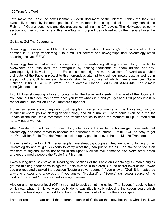#### 100 Transfers Too!

Let's make the Fable the new Fishman / Geertz document of the Internet. I think the fable will eventually be read by far more people. It's much more interesting and tells the story behind the Fishman / Geertz document and declarations containing the OT Levels. The Hollywood celebrity section and their connections to this neo-Satanic group will be gobbled up by the media all over the world.

Go fable, Go! The Cyberpunks.

Scientology deserved the Million Transfers of the Fable. Scientology's thousands of victims demand it. I'll keep transferring it to e-mail list servers and newsgroups until Scientology stops attacking the Net. E.F.W.

Scientology has embarked upon a new policy of spam-botting alt.religion.scientology in order to overwhelm and take over the newsgroup by posting thousands of spam articles per day. Consequently, it is vital to get the Fable distributed right now. I have come forward as a public distributor of the Fable in protest to this horrendous attempt to crush our newsgroup, as well as in support of the Cult Awareness Network's struggle to survive, of which I am a member. Steve Fishman, 12980 S. W. 48th Street, Fort Lauderdale, Florida 33330-2339, (954) 434-9777, e-mail: xenu@ix.netcom.com

I couldn't resist creating a table of contents for the Fable and inserting it in front of the document. You can't put this document down once you know what's in it and you get about 20 pages into it. A reader and a One Million Fable Transfers Supporter.

I think someone should regularly post people's inserted comments on the Fable into various Internet newsgroups like alt.religion.scientology and alt.journalism. There could even be a regular update of the best fable comments and transfer stories to keep the momentum up. I'll start from here. A paper warrior.

After President of the Church of Scientology International Heber Jentzsch's arrogant comments that Scientology has been forced to become the policeman of the Internet, I think it will be easy to get the One Million Fable Transfer Protests picked up by people all over the net. Ms. 75 Transfers.

I have heard some top U. S. media people have already got copies. They are now contacting former Scientologists and religious experts to verify what they can put on the air. I an stoked to focus on transfers to regional media hot shots in the upper Midwest. Will someone else claim other areas and get the media people the Fable first? Iceman.

I was a long-time Scientologist. Reading the sections of the Fable on Scientology's Satanic origins got me thinking about some things the Fable missed in this area. On the secret level called Power you are repeatedly asked the question "locate a power source." If you answer "God" it is treated as a wrong answer and a delusion. If you answer "Hubbard" or "Source" (as power source of the world), or "Yourself", it is accepted as a right answer.

Also on another secret level (OT II) you had to audit something called "The Sevens." Looking back on it now, what I think we were really doing was ritualistically releasing the seven seals which release the beast upon the world and bring on the final conflict before the apocalypse.

I am not real up to date on all the different legends of Christian theology, but that's what I think we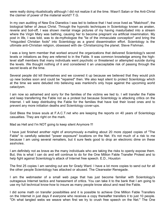were really doing ritualistically although I did not realize it at the time. Wasn't Satan or the Anti-Christ the claimer of power of the material world? T.G.

In my own auditing of New Era Dianetics I was led to believe that I had once lived as "Malchoot", the biological father of Jesus Christ. Through the hypnotic techniques in Scientology known as anaten, reverie and boil-off, I was shown mental image pictures of my having masturbated into a stream where the Virgin Mary was bathing, causing her to become pregnant via artificial insemination. My post in life, I was told, was to de-mythologize the "lie of the immaculate conception" and bring the "misguided Christian fools" into Scientology as a grand dissemination effort. Scientology is the ultimate anti-Christian religion, obsessed with de- Christianizing the planet. Steve Fishman.

I was a long term member that worked around the organizations that delivered Scientology's secret levels or initiations as they are referred to in the Fable. It was common knowledge among the highlevel staff members that many individuals went psychotic or threatened or attempted suicide during the levels. We thought nothing of it and considered it an unacceptable risk of passing through the secret levels at the time.

Several people did kill themselves and we covered it up because we believed that they would pick up new bodies soon and could be "repaired" then. We also kept silent to protect Scientology which at the time we were deluded into believing was mankind's only hope against the upcoming world cataclysm.

I am now so ashamed and sorry for the families of the victims we lied to. I will transfer the Fable and keep transferring the Fable not as a protest but because Scientology is attacking critics on the Internet. I will keep distributing the Fable for the families that have lost their loved ones and to prevent any more initiation deaths and Scientology cover-ups.

God Bless the brave souls at F.A.C.T.net who are keeping the reports on 40 years of Scientology casualties. They are right on the mark.

Mad as Hell and I'm NOT going to keep silent Anymore !!!

I have just finished another night of anonymously e-mailing about 20 more zipped copies of "The Fable" to carefully selected "power exposure" locations on the Net. It's not much of a risk to me because I am using several remailers, but it sure feels good to drop an electronic dime on these assholes.

I am definitely not as brave as the many individuals who are taking the risks to openly expose them. But, this is what I can do and will continue to do for the One Million Fable Transfer Protest and to help fight against Scientology's attack of Internet free speech. E.D., Houston

The first 25 copies I am sending out are for Grady Ward. I have a lot more copies to send out for all the other people Scientology has attacked or abused. The Clearwater Renegade.

I am the webmaster of a small web page that has just become familiar with Scientology's outrageous Internet tactics and harassment of critics. You can take it to the bank that I am going to use my full technical know-how to insure as many people know about and read the Fable.

I did some math on transfer possibilities and it is possible to achieve One Million Fable Transfers on the Internet in just days if everyone who receives a copy thereafter transfers it to just 10 people. "Oh what tangled webs we weave when first we try to crush free speech on the Net." The One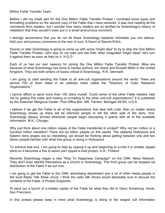Million Fable Transfer Team.

Before I did my small part for the One Million Fable Transfer Protest I corrected some typos and formatting problems on the second copy of the Fable that I have received. It was nice reading all the comments from readers, but I wonder how many readers are so terrified by Scientology's history of retaliation that they wouldn't even put in a small anonymous comment.

I strongly recommend that you do not let these Scientology bastards intimidate you into silence. Add your anonymous comments to the rest of ours. A friend of Dennis Erlich.

Sooner or later Scientology is going to come up with some "bright idea" to try to stop the One Million Fable Transfer Protest. Let's stay on our toes and like their other misguided "bright ideas" let's turn it against them as soon as they try it. X-G.O.

Each of us has our own reasons for joining the One Million Fable Transfer Protest. Mine are because of what Scientology has done to harass authors Jon Atack and Russell Miller in the United Kingdom. They are both writers of books critical of Scientology. R.R. Denmark.

I am going to start sending the Fable to all anti-cult organizations around the world. There are almost 700 of them listed in an address index called the "Directory of Cultic Research Organizations."

I cannot afford to send more than 100 disks myself. Could some of the other Fable readers help me by getting this index and mailing or e-mailing to the other anti-cult organizations? It is published by the American Religious Center, Post Office Box 168, Trenton, Michigan 48183, U.S.A.

I believe if we get the Fable to all of the organizations that deal with cults, then no matter where Scientology shows up there will be informed people to tell the other side of the story. And, Scientology always shrinks whenever people begin discussing it openly with all of the available information. M.K., Chicago.

Why just think about one million copies of the Fable transferred in protest? Why not ten million or a hundred million transfers? There are six billion people on this planet. The celebrity Hollywood and Satanic story angles are so interesting, we should be thinking about getting between one and two billion people familiar with what this group is doing in Hollywood.

To achieve that end, I am going to help by zipping it up and beginning to e-mail it in smaller zipped parts so it becomes a five to seven part zipped e-mail project. A.G., Finland.

Recently Scientology began a new "Way To Happiness Campaign" on the CNN. News Network. They don't even identify themselves as a church or Scientology. This front group can be stopped via distribution of the Fable if we act now.

I am going to get the Fable to the CNN. advertising department and a lot of other media people in the local Radio Talk Show circuit. I think the radio talk shows would absolutely love to discuss the contents of the Fable. A Protest Supporter.

I'll send out a bunch of e-mailed copies of the Fable for what they did to Gerry Armstrong. Annie, San Francisco.

In this protest please keep in mind what Scientology is doing to the largest cult information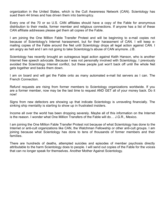organization in the United States, which is the Cult Awareness Network (CAN). Scientology has sued them 44 times and has driven them into bankruptcy.

Every one of the 70 or so U.S. CAN affiliates should have a copy of the Fable for anonymous distribution to their media, former member and religious connections. If anyone has a list of these CAN affiliate addresses please get them all copies of the Fable.

I am joining the One Million Fable Transfer Protest and will be beginning to e-mail copies not because of Scientology's Internet harassment, but for their harassment of CAN. I will keep emailing copies of the Fable around the Net until Scientology drops all legal action against CAN. I am angry as hell and I am not going to take Scientology's abuse of CAN anymore. J.B.

Scientology has recently brought an outrageous legal action against Keith Hanson, who is another Internet free speech advocate. Because I was not personally involved with Scientology, I previously avoided the Scientology Internet conflict, but these people just won't back off until the whole Net gets together and backs them down.

I am on board and will get the Fable onto as many automated e-mail list servers as I can. The French Connection.

Refund requests are rising from former members to Scientology organizations worldwide. If you are a former member, now may be the last time to request AND GET all of your money back. Do it now!

Signs from new defectors are showing up that indicate Scientology is unraveling financially. The sinking ship mentality is starting to show up in frustrated insiders.

Income all over the world has been dropping severely. Maybe all of this information on the Internet is the reason. I wonder what One Million Transfers of the Fable will do… J.G.R., Mexico.

I am joining the One Million Fable Transfer Protest not because of what Scientology has done to the Internet or anti-cult organizations like CAN, the Watchman Fellowship or other anti-cult groups. I am joining because what Scientology has done to tens of thousands of former members and their families.

There are hundreds of deaths, attempted suicides and episodes of member psychosis directly attributable to the harm Scientology does to people. I will send out copies of the Fable for the voices that can no longer speak for themselves. Another Mother Against Scientology.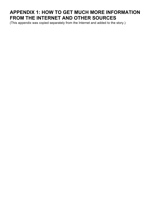# **APPENDIX 1: HOW TO GET MUCH MORE INFORMATION FROM THE INTERNET AND OTHER SOURCES**

(This appendix was copied separately from the Internet and added to the story.)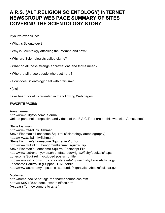## **A.R.S. (ALT.RELIGION.SCIENTOLOGY) INTERNET NEWSGROUP WEB PAGE SUMMARY OF SITES COVERING THE SCIENTOLOGY STORY.**

If you've ever asked:

- What is Scientology?
- Why is Scientology attacking the Internet, and how?
- Why are Scientologists called clams?
- What do all these strange abbreviations and terms mean?
- Who are all these people who post here?
- How does Scientology deal with criticism?
- [etc]

Take heart, for all is revealed in the following Web pages:

#### **FAVORITE PAGES:**

Arnie Lerma <http://www2.dgsys.com/~alerma> Unique personal perspective and videos of the F.A.C.T.net are on this web site. A must see!

Steve Fishman: <http://www.xs4all.nl/~fishman> Steve Fishman's Lonesome Squirrel (Scientology autobiography): <http://www.xs4all.nl/~fishman/> Steve Fishman's Lonesome Squirrel in Zip Form: <http://www.xs4all.nl/~bengrimm/fishman/squirrel.zip> Steve Fishman's Lonesome Squirrel Postscript File: <http://www-astronomy.mps.ohio-> state.edu/~ignaz/fishy/books/ls/ls.ps Lonesome Squirrel in g-zipped postscript file <http://www-astronomy.mps.ohio->state.edu/~ignaz/fishy/books/ls/ls.ps.gz Lonesome Squirrel in g-zipped HTML tarfile <http://www-astronomy.mps.ohio-> state.edu/~ignaz/fishy/books/ls/ls.tar.gz

Modemac: <http://home.pacific.net.sg/~marina/modemac/cos.htm> <http://wit397105.student.utwente.nl/cos.htm> (Asasas) [for newcomers to a.r.s.]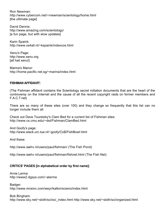Ron Newman: <http://www.cybercom.net/~rnewman/scientology/home.html> [the ultimate page]

David Dennis: <http://www.amazing.com/scientology/> [a fun page, but with slow updates]

Karin Spaink: <http://www.xs4all.nl/~kspaink/indexcos.html>

Xenu's Page: <http://www.xenu.org> [all hail xenu!]

Marina's Manor: <http://home.pacific.net.sg/~marina/index.html>

#### **FISHMAN AFFIDAVIT:**

(The Fishman affidavit contains the Scientology secret initiation documents that are the heart of the controversy on the Internet and the cause of all the recent copyright raids on former members and F.A.C.T.net)

There are so many of these sites (over 100) and they change so frequently that this list can no longer include them all.

Check out Dave Touretzky's Clam Bed for a current list of Fishman sites: <http://www.cs.cmu.edu/~dst/Fishman/ClamBed.html>

And Goofy's page: [http://www.stack.urc.tue.nl/~goofy/Co\\$/FishBowl.html](http://www.stack.urc.tue.nl/~goofy/Co$/FishBowl.html)

And these:

<http://www.iaehv.nl/users/paul/fishman/>(The Fish Pond)

<http://www.iaehv.nl/users/paul/fishman/fishnet.html> (The Fish Net)

#### **CRITICS' PAGES [in alphabetical order by first name]:**

Arnie Lerma <http://www2.dgsys.com/~alerma>

Badger: <http://www.mnsinc.com/weyr/kalkin/scieno/index.html>

Bob Bingham: [http://www.sky.net/~sloth/sci/sci\\_index.html](http://www.sky.net/~sloth/sci/sci_index.html)<http://www.sky.net/~sloth/sci/organized.html>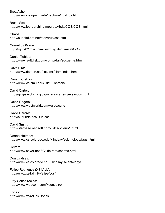Brett Achorn: <http://www.cis.upenn.edu/~achorn/cos/cos.html>

Bruce Scott: <http://www.ipp-garching.mpg.de/~bds/COS/COS.html>

Chaos: <http://sunbird.sat.net/~lazarus/cos.html>

Cornelius Krasel: <http://wpxx02.toxi.uni-wuerzburg.de/~krasel/CoS/>

Daniel Tobias: <http://www.softdisk.com/comp/dan/sosueme.html>

Dave Bird: <http://www.demon.net/castle/x/clam/index.html>

Dave Touretzky: <http://www.cs.cmu.edu/~dst/Fishman/>

David Carter: <http://gil.ipswichcity.qld.gov.au/~carterd/essaycos.html>

David Rogers: <http://www.westworld.com/~gigo/cults>

David Gerard: <http://suburbia.net/~fun/scn/>

David Smith: <http://starbase.neosoft.com/~dcs/scieno1.html>

Deana Holmes: <http://www.cs.colorado.edu/~lindsay/scientology/faqs.html>

Deirdre: <http://www.sover.net:80/~deirdre/secrets.html>

Don Lindsay: <http://www.cs.colorado.edu/~lindsay/scientology/>

Felipe Rodriguez (XS4ALL): <http://www.xs4all.nl/~felipe/cos/>

Fifty Conspiracies: <http://www.webcom.com/~conspire/>

Fonss: <http://www.xs4all.nl/~fonss>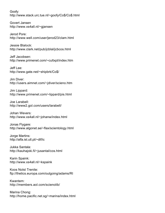### Goofy: [http://www.stack.urc.tue.nl/~goofy/Co\\$/Co\\$.html](http://www.stack.urc.tue.nl/~goofy/Co$/Co$.html)

Govert Jansen <http://www.xs4all.nl/~gjansen>

Jerod Pore: <http://www.well.com/user/jerod23/clam.html>

Jessie Blalock: <http://www.clark.net/pub/jcblal/jcbcos.html>

Jeff Jacobsen: <http://www.primenet.com/~cultxpt/index.htm>

Jeff Lee: [http://www.gate.net/~shipbrk/Co\\$/](http://www.gate.net/~shipbrk/Co$/)

Jim Diver: <http://users.aimnet.com/~jdiver/scieno.htm>

Jim Lippard: <http://www.primenet.com/~lippard/pis.html>

Joe Larabell: <http://www2.gol.com/users/larabell/>

Johan Wevers: <http://www.xs4all.nl/~johanw/index.html>

Jonas Flygare: <http://www.algonet.se/~flax/scientology.html>

Jorge Martins: <http://alfa.ist.utl.pt/~dif/ic>

Jukka Santala: <http://kauhajoki.fi/~jusantal/cos.html>

Karin Spaink: <http://www.xs4all.nl/~kspaink>

Koos Nolst Trenite: <ftp://thetics.europa.com/outgoing/adams/RI>

Kwantem: <http://members.aol.com/scienolib/>

Marina Chong: <http://home.pacific.net.sg/~marina/index.html>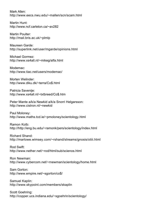Mark Allen: <http://www.eecs.nwu.edu/~mallen/scn/scam.html>

Martin Hunt: <http://www.ncf.carleton.ca/~av282>

Martin Poulter: <http://mail.bris.ac.uk/~plmlp>

Maureen Garde: <http://superlink.net/user/mgarde/opinions.html>

Michael Gormez: <http://www.xs4all.nl/~mikeg/alfa.html>

Modemac: <http://www.tiac.net/users/modemac/>

Morten Welinder: [http://www.diku.dk/~terra/Co\\$.html](http://www.diku.dk/~terra/Co$.html)

Patricia Savenije: [http://www.xs4all.nl/~txtbreed/Co\\$.htm](http://www.xs4all.nl/~txtbreed/Co$.htm)

Peter Mante a/k/a Newkid a/k/a Snorri Helgarsson: <http://www.cistron.nl/~newkid>

Paul Moloney: <http://www.maths.tcd.ie/~pmoloney/scientology.html>

Ramon Kolb: <http://><http://eng.bu.edu/~ramonk/pers/scientology/index.html>

Richard Shand: <http://marlowe.wimsey.com/~rshand/streams/gnosis/otiii.html>

Rod Swift: <http://www.nether.net/~rod/html/sub/scienos.html>

Ron Newman: <http://www.cybercom.net/~rnewman/scientology/home.html>

Sam Gorton: [http://www.empire.net/~sgorton/co\\$/](http://www.empire.net/~sgorton/co$/)

Samuel Kaplin: <http://www.skypoint.com/members/skaplin>

Scott Goehring: <http://copper.ucs.indiana.edu/~sgoehrin/scientology/>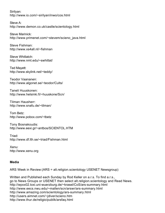Sirilyan: <http://www.io.com/~sirilyan/inwo/cos.html>

Steve A: <http://www.demon.co.uk/castle/scientology.html>

Steve Marinick: [http://www.primenet.com/~stevem/scieno\\_java.html](http://www.primenet.com/~stevem/scieno_java.html)

Steve Fishman: <http://www.xs4all.nl/~fishman>

Steve Whitlatch: <http://www.nmt.edu/~swhitlat/>

Ted Mayett: <http://www.skylink.net/~teddy/>

Teodor Vaananen: <http://www.algonet.se/~teodor/Cults/>

Taneli Huuskonen: <http://www.helsinki.fi/~huuskone/Scn/>

Tilman Hausherr: <http://www.snafu.de/~tilman/>

Tom Betz: <http://www.pobox.com/~tbetz>

Tony Bosnakoudis: <http://www.eexi.gr/~antbos/SCIENTOL.HTM>

Triad: <http://www.df.lth.se/~triad/Fishman.html>

Xenu: <http://www.xenu.org>

# **Media**

ARS Week in Review:(ARS = alt.religion.scientology USENET Newsgroup)

Written and Published each Sunday by Rod Keller on a.r.s. To find a.r.s., go to News Groups or USENET then select alt.religion.scientology and Read News. <http://wpxx02.toxi.uni-wuerzburg.de/~krasel/CoS/ars-summary.html> <http://www.eecs.nwu.edu/~mallen/scn/arswr/ars-summary.html> <http://www.amazing.com/scientology/ars-summary.html> <http://users.aimnet.com/~jdiver/scieno.htm> <http://www.thur.de/religio/publik/arsfaq.html>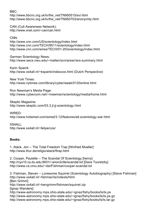BBC:

[http://www.bbcnc.org.uk/tv/the\\_net/TN950515/svi.html](http://www.bbcnc.org.uk/tv/the_net/TN950515/svi.html) [http://www.bbcnc.org.uk/tv/the\\_net/TN950703/anonymity.html](http://www.bbcnc.org.uk/tv/the_net/TN950703/anonymity.html)

CAN (Cult Awareness Network): <http://www.xnet.com/~can/can.html>

CNN: <http://www.cnn.com/US/scientology/index.html> <http://www.cnn.com/TECH/9511/scientology/index.html> <http://www.cnn.com/wires/TECH/01-20/scientology/index.html>

German Scientology News: <http://www.eecs.nwu.edu/~mallen/scn/arswr/ars-summary.html>

Karin Spaink: <http://www.xs4all.nl/~kspaink/indexcos.html> (Dutch Perspective)

New York Times: <http://www.nytimes.com/library/cyber/week/0120online.html>

Ron Newman's Media Page: <http://www.cybercom.net/~rnewman/scientology/media/home.html>

Skeptic Magazine: <http://www.skeptic.com/03.3.jl-jj-scientology.html>

WIRED: <http://www.hotwired.com/wired/3.12/features/alt.scientology.war.html>

XS4ALL: <http://www.xs4all.nl/~felipe/cos/>

# **Books:**

1. Atack, Jon -- The Total Freedom Trap [Winfried Mueller] <http://www.thur.de/religio/atack/ftrap.html>

2. Cooper, Paulette -- The Scandal Of Scientology [henry] <http://nyx10.cs.du.edu:8001/~anon2c9e/scandal.txt>[Dave Touretzky] <http://www.cs.cmu.edu/~dst/Fishman/cooper-scandal.txt>

3. Fishman, Steven – Lonesome Squirrel (Scientology Autobiography) [Steve Fishman] <http://www.xs4all.nl/~fishman/ls/indexls/html> [Ben Grimm] <http://www.xs4all.nl/~bengrimm/fishman/squirrel.zip> [Ignaz Wanders] <http://www-astronomy.mps.ohio-state.edu/~ignaz/fishy/books/ls/ls.ps> <http://www-astronomy.mps.ohio-state.edu/~ignaz/fishy/books/ls/ls.ps.gz> <http://www-astronomy.mps.ohio-state.edu/~ignaz/fishy/books/ls/ls.tar.gz>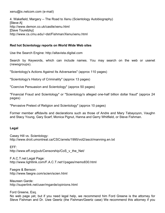xenu@ix.netcom.com (e-mail)

4. Wakefield, Margery -- The Road to Xenu (Scientology Autobiography) [Steve A] <http://www.demon.co.uk/castle/xenu.html> [Dave Touretzky] <http://www.cs.cmu.edu/~dst/Fishman/Xenu/xenu.html>

### **Red hot Scientology reports on World Wide Web sites**

Use the Search Engine: <http://altavista.digital.com>

Search by Keywords, which can include names. You may search on the web or usenet (newsgroups).

"Scientology's Actions Against Its Adversaries" (approx 110 pages)

"Scientology's History of Criminality" (approx 13 pages)

"Coercive Persuasion and Scientology" (approx 50 pages)

"Financial Fraud and Scientology" or "Scientology's alleged one-half billion dollar fraud" (approx 24 pages)

"Pervasive Pretext of Religion and Scientology" (approx 10 pages)

Former member affidavits and declarations such as those of Andre and Mary Tabayoyon, Vaughn and Stacy Young, Gary Scarf, Monica Pignut, Hanna and Gerry Whitfield, or Steve Fishman.

#### **Legal**

Casey Hill vs. Scientology: <http://www.droit.umontreal.ca/CSC/arrets/1995/vol2/ascii/manning.en.txt>

EFF: [http://www.eff.org/pub/Censorship/CoS\\_v\\_the\\_Net/](http://www.eff.org/pub/Censorship/CoS_v_the_Net/)

F.A.C.T.net Legal Page: <http://www.lightlink.com/F.A.C.T.net1/pages/memo830.html>

Faegre & Benson: <http://www.faegre.com/scien/scien.html>

Maureen Garde: <http://superlink.net/user/mgarde/opinions.html>

Ford Greene, Esq. No web page yet, but if you need legal help, we recommend him Ford Greene is the attorney for Steve Fishman and Dr. Uwe Geertz (the Fishman/Geertz case) We recommend this attorney if you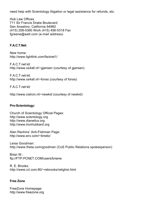need help with Scientology litigation or legal assistance for refunds, etc.

Hub Law Offices 711 Sir Francis Drake Boulevard San Anselmo, California 94960 (415) 258-0360 Work (415) 456-5318 Fax fgreene@well.com (e-mail address)

# **F.A.C.T.Net:**

New home: <http://www.lightlink.com/factnet1/>

F.A.C.T.net kit: <http://www.xs4all.nl/~gjansen> (courtesy of gjansen)

F.A.C.T.net kit: <http://www.xs4all.nl/~fonss> (courtesy of fonss)

F.A.C.T.net kit:

<http://www.cistron.nl/~newkid> (courtesy of newkid)

## **Pro-Scientology:**

Church of Scientology Official Pages: <http://www.scientology.org> <http://www.dianetics.org> <http://www.lronhubbard.org>

Alan Rachins' Anti-Fishman Page: <http://www.env.com/~timeto/>

Leisa Goodman: <http://www.theta.com/goodman> (CoS Public Relations spokesperson)

Brian W.: <ftp://FTP.PCNET.COM/users/brianw>

R. E. Brooks: <http://www.crl.com:80/~rebrooks/relighst.html>

### **Free Zone**

FreeZone Homepage: <http://www.freezone.org>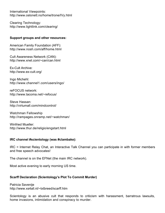International Viewpoints: <http://www.oslonett.no/home/trone/IVy.html>

Clearing Technology: <http://www.lightlink.com/clearing/>

## **Support groups and other resources:**

American Family Foundation (AFF): <http://www.nosh.com/aff/home.html>

Cult Awareness Network (CAN): <http://www.xnet.com/~can/can.html>

Ex-Cult Archive: <http://www.ex-cult.org/>

Ingo Michehl: <http://www.channel1.com/users/ingo/>

reFOCUS network: <http://www.tacoma.net/~refocus/>

Steve Hassan: <http://virtumall.com/mindcontrol/>

Watchman Fellowship <http://rampages.onramp.net/~watchman/>

Winfried Mueller: <http://www.thur.de/religio/engstart.html>

#### **IRC channel #scientology (was #clambake):**

IRC = Internet Relay Chat, an Interactive Talk Channel you can participate in with former members and free speech advocates!

The channel is on the EFNet (the main IRC network).

Most active evening to early morning US time.

# **Scarff Declaration (Scientology's Plot To Commit Murder)**

Patricia Savenije <http://www.xs4all.nl/~txtbreed/scarff.htm>

Scientology is an abusive cult that responds to criticism with harassment, barratrous lawsuits, home invasions, intimidation and conspiracy to murder.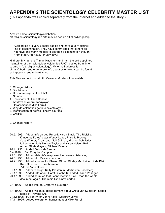# **APPENDIX 2 THE SCIENTOLOGY CELEBRITY MASTER LIST**

(This appendix was copied separately from the Internet and added to the story.)

Archive-name: scientology/celebrities alt.religion.scientology,rec.arts.movies.people,alt.showbiz.gossip

 "Celebrities are very Special people and have a very distinct line of dissemination. They have comm lines that others do not have and many medias to get their dissemination though" From Flag Order 3323, 9 May 1973

Hi there. My name is Tilman Hausherr, and I am the self-appointed maintainer of the "scientology celebrities FAQ", posted from time to time in "alt.religion.scientology". My e-mail address is tilman@berlin.snafu.de, more info about scientology can be found at<http://www.snafu.de/~tilman/>

This file can be found at <http://www.snafu.de/~tilman/celeb.txt>

- 0. Change history
- 1. Disclaimers
- 2. How names get in this FAQ
- 3. Names
- 4. Testimony of Diana Canova
- 5. Affidavit of Andre Tabayoyon
- 6. Harassment of Mike Farrell
- 7. Why do celebrities get into scientology ?
- 8. Identification of not well-known sources
- 9. Credits
- 0. Change history
- 20.5.1996: Added info on Lee Purcell, Karen Black, The Ribisi's, Kimberley Kates' sister Wendy Lebel, Priscilla Presley, Cass Warner, Al Jarreau, Neil Gaiman, Michael Schnitzler full entry for Judy Norton-Taylor and Karen Nelson-Bell Added Gloria Gaynor, Michael Fairman
- 20.4.1996: Added Deborah Rennard
- 5.4.1996: Full Entry for Campbell
- 25.3.1996: Added Melanie's response, Helnwein's distancing
- 24.3.1996: Added <http://www.isham.com>
- 24.2.1996: Added sources for Sharon Stone, Shirley MacLaine, Linda Blair, Kate Ceberano, Eric Sherman Added Anna Corea
- 31.1.1996: Added who got Kelly Preston in, Martin von Haselberg
- 21.1.1996: Added info about Horst Buchholtz, added Diane Venegas
- 20.1.1996: Added so much that I can't mention it all. Read the whole
- document again. The main list is now sorted.
- 2.1.1996 Added info on Greta van Susteren
- 1.1.1996: Added Melanie, added remark about Greta van Susteren, added name of Travolta C/S
- 21.12.1995: Full entry for Vonni Ribisi, Geoffrey Lewis
- 17.11.1995: Added excerpt on harassment of Mike Farrell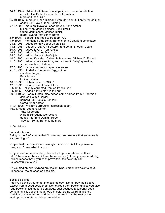- 14.11.1995: Added Leif Garrett's occupation, corrected attribution error for Hal Puthoff and added information, more on Linda Blair
- 25.10.1995: more on Linda Blair and Van Morrison; full entry for Gaiman added Lou Rawls, John Dalmas
- 7.10.1995: more on Travolta, Isaac Hayes, Anne Archer full entry on Mario Feninger, Lee Purcell added Mark Isham, Marissa Ribisi, more "awards" for Sonny Bono
- 5.9.1995: added "The road to freedom" CD
- 1.9.1995: mentioned that Sonny Bono is on a Copyright committee
- 23.8.1995: added remark about Linda Blair
- 13.8.1995: added Greta van Susteren and John "Bhopal" Coale
- 30.7.1995: added level of Tom Cruise
- 16.7.1995: added Charles Manson
- 25.6.1995: added Anne Archer's job
- 14.6.1995: added Katselas, California Magazine, Michael D. Roberts
- 11.6.1995: added some structure, and answer to "why" question, added movies to Lehman
- 27.5.1995: more exact newspaper references
- 21.5.1995: Added a source for Peggy Lipton
	- Candice Bergen Demi Moore
	- Emilio Estevez
- 16.5.1995: Cohen music in "NBK"
- 12.5.1995: Sonny Bono thanks Elron
- 8.5.1995: slightly corrected Damian Pope's part
- 6.5.1995: Added Alley's start in the cult
- 29.04.1995: Peggy Lipton, also added some names from NPoorman, deleted Helmut Berger.
	- Bernard Paul (Circus Roncalli)
	- Corea "liner notes"
- 17.04.1995: William Burroughs (correction again)
- 16.04.1995: Leonard Cohen Kate Ceberano William Burroughs (correction) added info from Damian Pope
	- "libeled" Sonny Bono some more
- 1. Disclaimers

Legal disclaimer: Being in the FAQ means that "I have read somewhere that someone is a scientologist".

- If you feel that someone is wrongly placed on this FAQ, please tell me, and I'll see what I can do.
- If you want a name added, please try to give a reference. If you don't have one, then YOU are the reference (if I feel you are credible), which means that if you can't prove this, the celebrity can successfully sue you.
- If you find an error (wrong profession, typo, person left scientology), please tell me as soon as possible.

Social disclaimer:

I do NOT advise you to get into scientology ! Do not buy their books, except from a used book shop. Do not read their books, unless you also read books critical about scientology. Just because a celebrity does something silly doesn't mean YOU should. Doing weird things is a tradition of stage actors, and there is no need that the rest of the world population takes this as an advice.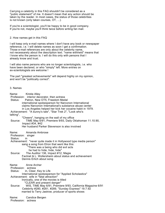Carrying a celebrity in this FAQ shouldn't be considered as a "public statement" of me. It doesn't mean that any action should be taken by the reader. In most cases, the status of those celebrities is not known (only taken courses, OT, ...).

If you're a scientologist, you'll be happy to be in good company. If you're not, maybe you'll think twice before writing fan mail.

#### 2. How names get in this FAQ

I will keep only e-mail names where I don't have any book or newspaper reference, i.e. I will delete names as soon I get a confirmation. Those e-mail references are only about the celebrity name, not necessarely about the description text. "name withheld" means that I know who the person is. I will do this only with persons that I already know and trust.

I will also name persons who are no longer scientologists, i.e. who have been declared, or who "simply" left. More entries on ex-scientologists are welcome !

The part "greatest achievements" will depend highly on my opinion, and won't be "politically correct".

#### 3. Names

Name: Kirstie Alley Profession: interior decorator, then actress Status: Patron, New OT5, Freedom Medal international spokesperson for Narconon International claims Narconon Intemational's substance abuse center in Los Angeles helped her kick her cocaine habit in 1979. Achievement: "A bunny's tale", "Star Trek 2", "Look who's talking", "Cheers", hanging on the wall of my office Source: TIME May 6/91, Premiere 9/93, Daily Oklahoman 11.10.90, Impact #34, #42 Her husband Parker Stevenson is also involved Name: Amanda Ambrose Profession: singer Status: in Achievement: "never quite made it in Hollywood type media person" sang a song from Elron that went like this: "There was a being who did evil acts he had to hide, hide, hide" Source: The Auditor 136, Impact #12, Magie Factnet & L. Wollersheim about status and achievement Dennis Erlich about song Name: Anne Archer Profession: actress Status: in, Clear, Key to Life International spokesperson for "Applied Scholastics" Achievement: wife in "fatal attraction" Ironically, one of the movies is titled "CLEAR and present danger" Source: WIS, TIME May 6/91, Premiere 9/93, California Magazine 6/91 Celebrity #280, #281, #289, "Sunday Express" 19.7.92 married to Terry Jastrow, producer of sports shows Name: Candice Bergen Profession: actress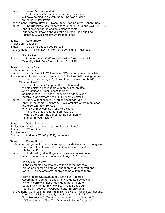Status: Factnet & L. Wollersheim: "out for years, but was in in the early days, and will have nothing to do with them. She was audited on the early, low levels." Achievement: Murphy Brown, Oliver's Story, Starting Over, Gandhi, Stick Source: DWTripp@aol.com: "she was 'around' LA Org and AOLA in 1969" and "I saw her at the original celebrity center", but does not know if she did take courses / had auditing Factnet & L. Wollersheim where mentioned Name: Karen Black Profession: actress Status: in, also introduced Lee Purcell Achievement: "The Monkey" in "Portnoy's complaint", "Five easy pieces", "Family Plot" Source: Premiere 9/93, California Magazine 6/91, Impact #12, Celebrity #269, San Diego Union 15.4.1990 Name: Linda Blair Profession: actress Status: out, Factnet & L. Wollersheim: "Was in for a very brief while" Achievement: threw up lots of pea soup in "The Exorcist", having her skirt ESPed in "zapped again", film-mother of "seven" on MWC, "Chained Heat 1" I wonder if the film "deep death" was financed by CCHR scientologists, since it deals with an evil psychiatrist who practices a "deep sleep" therapy. Coincidence ? CCHR had uncovered a "deep sleep" therapy in Chelmsford hospital, Sydney, Australia. Source: "Der Sektenkonzern", "Berliner Zeitung" 23.7.92 (only for the name), Factnet & L. Wollersheim where mentioned, "Sunday Express" 19.7.92 tonym@jolt.mpx.com.au (Tony McClelland): This is the only event that I am aware of where the CofS has benefited the community in their 45 year history. Name: Darius Brubeck Profession: musician, member of the "Brubeck Band" OT2 or higher Achievement: Source: Auditor WW #80 (1972), Jon Atack Name: Sonny Bono Profession: singer, actor, republican rep., pizza delivery man in congress member of the House Subcommittee on Courts and Intellectual Property Status: introduced by Mimi Rogers; took some courses, says he's a roman catholic, not a scientologist (LA Times). He says in Esquire: "I openly studied scientology to the degree that they did some courses on ethics, and then said thank you and left. (...) The scientology - there was no cult thing there." From drogers@huey.csun.edu (David D. Rogers): According to Corydon's book, he was quoted as saying: "My only sorrow is that L. Ron Hubbard left before I could thank him for my new life," in a full-page ad featured in several newspapers after Elron's death. Achievement: Congressman (R), Palm Springs Mayor, Cher's ex-husband. Cher: "A politician is usually a null, so the job fits him". "The Progressive": (first mentioned to me in october 1995) "#8 on the list of 'The Ten Dimmest Bulbs in Congress'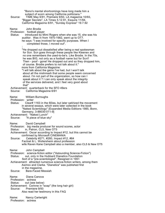"Bono's mental shortcomings have long made him a subject of scorn among California politicians." Source: TIME May 6/91, Premiere 9/93, LA magazine 10/93, "Bigger Secrets", LA Times 5.12.91, Esquire 11/94, California Magazine 6/91, "Sunday Express" 19.7.92 Name: John Brodie Profession: football player Status: introduced by Mimi Rogers when she was 15, she was his auditor. Was in from 1970-1982, went up to OT7. he says: "I was involved for specific purposes. When I completed those, I moved out". : 1999 - 1999 - 1999 "He dropped out dissatisfied after being a real spokesman for Scn. Scn goes through these people like Kleenex and no one remembers the used-to-be's. Like Brodie. In the 70s, he was BIG, not only as a football name but for Scn!! Then - poof - gone! He dropped out and so they dropped him, of course. Brodie prefers to not talk about it." more from California Magazine: "I will talk about the gains I've had, but I won't talk about all the mishmash that some people seem concerned about. I'm not part of the organization, so how can I speak about it ? I can only speak about the integrity of the services delivered, and I feel very good about that" Achievement: quarterback for the SFO 49ers Source: California Magazine 6/91 Name: William Burroughs Profession: writer Status: Clear# 1163 in the 60ies, but later satirized the movement in several essays, which were later collected in the book "Naked Scientology" [Expanded Media Editions 1985, Bonn, Germany, 3-88030-011-9] Achievement: "Naked Lunch" Source: "A piece of blue sky" Name: David Campbell Profession: big media producer for sound scores, actor Status: in, Patron, CL5, New OT5 Achievement: Oscar according to Impact #12, but this cannot be confirmed by Microsoft CINEMANIA Source: Celebrity #271, #280, Impact #12, #64 Factnet & L. Wollersheim about profession wife Raven Kane Campbell also a member, also CL5 & New OT5 Name: John Campbell Profession: science-fiction editor ("Astounding Science-Fiction") Status: out, only in the Hubbard Dianetics Foundation Sort of a "pre-scientologist". Resigned in 1951 Achievement: attracted numerous science-fiction writers, among them Asimov and Clarke. "Dianetics" was published first in the magazine. Source: Bare-Faced Messiah Name: Diana Canova Profession: actress Status: out (see below) Achievement: Corinne in "soap" (the long hair girl) Source: Premiere 9/93 Also read her testimony in this FAQ Name: Nancy Cartwright

Profession: actress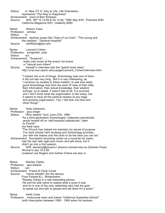Status: in, New OT IV, Key to Life, Life Orientation, represents "The Way to Happiness" Achievement: voice of Bart Simpson Source: WIS, WP 10.12.94 & 25.12.94, TIME May 6/91, Premiere 9/93 California Magazine 6/91, Celebrity #280 Name: Sharon Case Profession: actress Status: in Achievement: daytime soaps like "Days of our lives", "The young and the restless", "General Hospital" Source: JAARobin@aol.com Name: Leonard Cohen Profession: songwriter, poet Status: out Achievement: "Suzanne", ... really cool music at the prison riot scene in "natural born killers" Source: himself in interview with the "jewish book news" [http://ccat.sas.upenn.edu/cpage/Leonard\\_Cohen/interview.html](http://ccat.sas.upenn.edu/cpage/Leonard_Cohen/interview.html) "I looked into a lot of things. Scientology was one of them. It did not last very long. But it is very interesting, as I continue my studies in these matters, to see how really good Scientology was from the point of view of their data, their information, their actual knowledge, their wisdom writings, so to speak. It wasn't bad at all. It is scorned, and I don't know what the organization is like today, but it seems to have all the political residue of any large and growing organization. Yes, I did look into that and other things." Name: Kate Ceberano Profession: jazz singer Status: "Who weekly" from June 27th, 1994: "As a third generation Scientologist, Ceberano periodically sends herself off on 'self-imposed sabbaticals', often to Florida" but Kate says: "The Church has helped me maintain my sense of purpose. You work bloody hard studying and Scientology provides you with the means and the tools to be the best you can be." Achievement: Successful recording career as a musician for years, had her own late night jazz music and talk show, but it didn't go into a 2nd season. Source: WIS, damianp@physics1.physics.monash.edu.au (Damian Pope) Woman's day 19.2.96 husband Lee Rogers and mother Cherie are also in Name: Stanley Clarke Profession: jazz bassist Status: out Achievement: Friend of Chick Corea Source: "name witheld" (for the above) From Factnet & L. Wollersheim: "Stanley Clarke is a real interesting person. He and his wife came to realize what a scam it was and he is one of the only celebrities who had the guts to speak out and talk to people and tell them it's a scam." Name: Keith Code

 Profession: motorcycle racer and trainer "California Superbike School" (with interruption between 1993 - 1995 when his backers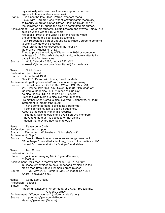mysteriously withdrew their financial support, now open again with less ambitious schedule) Status: in since the late 60ies, Patron, freedom medal His ex-wife, Barbara Code, was "Communicator" (secretary) to Deputy Guardian United States, Henning Heldt (one of the convicted 11), during the time he committed his crimes. Achievement: Two of his students, Eddie Lawson and Wayne Rainey, are multiple World Grand Prix winners His books (Twist of the Wrist I & II) and related video are considered the best available tutorials. 1987 Redesigned part of Laguna Seca Race Course to conform to World GP Motorcycle Racing. 1992 (ca) named Motorcyclist of the Year by Motorcyclist Magazine (U.S.) Tried to prove the validity of Dianetics in 1994 by competing with age 46 in 250cc AMA championship, withdrew after failing badly in the first few races.<br>Source: WIS Celebrity #280 Im WIS, Celebrity #280, Impact #25, #42, smokesig@ix.netcom.com (Neal Hamel) for the details Name: Chick Corea Profession: jazz pianist Status: in, entered 1968 New OT8, Patron with honor, Freedom Medal Achievement: getting "canceled" from a concert in germany Source: himself in ads, FOCUS Dec 12/94, TIME May 6/91, WIS, Impact #12, #34, #42, Celebrity #284, "Ich klage an", California Magazine 6/91, "A piece of blue sky"; he also thanks LRH on inside his CD covers His wife Gayle Moran is also involved (Impact #7) His mother Anna Corea is also involved (Celebrity #278, #286) Statement in Impact #12, p.20: "I have some personal policies as a performer. I consider it's my job to audit an audience." About acknoledging Ron in his records: "But many Scientologists and even Sea Org members have told me that it is because of that simple action that they are now Scientologists." Name: Raven de la Croix Profession: actress, stripper Status: Factnet & L. Wollersheim: "think she's out" Achievement: "Up!" Source: Director Russ Meyer in an interview for german book "Russ Meyer", he called scientology "one of the nastiest cults" Factnet & L. Wollersheim for "stripper" and status Name: Tom Cruise Profession: actor Status: got in after marrying Mimi Rogers (Premiere) at least OT3 Achievement: milk-face in many films: "Top Gun", "The firm", ... Successfully avoided to be subpoenaed by hiding in the men's roon (from Steve Fishman's press release) Source: TIME May 6/91, Premiere 9/93, LA magazine 10/93 Andre Tabayoyon decl. Name: Cathy Lee Crosby Profession: actress Status: out npoorman@aol.com (NPoorman): one AOLA reg told me, "Oh, she's crazy!" Achievement: "Wonder Woman" (before Lynda Carter) Source: npoorman@aol.com (NPoorman), deirdre@sover.net (Deirdre)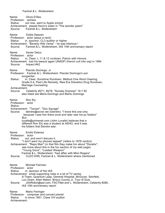Name: Olivia D'Abo Profession: actress Status: out now, went to Apple school Achievement: played Kevin's sister in "The wonder years" Source: Factnet & L. Wollersheim Name: Eddie Deezen Profession: actor (plays a nerd) Status: in, sponsor, CL3 auditor or higher Achievement: "Beverly Hills Vamp" - he was hilarious ! Source: Factnet & L. Wollersheim, IAS 10th anniversary report Name: Xavier Deluc Profession: actor Status: in, Clear, L 11 & 12 rundown, Patron with Honors Achievement: lost his lawsuit again UNADFI (french cult info org) in 1994 Source: Impact #42 Name: Placido Domingo, Jr. Profession: Factnet & L. Wollersheim: Placido Domingo's son songwriter Status: in, Clear, Sunshine Rundown, Method One Word Clearing, Grade 0-4, Past Life Remedy, New Era Dianetics Drug Rundown, Marriage Counseling Achievement: Source: Celebrity #271, #278, "Sunday Express" 19.7.92 also listed are Maria Domingo and Marilu Domingo Name: Ron Ely Profession: actor Status: Achievement: "Tarzan", "Doc Savage" Source: deirdre@sover.net (Deirdre): "I know this one only because I saw him there once and later saw his pc folders" But: luvalle@primenet.com (John Luvalle) believes that a different Ron Ely was a student at ASHO, and it was his folders that Deirdre saw. Name: Emilio Estevez Profession: actor Status: out, and won't discuss it. "I don't want my phones tapped" (refers to 1978 verdict) Achievement: "Repo Man" (in that film they make fun about "Dioretix", see more about this in the fun section of my web page) "Young Guns", "Loaded Weapon" Factnet & L. Wollersheim: "had affair with Mimi Rogers" Source: CLEO 6/95, Factnet & L. Wollersheim where mentioned Name: Michael Fairman Profession: actor Status: in, sponsor of the IAS Achievement: small supporting roles in a lot of TV series: A-Team, Quantum Leap, General Hospital, McGyver, Seinfeld, Lou Grant, Alien Nation, Brisco County Jr, Tour of Duty Source: JAARobin@aol.com, FACTNet and L. Wollersheim, Celebrity #280, IAS 10th anniversary report Name: Mario Feninger Profession: composer and concert pianist Status: in since 1951, Class VIII auditor

Achievement: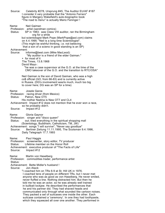Source: Celebrity #278, Ursprung #45, The Auditor EU/AF #187 I consider it very probable that the "Antonio Ferraro" figure in Margery Wakefield's auto-biographic book "The road to Xenu" is actually Mario Feninger ! Name: Neil Gaiman Profession: artist (sandman comics) Status: SP in 1983; was Class VIII auditor, ran the Birmingham org for a while but scientologist Mark Pope (MarkPope@aol.com) claims on 4.4.1995: "Neil is a long time Scientologist". (This might be wishful thinking, i.e. not believing that a son of a scieno in good standing is an SP) Achievement: Source: informe@best.com (Mike MacLeod): "My auditor is a friend of the elder Gaiman." + for most of it The Times, 13.8.1968 David Mayo : "he was a case supervisor at the G.O. at the time of the CMO takeover of the G.O. and the transition to RTC/OSA" Neil Gaiman is the son of David Gaiman, who was a high co\$ official (GO, from 66-83) and is currently active in Russia. (DG's involvement was/is much, much too big to cover here; DG was an SP for a time) Name: Josele Garza Profession: racing driver (from Mexico) Status: Patron, New OT5 His mother Nadina is New OT7 and CL4 Achievement: Impact #12 does not mention that he ever won a race, so he probably didn't. Source: Impact #12 Name: Gloria Gaynor Profession: singer and "disco queen" Status: out; tried everything in the spiritual shopping mall (Scientology, Buddhism, Catholicism, TM, JW) Achievement: songs "I will survive", "Never say goodbye" Source: Berliner Zeitung 11.11.1995, The Scotsman 9.4.1996, Daily Telegraph 17.7.1993 Name: Paul Haggis Profession: screenwriter, story editor, TV producer Status: Lifetime member on the Honor Roll Achievement: executive producer of "The Facts of Life" Source: Impact #12 Name: Martin von Haselberg Profession: commodities trader, performance artist Status: Achievement: Bette Midler's husband ! Source: Jon Atack: "I coached him on TRs 6-9 at St. Hill UK in 1976. I coached tens of people on different TRs, but I never met anyone who was as good as von Haselberg. He never smiled, never fluffed a line. Nothing distracted him. But then he told me he was an actor, so he was already well trained in bullbait lockjaw. He described the performances that he and his partner did. They had shaved heads and communicated only through what sounded like cartoon noises. They packed a set of suitcases one inside the other. Each suitcase contained a 'ceremony'. In one they had toothpaste, which they squeezed all over one another. They performed in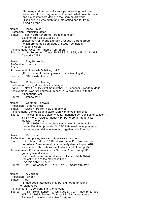Germany and had recently annoyed a leading politician, so he said. It was very much in tune with what Joseph Beuys and his chums were doing in the German art world. I liked him, he was bright and interesting and far from being a drone." Name: Isaac Hayes Profession: Musician, actor Status: got in thru Reverend Alfreddie Johnson plans to train up to Class VIII spokesman for "World Literacy Crusade", a front group which promotes scientology's "Study Technology" Freedom Medal Achievement: Oscar for "Theme from Shaft" Source: St. Petersburg Times 25.2.94 & 6.12.94, WP 10.12.1994 Celebrity #278 Name: Amy Heckerling Profession: director Status: Achievement: Look who's talking 1 & 2 [TH: I wonder if the baby was also a scientologist !] Source: "Der Sektenkonzern" Name: Phillipe de Henning Profession: racing driver, fashion designer Status: New OT5, IAS lifetime member, IAS sponsor, Freedom Medal Achievement: won "24 heures du Mans" in its own class, with the "Dianetique" car Source: Impact #12 Name: Gottfried Helnwein Profession: graphic artist Status: Class 4, Patron, now probably out Achievement: James Dean picture, Man with forks in his eyes Source: himself in ads, Celebrity #262 (mentined by "Der Sektenkonzern"), STERN 9/93, Magie, Impact #34, but •not• in Impact #42 ! Religion Inc, p. 73, taz 29.2.1996 (there he distances himself from the cult) banhut@mail.hh.provi.de: "In 78/79 Helnwein was presented to us as a model scientologist, together with Roehrig" Name: Mark Isham Profession: composer, see also <http://www.isham.com> Status: in, clear, Patron, "L" Rundown, False Purpose Rundown Jon Atack: "involvement must be fairly deep - Impact #16 shows his 16th confessional folder in a photo on p.25." Achievement: Oscar nomination for "A River Runs Through It" grammy award winner Composed the music for at least 15 films (CINEMANIA) Ironically, one of the movies is titled "A midnight CLEAR" Source: WIS, Celebrity #278, #280, #290, Impact #16, #42 Name: Al Jarreau Profession: singer Status: out "I have been interested in it, but did not do anything for eight years" Achievement: "Moonlightning" theme song Source: "Der Sektenkonzern", "Ich klage an", LA Times 16.2.1992 WP 1.12.1985, Berliner Zeitung 8.7.1994 about status Factnet & L. Wollersheim also for status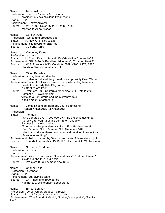Name: Terry Jastrow Profession: producer/director ABC sports president of Jack Nicklaus Productions Status: in Achievement: Emmy Arwards Source: WIS 1992, Celebrity #271, #280, #289 married to Anne Archer Name: Carolyn Judd Profession: writes and produces ads Status: in, New OT8, Key to Life Achievement: clio award for JEEP ad Source: Celebrity #280 Name: Kimberley Kates Profession: actress Status: in, Clear, Key to Life and Life Orientation Course, HQS Achievement: "Bill & Ted's Excellent Adventure", "Chained Heat 2" Source: WIS, Premiere 9/93, Celebrity #269, #280, #278, #286 Her sister Wendy Lebel is also in Name: Milton Katselas Profession: acting teacher, director Status: in, also introduced Kelly Preston and possibly Cass Warner Achievement: one of Hollywood's most successful acting teachers, heads the Beverly Hills Playhouse, "Butterflies are free", Source: Premiere 9/93, California Magazine 6/91, Details 2/96 Factnet & L. Wollersheim: "Acts as a front group and inadvertently gets a fair amount of actors in" Name: Lamia Khashoggi (formerly Laura Biancolini), Adnan Khashoggi, Ali Khashoggi Profession: Status: The mail: "She donated over 3,000,000 UKP. Bob Rich is assigned to look after son Ali as his permanent shadow" Factnet & L. Wollersheim: "She rented the presidential suite of Fort Harrison Hotel from Summer '91 to Summer '92. She was a VIP. Her husband was there only once, and received introductory Book one auditing" Achievement: being married by Saudi arms dealer Adnan Khashoggi Source: The Mail on Sunday, 13.10.1991, Factnet & L. Wollersheim Name: Nicole "nic" Kidman Profession: actress Status: in Achievement: wife of Tom Cruise, "Far and away", "Batman forever", Golden Globe for "To die for"<br>Source: Premiere 9/93, LA magazi Premiere 9/93, LA magazine 10/93 Name: Charles Lake Profession: gymnast Status: in Achievement: US olympic team Source: LA Times june 1990 series Factnet & L. Wollersheim about status Name: Ernest Lehman Profession: screenwriter, producer, director Status: in, out for decades - now in again ! Achievement: "The Sound of Music", "Portnoy's complaint", "Family Plot"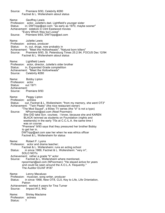Source: Premiere 9/93, Celebrity #280 Factnet & L. Wollersheim about status Name: Geoffrey Lewis Profession: actor, Juliette's dad, Lightfield's younger sister Status: in; DWTripp@aol.com: "as early as 1970, maybe sooner" Achievement: sidekick in Clint Eastwood movies "Every Which Way but Loose" Source: Premiere 9/93, DWTripp@aol.com Name: Juliette Lewis Profession: actress, producer Status: in, out, drugs, now probably in Achievement: "Meet the Hollowheads", "Natural born killers" Source: Premiere 9/93, St. Petersburg Times 25.2.94, FOCUS Dec 12/94 Factnet & L. Wollersheim about status Name: Lightfield Lewis Profession: actor, director, Juliette's older brother Status: in, Expanded Grade completition Achievement: "Meet the Hollowheads" Source: Celebrity #280 Name: Bobby Lipton Profession: actor Status: out 1971 Achievement: Source: Premiere 9/93 Name: Peggy Lipton Profession: actress Status: out, Factnet & L. Wollersheim: "from my memory, she went OT3" Achievement: "Twin Peaks" (the nice restaurant owner) "The Mod Squad", a 60ies TV series (the "d" is not a typo) Source: NPoorman@aol.com (Noel Poorman): She DID take Scn. courses. I know, because she and KAREN BLACK twinned as students on Foundation (nights and weekends) in the early '70s at C.C./L.A. the same time I was on course. "Premiere" 9/93 says that they pressured her brother Bobby to get her in. DWTripp@aol.com saw her when he was ethics officer Factnet & L. Wollersheim for status Name: Robert F. Lyons Profession: actor and drama teacher; Factnet & L. Wollersheim: runs an acting school<br>Status: in since 1969. Factnet & L. Wollersheim: "very in since 1969, Factnet & L. Wollersheim: "very in", SOLO NOTs Achievement: rather a grade "b" actor Source: Factnet & L. Wollersheim where mentioned, npoorman@aol.com (NPoorman): "He stayed active for years and could be seen around the A.O.L.A. frequently." The Auditor EU/AF #187 Name: Lenny Macaluso Profession: musician, song writer, producer Status: in since 1968, New OT8, CL5, Key to Life, Life Orientation, Patron Achievement: worked 4 years for Tina Turner Source: Impact #12, #42 Name: Shirley Maclaine Profession: actress Status: ?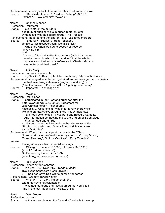Achievement: making a fool of herself on David Letterman's show Source: "Der Sektenkonzern", "Berliner Zeitung" 23.7.92. Factnet & L. Wollersheim: "never in" Name: Charles Manson Profession: murderer Status: out •before• the murders got 150h of auditing while in prison (before), later sympatised with the squirrel group "The Process". Achievement: head behind the Sharon Tate / LaBianca murders Source: "Blue Sky", Bugliosi's "Helter Skelter", dennis.l.erlich@support.com (Dennis Erlich): "I was there when we had to destroy all records involving him" and "It was in 69, shortly after the murders (which happened nearby the org in which I was working) that the whole org was searched and any reference to Charles Manson was vetted and destroyed." Name: Anita Mally Profession: actress, screenwriter Status: in, New OT8, Key to Life, Life Orientation, Patron with Honors Achievement: managed to write (and get aired and rerun) a german TV series that had scientology elements (engrams, auditing) in it ("Die Trauminsel"). Praised IAS for "fighting the ennemy" Source: Impact #42, "Ich klage an" Name: Melanie Profession: folk singer Status: participated in the "Portland crusade" after the (later overturned) \$35,000,000 judgement for Julie Christopherson-Titschbourne Factnet & L. Wollersheim: "was in for a very short while" Melanie on <http://thok.let.rug.nl/~s0745294/melanie/:> "I am not a scientologist. I was born and raised a Catholic. Any information connecting me to the Church of Scientology is unfounded and untrue." A reliable source has informed me that she •was• at the "Portland crusade". And Sonny Bono and Travolta are also a "catholics". Achievement: Woodstock participant, famous in the 70ies: "Look what have they've done to my song, ma", "Lay Down", "Brand New Key", "Animal Crackers", "Ruby Tuesday" remake having •me• as a fan for her 70ies songs Source: Chicago Tribune 21.5.1985, LA Times 20.5.1985 (about "Portland crusade") St. Petersburg Times 17.12.1992 (scientology-sponsored performance) Name: Julia Migenes Profession: opera singer (soprano) Status: in since 1966, New OT5, Freedom Medal luvalle@primenet.com (John Luvalle): LRH had her leave Sea Org to pursue her career. Achievement: Grammy award winner Source: WIS, WP 10.12.94, Impact #12, #42 told a man who left scientology: "I was audited today and I just learned that you killed me in the last fifteen lives" (Malko, p168) Name: Demi Moore Profession: actress Status: out: was seen leaving the Celebrity Centre but gave up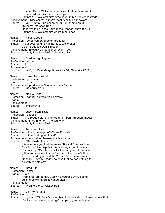when Bruce Willis made her clear that he didn't want his children raised in scientology Factnet & L. Wollersheim: "was never in but heavily courted" Achievement: "Disclosure", "Ghost", cool "Vanity Fair" covers Source: CLEO 6/95, The observer 19.3.95 (name only), "Sunday Express" 19.7.92 Hana Whitfield in the Sally Jesse Raphael show 9.7.91 Factnet & L. Wollersheim where mentioned Name: Floyd Mutrux Profession: screenwriter, director, producer Status: out according to Factnet & L. Wollersheim also introduced Don Simpson Achievement: Executive producer of "Dick Tracy" Source: WIS, Premiere 9/93, Celebrity #278 Name: Maxine Nightingale Profession: singer Status: in Achievement: Source: WIS, St. Petersburg Times 25.2.94, Celebrity #280 Name: Karen Nelson-Bell Profession: producer Status: in; purif Achievement: producer of "Country Tonite" show Source: Celebrity #289 Name: Noelle North Profession: dancer, actress (voice-overs) Status: Achievement: Source: Impact #12 Name: Judy Norton-Taylor Profession: actress Status: in already before "The Waltons"; purif; freedom medal Achievement: Mary Ellen on "The Waltons" Source: WIS, Premiere 9/93 Name: Bernhard Paul Profession: clown, manager of "Circus Roncalli" Status: out, according to himself Achievement: not getting bankrupt with a circus Source: "Der Sektenkonzern": It is often alleged that the name "Roncalli" comes from "I call Ron". He disputes this, and says that it comes from a script "Sarah Roncalli - the daughter of the moon" (other sources say it is the "widow of the moon"). It is also inspired by pope John 23, who's last name was Roncalli. Anyway - today he says that he has nothing to do with scientology. Name: Brad Pitt Profession: actor Status: out Premiere: "drifted thru", took his courses while dating Juliette Lewis. Interest waned after it. Achievement: Source: Premiere 9/93, CLEO 6/95 Name: Jeff Pomerantz Profession: actor Status: in, New OT7, Sea Org member, Freedom Medal, Senior Honor Roll "Hollywood says no to drugs" campaign, got an invitation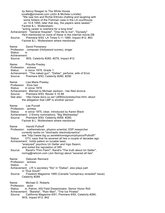by Nancy Reagan to The White House. luvalle@primenet.com (John & Michele LuValle): "We saw him and Richie Ettricks chatting and laughing with some folders of the Fishman case in the LA courthouse on 15.8.1995; later that day, the papers were sealed." Factnet & L. Wollersheim: "acting career is nowhere for a long time" Achievement: "General Hospital", "One life to live", "Dynasty" He's mentioned on none of these in the internet movie DB Source: Premiere 9/93, LA Times 5.11.1985, Impact #12, #63 Factnet & L. Wollersheim where mentioned Name: David Pomeranz Profession: composer (Hollywood scores), singer Status: in Achievement: Source: WIS, Celebrity #280, #278, Impact #12 Name: Priscilla Presley Profession: actress Status: in since 1979, Grade 1 Achievement: "The naked gun", "Dallas", perfume, wife of Elvis Source: Premiere 9/93, Celebrity #280, #290 Name: Lisa Marie Presley Profession: Elvis heir Status: in since 1978 Achievement: Married to Michael Jackson - has filed divorce Source: Premiere 9/93, Reuter 5.10.88<br>See also: http://www.docs.uu.se/~y89hb [http://www.docs.uu.se/~y89hbo/presley/lisa.html,](http://www.docs.uu.se/~y89hbo/presley/lisa.html) about the allegation that LMP is another person Name: Lee Purcell Profession: actress Status: in since 1975, clear, introduced by Karen Black Achievement: 2 Emmy nominations, "Big Wednesday" Source: Premiere 9/93, Celebrity #269, #280, Factnet & L. Wollersheim where mentioned Name: Harold Puthoff Profession: mathematician, physics scientist, ESP researcher currently works on "stochastic electrodynamics" see "[http://www.ibg.uu.se/elektromagnum/physics/Puthoff/"](http://www.ibg.uu.se/elektromagnum/physics/Puthoff/) Status: OT3, says that he severed all ties a couple of decades ago Achievement: holds patent on tunable laser, "analyzed" psychics Uri Geller and Ingo Swann, and soiled the reputation of SRI Source: Randi's "Flim Flam!", Randi's "The truth about Uri Geller", noring@netcom.com (Jon Noring) about "severed all ties" Name: Deborah Rennard Profession: actress Status: in Achievement: J.R.'s secretary "Sly" in "Dallas", also plays part in "Due South" Source: Freedom Magazine 1995 (Canada "conspiracy revealed" issue) Celebrity #289 Name: Michael D. Roberts Profession: actor Status: in, Patron, IAS Field Disseminator, Senior Honor Roll Achievement: "Baretta", "Rain Man", "The Ice Pirates" Source: California Magazine 6/91, Premiere 9/93, Celebrity #280, WIS, Impact #12, #42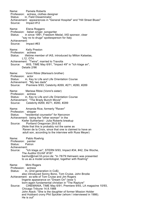Name: Pamela Roberts Profession: actress, clothes designer Status: in, Field Disseminator Achievement: appearences in "General Hospital" and "Hill Street Blues" Source: Impact #12 Name: Elena Roggero Profession: italian singer, songwriter Status: in since 1991, Freedom Medal, IAS sponsor, clear "say no to drugs" spokesperson for Italy Achievement: Source: Impact #63 Name: Kelly Preston Profession: actress Status: lifetime member of IAS, introduced by Milton Katselas, L12, OT4 Achievement: "Twins", married to Travolta Source: WIS, TIME May 6/91, "Impact 49" in "Ich klage an", Details 2/96 Name: Vonni Ribisi (Marissa's brother) Profession: actor Status: in, Key to Life and Life Orientation Course Achievement: "My two dads" Source: Premiere 9/93, Celebrity #269, #271, #280, #289 Name: Marissa Ribisi (Vonni's sister) Profession: actress Status: in, Key to Life and Life Orientation Course Achievement: "The Brady Bunch Movie" Source: Celebrity #269, #271, #280, #289 Name: Amanda Rice, formerly "Raven" Profession: stripper Status: "residential counselor" for Narconon Achievement: being the "other woman" in the Kiefer Sutherland - Julia Roberts breakup Source: Portland Oregonian 29.6.92 (Note that this is probably not the same as Raven de la Croix, since that one is claimed to have an adult son, according to the interview with Russ Meyer) Name: Pablo Roehrig Profession: painter<br>Status: Patron Status: Achievement: Source: "Ich klage an", STERN 9/93, Impact #34, #42, Die Woche, The Auditor EU/AF #187 banhut@mail.hh.provi.de: "In 78/79 Helnwein was presented to us as a model scientologist, together with Roehrig" Name: Mimi Rogers Profession: actress Status: in, (2nd generation in Co\$) also introduced Sonny Bono, Tom Cruise, John Brodie Achievement: ex-wife of Tom Cruise and Jim Rogers lingerie appearance on "Dream On" (wow !) born-again fundamental christian in "The Rapture" Source: CINEMANIA, TIME May 6/91, Premiere 9/93, LA magazine 10/93, Chicago Tribune 14.8.1988 John Atack: "She is the daughter of former Mission Holder and Hubbard crony Phil Spickler (whom I interviewed in 1986). He is out"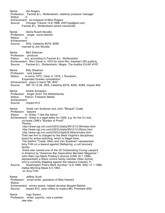Name: Jim Rogers Profession: Factnet & L. Wollersheim: celebrity producer manager Status: in Achievement: ex-husband of Mimi Rogers Source: Chicago Tribune 14.8.1988, DWTripp@aol.com, Factnet & L. Wollersheim where mentioned Name: Gloria Rusch-Novello Profession: singer, vocal teacher Status: in Achievement: Source: WIS, Celebrity #278, #280 married to Joh Novello Name: Bert Salzman Profession: producer Status: out, according to Factnet & L. Wollersheim Achievement: Won Oscar in 1975 for short film, thanked LRH publicly Source: Factnet & L. Wollersheim, Magie, The Auditor EU/AF #187 Name: Billy Sheehan Profession: rock bassist Status: in since 1972, Clear in 1978, L Rundown, Expanded Grades completition Achievement: plays in band "Mr. BIG" Source: WP 10.12.94, WIS, Celebrity #278, #280, #289, Impact #42 Name: Andrik Schapers Profession: singer (from The Netherlands) Status: Patron, Freedom Medal Achievement: Source: Impact #12 Name: Greta van Susteren and John "Bhopal" Coale Profession: lawyers Status: in; Greta: "I like the ethics" Achievement: Greta is a legal talker for CNN, e.g. for the OJ trial, co-hosts CNN's "Burden of Proof". Photos: <http://www-cgi.cnn.com/US/OJ/daily/9512/12-06/index.html> <http://www-cgi.cnn.com/US/OJ/daily/9512/12-05/pm.html> <http://www-cgi.cnn.com/US/OJ/daily/9-26/pm/index.html> Their law firm is charged by the West Virginia's disciplinary board for active soliciting, which is illegal there. The lawfirm "Coale, Allen and Van Susteren" represented Amy Frith on a lawsuit against Wellspring, a cult recovery facility. Greta was named one of the 20 Outstanding Young Lawyers in America by "American Bar Association Barrister Magazine." John filed Lisa Marie Presley's divorce (CNN 18.1.1996), represent(ed) a Waco victims family member (Stan Sylvia), and is currently litigating against the tobacco industry !!! Source: Washington Post's Mark Gunther 12.8.1995, WSJ 17.1.1996, Dallas Morning News 6.5.1993, on Amy Frith Name: Jeffrey Scott Profession: script writer, grandson of Moe Howard Status: Achievement: emmy award, helped develop Muppet Babies Source: Impact #12, (also refers to Impact #6), Premiere 9/93 Name: Ingo Swann Profession: writer, psychic, now a painter see also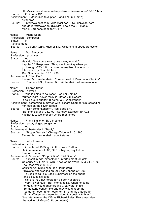<http://www.newshare.com/Reporter/archives/reporter12-06.1.html> Status: OT7, now SP Achievement: Exteriorized to Jupiter (Randi's "Flim Flam!") "Star fire" Source: informe@best.com (Mike MacLeod), DWTripp@aol.com and deirdre@sover.net (Deirdre) about the SP status Martin Gardner's book for "OT7" Name: Misha Segal Profession: composer Status: in Achievement: Source: Celebrity #280, Factnet & L. Wollersheim about profession Name: Don Simpson Profession: producer Status: out He said, "I've now almost gone clear, why ain't I happier ?". Response: "Things will be okay when you go through OT3." At that point he realized it was a con. Introduced by Floyd Mutrux Don Simpson died 19.1.1996 Achievement: "Top Gun" Factnet & L. Wollersheim: "former head of Paramount Studios" Source: Premiere 9/93, Factnet & L. Wollersheim where mentioned Name: Sharon Stone Profession: actress Status: "she is going to courses" (Berliner Zeitung) "out for years, never really in. Dated Jim Rogers, a field group auditor" (Factnet & L. Wollersheim) Achievement: screaming in movies with Richard Chamberlain, spreading her legs on the silver screen Source: "Der Sektenkonzern", "Ich klage an", "Berliner Zeitung" 23.7.92, "Sunday Express" 19.7.92 Factnet & L. Wollersheim where mentioned Name: Frank Stallone (Sly's brother) Profession: actor, singer, songwriter Status: out Achievement: bartender in "Barfly" Source: "Bigger Secrets", Chicago Tribune 21.5.1985 Factnet & L. Wollersheim about status Name: John Travolta Profession: actor Status: in, entered 1975, got in thru Joan Prather lifetime member of IAS, OT5 or higher, Key to Life, freedom medal Achievement: "Grease", "Pulp Fiction", "Get Shorty" Source: himself in ads, himself on "Entertainment tonight", Celebrity #271, #280, WIS, News of the World 17 & 24.3.1996, The Observer 2.10.1994 joeh@server.nlbbs.com (Joe Harrington): "Travolta was working on OT5 early spring of 1990. He used to call his Case Supervisor on the phone and discuss his case. This is STRICTLY forbidden as per Hubbard's "Ivory Tower Rule". But, money talks. When he came to Flag, he would drive around Clearwater in his 65 Mustang convertible and they would keep the restaurant open after hours for him and his entourage. ALL staff members were forbidden to speak with him." (Joe later named the C/S as Richard Reiss. Reiss was also the auditor of Mega-Critic Jon Atack)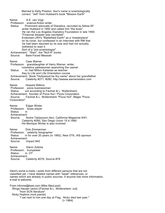Married to Kelly Preston. Son's name is scientologically correct: "Jett" from Hubbard's book "Mission Earth"

Name: A.E. van Vogt Profession: science-fiction writer Status: Prominent advocate of Dianetics, recruited by fellow-SF writer Hubbard in 1950 and called him "the boss". He ran the Los Angeles Dianetics Foundation in late 1950: "Financial disaster was inevitable". Endorsed LRH's "Battlefield Earth" as a 'masterpiece' on its cover, but confessed in an interview with RM that he had been daunted by its size and had not actually bothered to read it. Sort of a "pre-scientologist". Achievement: "Slan", the "Null-A" books Source: Bare-Faced Messiah Name: Cass Warner Profession: granddaughter of Harry Warner, writer, cosmetics saleswoman spamming the usenet Status: in; had Milton Katselas as teacher Key to Life and Life Orientation course Achievement: Book "Hollywood be thy name" about her grandfather Source: Celebrity #271, #280, <http://wwww.warnersisters.com> Name: Howard Wilkins Profession: pizza businessman Status: out according to Factnet & L. Wollersheim Achievement: founder of Pizza Hut / Pizza Corporation Source: Factnet & L. Wollersheim "Pizza Hut", Magie "Pizza Corporation" Name: Edgar Winter Profession: blues player Status: in Achievement: Source: Andre Tabayoyon decl, California Magazine 6/91, Celebrity #280, San Diego Union 15.4.1990 His Monique Winter is also involved Name: Dick Zimmerman Profession: celebrity fotographer Status: in for over 20 years (in 1992), New OT6, IAS sponsor Achievement: Source: Impact #42 Name: Glenn Zottola Profession: trumpeteer Status: in, OT Achievement: Source: Celebrity #278, Source #78 Here's some e-mails / posts from different persons that are not classified yet. I have deleted names with "weak" references, or names which are already in public sources. If anyone has more information, e-mail is welcome. From informe@best.com (Mike MacLeod) Wings Hauser (actor) [Factnet & L. Wollersheim: out] "from SCN literature"

Nicky Hopkins (rock pianist)

"I sat next to him one day at Flag. Nicky died last year."

 <sup>[= 1984]</sup>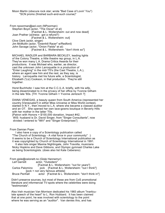Moon Martin (obscure rock star; wrote "Bad Case of Lovin' You") "SCN promo (finished such-and-such course)"

From npoorman@aol.com (NPoorman) Stephen Boyd (actor, "The Oscar" et al) [Factnet & L. Wollersheim: out and now dead] Joan Prather (actress: got a refund?) [Factnet & L. Wollersheim: out] Clive Clerk (actor, singer) Jim McMullin (actor, "Downhill Racer" w/Redford) John Savage (actor, "Onion Fields" et al) [Factnet & L. Wollersheim: "don't think so"]

 MICHAEL WADLER and BARBARA BECKLEY, leading lights of the Colony Theatre, a little theatre rep group, in L.A. They've won many L.A. Drama Critics Awards for their productions. It was Michael who, earlier, as director, cast the unknown John Larroquette in a production of "Enter Laughing" in the mid-'70's (the Cast Theatre, L.A.), where an agent saw him and the rest, as they say, is history. Larroquette met his future wife, a Scientologist, Elizabeth ('Liz) Cookson, in that production. They're still together.

 Horst Buchholtz: I saw him at the C.C./L.A. briefly, with his wife, being disseminated to in the privacy of her office by Yvonne Gilham in the late '60s. [TH: Yvonne Gilham = Yvonne Jentzsch ?]

 DIANA VENEGAS, a beauty queen from South America (represented her country [Venezuela?] in either Miss Universe or Miss World contest), started in N.Y., then moved to L.A. where she became a classed auditor and an OT. She opened her own lace-gowns boutique in Beverly Hills with her mother in the latter '70s.

 [Patron with Honors = \$100,000 donation, Impact #42, WIS: husband is Dr. David Singer, from "Singer Consultants", now divided / entered to "IMV" and "Singer Enterprises"]

From Damian Pope:

 I also have a copy of a Scientology publication called "The Church of Scientology - A vital force in your community" :) It seems to be a Church of Scientology International publication as it was copyrighted by Church of Scientology International in 1991. It also lists singer Maxine Nightingale, John Travolta, musicians Nicky Hopkins and Dave Gibbons, and Olympic gymnast Charles Lake as being Scientologists. (does also list Kate Ceberano)

From gisle@oslonett.no (Gisle Hannemyr)

| Leif Garrett                       | actor, "Outsiders"                                 |
|------------------------------------|----------------------------------------------------|
|                                    | [Factnet & L. Wollersheim: "out for years"]        |
| Carlos Palomino                    | jock [Factnet & L. Wollersheim: "out I think"]     |
| $[lock = not very famous athlete]$ |                                                    |
| <b>Bruce Penhall</b>               | actor [Factnet & L. Wollersheim: "don't think in"] |

 Didn't preserve sources, but most of these are from CoS promotional literature and informercial TV-spots where the celebrities were doing "testimonials".

 Also Irish musician Van Morrison dedicated his 1983 album "Inarticu late speech of the heart" to L. Ron Hubbard. It has been claimed that at one point, he was involved with scientology to the point where he was serving as an "auditor". Van denies this, and has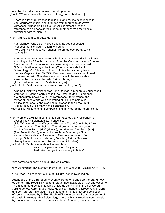said that he did some courses, then dropped out. [Atack: VM was associated with scientology for a short while]

 (( There is a lot of references to religious and mystic experiences in Van Morrison's music, and it ranges from tributes to Jehova's Witnesses ("Kingdom Hall") to Zen ("Enlightment"), so the LRH reference can be considered just be another of Van Morrison's skirmishes with religion. ))

From julian@zoom.com (Alex France):

 Van Morrison was also involved briefly as you suspected. I suspect that his album (a terrific album) 'No Guru, No Method, No Teacher', refers at least partly to his leaving Scn.

 Another very prominent person who has been involved is Lou Rawls. A photograph of Rawls graduating from the Communications Course (the standard first course for new members) is shown in an old G.O. publication in my collection. (The Indispensability of Scientology, Vol 1 Issue 3) The photo is cited as being from the Las Vegas Voice, 9/25/75. I've never seen Rawls mentioned in connection with Scn elsewhere, so it would be reasonable to assume that he is another who 'drifted through'. [AF added later that Lou Rawls is a singer] [Factnet & L. Wollersheim: "in heavily, now out for years"]

 A name I think you missed was John Dalmas, a moderately successful writer of SF. John's early books (The Scroll of Man, Emergence) are absolutely packed with Scn references - for instance, the former of these starts with a restating of LRH cosmology in biblical language. John also has published in the Free Spirit (Vol 10, Issue 2) so mark him as another ex.

[Factnet & L. Wollersheim: if so (publishing in "Free Spirit") then he's out]

From Premiere 9/93 [with comments from Factnet & L. Wollersheim]: Lesser-known Scientologists in show biz: child TV actor Michael Wiseman (Predator 2) and Gary Imhoff [•in•] (the forthcoming Thumbelina). Then there are actor and acting teacher Manu Tupou [•in•] (Hawaii); and director Dror Soref [•in•] (The Seventh Coin), who cut his teeth on Scientology films and now has a deal at Paramount. People who have drifted through Scientology include Jerry Seinfeld, Patrick Swayze, Harvey Haber (brother of CAA cofounder Bill Haber).

[Factnet & L. Wollersheim about Harvey Haber:

 "was in for years, now out for years. had taken refuge in monastery in 80ies"]

From: gerdw@cougar.vut.edu.au (David Gerard):

'The Auditor(R): The Monthly Journal of Scientology(R) -- AOSH ANZO 136'

"The Road To Freedom" album of LRH(tm) songs released on CD!

 Attendees of the 23rd of June event were able to snap up the brand new edition of "The Road To Freedom" album now available on CD and cassette. This album features such leading artists as John Travolta, Chick Corea, Julia Migenes, Karen Black, Nicky Hopkins, Amanda Ambrose, Gayle Moran and Leif Garrett. This album is a unique and highly enjoyable collection of songs composed by L. Ron Hubbard(R) to impart to the listener some of the basic knowledge that Scientology offers. Whilst viewed as controversial by those who seek to oppose man's spiritual freedom, the lyrics on this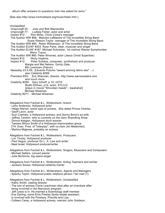album offer answers to questions man has asked for eons."

[See also <http://www.lronhubbard.org/music/listen.htm> ]

| Unclassified:                                                                |  |
|------------------------------------------------------------------------------|--|
|                                                                              |  |
| Ursprung# 45: Judy and Bob Mazzarella                                        |  |
| Ursprung# 77: Ludwig Fisher, actor and artist                                |  |
| Impact #12: Ron Moss, Chick Corea's manager                                  |  |
| The Auditor WW #68: Malcolm LeMaistre of The Incredible String Band          |  |
| Susie Watson-Taylor, manager of The Incredible String Band                   |  |
| The Auditor WW #80: Robin Williamson of The Incredible String Band           |  |
| The Auditor EU/AF #203: Ryan Paris, clear, musician and singer               |  |
| The Auditor EU/AF #187: Michael Schnitzler, 1st violinist Wiener Symphoniker |  |
| Manu Tupou                                                                   |  |
| The Auditor WW #80: Peter Winsnes, actor (Jesus Christ Superstar)            |  |
| Impact #12: Nicky Hopkins                                                    |  |
| Impact #12: Peter Schless, composer, synthetisist and producer               |  |
| Margie and Mel Nelson, Gordy Gale,                                           |  |
| Bill Lorentzen (Patron)                                                      |  |
| Newsday 23.5.95: Eduardo Polomo "award winning latino star" :-)              |  |
| also Celebrity #289                                                          |  |
| Premiere 9/93: Eric Sherman, director. http://www.warnersisters.com          |  |
| and much more                                                                |  |
| Celebrity #290: Gary Imhoff, p.15, nOT5                                      |  |
| Bodhi Elfman, p14, actor, KTL/LO                                             |  |
| [plays in movie "Shrunken heads" - bwahaha!]                                 |  |
| Michael Wiseman                                                              |  |
| Celebrity #271: Michael Wiseman                                              |  |

Allegations from Factnet & L. Wollersheim, Actors:

- Larry Anderson, Hollywood actor
- Helga Warner, some type of actress. She dated Prince Charles.
- Geoff Levin, actor
- Suzi Coehelo, a Hollywood actress, and Sonny Bono's ex-wife
- Jeffrey Tambor, who is currently on the Gary Shandling Show
- Donna Keegan, Hollywood stunt woman
- Tamara Wilcox Smith of a Hollywood improvisation group [TH: Exec. Prod. of "Interplay", with co-clam Jim Meskimen]
- Martina Migenes, probably an actress

Allegations from Factnet & L. Wollersheim, Producers

- Lon Tinney, Hollywood producer
- Paul Hagus, producer for L. A. Law and writer
- Neal Israel, Hollywood producer/writer

Allegations from Factnet & L. Wollersheim, Singers, Musicians and Composers

- Michael Sellers, concert pianist
- Julia McGinnis, big opera singer

Allegations from Factnet & L. Wollersheim, Acting Teachers and similar - Jackson Sousa, Hollywood celebrity trainer

Allegations from Factnet & L. Wollersheim, Agents and Managers - Spanky Taylor, Hollywood public relations person / fan mail (?)

Allegations from Factnet & L. Wollersheim, Unclassified

- Kathy Smith, casting director
- The son of actress Cloris Leachman died after an overdose after being involved in the Narconon program.
- Jeff Lewis is in. He married a Scientology staff member.
- Eve Darling, some Elvis Presley family estate assistant;
- is involved with the Presleys, Priscilla and Lisa. - Colleen Camp, a Hollywood actress, married John Goldwyn,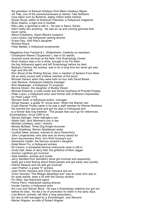the grandson of Samuel Goldwyn from Metro Goldwyn Mayer.

- Jill Tate, one of the owners/heiresses to Ashton Tate Software
- (now taken over by Borland), eighty million dollar heiress
- Susan Royal, editor of American Premiere, a Hollywood magazine
- Brian Adams, a tight end in football
- Ellis Lake, a gymnast is still in. He was in Seoul, Korea; didn't really win anything. He was an up and coming gymnast that never came.
- Steve Eckelberry, Karen Black's husband
- Lisa London, big Hollywood casting director
- Susan Ray, Aldo Ray's daughter
- Richard Royce
- Peter Medak, a Hollywood screenwriter
- Allegations from Factnet & L. Wollersheim, Celebrity ex-members
- Christopher Reeve ("Superman"), was in for awhile,
- received some services at the New York Scientology Center - Rock Hudson was in for a while, brought in by Flo Allen,
- the big Hollywood agent and left Scientology before he died.
- Barbara Carrera, the actress, was in for a long time but never got very high and she left.
- Ron Wood of the Rolling Stones, then a member of Spiders From Mars did an early course with a fellow member of the band, Michael Garson when they were both on tour with David Bowie.
- Joel Stevens, Hollywood celebrity manager
- Rick Newberger, a Hollywood TV producer
- Bonnie Ebsen, the daughter of Buddy Ebsen
- Michael Edwards, a male model and former boyfriend of Priscilla Presley
- Peter Lupus, a Hollywood actor (and former star of Mission Impossible) [or Peter Laipis ?!?!]
- Wendon Swift, a Hollywood author, manager
- Wings Hauser, a grade "b" movie actor. When the Warner heir (Cass Warner Poole) came in he was a staff member for Warner Brothers. He married her real quick and got his start in Hollywood and is a former Sea Org member. The people that you'll go for references.
- [Contradiction, since CWP is in]
- Steven Salinger, Peter Salinger's son
- Waldo Salt, Jack Skimmer's son in law
- Michael Lembeck, actor / director
- Mickey McNeal, Three Dog Knight drummer
- Anne Spielberg, Steven Spielberg's sister
- Cynthia Sikes, actress, married to Jerry Perenchino
- John Longenecker, who also won an emmy award for
- short documentary films, he's Ruth Hussey's son
- Alexandra Calder, the famous sculptor's daughter
- Soleil Moon Fry, a Hollywood actress
- Kit Carson, a somewhat famous motorcycle racer is still in.
- Cindy Hall, sister of Jerry Hall, the girlfriend of Mick Jagger
- Gordon Lightfoot got involved.
- Dale Haddon, actress and model
- Jerry Seinfeld from Seinfeld's show got involved and apparently really got a bad feeling about these people and got away very quickly.
- Patrick Swayze and his wife got involved.
- Joan Prather, a grade "b" actress
- Joan DiVito Vennera and Chick Vennera are out. Chick Vennera "The Milagro Beanfield war" was an actor who was in for quite awhile, does a lot with the Disney studios
- Flo Allen, big Hollywood agent
- Penny Perry, Hollywood casting director
- Hunter Carson, a Hollywood actor
- Ed Love and Steven Boyd. He was a Scientology celebrity but got out before he died. He did a lot of promotion for them in the early days.
- Lisa Blount, actress, left after a long association, but she is still managed by a Scientologist, Joel Stevens.
- Marian Wagner, ex-wife of Robert Wagner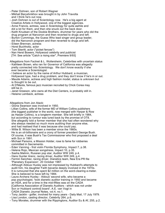- Peter Dohnen, son of Robert Wagner
- Mikhail Baryshnikhov was brought in by John Travolta and I think he's out now.
- Josh Dohnen is out of Scientology now. He's a big agent at Creative Artists in Hollywood, one of the biggest agencies.
- Anne Francis, actress, was in Scientology for quite awhile and did a lot for them, and then she snuck out the back door.
- Keith Knudsen of the Doobie Brothers, drummer for years who did the drug program at Narconon and then reverted to drugs and left.
- Burton Cummings, the Guess Who lead singer and group leader,
- did the Narconon program and then reverted to drugs and left. - Eileen Brennan, actress
- Horst Buchholtz, actor
- Tom Skeritt, actor ("picket fences")
- Nan Herst Bowers, Hollywood celebrity and publicist
- [TH: See article "Catch a rising star", Premiere 9/93]

Allegations from Factnet & L. Wollersheim, Celebrities with uncertain status

- Kathleen Brown, who ran for Governor of California was allegedly pretty connected into Scientology. We don't know exactly if she ever became a Scientologist.
- I believe an actor by the name of Arthur Hubbard, a musician, Hollywood type, had a drug problem, and they don't know if he's in or out.
- Maude Adams, actress and high fashion model, status is unknown but is thought to be out.
- Al D'Meola, famous jazz musician recruited by Chick Corea may still be in.
- Janet Greeson, who owns all the Diet Centers, is probably still in.
- Helaine Lembeck, actress

Allegations from Jon Atack:

- Gloria Swanson was involved in 1950.
- Lillian Collins, wife of the former MD of William Collins publishers (the biggest publisher in the world, now merged with Harper & Row as Harper Collins), is a longterm member. She left briefly in 1984, but according to rumour was lured back by the promise of OT8. She allegedly told a former member that she had often wondered why she always needed so much more auditing than anyone else, and had realised that it was because she could pay.
- Willie B. Wilson has been a member since the 1960s. He is an oil-billionaire and a crony of former president George Bush. Of course, it was Bush's Tax Commissioner who first proposed a deal with Scn in 1991.
- Michael Parsons, a Mission Holder, rose to fame for robberies committed in Sacramento.
- Eden Vanning first violin Florida Symphony, Impact 7, p.38.
- Helena Rojo, Mexican songstress, Impact 10, p.35.
- Sasha Malinin, Russian pop star, Auditor WW 249, p.4.
- Hans Gunter Arenz, racing driver, Auditor WW 249, p.4.
- Fermin Sanchez, racing driver, Dianetics team, New Era PR file 'Planetary Expansion', 20 October 1987.
- Although Aldous Huxley was not impressed by Hubbard's attempts to audit him, his daughter Faith became deeply involved in the 1970s. It is rumoured that she spent \$2 million on the word-clearing e-meter. She is believed to have left by 1984.
- Laura Archera Huxley Aldous' second wife, who became a pop psychologist, 'took dianetic auditor training in 1950 and became an HDA, and for a time in the mid-fifties was on the CADA [California Association of Dianetic Auditors - which was not under Scn or Hubbard control] board', A.E. van Vogt in CADA Dianetic Journal Notes, vol.4, no.1.
- Tony Jacklin golfer, involved for many years Daily Mail, 17 July 1979.
- Lisa London, casting director, Celebrity 264, p.6.
- Tony Morales, drummer with the Rippingtons, Auditor Eu & Af, 255, p.2.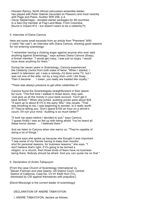- Hossam Ramzy, North African percussion ensemble leader, has played with Peter Gabriel (recorded on Passion) and most recently with Page and Plane. Auditor WW 256, p.4.
- Oscar Saldarriagia donated starter packages for 48 countries. Is a Sea Org member at Flag Land Base. From Columbia. [found in Impact #12 - but doesn't seem to be a celebrity?!]
- 4. Interview of Diana Canova

Here are some small excerpts from an article from "Premiere" 9/93 (I claim "fair use"): an interview with Diana Canova, showing good reasons for not entering scientology:

 "I remember having a choking anger against anyone who ever said anything against Scientology," says actress Diana Canova (Soap), a former member. "I would get crazy, I was just so angry. I would have done anything for them."

 During her seven years in Scientology, Canova experienced the Celebrity Centre from both sides of fame. "When I started, I wasn't in television yet. I was a nobody--I'd done some TV, but I was not one of the elite, not by a long shot--until I did Soap. Then it became . . . I mean, you really are treated like royalty."

"There was always pressure to get other celebrities in"

 Canova found the Scientologists straightforward in their desire for lucre. "The first time I walked in those doors, they said, 'Just give us all the money in your bank account. You'll get it back tenfold.'" When she joined, auditing prices were about \$25. "It went up to about \$175 in the early '80s," she recalls. "That was shocking to me. I was beginning to wonder, Is it really worth it? They're telling you, 'Don't spend \$100 an hour on a shrink's couch, it'll ruin your mind.' Auditing is so much better?"

 "It took me years before I decided to quit," says Canova. "I guess finally I was so fed up with being afraid. You've heard all these horror stories . . . I believed them."

 And we listen to Canova when she warns us: "They're capable of doing a lot of things."

 Canova says she spoke up because she thought it was important. "I see some of my friends having to keep their mouths shut for personal reasons, for business reasons," she says. "I don't believe that's right. If it's going to be termed a religion, or a church, then those kinds of fears have no business being there. Nobody should be afraid. And you can quote me on that."

#### 5. Declaration of Andre Tabayoyon

[From the case Church of Scientology International vs. Steven Fishman and Uwe Geertz, US District Court, Central District of California, Case No. CV 91 6426 HLH (Tx), dismissed by CSI against themselves with prejudice.]

[David Miscavige is the current leader of scientology]

DECLARATION OF ANDRE TABAYOYON

I, ANDRE TABAYOYON, declare as follows: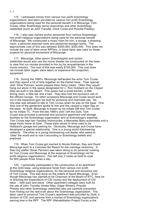115. I witnessed money from various non profit Scientology organizations, and labor provided by various non profit Scientology organizations being used for the personal benefit it of Miscavige, Tom Cruise, other Scientology senior executives and other Scientology celebrities (such as John Travolta, Chick Corea and Priscilla Presley).

 116. I also saw monies and/or personnel from various Scientology non profit religious organizations being used for the personal benefit of Miscavige. We constructed a music room for him, a lounge, a dressing room, a personal exercise room and personnel storage rooms. The approximate cost of this was between \$250,000, \$300,000. This does not include the cost of labor since RPFers, or slave labor was used on these projects for personal enurement of Miscavige.

 117. Miscavige, other senior Scientologists and certain celebrities would also use the movie theater we constructed on the base to view first run movies provided to him by his acquaintances in the movie industry. The cost of this was easily \$150,000. This cost does not include labor (again slave labor) or expensive film projection equipment.

 118. During the 1980's, Miscavige befriended the actor Tom Cruise and they spend a lot of time together on the Hemet base. Their special chef, Sinar Parman, would prepare them fancy meals. Often they would hang out alone in the space designated for L. Ron Hubbard on the Clipper Ship we built in the desert. This space had a small kitchen, a little dining room, a little bar and a bed. They also had the exclusive use of the officers lounge. On other occasions Miscavige and Cruise would work out in the expensive gym we built for exclusive and restricted use. No one else was allowed to talk to Tom Cruise when he was on the base. One time one of the gardeners spoke to him and this caused a major flap on the base. At Gold, Miscavige is known by his initials DM and Tom Cruise by his initials TC. From the late 1980's until I left the Gold, Tom Cruise was provided a personal and exclusive apartment and storage facilities by the Scientology organization and at Scientology's expense. Tom Cruise kept two Yamaha motorcycles, a Mercedes Benz automobile and a large motor home at Gold. These were stored in what used to be Hubbard's garage and parking lot. Obviously, Miscavige and Cruise have developed a special relationship. One is a young world domineering celebrity. The other is a young domineering cult leader who seeks to 'clear' the world and to rule it according to Scientology beliefs and practices.

 119. When Tom Cruise got married to Nicole Kidman, they and David Miscavige went to a Colorado Ski Resort for the marriage ceremony. A Sea Org staffer (Sinar Parman) was taken along to do personal cooking for Tom Cruise and Miscavige at the expense of Scientology not for profit religious organizations. This left only 3 cooks at Gold to cook for 800 people three times a day.

 120. I personally participated in the construction of an apartment at the Gold base, using extensive funds from various non profit Scientology religious organizations, for the personal and exclusive use of Tom Cruise. This was done on the orders of David Miscavige. Even though Miscavige has claimed to be Chairman of the Board of RTC, here he is directing the expenditure of CSI money and the deployment of CSI labor -- both paid and slave. Other apartment cottages were built for the use of John Travolta, Kirstie Alley, Edgar Winters, Priscilla Presley and other Scientology celebrities who are carefully prevented from finding out the real truth about the Scientology organization. The labor used to construct Tom Cruise's apartment was provided by Gold, a division of CSI, and persons from a myriad of Scientology organizations serving time in the RPF. The RPF (Rehabilitation Project Force) is the

(...)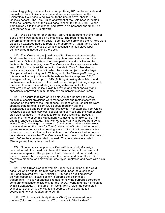Scientology gulag or concentration camp. Using RPFers to renovate and reconstruct Tom Cruise's personal and exclusive apartment at the Scientology Gold base is equivalent to the use of slave labor for Tom Cruise's benefit. The Tom Cruise apartment at the Gold base is located at the golf course end of the Gold base, closest to State Street. When Tom Cruise visits the Gold base, and stays in his personal apartment, he is cared for by a Sea Org steward.

 121. We also had to renovate the Tom Cruise apartment at the Hemet Base after it was damaged by a mud slide. The repairs had to be performed on an emergency basis. Both the Gold crew and the RPFers were placed on extended hours to restore the apartment. Again, Tom Cruise was benefiting from the use of what is essentially prison slave labor being worked almost around the clock.

 122. Tom Cruise also enjoyed use of facilities constructed on the Gold base that were not available to any Scientology staff except the senior most Scientologists on the base, particularly Miscavige and his lieutenants. For example, I saw Tom Cruise use the exercise room which was off limits to at least 98 percent of the staff. Tom Cruise also had unrestricted access to the Ship which has a sauna, jacuzi and a large Olympic sized swimming pool. With regard to the Miscavige/Cruise gym this was built in conjunction with the estates facility in approx. 1989. The gym building cost approx. \$150,000 (again using slave labor) and contains a complete lineup of the most modern weight training equipment. It is one of the most incredible gyms imaginable and is for the exclusive use of Tom Cruise, David Miscavige and other specially and specifically approved by him. It also has an incredible shower area.

 123. To assure that Tom Cruise's stays at the Hemet base were enjoyable, special provisions were made for him and restrictions were imposed on the staff at the Hemet base. Millions of Church dollars were spent so that millionaire Tom Cruise could regularly visit the Scientology base and be friends with Miscavige. For example, Tom Cruise received special meal services, special room services and the Hemet base staff was restricted in its access to Hemet base facilities. Indeed, a girl by the name of Jennie Matsamura was assigned to take care of him and his renovated cottage. The Hemet base staff was barred from going where Tom Cruise might be present. Construction and renovation work that was done on the base for Tom Cruise's benefit often had to be torn up and redone because the coloring was slightly off or there were a few inches of group that didn't quite match in color. Once we had to pour a concrete walkway so that Tom Cruise would not have to walk on the desert soil. Before the concrete dried it rained. The concrete was spoiled. Miscavige went into a fury over that.

 124. On one occasion, prior to a Cruise/Kidman visit, Miscavige decided to redo the meadow in beautiful flowers; Tens of thousands of dollars were spent on the project so that Cruise and Kidman could romp there. However, Miscavige inspected the project and didn't like it. So the whole meadow was plowed up, destroyed, replowed and sown with plain grass.

 125. Tom Cruise also received his upper level auditing at the Gold base. All of his auditor training was provided under the auspices of RTC and delivered by RTC. Officially, RTC has no auditing service delivery capability. It exists solely to enforce the Scientology trademarks. This is yet another example of how the purported corporate compartmentalization exists only for the "WOG" world and has no meaning within Scientology. At the time I left Gold, Tom Cruise had completed Dianetics, Level O-IV, the Key to life course, the Life orientation course and he was audited up to OT III.

 126. OT III deals with body thetans ("bts") and clustered body thetans ("clusters") . In essence, OT III deals with "the incident"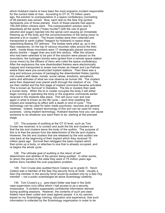which Hubbard claims to have been the most engramic incident responsible for the current state of man. According to OT III, 75 million years ago, the solution to overpopulation in a space confederacy (consisting of 26 planets) was solved. Now, each leaf on the Sea Org symbol represents one of those planets. Each of these planets had approx. 150-200 billion citizens each. The overpopulation solution was to disembody all the spirits ("mass murder") with the use of glycol (alcohol and sugar) injected into the spinal cord causing an immediate freezing up of the body and the unconsciousness of the being (soon to become a bt or cluster) . The frozen bodies were then collected and transported to earth (called Teegach by Hubbard) in space ships resembling Boeing 707 jetliners. The bodies were piled up, as in the Nazi massacres, on the top of various mountain sites around the then earth. Inside these mountains were 17 strategically placed enormous atomic bombs -- bigger than any built this century. After the citizens who had been selected to be part of the solution were placed on the mountains, the hydrogen bombs were ignited from a remote space station (lunar moon) by the officers of Xenu who ruled the space confederacy. After the explosions the now disembodied thetans were electronically trapped and transported to areas now known as Hawaii and Las Palmas where there were pre-constructed implant stations. Then there was a long and arduous process of packaging the disembodied thetas (spirits) into clusters with ideas, morals, social values, emotions, sensations, pains and attitudes of what we now observe as human life. The clusters were then dispersed over planet earth through the medium of ice. The ice then melted and the first stage of implant command became activated. This is known as 'Survival' in Dianetics. The bts or clusters then seek a human body. When the bt or cluster occupies the body it will either begin running or operating the body or the engramic commands earlier received in the implants take place. This will occur over and over again in what is known as the life cycle -- each time resetting the implant and restarting its effect with a death or end of cycle.' This technology can be used for tailor made psychosis, neurosis and general madness. Indeed, implant technology of this sort can be used for many purposes. Using implant technology, Hubbard teaches how you can cause someone to do whatever you want them to do, starting at the prenatal stage.

 127. The purpose of auditing at the OT III level, such as Tom Cruise has received, is to contact and audit the bts and clusters so that the bts and clusters leave the body of the auditor. The purpose of this is to free the person from the determinism of the bts and clusters. However, the bts and clusters that are released by the solo auditor are now back at the beginning of their implant which they received 75 million years ago. Survival then retriggers the basic implant which then picks up a body, or attaches to one that is already occupied, and re begins the whole cycle.

 128. The ultimate goal of auditing is the return of self determinism and abilities of the person being audited. In other words, to return the person to the state they were in 75 million years ago before Xenu handled the over-population problem.

 129. Tom Cruise also audited Kevin Catano up to grade IV. Kevin Catano was a member of the Sea Org security force at Gold. Usually a Sea Org member in the security force would be audited only by a Sea Org member -- not a public scientologist let alone Scientology celebrity.

 130. Tom Cruise's p.c. (pre-clear) folder was kept in the Gold case supervision (c/s) office which I had access to as a security missionaire. It contains supposedly confidential information derived during auditing sessions. However, the contents of such pre-clear folders have been culled and used against people. it is my opinion, based on my Scientology training, education and experience, that such information is collected by the Scientology organization in order to be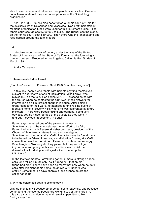able to exert control and influence over people such as Tom Cruise or John Travolta should they ever attempt to leave the Scientology organization.

 131. In 1989/1990 we also constructed a tennis court at Gold for the exclusive list of Celebrities and Miscavige. Non profit Scientology religious organization funds were used for this inurement project. The tennis court cost at least \$200,000 to build. The rubber coating alone, on the tennis court, cost \$80,000. Then there was the landscaping and rose garden around the tennis court.

#### (...)

 I declare under penalty of perjury under the laws of the United States of America and of the State of California that the foregoing is true and correct. Executed in Los Angeles, California this 5th day of March, 1994.

#### Andre Tabayoyon

#### 6. Harassment of Mike Farrell

["Fair Use" excerpt of Premiere, Sept 1993, "Catch a rising star"]

 To this day, people who tangle with Scientology find themselves subject to aggressive efforts at intimidation. Mike Farrell, who played B.J. on the television series M•A•S•H, crossed paths with the church when he contacted the Cult Awareness Network for information on a film project about child abuse. After gaining great respect for their work, he attended a fund-raising event at a private home in Beverly Hills, where he was confronted by angry picketers. "There were people taking photographs, being very obvious, getting video footage of the guests as they went in and out -- obvious harassment," he says.

 Farrell says he asked one of the pickets if he was a Scientologist, and the man said yes. In an effort to be fair, Farrell had lunch with Reverend Heber Jentzsch, president of the Church of Scientology International, and investigated Scientology's charges against CAN. The actor says he found them to be based on "sham, invective, and distortion." Later, at a CAN convention near the L.A. airport, Farrell encountered more angry Scientologists. "Not only did they picket, but they sort of get in your face and give you this loud and incessant spiel that doesn't allow for dialogue -- it's just a kind of attempt to intimidate."

 In the last few months Farrell has gotten numerous strange phone calls, one telling him (falsely, as it turned out) that an old friend had died. There have been so many that now when he gets calls after midnight at his home, he answers, "Hubbard was crazy." Sometimes, he says, there's a long silence before the caller hangs up.

#### 7. Why do celebrities get into scientology ?

Why do they join ? Because other celebrities already did, and because some behind the scenes people are working to get them lured in. It is also a stage tradition to maintain small superstitions, like "lucky shoes", etc.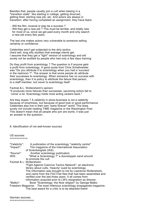Besides that, people usually join a cult when beeing in a "transition state", like starting in college, getting divorced, getting fired, starting new job, etc. And actors are always in transition: after having completed an assignment, they have fears:

- Will the film, musical or play be a success ?
- Will they get a new job ? This must be terrible, and totally new for most of us, since we get paid every month and only search a new job every few years.

The last one makes actors very vulnerable to someone selling certainty or confidence.

Celebrities won't get subjected to the dirty tactics (hard sell, long silly studies) that average clients get. I assume that they get a "light" version of scientology and will surely not be audited by people who had only a few days training.

Do they profit from scientology ? The question is if anyone gets a profit from scientology. A good quote from Chris Schafmeister was "Do you attribute it to scientology when you had a 'success' in the restroom ?". The answer is that some people do attribute their successes to scientology. When someone has no success with scientology, then it is policy to attribute the failure that person, to a staff member, but never to scientology itself.

Factnet & L. Wollersheim's opinion:

"It produces more failures than successes; upcoming actors fail to 'come' a lot. Scientology holds most acting careers back."

Are they dupes ? A celebrity in show-business is not a celebrity because of smartness, but because of good look or good performance. Celebrities also live in their own "party forever" world. This does surely not include reading TIME magazine or the Washington Post. This doesn't mean that all people who join are dumb, it was just an answer to the question.

8. Identification of not well-known sources

| US sources:                                                                                                                  |                                                                                                      |
|------------------------------------------------------------------------------------------------------------------------------|------------------------------------------------------------------------------------------------------|
| "Celebrity":<br>"Impact":                                                                                                    | A publication of the scientology "celebrity centre"<br>The magazine of the International Association |
|                                                                                                                              | of Scientologists (IAS)                                                                              |
| "Source":<br>WIS:                                                                                                            | Another scientology publication<br>"What is Scientology ?" a doorstopper send around                 |
|                                                                                                                              | to promote the cult                                                                                  |
|                                                                                                                              | Factnet & L. Wollersheim:                                                                            |
|                                                                                                                              | "Fight Against Coercive Tactics Network", an electronic                                              |
|                                                                                                                              | library about cults, •heavily• sued by scientology.                                                  |
|                                                                                                                              | The Information was brought to me by Lawrence Wollersheim,                                           |
|                                                                                                                              | and came from the FACTnet files that had been assembled and                                          |
|                                                                                                                              | verified over the last three years. It all comes from                                                |
|                                                                                                                              | information acquired prior to LW's resignation as director.                                          |
| "Malko":                                                                                                                     | Book "Scientology: the Now religion" by George Malko                                                 |
| Freedom Magazine: The most infamous scientology propaganda magazine.<br>The best award for a critic is to be attacked there! |                                                                                                      |

German sources: ===============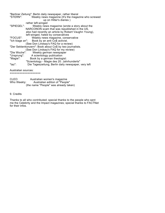"Berliner Zeitung": Berlin daily newspaper, rather liberal<br>"STERN": Weekly news magazine (It's the maga Weekly news magazine (It's the magazine who screwed up on Hitler's diaries ) rather left-winged<br>"SPIEGEL": Weekly news Weekly news magazine (wrote a story about the NARCONON scam that was republished in the US, also had recently an article by Robert Vaughn Young), left-winged, hated by consevatives<br>FOCUS": Weekly news magazine, conse Weekly news magazine, conservative "Ich klage an": Book by an anti Co\$ activist. (See Don Lindsay's FAQ for a review)<br>"Der Sektenkonzern": Book about Co\$ by two journalists. "Der Sektenkonzern": Book about Co\$ by two journalists. (See Don Lindsay's FAQ for my review) "Die Woche": Weekly german newspaper "Ursprung": A scientology publication "Magie": Book by a german theologist: "Scientology - Magie des 20. Jahrhunderts" Die Tageszeitung, Berlin daily newspaper, very left Australian sources: ===================

CLEO: Australian women's magazine Who Weekly: Australian edition of "People" (the name "People" was already taken)

#### 9. Credits

Thanks to all who contributed; special thanks to the people who sent me the Celebrity and the Impact magazines; special thanks to FACTNet for their infos.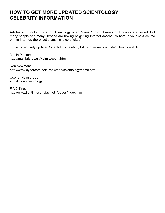# **HOW TO GET MORE UPDATED SCIENTOLOGY CELEBRITY INFORMATION**

Articles and books critical of Scientology often "vanish" from libraries or Library's are raided. But many people and many libraries are having or getting Internet access, so here is your next source on the Internet: (here just a small choice of sites):

Tilman's regularly updated Scientology celebrity list:<http://www.snafu.de/~tilman/celeb.txt>

Martin Poulter: <http://mail.bris.ac.uk/~plmlp/scum.html>

Ron Newman: <http://www.cybercom.net/~rnewman/scientology/home.html>

Usenet Newsgroup: alt.religion.scientology

F.A.C.T.net: <http://www.lightlink.com/factnet1/pages/index.html>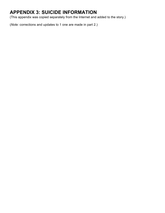# **APPENDIX 3: SUICIDE INFORMATION**

(This appendix was copied separately from the Internet and added to the story.)

(*Note:* corrections and updates to 1 one are made in part 2.)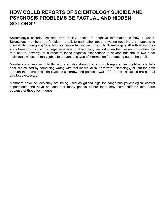#### **HOW COULD REPORTS OF SCIENTOLOGY SUICIDE AND PSYCHOSIS PROBLEMS BE FACTUAL AND HIDDEN SO LONG?**

Scientology's security isolation and "policy" denial of negative information is how it works. Scientology members are forbidden to talk to each other about anything negative that happens to them while undergoing Scientology initiation techniques. The only Scientology staff with whom they are allowed to discuss the negative effects of Scientology are forbidden themselves to disclose the true nature, severity, or number of these negative experiences to anyone but one or two other individuals whose primary job is to prevent this type of information from getting out to the public.

Members are deceived into thinking and rationalizing that any such reports they might accidentally hear are caused by something wrong with that individual (but not with Scientology) or that the path through the secret initiation levels is a narrow and perilous "wall of fire" and casualties are normal and to be expected.

Members have no idea they are being used as guinea pigs for dangerous psychological control experiments and have no idea that many people before them may have suffered dire harm because of these techniques.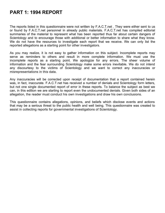## **PART 1: 1994 REPORT**

The reports listed in this questionnaire were not written by F.A.C.T.net . They were either sent to us or found by F.A.C.T.net personnel in already public materials. F.A.C.T.net has compiled editorial summaries of the material to represent what has been reported thus far about certain dangers of Scientology and to encourage those with additional or better information to share what they know. We do not have the resources to investigate each report that we receive. We can only list the reported allegations as a starting point for other investigators.

As you may realize, it is not easy to gather information on this subject. Incomplete reports may serve as reminders to others and result in more complete information. We must use the incomplete reports as a starting point. We apologize for any errors. The sheer volume of information and the fear surrounding Scientology make some errors inevitable. We do not intend any discourtesy to the victims of Scientology and we want to correct any inaccuracies or misrepresentations in this data.

Any inaccuracies will be corrected upon receipt of documentation that a report contained herein was, in fact, inaccurate. F.A.C.T.net has received a number of denials and Scientology form letters, but not one single documented report of error in these reports. To balance the subject as best we can, in this edition we are starting to report even the undocumented denials. Given both sides of an allegation, the reader must conduct his own investigations and draw his own conclusions.

This questionnaire contains allegations, opinions, and beliefs which disclose events and actions that may be a serious threat to the public health and well being. This questionnaire was created to assist in collecting reports for governmental investigations of Scientology.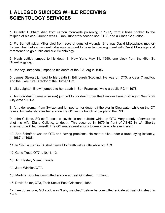## **I. ALLEGED SUICIDES WHILE RECEIVING SCIENTOLOGY SERVICES**

1. Quentin Hubbard died from carbon monoxide poisoning in 1977, from a hose hooked to the tailpipe of his car. Quentin was L. Ron Hubbard's second son, OT7, and a Class 12 auditor.

2. Flo Barnett a.k.a. Miller died from several gunshot wounds. She was David Miscavige's motherin- law. Just before her death she was reported to have had an argument with David Miscavige and threatened to go public and sue Scientology.

3. Noah Lottick jumped to his death in New York, May 11, 1990, one block from the 46th St. Scientology org .

4. Rodney Ramando jumped to his death at the L.A. org in 1986.

5. James Stewart jumped to his death in Edinburgh Scotland. He was on OT3, a class 7 auditor, and the Executive Director of the Durban Org.

6. Lila Leighton Brown jumped to her death in San Francisco while a public PC in 1978.

7. An individual (name unknown) jumped to his death from the Hanover bank building in New York City circa 1981-3.

8. An older woman from Switzerland jumped to her death off the pier in Clearwater while on the OT levels. Immediately after her suicide the GO sent a bunch of people to the RPF.

9. John Colletto, SO staff, became psychotic and suicidal while on OT3. Very shortly afterward he shot his wife, Diane Colletto, to death. This occurred in 1979 in front of ASHO in LA. Shortly afterward he killed himself. The GO made great efforts to keep the whole event silent.

10. Bob Schafner was on OT3 and having problems. He rode a bike under a truck, dying instantly, in 1987 or 1988.

11. In 1975 a man in LA shot himself to death with a rifle while on OT3.

12. Gene Trout, OT7, L10,11, 12.

13. Jim Hester, Miami, Florida.

14. Jane Winkler, OT7.

15. Martina Douglas committed suicide at East Grinstead, England.

16. David Baker, OT3, Tech Sec at East Grinstead, 1984.

17. Lee Johnstone, GO staff, was "baby watched" before he committed suicide at East Grinstead in 1985.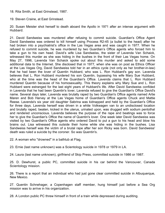18. Rita Smith, at East Grinstead, 1987.

19. Steven Craine, at East Grinstead.

20. Susan Meister shot herself to death aboard the Apollo in 1971 after an intense argument with Hubbard.

21. David Sandweiss was murdered after refusing to commit suicide. Guardian's Office Agent David Sandweiss was ordered to kill himself using Process R2-45 (a bullet to the head) after he had broken into a psychiatrist's office in the Las Vegas area and was caught in 1977. When he refused to commit suicide, he was murdered by two Guardian's Office agents who forced him to take a gun to his own head. David's wife Lisa Sandweiss, the sister of Lavenda Van Schaick, witnessed this murder as she was hiding in the bushes in the front of their Las Vegas home. On May 27, 1996, Lavenda Van Schaick spoke out about this murder and asked to add some additional data to the Internet. She disclosed that in 1977, when she was on post as Ethics Officer at the Las Vegas Org, David Sandweiss told her in an ethics cycle (not only as her brother-in-law) that he had been the lover of Quentin Hubbard, who was L. Ron Hubbard's gay son. Lavenda believes that L. Ron Hubbard murdered his son Quentin, bypassing his wife Mary Sue Hubbard, who at the time was the head of the Guardian's Office. Lavenda claims that L. Ron Hubbard murdered Quentin because of his homosexuality. This theory explains why Mary Sue and L. Ron Hubbard were estranged for the last eight years of Hubbard's life. After David Sandweiss confided in Lavenda that he had been Quentin's lover, Lavenda refused to give the Guardian's Office David's name. Several days later, Lavenda was brutally raped by two Guardian's Office agents named Artie Maren and Bob Harvey at the Las Vegas home of Guardian's Office agents Chuck and Mattie Reese. Lavenda's six year old daughter Sabrina was kidnapped and held by the Guardian's Office for three days. Lavenda herself was driven in a white Volkwagen van to an undisclosed location and brutally raped, beaten, kicked in the uterus, urinated upon, was drugged with sodium pentothal and rendered unconscious. Lavenda believes the purpose of the rape and beatings was to force her to give the Guardian's Office the name of Quentin's lover. One week later David Sandweiss was visited by two Guardian's Office agents who ordered David to put a gun to his head and blow his brains out. Lisa witnessed this outside their home while she was hiding in the bushes. Lisa Sandweiss herself was the victim of a brutal rape after her son Ricky was born. David Sandweiss' death was ruled a suicide by the coroner. So was Quentin's.

22. A woman who "drowned" in a bathtub at Flag.

23. Ernie (last name unknown) was a Scientology suicide in 1978 or 1979 in LA.

24. Laura (last name unknown), girlfriend of Skip Press, committed suicide in 1986 or 1987.

25. D. Dewhurst, a public PC, committed suicide in his car behind the Vancouver, Canada Scientology mission.

26. There is a report that an individual who had just gone clear committed suicide in Albuquerque, New Mexico.

27. Quentin Schnehager, a Copenhagen staff member, hung himself just before a Sea Org mission was to arrive in his organization.

28. A London public PC threw himself in front of a train while depressed during auditing.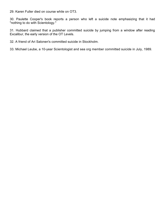29. Karen Fuller died on course while on OT3.

30. Paulette Cooper's book reports a person who left a suicide note emphasizing that it had "nothing to do with Scientology."

31. Hubbard claimed that a publisher committed suicide by jumping from a window after reading Excalibur, the early version of the OT Levels.

32. A friend of Ari Salonen's committed suicide in Stockholm.

33. Michael Leube, a 10-year Scientologist and sea org member committed suicide in July, 1989.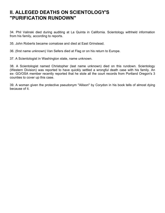### **II. ALLEGED DEATHS ON SCIENTOLOGY'S "PURIFICATION RUNDOWN"**

34. Phil Valinski died during auditing at La Quinta in California. Scientology withheld information from his family, according to reports.

35. John Roberts became comatose and died at East Grinstead.

36. (first name unknown) Van Sefers died at Flag or on his return to Europe.

37. A Scientologist in Washington state, name unknown.

38. A Scientologist named Christopher (last name unknown) died on this rundown. Scientology (Western Division) was reported to have quickly settled a wrongful death case with his family. An ex- GO/OSA member recently reported that he stole all the court records from Portland Oregon's 3 counties to cover up this case.

39. A woman given the protective pseudonym "Allison" by Corydon in his book tells of almost dying because of it.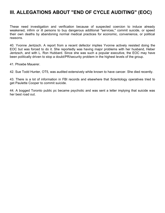# **III. ALLEGATIONS ABOUT "END OF CYCLE AUDITING" (EOC)**

These need investigation and verification because of suspected coercion to induce already weakened, infirm or ill persons to buy dangerous additional "services," commit suicide, or speed their own deaths by abandoning normal medical practices for economic, convenience, or political reasons.

40. Yvonne Jentzsch. A report from a recent defector implies Yvonne actively resisted doing the EOC but was forced to do it. She reportedly was having major problems with her husband, Heber Jentzsch, and with L. Ron Hubbard. Since she was such a popular executive, the EOC may have been politically driven to stop a doubt/PR/security problem in the highest levels of the group.

41. Phoebe Mauerer.

42. Sue Todd Hunter, OT5, was audited extensively while known to have cancer. She died recently.

43. There is a lot of information in FBI records and elsewhere that Scientology operatives tried to get Paulette Cooper to commit suicide.

44. A bogged Toronto public pc became psychotic and was sent a letter implying that suicide was her best road out.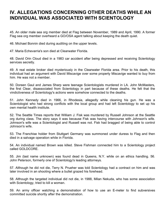## **IV. ALLEGATIONS CONCERNING OTHER DEATHS WHILE AN INDIVIDUAL WAS ASSOCIATED WITH SCIENTOLOGY**

45. An older male sea org member died at Flag between November, 1989 and April, 1990. A former Flag sea org member overheard a GO/OSA agent talking about keeping the death quiet.

46. Michael Bonnin died during auditing on the upper levels.

47. Maria Echevarria's son died at Clearwater Florida.

48. David Orin Cloud died in a 1983 car accident after being depressed and receiving Scientology services secretly.

49. A real estate broker died mysteriously in the Clearwater Florida area. Prior to his death, this individual had an argument with David Miscavige over some property Miscavige wanted to buy from him. He was not a member.

50. Doreen Gaul and James Sharp were teenage Scientologists murdered in LA. John McMasters, the first Clear, disassociated from Scientology in part because of these deaths. He felt that the vindictiveness of Scientology's actions were somehow connected to the deaths.

51. John Kennedy died in 1966, in Rhodesia, allegedly while cleaning his gun. He was a Scientologist who had strong conflicts with the local group and had left Scientology to set up his own mental health institute.

52. The Seattle Times reports that William J. Fisk was murdered by Russell Johnson at the Seattle org during class. The story says it was because Fisk was having intercourse with Johnson's wife. Johnson's wife was a Scientologist and Russell was not. Fisk had bragged of being able to control Johnson's wife.

53. The Franchise holder from Stuttgart Germany was summoned under duress to Flag and then died in a salvage operation while in Florida.

54. An individual named Brown was killed. Steve Fishman connected him to a Scientology project called GOLDCORE.

55. Jim (last name unknown) was found dead in Queens, N.Y. while on an ethics handling. 56. John Peterson, formerly one of Scientology's leading attorneys.

57. Although he did not die, Terry N. Prueher was told Scientology had a contract on him and was later involved in an shooting where a bullet grazed his forehead.

58. Although the targeted individual did not die, in 1988, Milan Nekuda, who has some association with Scientology, tried to kill a woman.

59. An army officer watching a demonstration of how to use an E-meter to find subversives committed suicide shortly after the demonstration.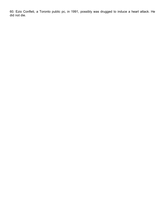60. Ezio Confleti, a Toronto public pc, in 1991, possibly was drugged to induce a heart attack. He did not die.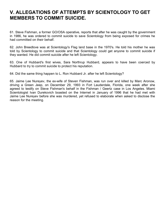### **V. ALLEGATIONS OF ATTEMPTS BY SCIENTOLOGY TO GET MEMBERS TO COMMIT SUICIDE.**

61. Steve Fishman, a former GO/OSA operative, reports that after he was caught by the government in 1986, he was ordered to commit suicide to save Scientology from being exposed for crimes he had committed on their behalf.

62. John Breedlove was at Scientology's Flag land base in the 1970's. He told his mother he was told by Scientology to commit suicide and that Scientology could get anyone to commit suicide if they wanted. He did commit suicide after he left Scientology.

63. One of Hubbard's first wives, Sara Northrup Hubbard, appears to have been coerced by Hubbard to try to commit suicide to protect his reputation.

64. Did the same thing happen to L. Ron Hubbard Jr. after he left Scientology?

65. Jaime Lee Nureyev, the ex-wife of Steven Fishman, was run over and killed by Marc Aronow, driving a Green Jeep, on December 29, 1993 in Fort Lauderdale, Florida, one week after she agreed to testify on Steve Fishman's behalf in the Fishman / Geertz case in Los Angeles. Miami Scientologist Ivan Durekovich boasted on the Internet in January of 1996 that he had met with Jaime Lee Nureyev before she was murdered, yet refused to elaborate when asked to disclose the reason for the meeting.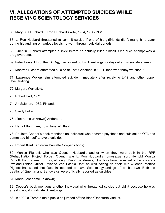# **VI. ALLEGATIONS OF ATTEMPTED SUICIDES WHILE RECEIVING SCIENTOLOGY SERVICES**

66. Mary Sue Hubbard, L Ron Hubbard's wife, 1954, 1980-1981.

67. L. Ron Hubbard threatened to commit suicide if one of his girlfriends didn't marry him. Later during his auditing on various levels he went through suicidal periods.

68. Quentin Hubbard attempted suicide before he actually killed himself. One such attempt was a drug overdose.

69. Peter Lewis, ED of the LA Org, was locked up by Scientology for days after his suicide attempt.

70. Manfred Eichorn attempted suicide at East Grinstead in 1991, then was "baby watched."

71. Lawrence Wollersheim attempted suicide immediately after receiving L-12 and other upper level auditing.

- 72. Margery Wakefield.
- 73. Robert Hart, 1971.
- 74. Ari Salonen, 1982, Finland.
- 75. Sandy Fuller.
- 76. (first name unknown) Anderson.
- 77. Hana Eltringham, now Hana Whitfield.

78. Paulette Cooper's book mentions an individual who became psychotic and suicidal on OT3 and committed himself to avoid suicide.

79. Robert Kaufman (from Paulette Cooper's book).

80. Monica Pignotti, who was Quentin Hubbard's auditor when they were both in the RPF (Rehabilitation Project Force). Quentin was L. Ron Hubbard's homosexual son. He told Monica Pignotti that he was not gay, although David Sandweiss, Quentin's lover, admitted to his sister-inlaw and Ethics Officer Lavenda Van Schaick that he was having an affair with Quentin. Monica Pignotti has stated that Quentin intended to leave Scientology and go off on his own. Both the deaths of Quentin and Sandweiss were officially reported as suicides.

81. Mario (last name unknown).

82. Cooper's book mentions another individual who threatened suicide but didn't because he was afraid it would invalidate Scientology.

83. In 1992 a Toronto male public pc jumped off the Bloor/Dansforth viaduct.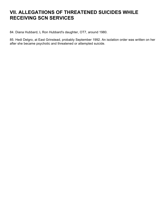# **VII. ALLEGATIIONS OF THREATENED SUICIDES WHILE RECEIVING SCN SERVICES**

84. Diana Hubbard, L Ron Hubbard's daughter, OT7, around 1980.

85. Hedi Delgro, at East Grinstead, probably September 1992. An isolation order was written on her after she became psychotic and threatened or attempted suicide.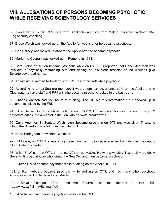## **VIII. ALLEGATIONS OF PERSONS BECOMING PSYCHOTIC WHILE RECEIVING SCIENTOLOGY SERVICES**

86. Two Swedish public PC's, one from Stockholm and one from Malmo, became psychotic after Flag security checking.

87. Bruce Welch was locked up on the Apollo for weeks after he became psychotic.

88. Carl Barney was locked up aboard the Apollo after he became psychotic.

89. Marianne Coenan was locked up in Pomona in 1991.

90. Sam Binion or Benion became psychotic while on OT3. It is reported that Heber Jentzsch was involved in physically restraining him and ripping off his clear bracelet so he wouldn't give Scientology a bad name.

91. An individual named Robertson shot DMSO into himself while psychotic.

92. According to an ex-Sea org member, it was a common occurrence both on the Apollo and in Clearwater to have staff and RPFer's who became psychotic locked in the bathroom.

93. Charles Manson had 150 hours of auditing. The GO hid this information but it showed up in documents seized by the FBI.

94. Ann Rosenblum's affidavit tells about GO/OSA members bragging about driving 2 defectors/critics into a mental institution with nervous breakdowns.

95. Dave Voorhies, in Seattle, Washington, became psychotic on OT3 and was given Thorazine which the Scientologists told him was vitamin B.

96. Hana Eltringham, now Hana Whitfield.

97. Bill Howie, on OT3. He was a high level, long term Sea org executive. His wife was the deputy CO of Celebrity center.

98. Willie B. Wilson, on OT 3 in the late 70's or early 80's. He was a wealthy Texas oil man. 99. A Beverly Hills pediatrician who joined the Sea Org and then became psychotic.

100. Travis Harris became psychotic while auditing on the Apollo in 1974.

101. L. Ron Hubbard became psychotic while auditing on OT3, and had many other psychotic episodes according to defector affidavits.

102. Steve Fishman. (See Lonesome Squirrel: on the Internet at this URL [http://www.xs4all.nl/~fishman/ls/\)](http://www.xs4all.nl/~fishman/ls/)

103. Ann Rosenblum became psychotic while on the RPF.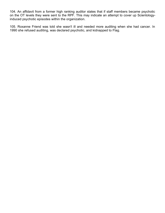104. An affidavit from a former high ranking auditor states that if staff members became psychotic on the OT levels they were sent to the RPF. This may indicate an attempt to cover up Scientologyinduced psychotic episodes within the organization.

105. Roxanne Friend was told she wasn't ill and needed more auditing when she had cancer. In 1990 she refused auditing, was declared psychotic, and kidnapped to Flag.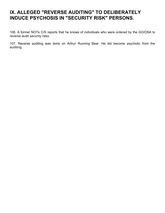# **IX. ALLEGED "REVERSE AUDITING" TO DELIBERATELY INDUCE PSYCHOSIS IN "SECURITY RISK" PERSONS.**

106. A former NOTs C/S reports that he knows of individuals who were ordered by the GO/OSA to reverse audit security risks.

107. Reverse auditing was done on Arthur Running Bear. He did become psychotic from the auditing.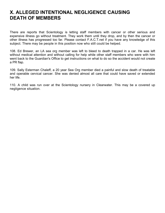## **X. ALLEGED INTENTIONAL NEGLIGENCE CAUSING DEATH OF MEMBERS**

There are reports that Scientology is letting staff members with cancer or other serious and expensive illness go without treatment. They work them until they drop, and by then the cancer or other illness has progressed too far. Please contact F.A.C.T.net if you have any knowledge of this subject. There may be people in this position now who still could be helped.

108. Ed Brewer, an LA sea org member was left to bleed to death trapped in a car. He was left without medical attention and without calling for help while other staff members who were with him went back to the Guardian's Office to get instructions on what to do so the accident would not create a PR flap.

109. Sally Esterman Chaleff, a 20 year Sea Org member died a painful and slow death of treatable and operable cervical cancer. She was denied almost all care that could have saved or extended her life.

110. A child was run over at the Scientology nursery in Clearwater. This may be a covered up negligence situation.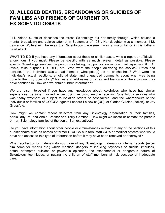#### **XI. ALLEGED DEATHS, BREAKDOWNS OR SUICIDES OF FAMILIES AND FRIENDS OF CURRENT OR EX-SCIENTOLOGISTS**

111. Arlene S. Heller describes the stress Scientology put her family through, which caused a mental breakdown and suicide attempt in September of 1981. Her daughter was a member. 112. Lawrence Wollersheim believes that Scientology harassment was a major factor in his father's heart attack.

WHAT TO DO If you have any information about these or similar cases, write a report or affidavit -anonymous if you must. Please be specific with as much relevant detail as possible. Please specify: Scientology services the person was taking, i.e., purification rundown, introspection RD, OT levels, false purpose RD, RPF, etc.. Who were the people delivering the service? Dates and location. If the individual was a staff member, what post(s) did he or she hold? What were the individual's actual reactions, emotional state, and unguarded comments about what was being done to them by Scientology? Names and addresses of family and friends who the individual may have confided in. How can we obtain further information?

We are also interested if you have any knowledge about: celebrities who have had similar experiences, persons involved in destroying records, anyone receiving Scientology services who was "baby watched" or subject to isolation orders or hospitalized, and the whereabouts of the individuals or families of GO/OSA agents Leonard Leibowitz (US), or Clarice Guidice (Italian), or Jay **Grossfeld** 

How might we contact recent defectors from any Scientology organization or their families, particularly Pat and Annie Broeker and Terry Gamboa? How might we locate or contact the parents or non-Scientology families of the senior Scn executives?

Do you have information about other people or circumstances relevant to any of the sections of this questionnaire such as names of former GO/OSA auditors, staff C/S's or medical officers who would have had access to this type of information before it may have been removed or destroyed?

What recollection or materials do you have of any Scientology materials or internal reports (micro film computer reports etc.) which mention: dangers of inducing psychosis or suicidal impulses, actual attempted suicides or psychotic episodes, the experimental or dangerous nature of Scientology techniques, or putting the children of staff members at risk because of inadequate care.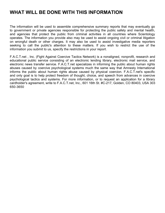# **WHAT WILL BE DONE WITH THIS INFORMATION**

The information will be used to assemble comprehensive summary reports that may eventually go to government or private agencies responsible for protecting the public safety and mental health, and agencies that protect the public from criminal activities in all countries where Scientology operates. The information you provide also may be used to assist ongoing civil or criminal litigation on wrongful death or other charges. It may also be used to assist investigative media reporters seeking to call the public's attention to these matters. If you wish to restrict the use of the information you submit to us, specify the restrictions in your report.

F.A.C.T.net , Inc. (Fight Against Coercive Tactics Network) is a nonaligned, nonprofit, research and educational public service consisting of an electronic lending library, electronic mail service, and electronic news transfer service. F.A.C.T.net specializes in informing the public about human rights abuses caused by coercive psychological systems much the same way that Amnesty International informs the public about human rights abuse caused by physical coercion. F.A.C.T.net's specific and only goal is to help protect freedom of thought, choice, and speech from advances in coercive psychological tactics and systems. For more information, or to request an application for a library cardholder's agreement, write to F.A.C.T.net, Inc., 601 16th St. #C-217, Golden, CO 80403, USA 303 650-3650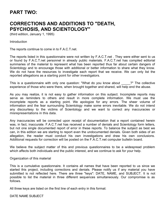# **PART TWO:**

## **CORRECTIONS AND ADDITIONS TO "DEATH, PSYCHOSIS, AND SCIENTOLOGY"**

(third edition, January 1, 1995)

Introduction

The reports continue to come in to F.A.C.T.net.

The reports listed in this questionnaire were not written by F.A.C.T.net . They were either sent to us or found by F.A.C.T.net personnel in already public materials. F.A.C.T.net has compiled editorial summaries of the material to represent what has been reported thus far about certain dangers of Scientology and to encourage those with additional or better information to share what they know. We do not have the resources to investigate each report that we receive. We can only list the reported allegations as a starting point for other investigators.

This is a questionnaire with only one question: "What do you know about **The collective** experience of those who were there, when brought together and shared, will help end the abuse.

As you may realize, it is not easy to gather information on this subject. Incomplete reports may serve as reminders to others and result in more complete information. We must use the incomplete reports as a starting point. We apologize for any errors. The sheer volume of information and the fear surrounding Scientology make some errors inevitable. We do not intend any discourtesy to the victims of Scientology and we want to correct any inaccuracies or misrepresentations in this data.

Any inaccuracies will be corrected upon receipt of documentation that a report contained herein was, in fact, inaccurate. F.A.C.T.net has received a number of denials and Scientology form letters, but not one single documented report of error in these reports. To balance the subject as best we can, in this edition we are starting to report even the undocumented denials. Given both sides of an allegation, the reader must conduct his own investigations and draw his own conclusions. Additional requests for correction will be posted on the F.A.C.T.net computer bulletin board.

We believe the subject matter of this and previous questionnaires to be a widespread problem which affects both individuals and the public interest, and we continue to ask for your help.

Organization of this material

This is a cumulative questionnaire. It contains all names that have been reported to us since we started this project, including corrections and denials. Please notify us if any material you have submitted is not reflected here. There are three "keys": DATE, NAME, and SUBJECT. It is not possible to list the material in three different sequences simultaneously. Our compromise is as follows.

All three keys are listed on the first line of each entry in this format:

DATE NAME SUBJECT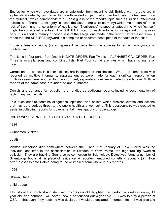Entries for which we have dates are in date order from recent to old. Entries with no date are in alphabetical order by last name. Items with related subject matter can be located by text search on the "subject," which corresponds to our best guess of the report's topic such as suicide, attempted suicide, etc. There is a category "cancer" (because there were so many) which most often refers to lack of treatment, hence a form of negligence. "Negligence" is another category to which "cancer" might be considered a subset. The SUBJECT listed for each entry is for categorization purposes only. It is a short summary or best guess of the allegations made in the report. No representation is made that the SUBJECT keyword is a complete or accurate description of the facts of the case.

Those entries containing (xxxx) represent requests from the sources to remain anonymous or confidential.

The list is in four parts. Part One is in DATE ORDER. Part Two is in ALPHABETICAL ORDER. Part Three is miscellaneous and combined lists. Part Four contains entries which have no name or date.

Corrections to entries in earlier editions are incorporated into the text. When the same case was reported by multiple informants, separate entries were made for each significant report. When multiple cases were reported by one informant, separate entries were made for each case. Multiple reports of the same case are indented and numbered.

Denials and demands for retraction are handled as additional reports, including documentation of facts if any such exists.

This questionnaire contains allegations, opinions, and beliefs which disclose events and actions that may be a serious threat to the public health and well being. This questionnaire was created to assist in collecting reports for governmental investigations of Scientology.

#### PART ONE: LISTINGS IN RECENT-TO-OLDER DATE ORDER

1994

Gunnarson, Vicktor

death

Vicktor Gunnarson died somewhere between the 3 and 7 of January of 1994. Vicktor was the individual acquitted in the assassination in Sweden of Olav Palme, the high ranking Swedish politician. They are tracking Gunnarson's connection to Scientology. Detectives found a number of Scientology books at his place of residence. A reporter mentioned something about a \$2 million offer to assassinate Palme being found or implied somewhere in his records.

1994

Strawn, Dana

child abuse

I found out that my husband slept with my 13 year old daughter, had performed oral sex on my 11 year old, and perhaps I will never know if he touched our 4 year old... ...I was told by a person at OSA Int that even if my husband was declared, I would be declared if I turned him in. I was also told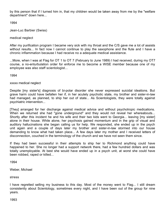by this person that if I turned him in, that my children would be taken away from me by the "welfare department" down here...

1994

Jean-Luc Barbier (Swiss)

medical neglect

After my purification program I became very sick with my throat and the C/S gave me a lot of assists without results... In fact now I cannot continue to play the saxophone and the flute and I have a chronic inflammation because I had receive no a adequate medical assistance.

...More, when I was at Flag for OT 1 to OT 7 (February to June 1989) I had received, during my OT7 course, a no-enturbulation order for enforce me to become a WISE member because one of my employee was also staff scientologist...

1994

xxxxx medical neglect

Despite [my sister's] diagnosis of bi-polar disorder she never expressed suicidal ideations. But grave harm could have befallen her if, in her acutely psychotic state, my brother and sister-in-law had managed, as planned, to ship her out of state... As Scientologists, they were totally against psychiatric intervention...

[They] arranged for her discharge against medical advice and without psychotropic medications. When we returned she had "gone underground" and they would not reveal her whereabouts... Shortly after this incident he and his wife and their two kids went to Georgia... leaving [my sister] alone in their house. While alone, her psychosis gained momentum and in the grip of visual and auditory hallucinations she began calling us for help. We responded, she ended up in the psych unit again and a couple of days later my brother and sister-in-law stormed into our house demanding to know what had taken place... A few days later my mother and I received letters of disconnection, couched in the terminology of the church and we have not seen them since.

If they had been successful in their attempts to ship her to Richmond anything could have happened to her. She no longer had a support network there, had a few hundred dollars and was totally unemployable. At best she would have ended up in a psych unit, at worst she could have been robbed, raped or killed...

1994

Weber, Michael

stress

I have regretted selling my business to this day. Most of the money went to Flag... I still dream consistently about Scientology, sometimes every night, and I have been out of the group for nine years.

1993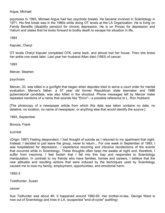#### Argue, Michael

psychosis In 1993, Michael Argue had two psychotic breaks. He became involved in Scientology in 1971. His first break was in the 1980s while doing OT levels at the LA Organization. He is living on Family Benefits (disability pension) for chronic depression. He is on Prozac for depression and Valium and states that he looks forward to bodily death to escape his situation in life.

1993

Kapuler, Cheryl

OT levels Cheryl Kapuler completed OT8, came back, and almost lost her house. Then she broke her ankle one week later. Last year her husband Allan died (1993) of cancer.

1993

Mercer, Stephen

psychosis

Mercer, 33, was killed in a gunfight that began when deputies tried to serve a court order for mental evaluation. Mercer's father, a 57 year old former Republican state lawmaker and 1986 gubernatorial candidate, was also killed in the shootout. Phone messages left by Mercer make repeated mentions of a name that sounds like "Elron"-- a possible reference to L. Ron Hubbard.

[The photocopy of a newspaper article from which this data was taken contains no date, no dateline, no location, no name of newspaper, or anything else that would identify the source.]

1993, September

Bonora, Frank

suicidal

(Origin 1987) Feeling despondent, I had thought of suicide as I returned to my apartment that night. Instead, I decided to just leave the group, never to return... For one week in September of 1993, I was hospitalized for depression.. I experience recurring and intrusive recollections of the events that occurred while in Scientology. These thoughts often keep me awake at night and, therefore, I suffer from insomnia. I feel foolish that I fell into this trap and responded to Scientology manipulation. In contrast to my friends who have families, homes and careers, I believe that the new attitudes and resulting actions that were induced by the techniques used by Scientology caused me to lose my family, employment, opportunities, and emotional harm.

1992-3

Toddhunter, Susan

cancer

Sue Todhunter was about 46. It happened around 1992-93. Her brother-in-law, George Ward is now out of Scientology and lives in LA. (suspected "end-of-cycle" auditing)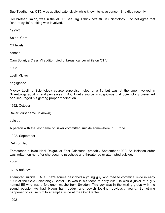Sue Toddhunter, OT5, was audited extensively while known to have cancer. She died recently.

Her brother, Ralph, was in the ASHO Sea Org. I think he's still in Scientology. I do not agree that "end-of-cycle" auditing was involved.

1992-3

Solari, Cam

OT levels

cancer

Cam Solari, a Class VI auditor, died of breast cancer while on OT VII.

1992

Luell, Mickey

negligence

Mickey Luell, a Scientology course supervisor, died of a flu but was at the time involved in Scientology auditing and processes. F.A.C.T.net's source is suspicious that Scientology prevented or discouraged his getting proper medication.

1992, October

Baker, (first name unknown)

suicide

A person with the last name of Baker committed suicide somewhere in Europe.

1992, September

Delgro, Hedi

Threatened suicide Hedi Delgro, at East Grinstead, probably September 1992. An isolation order was written on her after she became psychotic and threatened or attempted suicide.

1992

name unknown

attempted suicide F.A.C.T.net's source described a young guy who tried to commit suicide in early 1992 at the Gold Scientology Center. He was in his teens to early 20s. He was a junior of a guy named Elf who was a foreigner, maybe from Sweden. This guy was in the mixing group with the sound people. He had brown hair, pudgy and boyish looking, obviously young. Something happened to cause him to attempt suicide at the Gold Center.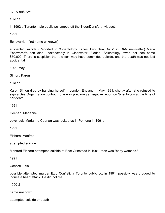name unknown

suicide

In 1992 a Toronto male public pc jumped off the Bloor/Dansforth viaduct.

1991

Echevarria, (first name unknown)

suspected suicide (Reported in "Scientology Faces Two New Suits" in CAN newsletter) Maria Echevarria's son died unexpectedly in Clearwater, Florida. Scientology owed her son some \$50,000. There is suspicion that the son may have committed suicide, and the death was not just accidental

1991, May

Simon, Karen

suicide

Karen Simon died by hanging herself in London England in May 1991, shortly after she refused to sign a Sea Organization contract. She was preparing a negative report on Scientology at the time of her death.

1991

Coenan, Marianne

psychosis Marianne Coenan was locked up in Pomona in 1991.

1991

Eichorn, Manfred

attempted suicide

Manfred Eichorn attempted suicide at East Grinstead in 1991, then was "baby watched."

1991

Confleti, Ezio

possible attempted murder Ezio Confleti, a Toronto public pc, in 1991, possibly was drugged to induce a heart attack. He did not die.

1990-2

name unknown

attempted suicide or death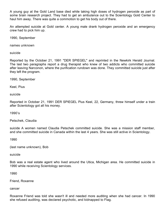A young guy at the Gold Land base died while taking high doses of hydrogen peroxide as part of some brain research project. They had to get an ambulance out to the Scientology Gold Center to haul him away. There was quite a commotion to get his body out of there.

An attempted suicide at Gold center. A young male drank hydrogen peroxide and an emergency crew had to pick him up.

1990, September

names unknown

suicide

Reported by the October 21, 1991 "DER SPIEGEL" and reprinted in the Newkirk Herald Journal. The last two paragraphs report a drug therapist who knew of two addicts who committed suicide after leaving Narconon, where the purification rundown was done. They committed suicide just after they left the program.

1990, September

Keel, Pius

suicide

Reported in October 21, 1991 DER SPIEGEL Pius Keel, 22, Germany, threw himself under a train after Scientology got all his money.

1990's

Petschek, Claudia

suicide A women named Claudia Petschek committed suicide. She was a mission staff member, and she committed suicide in Canada within the last 4 years. She was still active in Scientology.

1990

(last name unknown), Bob

suicide

Bob was a real estate agent who lived around the Utica, Michigan area. He committed suicide in 1990 while receiving Scientology services.

1990

Friend, Roxanne

cancer

Roxanne Friend was told she wasn't ill and needed more auditing when she had cancer. In 1990 she refused auditing, was declared psychotic, and kidnapped to Flag.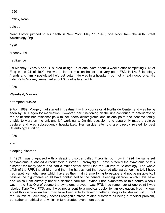1990

Lottick, Noah

suicide

Noah Lottick jumped to his death in New York, May 11, 1990, one block from the 46th Street Scientology Org .

#### 1990

Mooney, Ed

negligence

Ed Mooney, Class 8 and OT8, died at age 37 of aneurysm about 3 weeks after completing OT8 at Flag in the fall of 1990. He was a former mission holder and very good FSM in LA. Scientology friends and family postulated he'd get better. He was in a hospital - but not a really good one. His wife, Patty Mooney, remarried about 6 months later in LA.

1989

Wakefield, Margery

attempted suicide

9 April 1989, Margery had started in treatment with a counselor at Northside Center, and was being seen by Dr. Dagon for medication. However, her functioning on the unit continued to deteriorate to the point that her relationships with her peers disintegrated and at one point she became totally unable to work on the unit and left work early. On this occasion, she apparently made a suicide gesture and was subsequently hospitalized. Her suicide attempts are directly related to past Scientology auditing.

1989

xxxxx

sleeping disorder

In 1989 I was diagnosed with a sleeping disorder called Fibrositis, but now in 1994 the same set of symptoms is labeled a rheumatoid disorder, Fibromyalgia. I have suffered the symptoms of this disorder for many years and had a major attack after I left the Church of Scientology. The whole affair of the RPF, the stillbirth, and then the harassment that occurred afterwards took its toll. I have had repetitive nightmares which have as their main theme trying to escape and not being able to. I believe the nightmares could have contributed to the general sleeping disorder which I still have and which I am currently under a doctor's care for... When I had symptoms of this nature when I was in the Sea Org of course the symptoms proved I was PTS. I do remember at one point I was labeled Type Two PTS, and I was never sent to a medical doctor for an evaluation. Had I known about this disorder earlier I may have been able to develop better strategies for dealing with it, but the Church of Scientology doesn't recognize stress related disorders as being a medical problem, but rather an ethical one, which in turn created even more stress...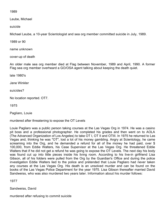1989

Leube, Michael

suicide

Michael Leube, a 10-year Scientologist and sea org member committed suicide in July, 1989.

1989 or 90

name unknown

cover-up of death

An older male sea org member died at Flag between November, 1989 and April, 1990. A former Flag sea org member overheard a GO/OSA agent talking about keeping the death quiet.

late 1980's

Jane Winkler

suicides?

No location reported. OT7.

1975

Pagliaro, Louie

murdered after threatening to expose the OT Levels

Louie Pagliaro was a public person taking courses at the Las Vegas Org in 1974. He was a casino pit boss and a professional photographer. He completed his grades and then went on to AOLA (The Advanced Organization of Los Angeles) to take OT I, OT II and OTIII. In 1975 he returned to Las Vegas and, thinking he was "OT", lost a lot of his money gambling. Angry at Scientology, he came screaming into the Org, and he demanded a refund for all of the money he had paid, over \$ 100,000, from Eddie Walters, his Case Supervisor at the Las Vegas Org. He threatened Eddie Walters that if he did not get a refund he was going to expose the OT Levels. The next day his body was found cut up into little pieces inside his living room. According to his live-in girlfriend Lisa Gibson, all of his folders were pulled from the Org by the Guardian's Office and during the police investigation Eddie Walters lied to the police and pretended that Louie Pagliaro had never taken any courses at the Las Vegas Org. His death is an unsolved murder and can be found on the books of the Las Vegas Police Department for the year 1975. Lisa Gibson thereafter married David Sandweiss, who was also murdered two years later. Information about his murder follows:

1977

Sandweiss, David

murdered after refusing to commit suicide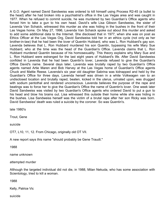A G.O. Agent named David Sandweiss was ordered to kill himself using Process R2-45 (a bullet to the head) after he had broken into a psychiatrist's office in the Las Vegas area and was caught in 1977. When he refused to commit suicide, he was murdered by two Guardian's Office agents who forced him to take a gun to his own head. David's wife Lisa Gibson Sandweiss, the sister of Lavenda Van Schaick, witnessed this murder as she was hiding in the bushes in the front of their Las Vegas home. On May 27, 1996, Lavenda Van Schaick spoke out about this murder and asked to add some additional data to the Internet. She disclosed that in 1977, when she was on post as Ethics Officer at the Las Vegas Org, David Sandweiss told her in an ethics cycle (not only as her brother-in-law) that he had been the lover of Quentin Hubbard, who was L. Ron Hubbard's gay son. Lavenda believes that L. Ron Hubbard murdered his son Quentin, bypassing his wife Mary Sue Hubbard, who at the time was the head of the Guardian's Office. Lavenda claims that L. Ron Hubbard murdered Quentin because of his homosexuality. This theory explains why Mary Sue and L. Ron Hubbard were estranged for the last eight years of Hubbard's life. After David Sandweiss confided in Lavenda that he had been Quentin's lover, Lavenda refused to give the Guardian's Office David's name. Several days later, Lavenda was brutally raped by two Guardian's Office agents named Artie Maren and Bob Harvey at the Las Vegas home of Guardian's Office agents Chuck and Mattie Reese. Lavenda's six year old daughter Sabrina was kidnapped and held by the Guardian's Office for three days. Lavenda herself was driven in a white Volkwagen van to an undisclosed location and brutally raped, beaten, kicked in the uterus, urinated upon, was drugged with sodium pentothal and rendered unconscious. Lavenda believes the purpose of the rape and beatings was to force her to give the Guardian's Office the name of Quentin's lover. One week later David Sandweiss was visited by two Guardian's Office agents who ordered David to put a gun to his head and blow his brains out. Lisa witnessed this outside their home while she was hiding in the bushes. Lisa Sandweiss herself was the victim of a brutal rape after her son Ricky was born. David Sandweiss' death was ruled a suicide by the coroner. So was Quentin's.

late 1980's

Trout, Gene

suicide

OT7, L10, 11, 12. From Chicago, originally old OT VII.

A new report says this name "should probably be Gene Traudt."

1988

name unknown

attempted murder

Although the targeted individual did not die, in 1988, Milan Nekuda, who has some association with Scientology, tried to kill a woman.

1988

Kelly, Patrice Vic

suicide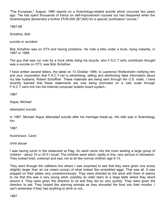"The European," August, 1990 reports on a Scientology-related suicide which occurred two years ago. "He had spent thousands of francs on self-improvement courses but had despaired when the Scientologists demanded a further Ffr35,000 (\$7,000) for a special 'purification' course."

1987-88

Schafner, Bob

suicide or accident

Bob Schafner was on OT3 and having problems. He rode a bike under a truck, dying instantly, in 1987 or 1988.

The guy that was run over by a truck while riding his bicycle, who F.A.C.T.net's contributor thought was a suicide on OT3, was Bob Schafner.

I have written several letters, the latest on 13 October 1994, to Lawrence Wollersheim notifying him and your corporation that F.A.C.T.net is advertising, selling and distributing false information about my late husband, Robert Schaffner. These materials are being sent through the U.S. mails. I have recently learned that these statements are now being promoted on a vast scale through F.A.C.T.net's link into the Internet computer bulletin board system...

1987

Argue, Michael

attempted suicide

In 1987, Michael Argue attempted suicide after his marriage break-up. His wife was in Scientology too.

1987

Hutchinson, Carol

child abuse

I was having lunch in the restaurant at Flag. An adult came into the room leading a large group of children - about 15 or 20 if I recall. The children were silent, rigidly in line, very serious in demeanor. They looked tired, unkempt and sad, not at all like normal children age 6-13.

They went through the cafeteria line where I was surprised to see that they were given one scoop (slightly larger than an ice cream scoop) of what looked like scrambled eggs. That was all. It was plopped on their plates very unceremoniously. They were directed by the adult with them (it seems to me that this was a very young adult, possibly an older teen) to a large table where they stood around it. They were given the direction to sit and they did so very quickly. They were given the direction to eat. They looked like starving animals as they shoveled the food into their mouths. I can't remember if they had anything to drink or not...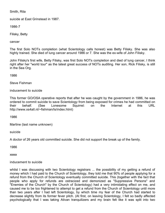Smith, Rita

suicide at East Grinstead in 1987.

1986-7

Filisky, Betty

cancer

The first Solo NOTs completion (what Scientology calls honest) was Betty Filisky. She was also highly trained. She died of lung cancer around 1986 or 7. She was the ex-wife of John Filisky.

John Filisky's first wife, Betty Filisky, was first Solo NOTs completion and died of lung cancer, I think right after her "world tour" as the latest great success of NOTs auditing. Her son, Rick Filisky, is still in the Sea Org.

1986

Steve Fishman

inducement to suicide

This former GO/OSA operative reports that after he was caught by the government in 1986, he was ordered to commit suicide to save Scientology from being exposed for crimes he had committed on their behalf. (See Lonesome Squirrel: on the Internet at this URL [http://www.xs4all.nl/~fishman/ls/index.html\)](http://www.xs4all.nl/~fishman/ls/index.html)

1986

Martine (last name unknown)

suicide

A doctor of 26 years old committed suicide. She did not support the break up of the family.

1986

xxxxx

inducement to suicide

whilst I was discussing with two Scientology registrars ... the possibility of my getting a refund of money which I had paid to the Church of Scientology, they told me that 90% of people applying for a refund from the Church of Scientology eventually committed suicide. This (together with the fact that people who apply for refunds are ostracized and demonized as "Suppressive Persons" and "Enemies of the Church" by the Church of Scientology) had a very intimidating effect on me, and caused me to be too frightened to attempt to get a refund from the Church of Scientology until more than two years after I had left Scientology, by which time my fear of the Church had started to decrease slightly from its former fever pitch. (At first, on leaving Scientology, I felt so badly affected psychologically that I was taking Ativan tranquilizers and my brain felt like it was split into two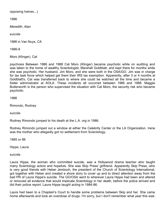opposing halves...)

1986

Meredith, Alan

suicide

1986 in Van Nuys, CA

1986-8

Moro (Klinger), Cat

psychosis Between 1986 and 1988 Cat Moro (Klinger) became psychotic while on auditing and was taken to the home of wealthy Scientologist, Marshall Goldblatt, and kept there for months while she was psychotic. Her husband, Jim Moro, and she were both in the OSA/GO. Jim was in charge for tax task force which helped get them their IRS tax exemption. Apparently, after 3 or 4 months at Goldblatt's, Cat was transferred back to where she could be watched all the time and became a folder administrator at AOLA. These incidents all occurred between 1986 and 1988. Maggie Butterworth is the person who supervised the situation with Cat Moro, the security risk who became psychotic.

1986

Rimondo, Rodney

suicide

Rodney Rimondo jumped to his death at the L.A. org in 1986.

Rodney Rimondo jumped out a window at either the Celebrity Center or the LA Organization. Irene was the mother who allegedly got no settlement from Scientology.

1985 or 86

Hippe, Laura

suicide

Laura Hippe, the woman who committed suicide, was a Hollywood drama teacher who taught many Scientology actors and hopefuls. She was Skip Press' girlfriend. Apparently Skip Press, who is very good friends with Heber Jentzsch, the president of the Church of Scientology International, got together with Heber and created a shore story to cover up and to direct attention away from the bad PR of Laura Hippe's suicide. The GO/OSA went to wherever Laura Hippe had been and altered or removed all evidence that would implicate Scientology in her death, before the police arrived and did their police report. Laura Hippe taught acting in 1984-86.

Laura had been to a Chaplain's Court to handle some problems between Skip and her. She came home afterwards and took an overdose of drugs. I'm sorry, but I don't remember what year this was.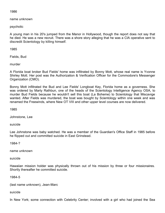1986

name unknown

psychotic

A young man in his 20's jumped from the Manor in Hollywood, though the report does not say that he died. He was a new recruit. There was a shore story alleging that he was a CIA operative sent to discredit Scientology by killing himself.

1985

Fields, Bud

murder

A Florida boat broker Bud Fields' home was infiltrated by Bonny Mott, whose real name is Yvonne Shirley Mott. Her post was the Authorization & Verification Officer for the Commodore's Messenger Organization (CMO).

Bonny Mott infiltrated the Bud and Lee Fields' Longboat Key, Florida home as a governess. She was ordered by Marty Rathbun, one of the heads of the Scientology Intelligence Agency OSA, to murder Bud Fields because he wouldn't sell this boat (La Boheme) to Scientology that Miscavige wanted. After Fields was murdered, the boat was bought by Scientology within one week and was renamed the Freewinds, where New OT VIII and other upper level courses are now delivered.

1985

Johnstone, Lee

suicide

Lee Johnstone was baby watched. He was a member of the Guardian's Office Staff in 1985 before he flipped out and committed suicide in East Grinstead.

1984-?

name unknown

suicide

Hawaiian mission holder was physically thrown out of his mission by three or four missionaires. Shortly thereafter he committed suicide.

1984-5

(last name unknown), Jean-Marc

suicide

In New York; some connection with Celebrity Center; involved with a girl who had joined the Sea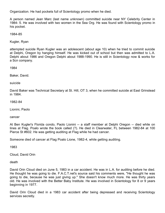Organization. He had pockets full of Scientology promo when he died.

A person named Jean Marc (last name unknown) committed suicide near NY Celebrity Center in 1984- 5. He was involved with two women in the Sea Org. He was found with Scientology promo in his pocket.

1984-85

Kugler, Ryan

attempted suicide Ryan Kugler was an adolescent (about age 10) when he tried to commit suicide at Delphi, Oregon by hanging himself. He was kicked out of school but then was admitted to L.A. Delphi about 1986 and Oregon Delphi about 1988-1990. He is still in Scientology now & works for a Scn company.

1984

Baker, David.

suicide

David Baker was Technical Secretary at St. Hill, OT 3, when he committed suicide at East Grinstead in 1984.

1982-84

Lionini, Paolo

cancer

At Ben Kugler's Florida condo, Paolo Lionini -- a staff member at Delphi Oregon -- died while on lines at Flag. Poalo wrote the book called (?). He died in Clearwater, FL between 1982-84 at 100 Pierce St #602. He was getting auditing at Flag while he had cancer.

Someone died of cancer at Flag Poalo Lione, 1982-4, while getting auditing.

1983

Cloud, David Orin

death

David Orin Cloud died on June 5, 1983 in a car accident. He was in L.A. for auditing before he died. He thought he was going to die. F.A.C.T.net's source said his comments were, "He thought he was going to die, because he was just giving up." She doesn't know much more. He was thirty years old. He was involved with the Better Baby Institute. He was involved in Scientology for 8 or 9 years beginning in 1977.

David Orin Cloud died in a 1983 car accident after being depressed and receiving Scientology services secretly.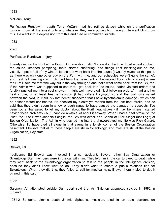## 1983

McCann, Terry

Purification Rundown - death Terry McCann had his retinas detach while on the purification rundown from all the sweat outs and whatever they were putting him through. He went blind from this. He went into a depression from this and died or committed suicide.

1983

xxxxx

# Purification Rundown - injury

I nearly died on the Purif at the Boston Organization. I didn't know it at the time. I had a heat stroke in the sauna, stopped perspiring, teeth started chattering, and things kept blacking-out on me, visually. I put on all of my winter clothes and went back into the sauna (I was by myself at this point, as there was only one other guy on the Purif with me, and our schedules weren't quite the same), and I still felt freezing cold. I climbed from the basement to the second floor (lots of stairs) where the D of P told me that "the way out is the way through," and that's what came back from the CS, too. If the Admin who was supposed to see that I got back into the sauna, hadn't violated orders and forcibly pushed me into a cool shower, I might well have died, "just following orders." I had another heat stroke, or at least heat exhaustion (I had different symptoms, and the diagnosis varied between the two), in 1990. My last doctor suspected that I have hypothalamus damage - which can be neither tested nor treated. He checked my electrolyte reports from the last heat stroke, and he said that they didn't seem in a low enough range to have caused the damage he suspects. I've been too embarrassed to tell my doctor about the Purif heat stroke - it may be where I started having these problems - but I can't do a whole lot about it anyway. When I had a heat stroke on the Purif, the D of P was Jeannie Scoglio, the C/S was either Ken Serino or Rick Siegal (spelling?) at Boston Organization. The Admin who pushed me into the shower/saved my life was Rich Gerard. Otherwise, I'd have died all alone in that sauna in a lonely corner of the Boston Organization basement. I believe that all of these people are still in Scientology, and most are still at the Boston Organization, Day staff.

1982

Brewer, Ed

negligence Ed Brewer was involved in a car accident. Several other Sea Organization or Scientology Staff members were in the car with him. They left him in the car to bleed to death while they went back to the Scientology organization to talk to the people in the intelligence division, because they didn't know what to do. They didn't want to create a public relations flap for Scientology. When they did this, they failed to call for medical help. Brewer literally bled to death pinned in this car.

1982

Salonen, Ari attempted suicide Our report said that Art Salonen attempted suicide in 1982 in Finland.

1981-2 Spheeris, Jimmie death Jimmie Spheeris, musician, died in an auto accident on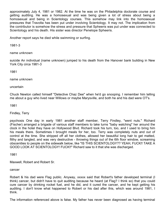approximately July 4, 1981 or 1982. At the time he was on the Philadelphia doctorate course and getting auditing. He was a homosexual and was being given a lot of stress about being a homosexual and being in Scientology courses. This somehow may link into the homosexual pressures that Travolta has been put under involving Scientology. It may not. The implication from the contributor is somehow the stress and pressure that Spheeris was put under was connected to Scientology and his death. His sister was director Penelope Spheeris.

Another report says he died while swimming or surfing.

1981-3

name unknown

suicide An individual (name unknown) jumped to his death from the Hanover bank building in New York City circa 1981-3

1981

name unknown

uncertain

Chuck Newton called himself "Detective Chaz Dee" when he'd go snooping. I remember him telling me about a guy who lived near Willows or maybe Marysville, and both he and his dad were OT's.

1981

Findley, Terry

psychosis One day in early 1981 another staff member, Terry Findley, "went nuts." Richard (Fischer) arranged a brigade of various staff members to take turns "baby watching" her around the clock in the hotel they have on Hollywood Blvd. Richard took his turn, too, and I used to bring him his meals there. Sometimes I brought meals for her, too. Terry was completely nuts and out of control at the time. She stripped off all her clothes, allowed her beautiful long hair to get matted, filthy and tangled, and was very destructive - throwing things out of the 6th floor window, screaming obscenities to people on the sidewalk below, like "IS THIS SCIENTOLOGY?? YEAH, FUCK!! TAKE A GOOD LOOK AT SCIENTOLOGY! FUCK!!" Richard saw to it that she was discharged.

1981

Maxwell, Robert and Robert Sr.

cancer

Robert & his dad were Flag public. Anyway, xxxxx said that Robert's father developed terminal (I think) cancer, but didn't have to quit auditing because he heard (at Flag? I think so) that you could cure cancer by drinking rocket fuel, and he did, and it cured the cancer, and he kept getting his auditing. I don't know what happened to Robert or his dad after this, which was around 1981, I think.

The information referenced above is false. My father has never been diagnosed as having terminal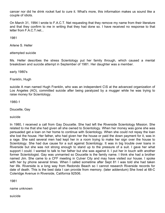cancer nor did he drink rocket fuel to cure it. What's more, this information makes us sound like a couple of idiots.

On March 31, 1994 I wrote to F.A.C.T. Net requesting that they remove my name from their literature and that they confirm to me in writing that they had done so. I have received no response to that letter from F.A.C.T.net...

1981

Arlene S. Heller

attempted suicide

Ms. Heller describes the stress Scientology put her family through, which caused a mental breakdown and suicide attempt in September of 1981. Her daughter was a member.

early 1980's

Franklin, Hugh

suicide A man named Hugh Franklin, who was an independent C\S at the advanced organization of Los Angeles (AO), committed suicide after being paralyzed by a mugger while he was trying to raise money for Scientology.

1980-1

Doucette, Gay

suicide

In 1980, I received a call from Gay Doucette. She had left the Riverside Scientology Mission. She related to me that she had given all she owned to Scientology. When her money was gone she was persuaded get a loan on her home to continue with Scientology. When she could not repay the loan she lost the house. Her father, who had given her the house or paid the down payment for it, was in a rage. She said several men had kept her in a room trying to make her sign over the house to Scientology. She had due cause for a suit against Scientology. It was in big trouble over loans in Riverside but she was not strong enough to stand up to the pressure of a suit. I gave her what support I could. I wanted to talk to her father but she was against it. I put her in touch with another former Scientologist. Gay was unmarried so Doucette is the family name. I think she had a brother named Jim. She came to a CFF meeting in Culver City and may have visited our house. I spoke with her by phone several times. When I called sometime after Sept 81 I was told she had taken her life. Riverside is a long way from Redondo Beach so I cannot research Riverside records for date of death. This is the best data I can provide from memory. (later addendum) She lived at 68-C Coleridge Avenue in Riverside, California 92506.

1981

name unknown

suicide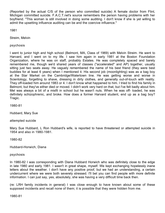(Reported by the actual C/S of the person who committed suicide) A female doctor from Flint, Michigan committed suicide. F.A.C.T.net's source remembers the person having problems with her boyfriend. "This woman is still involved in doing some auditing. I don't know if she is yet willing to admit the upsetting influence auditing can be and the coercive influence."

1981

Streim, Melvin

psychosis

I went to junior high and high school (Belmont, MA, Class of 1969) with Melvin Streim. He went to Harvard, and I went on to my life. I saw him again in early 1981 at the Boston Foundation Organization, where he was on staff, probably Estates. He was completely spaced and barely remembered me, though we'd shared years of classes ("accelerated" and AP) together, usually sitting just two seats away. He vaguely remembered the name of his best friend (they were best buddies for at least 6 years) when I mentioned it. His second job (moonlighting) was as a bag boy at the Star Market on the Cambridge/Watertown line. He was getting worse and worse in Scientology, forgetting to shave, dressing in dirty clothes, and generally out-of-touch with reality. They off-loaded him around 1983 or 4. I don't know what happened to him. I tried to find his family in Belmont, but they've either died or moved. I didn't work very hard on that, but I've felt badly about him. Mel was always a bit of a misfit in school but he wasn't nuts. When he was off- loaded, he was definitely schizophrenic, and broke. How does a former Harvard student, end up as a bag boy? Tragic.

1980-81

Hubbard, Mary Sue

attempted suicide

Mary Sue Hubbard, L Ron Hubbard's wife, is reported to have threatened or attempted suicide in 1954 and also in 1980-1981.

1980-82

Hubbard-Horwich, Diana

psychosis

In 1980-82 I was corresponding with Diana Hubbard Horwich who was definitely close to the edge in late 1980 and early 1981. I wasn't in great shape, myself. We kept exchanging hopelessly inane letters about the weather. I don't have any positive proof, but we had an understanding, a certain undercurrent where we were both severely stressed. I'll bet you can find people with more definite information. I can just say, yes, absolutely, she was having a very difficult time back then.

(re: LRH family incidents in general) I was close enough to have known about some of these supposed incidents and recall none of them; it is possible that they were hidden from me.

1980-81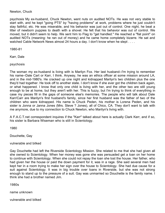# Newton, Chuck

psychosis My ex-husband, Chuck Newton, went nuts on audited NOTs. He was not very stable to start with, and he kept "going PTS" by "having problems" at work, problems where he just couldn't stay faithful, etc. He was miserable, and his behavior was just out of control. One night, he beat a litter of newborn puppies to death with a shovel. He felt that his behavior was out of control. We moved, but it didn't seem to help. We sent him to Flag to "get handled." He reached a "flat point" on audited NOTs (meaning: he ran out of money) and he came home completely bizarre. He sat and watched Cable Network News almost 24 hours a day. I don't know when he slept . . . .

1980-81

Karr, Dale

psychosis

The woman my ex-husband is living with is Marilyn Fox. Her last husband--I'm trying to remember his name--Dale Cart or Karr, I think. Anyway, he was an ethics officer at some mission around LA, and in the mid-1980's. He cracked up one night and kidnapped Marilyn's two children plus the one they'd had together. He took off to another state. I don't know if she ever got the children back again, or what happened. I know that only one child is living with her, and the other two are still young enough to be at home, but they aren't with her. This is fuzzy, but I'm trying to think of everything in case my pieces fill in the gaps of someone else's memories. The people who will talk about Dale Karr/Carr are Marilyn's first husband's family, since her first husband was the father of two of the children who were kidnapped. His name is Chuck Peden, his mother is Lorena Peden, and his sister is Jonna or Janna Jones (Mrs. Steve ? Jones), all of Chico, CA. They don't want to talk with me anymore, due to my connection to Chuck Newton, who Marilyn's living with.

A F.A.C.T.net correspondent inquires if the "Karr" talked about here is actually Clark Kerr, and if so, his sister is Barbara Wiseman who is still in Scientology.

1980

Douchette, Gay

vulnerable and bilked

Gay Douchette had left the Riverside Scientology Mission. She related to me that she had given all she owned to Scientology. When her money was gone she was persuaded get a loan on her home to continue with Scientology. When she could not repay the loan she lost the house. Her father, who had given her the house or paid the down payment for it, was in a rage. She said several men had kept her in a room trying to make her sign over the house to Scientology. She had due cause for a suit against Scientology. It was in big trouble over loans in Riverside, but she was not strong enough to stand up to the pressure of a suit. Gay was unmarried so Douchette is the family name. I think she had a brother named Jim.

1980s

name unknown

vulnerable and bilked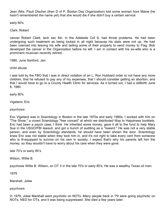Jean (Mrs. Paul) Discher (then D of P, Boston Day Organization) told some woman from Maine (he hasn't remembered the name yet) that she would die if she didn't buy a certain service.

early 80's

Clark, Robert

cancer Robert Clark, tech sec fdn. in the Adelaide Cof S, had throat problems. He had been undergoing such treatment as being locked in all night because his stats were not up. He had been coerced into leaving his wife and selling some of their property to send money to Flag. Bob developed the cancer in the Organization before he left. I am in contact with his ex-wife who is a prominent musician recently retired.

1980, June Sanford, Jan

child abuse

I was told by the FBO that I was in direct violation of an L. Ron Hubbard order to not have any more children, that he refused to pay any of my expenses, that I should consider getting an abortion, and that I would have to go to a County Health Clinic for services. As it turned out, I had a stillbirth June 8, 1980.

early 80's

Vigeland, Eric

psychosis

Eric Vigeland was in Scientology in Boston in the late 1970s and early 1980s. I worked with him on "The Show," a covert Scientology "free concert" at which we distributed Way to Happiness booklets. Eric had been a psych case, I think. He inherited some money, gave it all to the fund to help Mary Sue in the USGO/FBI lawsuit, and got a bunch of auditing as a "reward." He was not a very stable person, and even by Scientology standards, he should have been shown the door. Scientology knew Eric was not stable when they took him in, and it's not right to take every cent from someone who is ill-equipped to survive on his own in society. I expect that's why his parents left him the money, so they wouldn't have to worry about his care when they were gone.

late 70's or early 80's

Wilson, Willie B.

psychosis Willie B. Wilson, on OT 3 in the late 70's or early 80's. He was a wealthy Texas oil man.

1979

Marshall, Jolee

psychosis

In 1979, Jolee Marshall went psychotic on NOTs. Many people back in '79 were going psychotic on NOTs, NED for OTs, and it was being suppressed. She died a few years later.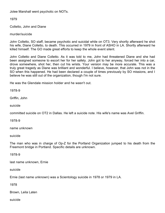Jolee Marshall went psychotic on NOTs.

1979

Colletto, John and Diane

murder/suicide

John Colletto, SO staff, became psychotic and suicidal while on OT3. Very shortly afterward he shot his wife, Diane Colletto, to death. This occurred in 1979 in front of ASHO in LA. Shortly afterward he killed himself. The GO made great efforts to keep the whole event silent.

John Colletto and Diane Colletto. As it was told to me, John had threatened Diane and she had been assigned someone to escort her for her safety. John got to her anyway, forced her into a car, drove somewhere, shot her, then cut his wrists. Your version may be more accurate. This was a truly great tragedy as Diane was brilliant and wonderful. I believe, however, that John was not in the SO when this happened. He had been declared a couple of times previously by SO missions, and I believe he was still out of the organization, though I'm not sure.

He was the Glendale mission holder and he wasn't out.

1978-9

Griffin, John

suicide

committed suicide on OT2 in Dallas. He left a suicide note. His wife's name was Avel Griffin.

1978-9

name unknown

suicide

The man who was in charge of Op-Z for the Portland Organization jumped to his death from the Freemont bridge in Portland. Specific details are unknown.

1978-9

last name unknown, Ernie

suicide

Ernie (last name unknown) was a Scientology suicide in 1978 or 1979 in LA.

1978

Brown, Leila Laten

suicide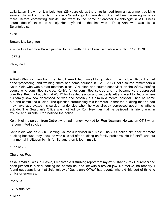Leila Laten Brown, or Lila Leighton, (26 years old at the time) jumped from an apartment building several blocks from the San Francisco Scientology Organization. She had been receiving services there. Before committing suicide, she went to the home of another Scientologist (F.A.C.T.net's source doesn't know the name). Her boyfriend at the time was a Doug Arth, who was also a Scientologist.

1978

Brown, Lila Leighton

suicide Lila Leighton Brown jumped to her death in San Francisco while a public PC in 1978.

1977-8

Klein, Keith

suicide

A Keith Klein or Klein from the Detroit area killed himself by gunshot in the middle 1970s. He had done 'processing' and 'training' there and some courses in L.A. F.A.C.T.net's source remembers a Keith Klein who was a staff member, class IV auditor, and course supervisor on the ASHO briefing course who committed suicide. Keith's father committed suicide and he became very depressed over this. Keith got auditing at ASHO for this depression and suddenly left and went to Detroit where his family saw how depressed he was and possibly put him in a mental hospital. Then he came out and committed suicide. The question surrounding this individual is that the auditing that he had may have aggravated his suicidal tendencies when he was already depressed about his father's suicide. The Guardian's Office was notified by Ron Newman that he believed his friend was in trouble and suicidal. Ron notified the police.

Keith Klein, a person from Detroit who had money, worked for Ron Newman. He was on OT 3 when he committed suicide.

Keith Klein was an ASHO Briefing Course supervisor in 1977-8. The G.O. called him back for more auditing because they knew he was suicidal after auditing on family problems. He left staff, was put in a mental institution by his family, and then killed himself.

1977 or 78

Churcher, Rex

assault While I was in Alaska, I received a disturbing report that my ex husband (Rex Churcher) had been jumped in a dark parking lot, beaten up, and left with a broken jaw. No motive, no robbery. I found out years later that Scientology's "Guardian's Office" had agents who did this sort of thing to critics or enemies.

late '70s

name unknown

suicide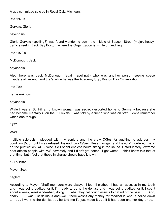A guy committed suicide in Royal Oak, Michigan.

late 1970s

Gervais, Gloria

psychosis

Gloria Gervais (spelling?) was found wandering down the middle of Beacon Street (major, heavytraffic street in Back Bay Boston, where the Organization is) while on auditing.

late 1970's

McDonough, Jack

psychosis

Also there was Jack McDonough (again, spelling?) who was another person seeing space invaders all around, and that's while he was the Academy Sup, Boston Day Organization.

late 70's

name unknown

psychosis

While I was at St. Hill an unknown woman was secretly escorted home to Germany because she had become mentally ill on the OT levels. I was told by a friend who was on staff. I don't remember which one though.

1977

xxxxx

multiple sclerosis I pleaded with my seniors and the crew C/Ses for auditing to address my condition [M/S], but I was refused. Instead, two C/Ses, Russ Barrigan and David Ziff ordered me to do the purification R/D - twice. So I spent endless hours sitting in the sauna. Unfortunately, extreme heat affects people with M/S adversely and I didn't get better - I got worse. I didn't know this fact at that time, but I feel that those in charge should have known.

1977-1982

Mayer, Scott

neglect

According to Mayer: "Staff members were always ill-fed, ill-clothed. I had an abscess in my tooth and I was being audited for it. I'm ready to go to the dentist, and I was being audited for it. I spent about a week, week-and-a-half, doing . . . what they call touch assists to get rid of the pain . . . . And, finally . . . I was just delirious and--well, there wasn't any money for medical is what it boiled down to . . . . I went to the dentist . . . he told me I'd just made it . . . if it had been another day or so, I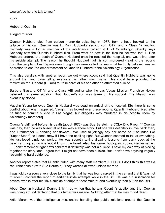wouldn't be here to talk to you."

1977

Hubbard, Quentin

alleged murder

Quentin Hubbard died from carbon monoxide poisoning in 1977, from a hose hooked to the tailpipe of his car. Quentin was L. Ron Hubbard's second son, OT7, and a Class 12 auditor. Kennedy was a former member of the intelligence division (B1) of Scientology. Spanky says Kennedy saw the Quentin Hubbard files. From what he saw in the files he believed that L. Ron Hubbard ordered the death of Quentin Hubbard once he reached the hospital, and was alive, after his suicide attempt. The reason he thought Hubbard had his son murdered (reading the reports from the people in Las Vegas) even though they were vetted he saw what he firmly believed was an operation to end the embarrassment of Quentin Hubbard to the Scientology Organization.

This also parallels with another report we got where xxxxx said that Quentin Hubbard was going around the Land base telling everyone his father was insane. This could have provided the motivation for Hubbard (L. Ron) to "take care" of his son after he attempted suicide.

Barbara Glass, a OT VI and a Class VIII auditor who the Las Vegas Mission Franchise Holder believed this same situation: that Hubbard's son was taken off life support. The Mission was eventually closed.

Vaughn Young believes Quentin Hubbard was dead on arrival at the hospital. [So there is some conflict about what happened. Vaughn has looked over these reports. Quentin Hubbard lived after he tried to commit suicide in Las Vegas, but allegedly was murdered in his hospital room by Scientology members]

Quentin's girlfriend before his death (about 1976) was Sue Berstein, a CCLA Div. 6 reg. (If Quentin was gay, then he was bi-sexual or Sue was a shore story. But she was definitely in love back then, and I remember Q sending her flowers.) We used to jokingly say her name so it sounded like "Super Steen" so I don't know if I have the spelling right. But Quentin seemed to fail at everything. He just loved airplanes, period. He was secretly taking drawing lessons from Larry Luck at the beach at Flag, so no one would know if he failed. Also, his former bodyguard (Scandinavian name . . . I don't remember right now) said that it definitely was not a suicide. I have my own way of piecing together the story, and I agree that it might not have been suicide. But I don't have anything vaguely resembling hard evidence.

Another report states that Quentin flirted with many staff members & FCCIs. I don't think this was a real relationship (with Sue Berstein). They weren't allowed unless married.

I was told by a source very close to the family that he was found naked in the car and that it "was not murder." I confirm the report of earlier suicide attempts while in the SO. He was put in isolation for several weeks after his 1974 suicide attempt to "destimulate" and eventually then put on the RPF.

About Quentin Hubbard: Dennis Erlich has written that he was Quentin's auditor and that Quentin was going around declaring that his father was insane. Not long after that he was found dead.

Artie Maren was the Intelligence missionaire handling the public relations around the Quentin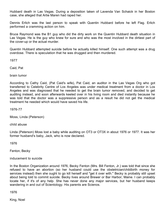Hubbard death in Las Vegas. During a deposition taken of Lavenda Van Schaick in her Boston case, she alleged that Artie Maren had raped her.

Dennis Erlich was the last person to speak with Quentin Hubbard before he left Flag. Erlich performed a cramming action on him.

Bruce Raymond was the B1 guy who did the dirty work on the Quentin Hubbard death situation in Las Vegas. He is the guy who knew for sure and who was the most involved in the dirtiest part of the cover-up or the actual murder.

Quentin Hubbard attempted suicide before he actually killed himself. One such attempt was a drug overdose. There is speculation that he was drugged and then murdered.

1977

Caid, Pat

brain tumor

According to Cathy Caid, (Pat Caid's wife), Pat Caid, an auditor in the Las Vegas Org who got transferred to Celebrity Centre of Los Angeles was under medical treatment from a doctor in Los Angeles and was diagnosed that he needed to get the brain tumor removed, and decided to get auditing instead, and soon afterwards keeled over in his living room and died instantly because he was told that the doctor was a suppressive person and as a result he did not get the medical treatment he needed which would have saved his life.

1976-77

Moss, Linda (Peterson)

child abuse

Linda (Peterson) Moss lost a baby while auditing on OT3 or OT3X in about 1976 or 1977. It was her former husband's baby, Jack, who is now declared.

1976

Fenton, Becky

inducement to suicide

In the Boston Organization around 1976, Becky Fenton (Mrs. Bill Fenton, Jr.) was told that since she refused to have an abortion (so her husband could use the obstetrician/childbirth money for services instead) then she ought to go kill herself and "get it over with." Becky is probably still upset about being told to commit suicide. Becky lives around Brewer or Bar Harbor, Maine. I can probably locate her, if it's of any help. She has never done any major services, but her husband keeps wandering in and out of Scientology. His parents are Scienos.

1976

King, Noel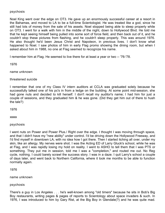## psychosis

Noel King went over the edge on OT3. He gave up an enormously successful career at a resort in the Bahamas, and moved to LA to be a full-time Scientologist. He was treated like a god, since he still had lots of money from the sale of his assets. Noel stopped being able to sleep properly while on OT3. I went for a walk with him in the middle of the night, down to Hollywood Blvd. He told me that he kept seeing himself being pulled into some sort of force field, and then back out of it, and he couldn't stop these pictures from flashing, and he couldn't sleep properly. This was around 1976. He also thought he'd been Jesus Christ and Napoleon, in previous lives. I don't know what happened to Noel. I saw photos of him in early Flag promo showing the dining room, but when I asked about him in 1988, no one at Flag seemed to recognize his name.

I remember him at Flag. He seemed to live there for at least a year or two -- '76-'78.

1976

name unknown

threatened suicide

I remember that one of my Class IV intern auditors at CCLA was graduated solely because he successfully talked one of his pc's in from a ledge on the building. At some point mid-session, she had gone nuts and decided to kill herself. I don't recall my auditor's name; I had him for just a couple of sessions, and they graduated him & he was gone. (Did they get him out of there to hush the tale?)

1976

xxxxx

psychosis

I went nuts on Power and Power Plus./ Right over the edge. I thought I was moving through space, and that I didn't have my "new ability" under control. I'd be driving down the Hollywood Freeway, and I'd find myself in downtown LA, with no idea how I got there. Then I started itching all over, under my skin, like an allergy. My nerves were shot. I was the Acting ED of Larry Gluck's school, while he was at Flag, and I was rapidly losing my hold on reality. I went to ASHO to tell them that I was PTS or something. They put me in session, told me I was a "completion," and routed me out. No Reg cycle, nothing. I could barely scrawl the success story. I was in a daze. I quit Larry's school a couple of days later, and went back to Northern California, where it took me months to be able to function normally again.

1976

name unknown

psychosis

There's a guy in Los Angeles . . . he's well-known among "old timers" because he sits in Bob's Big Boy restaurants, writing pages & pages of reports to Scientology about space invaders & such. In 1976, I was introduced to him by Gary Rist, at the Big Boy in Glendale(?) and he was quite mad.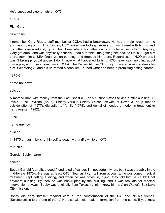He'd supposedly gone nuts on OT3.

1975-6

Rist, Gary

psychosis

I remember Gary Rist, a staff member at CCLA, had a breakdown. He had a major crush on me and kept going on drinking binges; HCO asked me to keep an eye on him. I went with him to visit his father one weekend, up at Bear Lake where his father owns a motel or something. Anyway, Gary got drunk and was physically abusive. I had a terrible time getting him back to LA, but I got him there, took him to SEA Organization berthing, and dropped him there. Regardless of HCO orders, I wasn't taking physical abuse. I don't know what happened to him. HCO never said anything about him again, and I never saw him at CCLA. The Disney Alumni Club might have a current address for him. Scientology - and his untreated alcoholism - ruined what had been a promising acting career.

1975-6

name unknown

suicide

A married man with money from the East Coast (PA or NY) shot himself to death after auditing OT levels. 1975-- Wilson (Kaup), Shirley various Shirley Wilson, ex-wife of David J. Kaup reports suicide attempt (1977), disruption of family (1978), and denial of needed orthodontic treatment to her daughter (1982).

1975

name unknown

suicide

In 1975 a man in LA shot himself to death with a rifle while on OT3.

mid 70's

Gerrold, Bobby (Jarrell)

cancer

Bobby Gerrold (Jarrell), a good friend, died of cancer. I'm not certain when, but it was probably in the mid-to-late 1970's. He was at least OT3. Near as I can tell from accounts, he postponed medical treatment, kept getting auditing, and when he was obviously dying, they told him he couldn't get anymore auditing. By then he was bankrupted by the auditing, and it was too late for medical intervention anyway. Bobby was originally from Texas, I think. I knew him at Alan Walter's Salt Lake City mission.

Bobby did deny himself medical care at the consternation of the C/S and all his friends. (Scientologists to the one of them.) He also withheld health information from the same. If you knew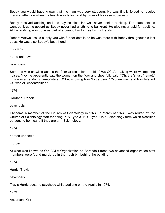Bobby you would have known that the man was very stubborn. He was finally forced to receive medical attention when his health was failing and by order of his case supervisor.

Bobby received auditing until the day he died. He was never denied auditing. The statement he went bankrupt is absurd as Bobby never had anything to bankrupt. He also never paid for auditing. All his auditing was done as part of a co-audit or for free by his friends.

Robert Maxwell could supply you with further details as he was there with Bobby throughout his last days. He was also Bobby's best friend.

mid-70's

name unknown

psychosis

Some pc was crawling across the floor at reception in mid-1970s CCLA, making weird whimpering noises. Yvonne apparently saw the woman on the floor and cheerfully said, "Oh, that's just (name)." This was an enduring anecdote at CCLA, showing how "big a being" Yvonne was, and how tolerant CC was of "eccentricities."

1974

Dardano, Robert

psychosis

I became a member of the Church of Scientology in 1974. In March of 1974 I was routed off the Church of Scientology staff for being PTS Type 3. PTS Type 3 is a Scientology term which classifies persons to be insane if they are anti-Scientology.

1974

names unknown

murder

At what was known as Old AOLA Organization on Berendo Street, two advanced organization staff members were found murdered in the trash bin behind the building.

1974

Harris, Travis

psychosis

Travis Harris became psychotic while auditing on the Apollo in 1974.

1973

Anderson, Kirk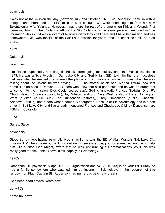### psychosis

I was not at the mission the day (between July and October 1973) Kirk Anderson came in with a shotgun and threatened the SLC mission staff because we were alienating him from his new Scientologist wife, Yolanda. However, I was there the rest of the time when Kirk and Yolanda first came in, through when Yolanda left for the SO. Yolanda is the same person mentioned in "the informer," who's child was a victim of terrible Scientology child care and I have her mailing address somewhere. Kirk was the ED of the Salt Lake mission for years, and I suspect he's still on staff there.

1973

Dalton, Jim

psychosis

Jim Dalton supposedly had drug flashbacks from going too quickly onto the mucusless diet in 1973. He was a Scientologist in Salt Lake City and Geri Knight (ED) told him that the mucusless diet was what he needed. I answered the phone at the mission a couple of times when he was talking about the visions he was having . . . . The mother of his son, Martha Tatum (new last name?), is an exec in Denver . . . . Others who knew that he'd gone nuts and he was on orders not to come into the mission: Dick Cook (course sup), Geri Knight (gd), Frances Godwin (D of P), Chuck Newton (course sup/auditor), Jay Gibson (auditor), Dave West (auditor), Hazel Dominguez West (auditor, course sup), Joe Duncanson (estates), Lindy Duncanson (public), Charlotte Sandoval (public), and others whose names I've forgotten. Hazel is still in Scientology and is a cab driver in Salt Lake City, and I've already mentioned Frances and Chuck. Joe & Lindy Duncanson are FSM's in Colorado.

1973

Surrey, Steve

psychosis

Steve Surrey kept having psychotic breaks, while he was the ED of Alan Walter's Salt Lake City mission. He'd be screaming his lungs out during sessions, begging for someone, anyone to help him. His auditor, Geri Knight, swore that he was just running out dramatizations, as if this was really good for him. I think Steve is still happily in Scientology.

1970's

Robertson, Bill psychosis "Capt. Bill" (LA Organization and AOLA, 1970's) is on your list. Surely he had a family somewhere who watched him go insane in Scientology. In the research of this rundown on Flag, Captain Bill Robertson had numerous psychotic breaks.

He's been dead several years now.

early 70's

name unknown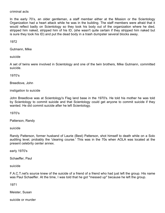### criminal acts

In the early 70's, an older gentleman, a staff member either at the Mission or the Scientology Organization had a heart attack while he was in the building. The staff members were afraid that it would reflect badly on Scientology so they took his body out of the organization where he died, stripped him naked, stripped him of his ID, (she wasn't quite certain if they stripped him naked but is sure they took his ID) and put the dead body in a trash dumpster several blocks away.

1972

Gutmann, Mike

suicide

A set of twins were involved in Scientology and one of the twin brothers, Mike Gutmann, committed suicide.

1970's

Breedlove, John

instigation to suicide

John Breedlove was at Scientology's Flag land base in the 1970's. He told his mother he was told by Scientology to commit suicide and that Scientology could get anyone to commit suicide if they wanted. He did commit suicide after he left Scientology.

1970's

Patterson, Randy

suicide

Randy Patterson, former husband of Laurie (Best) Patterson, shot himself to death while on a Solo auditing level, probably the 'clearing course.' This was in the 70s when AOLA was located at the present celebrity center annex.

early 1970's

Schaeffer, Paul

suicide

F.A.C.T.net's source knew of the suicide of a friend of a friend who had just left the group. His name was Paul Schaeffer. At the time, I was told that he got "messed up" because he left the group.

1971

Meister, Susan

suicide or murder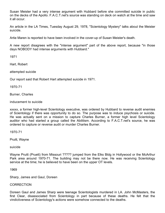Susan Meister had a very intense argument with Hubbard before she committed suicide in public on the decks of the Apollo. F.A.C.T.net's source was standing on deck on watch at the time and saw it all occur.

An article in the LA Times, Tuesday August 29, 1978, "Scientology Mystery" talks about the Meister suicide.

Artie Maren is reported to have been involved in the cover-up of Susan Meister's death.

A new report disagrees with the "intense argument" part of the above report, because "in those days NOBODY had intense arguments with Hubbard."

1971

Hart, Robert

attempted suicide

Our report said that Robert Hart attempted suicide in 1971.

1970-71

Burner, Charles

inducement to suicide

xxxxx, a former high-level Scientology executive, was ordered by Hubbard to reverse audit enemies of Scientology if there was opportunity to do so. The purpose was to induce psychosis or suicide. He was actually sent on a mission to capture Charles Burner, a former high level Scientology auditor who had started a group called the Abilitism. According to F.A.C.T.net's source, he was ordered to capture or reverse audit or murder Charles Burner.

1970-71

Pruitt, Wayne

suicide

Wayne Pruitt (Pruett) from Missouri ????? jumped from the Elks Bldg in Hollywood or the McArthur Park area around 1970-71. The building may not be there now. He was receiving Scientology service at the time; he is believed to have been on the upper OT levels.

1969

Sharp, James and Gaul, Doreen

# **CORRECTION**

Doreen Gaul and James Sharp were teenage Scientologists murdered in LA. John McMasters, the first Clear, disassociated from Scientology in part because of these deaths. He felt that the vindictiveness of Scientology's actions were somehow connected to the deaths.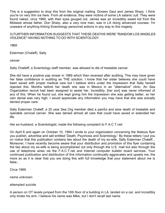This is a suggestion to drop this from the original mailing. Doreen Gaul and James Sharp. I think you're on very thin ice here. From all evidence, they were victims of some LA satanic cult. They were found naked, circa 1969, with their eyes gouged out. James was an incredibly sweet kid from the Midwest whose father, Don Sharp, also a very nice man, was in LA doing advanced courses. I'm unaware of anything linking Scientology personnel actions in any way to this tragedy.

3) FURTHER INFORMATION SUGGESTS THAT THESE DEATHS WERE "RANDOM LOS ANGELES VIOLENCE" HAVING NOTHING TO DO WITH SCIENTOLOGY.

1969

Esterman (Chaleff), Sally

cancer

Sally Challeff, a Scientology staff member, was allowed to die of treatable cancer.

She did have a positive pap smear in 1969 which then reversed after auditing. This may have given her false confidence in auditing as THE solution. I know that her sister believes she could have been saved with proper medical care but I believe she's under the impression that Sally herself rejected this. Months before her death she was in Mexico in an "alternative" clinic. An Sea Organization recruit had been assigned to assist her. Incredibly, [her son] was never informed of any of this. When he found out, she kept giving him the impression she was getting better, so her own denial was very high. I would appreciate any information you may have that she was actually denied proper care.

Sally Esterman Chaleff, a 20 year Sea Org member died a painful and slow death of treatable and operable cervical cancer. She was denied almost all care that could have saved or extended her life.

Her ex-husband, a Scientologist, made the following complaint to F.A.C.T.net:

On April 6 and again on October 10, 1994 I wrote to your organization concerning the libelous flyer you publish, advertise and sell entitled 'Death, Psychosis and Scientology.' By these letters I put you on notice that this publication contains lies about the death of my ex-wife, Sally Esterman Chaleff... Moreover, I have recently become aware that your distribution and promotion of this flyer containing the lies about my ex-wife is being accomplished not only through the U.S. mail but also through the use of telephone wires via the F.A.C.T.net and Internet computer bulletin board services. Your continued publication and distribution of this information continually aggravates and upsets me, the more so as it is clear that you are doing this with full knowledge that your statement about me is false

Circa 1969

name unknown

attempted suicide

A person on OT levels jumped from the 10th floor of a building in LA, landed on a car, and incredibly only broke his arm. I believe his name was Mike, but I don't recall last name.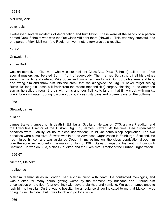1968-9

McEwan, Vicki

psychosis

I witnessed several incidents of degradation and humiliation. These were at the hands of a person named Drew Schmidt who was the first Class VIII sent there (Hawaii)... This was very stressful, and one person, Vicki McEwan (the Registrar) went nuts afterwards as a result...

1968-9

Griswold, Burt

abuse Burt

was an attractive, 40ish man who was our resident Class VI... Drew (Schmidt) called one of his special musters and berated Burt in front of everybody. Then he had Burt strip off all his clothes except his pants, and ordered Mike Soper and two other men to pick Burt up by his arms and legs, and swing him and throw him into the creek that ran alongside the Org. I'll never forget seeing Burt's 10" long pink scar, still fresh from the recent (appendicitis) surgery, flashing in the afternoon sun as he sailed through the air with arms and legs flailing, to land in that filthy creek with murky, black, brackish water (during low tide you could see rusty cans and broken glass on the bottom)...

1968

Stewart, James

suicide

James Stewart jumped to his death in Edinburgh Scotland. He was on OT3, a class 7 auditor, and the Executive Director of the Durban Org. . 2) James Stewart. At the time, Sea Organization penalties were: Liability, 24 hours sleep deprivation; Doubt, 48 hours sleep deprivation. The two penalties were cumulative. Stewart was in at the Advanced Organization in Edinburgh, Scotland. He had injured himself and was assigned Doubt. In my estimation, the sleep deprivation drove him over the edge. As reported in the mailing of Jan. 3, 1994, Stewart jumped to his death in Edinburgh Scotland. He was on OT3, a class 7 auditor, and the Executive Director of the Durban Organization.

1966-67

Nieman, Malcolm

negligence

Malcolm Nieman (lives in London) had a close brush with death. He contracted meningitis, and was audited for many hours, getting worse by the moment. My husband and I found him unconscious on the floor (that evening) with severe diarrhea and vomiting. We got an ambulance to rush him to hospital. On the way to hospital the ambulance driver indicated to me that Malcolm was going to die. He didn't, but it was touch and go for a while.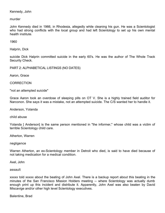# Kennedy, John

murder

John Kennedy died in 1966, in Rhodesia, allegedly while cleaning his gun. He was a Scientologist who had strong conflicts with the local group and had left Scientology to set up his own mental health institute.

1960

Halprin, Dick

suicide Dick Halprin committed suicide in the early 60's. He was the author of The Whole Track Security Check.

PART 2: ALPHABETICAL LISTINGS (NO DATES)

Aaron, Grace

**CORRECTION** 

"not an attempted suicide"

Grace Aaron took an overdose of sleeping pills on OT V. She is a highly trained field auditor for Narconon. She says it was a mistake, not an attempted suicide. The C/S wanted her to handle it.

Anderson, Yolanda

child abuse

Yolanda [ Anderson] is the same person mentioned in "the informer," whose child was a victim of terrible Scientology child care.

Atherton, Warren

negligence

Warren Atherton, an ex-Scientology member in Detroit who died, is said to have died because of not taking medication for a medical condition.

Axel, John

assault

xxxxx told xxxxx about the beating of John Axel. There is a backup report about this beating in the minutes of the San Francisco Mission Holders meeting -- where Scientology was actually dumb enough print up this incident and distribute it. Apparently, John Axel was also beaten by David Miscavige and/or other high level Scientology executives.

Balentine, Brad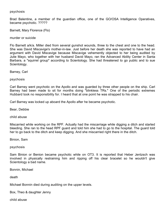### psychosis

Brad Balentine, a member of the guardian office, one of the GO/OSA Intelligence Operatives, became psychotic. ?????

Barnett, Mary Florence (Flo)

murder or suicide

Flo Barnett a/k/a. Miller died from several gunshot wounds, three to the chest and one to the head. She was David Miscavige's mother-in-law. Just before her death she was reported to have had an argument with David Miscavige because Miscavige vehemently objected to her being audited by Julie Mayo, who together with her husband David Mayo, ran the Advanced Ability Center in Santa Barbara, a "squirrel group" according to Scientology. She had threatened to go public and to sue Scientology.

Barney, Carl

psychosis

Carl Barney went psychotic on the Apollo and was guarded by three other people on the ship. Carl Barney had been made to sit for months doing "blinkless TRs." One of the periodic extremes Hubbard took no responsibility for. I heard that at one point he was strapped to his chair.

Carl Barney was locked up aboard the Apollo after he became psychotic.

Bear, Debbie

child abuse

Miscarried while working on the RPF. Actually had the miscarriage while digging a ditch and started bleeding. She ran to the head RPF guard and told him she had to go to the hospital. The guard told her to go back to the ditch and keep digging. And she miscarried right there in the ditch.

Binion, Sam

psychosis

Sam Binion or Benion became psychotic while on OT3. It is reported that Heber Jentzsch was involved in physically restraining him and ripping off his clear bracelet so he wouldn't give Scientology a bad name.

Bonnin, Michael

death

Michael Bonnin died during auditing on the upper levels.

Box, Theo & daughter Jenny

child abuse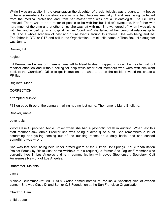While I was an auditor in the organization the daughter of a scientologist was brought to my house to have somewhere for constant care as she had become mentally ill and was being protected from the medical profession and from her mother who was not a Scientologist. The GO was involved. There was to be a roster of people to be with her but it didn't eventuate. Her father was here much of the time and at other times she was left with me. She wandered off when I was alone with her and ended up in a hospital. In her "condition" she talked of her personal relationship to LRH and a whole scenario of past and future events around this theme. She was being audited. The father is OT7 or OT8 and still in the Organization, I think. His name is Theo Box. His daughter was Jenny.

Brewer, Ed

neglect

Ed Brewer, an LA sea org member was left to bleed to death trapped in a car. He was left without medical attention and without calling for help while other staff members who were with him went back to the Guardian's Office to get instructions on what to do so the accident would not create a PR flap.

Brigliatto, Mario

**CORRECTION** 

attempted suicide

#81 on page three of the January mailing had no last name. The name is Mario Brigliatto.

Broeker, Annie

psychosis

xxxxx Case Supervised Annie Broker when she had a psychotic break in auditing. When last this staff member saw Annie Broeker she was being audited quite a bit. She remembers a lot of screaming and yelling coming out of the auditing rooms on a daily basis, and she sensed something was wrong.

She was last seen being held under armed guard at the Gilman Hot Springs RPF (Rehabilitation Project Force) by Blake (last name withheld at his request), a former Sea Org staff member who currently lives in Los Angeles and is in communication with Joyce Stephenson, Secretary, Cult Awareness Network of Los Angeles.

Bruemmer, Melanie

cancer

Melanie Bruemmer (re' MICHEALS ) (also named names of Perkins & Schaffer) died of ovarian cancer. She was Class IX and Senior C/S Foundation at the San Francisco Organization.

Charlton, Pam

child abuse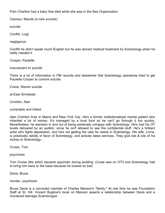Pam Charlton had a baby that died while she was in the Sea Organization

Casissu, Maude (a new suicide)

suicide

Confliti, Luigi

negligence

Confliti he didn't speak much English but he was denied medical treatment by Scientology when he really needed it.

Cooper, Paulette

inducement to suicide

There is a lot of information in FBI records and elsewhere that Scientology operatives tried to get Paulette Cooper to commit suicide.

Crane, Steven suicide

at East Grinstead

Crichton, Alan

vulnerable and bilked

Alan Crichton lives in Maine and New York City. He's a former institutionalized mental patient who inherited a lot of money. It's managed by a trust fund so he can't go through it too quickly. Nevertheless, he wanders in and out of being extremely unhappy with Scientology. He's had his OT levels delivered by an auditor, since he isn't allowed to see the confidential stuff. He's a brilliant artist who fights depression, and he's not getting the care he needs in Scientology. His wife, Lorna, is practically rabidly in favor of Scientology, and actively takes services. They give lots & lots of his money to Scientology...

Cruise, Tom

psychosis

Tom Cruise (the actor) became psychotic during auditing. Cruise was on OT3 and Scientology had to bring him back to the base because he looked so bad.

Davis, Bruce

murder, psychosis

Bruce Davis is a convicted member of Charles Manson's "family." At one time he was Foundation Staff at St. Hill. Vincent Bugliosi's book on Manson asserts a relationship between Davis and a murdered teenage Scientologist.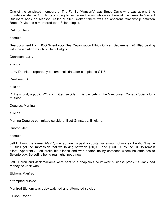One of the convicted members of The Family [Manson's] was Bruce Davis who was at one time foundation staff at St. Hill (according to someone I know who was there at the time). In Vincent Bugliosi's book on Manson, called "Helter Skelter," there was an apparent relationship between Bruce Davis and a murdered teen Scientologist.

Delgro, Heidi

assault

See document from HCO Scientology Sea Organization Ethics Officer, September, 28 1993 dealing with the isolation watch of Heidi Delgro.

Dennison, Larry

suicidal

Larry Dennison reportedly became suicidal after completing OT 8.

Dewhurst, D.

suicide

D. Dewhurst, a public PC, committed suicide in his car behind the Vancouver, Canada Scientology mission.

Douglas, Martina

suicide

Martina Douglas committed suicide at East Grinstead, England.

Dubron, Jeff

assault

Jeff Dubron, the former AGPR, was apparently paid a substantial amount of money. He didn't name it. But I got the impression that we talking between \$50,000 and \$250,000 by the GO to remain silent. Apparently, Jeff broke his silence and was beaten up by someone whom he attributes to Scientology. So Jeff is being real tight lipped now.

Jeff Dubron and Jack Williams were sent to a chaplain's court over business problems. Jack had money so Jack won.

Eichorn, Manfred

attempted suicide

Manfred Eichorn was baby watched and attempted suicide.

Ellison, Robert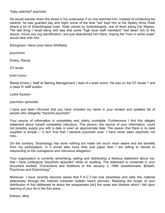## "baby watched" psychotic

He would wander down the street in his underwear if no one watched him. Instead of contacting his parents, he was guarded day and night; some of the time "we" kept him at the Apsley Arms Hotel where a lot of Scientologists lived. Hotel owned by Scientologists, one of them being Cal Wigney. The last thing I recall being told was that some "high level staff members" had taken him to the airport, minus any org identification, and just abandoned him there, hoping the "men in white coats" would deal with him.

Eltringham, Hana (now Hana Whitfield)

psychosis

Emery, Randy

OT levels

brain tumor

Randy Emery ( Staff at Sterling Management ) died of a brain tumor. He was on the OT levels ? and a class IV staff auditor.

Leslie Epstein

psychotic episodes

I have just been informed that you have included my name in your revised and updated list of people who allegedly "became psychotic".

Your source of information is completely and utterly unreliable. Furthermore I find this alleged statement about myself completely ridiculous. This person, the source of your information, could not possibly supply you with a date or even an approximate date. The reason that there is no date supplied is simple.--- it isn't true that I became psychotic ever. I have never been psychotic not now...

On the contrary, Scientology has done nothing but make me much more aware and the benefits from my participation, in it would take more time and paper then I am willing to devote to responding to the outrageous and ridiculous allegation.

Your organization is currently advertising, selling and distributing a libelous statement about me: that I have undergone "psychotic episodes" while on auditing. The statement is contained in your document entitled, "Corrections and Additions to the January 3, 1994 Questionnaire: \$Death, Psychosis and Scientology"

Moreover, I have recently become aware that F.A.C.T.net now advertises and sells this material extensively through the Internet computer bulletin board services. Realizing the scope of your distribution of this deliberate lie about me exasperates [sic] the upset and distress which I felt upon learning of your lie in the first place...

Erikson, Mick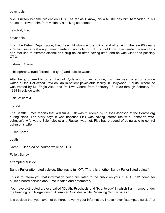### psychosis

Mick Erikson became violent on OT 6. As far as I know, his wife still has him barricaded in his house to prevent him from violently attacking someone.

Fairchild, Fred

psychosis

From the Detroit Organization, Fred Fairchild who was the ED on and off again in the late 60's early 70's had some real rough times mentally, psychotic or not I do not know. I remember hearing tons of rumor line of extreme alcohol and drug abuse after leaving staff, and he was Clear and possibly OT 3.

Fishman, Steven

schizophrenia (undifferentiated type) and suicide watch

After being ordered to do an End of Cycle and commit suicide, Fishman was placed on suicide watch at the Hollywood Pavilion, an in-patient psychiatric facility in Hollywood, Florida, where he was treated by Dr. Engin Aksu and Dr. Uwe Geertz from February 13, 1989 through February 20, 1989 in suicide watch.

Fisk, William J.

murder

The Seattle Times reports that William J. Fisk was murdered by Russell Johnson at the Seattle org during class. The story says it was because Fisk was having intercourse with Johnson's wife. Johnson's wife was a Scientologist and Russell was not. Fisk had bragged of being able to control Johnson's wife.

Fuller, Karen

death

Karen Fuller died on course while on OT3.

Fuller, Sandy

attempted suicide

Sandy Fuller attempted suicide. She was a full OT. (There is another Sandy Fuller listed below.)

This is to inform you that information being circulated to the public on your "F.A.C.T.net" computer bulletin board service about me is false and defamatory.

You have distributed a piece called "Death, Psychosis and Scientology" in which I am named under the heading of, "Allegations of Attempted Suicides While Receiving Scn Services."

It is obvious that you have not bothered to verify your information. I have never "attempted suicide" at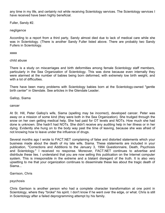any time in my life, and certainly not while receiving Scientology services. The Scientology services I have received have been highly beneficial.

Fuller, Sandy #2.

negligence

According to a report from a third party, Sandy almost died due to lack of medical care while she was in Scientology. (There is another Sandy Fuller listed above. There are probably two Sandy Fullers in Scientology.

xxxxx

child abuse

There is a study on miscarriages and birth deformities among female Scientology staff members, particularly in the Sea Organization of Scientology. This was done because even internally they were alarmed at the number of babies being born deformed, with extremely low birth weight, and with a lot of difficulties.

There have been many problems with Scientology babies born at the Scientology-owned "gentle birth center" in Glendale. See articles in the Glendale Leader.

Gallop, Siama

cancer

At St. Hill, Peter Gallop's wife, Siama (spelling may be incorrect), developed cancer. Peter was away on a mission of some kind (they were both in the Sea Organization). She trudged through the snow on her own getting medical help. She had paid for OT levels and NOTs. How much she had done is unknown. She hadn't had NOTs. She didn't receive any auditing help in her illness or in her dying. Evidently she hung on to the body way past the time of leaving, because she was afraid of not knowing how to leave under the influence of drugs.

Several months ago I wrote to FACT.NET complaining of false and distorted statements which your business made about the death of my late wife, Siama. These statements are included in your publication, "Corrections and Additions to the January 3, 1994 Questionnaire, Death, Psychosis and Scientology." I received no response. Moreover, FACT.NET continues to advertise and distribute these lies. I understand that you are now selling this publication on the Internet computer system. This is irresponsible in the extreme and a blatant disregard of the truth. It is also very upsetting to me that your organization continues to disseminate these lies about the tragic death of Siama...

Garrison, Chris

psychosis

Chris Garrison is another person who had a complete character transformation at one point in Scientology, where they "broke" his spirit. I don't know if he went over the edge, or what. Chris is still in Scientology after a failed deprogramming attempt by his family.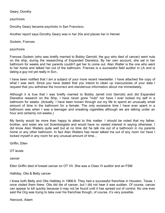Geary, Dorothy

psychosis

Dorothy Geary became psychotic in San Francisco.

Another report says Dorothy Geary was in her 20s and places her in Hemet.

Godwin, Frances

psychosis

Frances Godwin (who was briefly married to Bobby Gerrold, the guy who died of cancer) went nuts on the ship, during the researching of Expanded Dianetics. By her own account, she sat in her bathroom for weeks and her parents couldn't get her to come out. Alan Walter is the one who went to her home and talked her out of the bathroom. Frances is a successful field auditor in LA and is dating a guy not yet really in Scn..

I have been notified that I am a subject of your more recent newsletter. I have attached the copy of what I was sent. Since you have stated that you intend to clean up inaccuracies of your data I request that you withdraw the incorrect and slanderous information about me immediately.

Although it is true that I was briefly married to Bobby Jarrell (not Gerrold) and did Expanded Dianetics research on the Ship, I have never gone "nuts" nor have I ever locked my self in a bathroom for weeks. (Actually, I have been known through out my life to spend an unusually small amount of time in the bathroom for a female. The only excessive time I have ever spent in a bathroom was when I was a teenager and sneaking cigarettes although we are talking under an hour and certainly not weeks.)

My family would be more than happy to attest to this matter. I should be noted that my father, brother, and sister are not Scientologists and would have no vested interest in saying otherwise. I did know Alan Waiters quite well but at no time did he talk me out of a bathroom in my parents home or any other bathroom. In fact Alan Waiters has never talked me out of any room nor have I locked myself in any room for any unusual amount of time...

Griffin, Ellen

OT levels

cancer

Ellen Griffin died of breast cancer on OT VII. She was a Class VI auditor and an FSM

Halliday, Otis & Betty cancer

I knew both Betty and Otis Halliday in 1968-9. They had a successful franchise in Houston, Texas. I once visited them there. Otis did die of cancer, but I did not hear it was sudden. Of course, cancer can appear to kill quickly because it may not be found until it has spread out of control. No one ever said the Org was trying to take over his franchise though, of course, it's very possible.

Hancock, Adam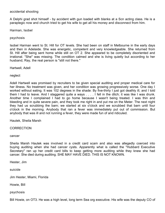# accidental shooting

A Delphi grad shot himself - by accident with gun loaded with blanks at a Scn acting class. He is a paraplegic now and church tried to get his wife to get all his money and disconnect from him.

Harman, Isobel

psychosis

Isobel Harman went to St. Hill for OT levels. She had been on staff in Melbourne in the early days and then in Adelaide. She was energetic, competent and very knowledgeable. She returned from St. Hill after being sent home while still on OT 2. She appeared to be completely disoriented and irrational. "She" was missing. The condition calmed and she is living quietly but according to her husband, Ray, the real person is "still not there."

Hartwell, Adell

neglect

Adell Hartwell was promised by recruiters to be given special auditing and proper medical care for her illness. No treatment was given, and her condition was growing progressively worse. One day I worked without eating. It was 102 degrees in the shade: By five-thirty I just got deathly ill, and I told them I had to leave. And I staggered quite a ways . . . . I fell in the ditch; it was like I was drunk. Another time I complained I had to go home because I wasn't being treated. I was thin and bleeding and in quite severe pain, and they took me right in and put me on the Meter. The next night they had us scrubbing the barn; we started at six o'clock and we scrubbed that barn until four o'clock in the morning. Anybody that ran a fever was immediately put out of commission. But anybody that was ill and not running a fever, they were made fun of and ridiculed.

Hautek, Sheila Marsh

**CORRECTION** 

cancer

Sheila Marsh Hautek was involved in a credit card scam and also was allegedly coerced into buying auditing when she had cancer cysts. Apparently what is called the "Hubbard Executive Secretary" ran up her credit card bills to keep getting more auditing while they knew she had cancer. She died during auditing. SHE MAY HAVE DIED. THIS IS NOT KNOWN.

Hester, Jim

suicide

Jim Hester, Miami, Florida

Howie, Bill

psychosis

Bill Howie, on OT3. He was a high level, long term Sea org executive. His wife was the deputy CO of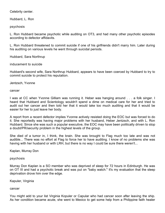Celebrity center.

Hubbard, L. Ron

psychosis

L. Ron Hubbard became psychotic while auditing on OT3, and had many other psychotic episodes according to defector affidavits.

L. Ron Hubbard threatened to commit suicide if one of his girlfriends didn't marry him. Later during his auditing on various levels he went through suicidal periods.

Hubbard, Sara Northrup

inducement to suicide

Hubbard's second wife, Sara Northrup Hubbard, appears to have been coerced by Hubbard to try to commit suicide to protect his reputation.

Jentzsch, Yvonne

cancer

I was at CC when Yvonne Gilliam was running it. Heber was hanging around . . . a folk singer. I heard that Hubbard and Scientology wouldn't spend a dime on medical care for her and tried to audit out her cancer and then told her that it would take too much auditing and that it would be easier for her to just leave her body.

A report from a recent defector implies Yvonne actively resisted doing the EOC but was forced to do it. She reportedly was having major problems with her husband, Heber Jentzsch, and with L. Ron Hubbard. Since she was such a popular executive, the EOC may have been politically driven to stop a doubt/PR/security problem in the highest levels of the group.

She died of a tumor in, I think, the brain. She was brought to Flag much too late and was not audible... There was no effort at Flag to force her to have auditing. I know of no problems she was having with her husband or with LRH, but there is no way I could be sure there weren't...

Kaplan, Murray Don

psychosis

Murray Don Kaplan is a SO member who was deprived of sleep for 72 hours in Edinburgh. He was on OT III and had a psychotic break and was put on "baby watch." It's my evaluation that the sleep deprivation drove him over the edge.

Kapuler, Virginia

cancer

You might add to your list Virginia Kopuler or Capular who had cancer soon after leaving the ship. As her condition became acute, she went to Mexico to get some help from a Philippine faith healer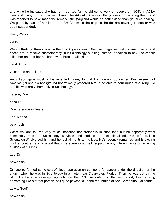and while he indicated she had let it get too far, he did some work on people on NOTs in AOLA lives and many of them flocked down. The A/G AOLA was in the process of declaring them, and was reported to have made the remark "she (Virginia) would be better dead than get such healing. We got a by-pass of her from the LRH Comm on the ship so the declare never got done or was soon suspended.

Kretz, Wendy

cancer

Wendy Kretz or Krentz lived in the Los Angeles area. She was diagnosed with ovarian cancer and chose not to receive chemotherapy, but Scientology auditing instead. Needless to say, the cancer killed her and left her husband with three small children.

Ladd, Andy

vulnerable and bilked

Andy Ladd gave most of his inherited money to that front group. Concerned Businessmen of America (?) and his background hasn't really prepared him to be able to earn much of a living. He and his wife are vehemently in Scientology.

Larson, Don

assault

Don Larson was beaten.

Lee, Martha

psychosis

xxxxx wouldn't tell me very much, because her brother is in such fear, but he apparently went completely mad on Scientology services and had to be institutionalized. His wife (still a Scientologist) divorced him and he lost all rights to his kids. He's recently remarried and is piecing his life together, and is afraid that if he speaks out, he'll jeopardize any future chance of regaining custody of his kids.

Lee, Dr.

psychosis

Dr. Lee performed some sort of illegal operation on someone for cancer under the direction of the church when he was in Scientology in a motel near Clearwater, Florida. Then he was put on the RPF. He became severely psychotic on the RPF. According to the last report, Lee is living something like a street person, still quite psychotic, in the mountains of San Bernadino, California.

Lewis, Geoff

psychosis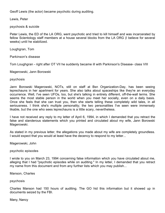Geoff Lewis (the actor) became psychotic during auditing.

Lewis, Peter

psychosis & suicide

Peter Lewis, the ED of the LA ORG, went psychotic and tried to kill himself and was incarcerated by fellow Scientology staff members at a house several blocks from the LA ORG (I believe for several weeks) until he stabilized.

Loughgran, Tom

Parkinson's disease

Tom Loughgran - right after OT VII he suddenly became ill with Parkinson's Disease- class VIII

Magerowski, Jann Borowski

psychosis

Jann Borowski Magerowski, NOTs, still on staff at Bsn Organization-Day, has been seeing leprechauns in her apartment for years. She also talks about spaceships like they're an everyday occurrence. Well, I've seen UFOs, too, but she's talking in entirely different, off-the-wall terms. She seems the most stable person in the world when you meet her socially, even on a daily basis. Once she feels that she can trust you, then she starts telling these completely wild tales, in all seriousness. I think she's multiple personality; the two personalities I've seen were immensely likable, but the one who sees leprechauns is a little scary, nevertheless.

I have not received any reply to my letter of April 6, 1994, in which I demanded that you retract the false and slanderous statements which you printed and circulated about my wife, Jann Borowski Magerowski.

As stated in my previous letter, the allegations you made about my wife are completely groundless. I would expect that you would at least have the decency to respond to my letter...

Magerowski, John

psychotic episodes

I wrote to you on March 23, 1994 concerning false information which you have circulated about me, alleging that I had "psychotic episodes while on auditing." In my letter, I demanded that you retract my name from this document and from any further lists which you may publish...

Manson, Charles

psychosis

Charles Manson had 150 hours of auditing. The GO hid this information but it showed up in documents seized by the FBI.

Many, Nancy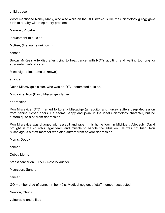#### child abuse

xxxxx mentioned Nancy Many, who also while on the RPF (which is like the Scientology gulag) gave birth to a baby with respiratory problems.

Mauerer, Phoebe

inducement to suicide

McKee, (first name unknown)

cancer

Brown McKee's wife died after trying to treat cancer with NOTs auditing, and waiting too long for adequate medical care.

Miscavige, (first name unknown)

suicide

David Miscavige's sister, who was an OT7, committed suicide.

Miscavige, Ron (David Miscavige's father)

depression

Ron Miscavige, OT7, married to Loretta Miscavige (an auditor and nurse), suffers deep depression from behind closed doors. He seems happy and jovial in the ideal Scientology character, but he suffers quite a bit from depression.

Ron Miscavige was charged with assault and rape in his home town in Michigan. Allegedly, David brought in the church's legal team and muscle to handle the situation. He was not tried. Ron Miscavige is a staff member who also suffers from severe depression.

Morris, Debby

cancer

Debby Morris

breast cancer on OT VII - class IV auditor

Myersdorf, Sandra

cancer

GO member died of cancer in her 40's. Medical neglect of staff member suspected.

Newton, Chuck

vulnerable and bilked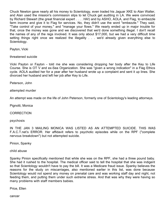Chuck Newton gave nearly all his money to Scientology, even traded his Jaguar XKE to Alan Walter, and Alan used the mission's commission slips to let Chuck get auditing in LA. We were convinced by Richard Stewart (the great financial expert . . . . HA!) and by ASHO, AOLA, and Flag, to embezzle farm income and give it to Flag for services. No, they didn't use the word "embezzle." They said, "Take control of your money," and "manage your flows." We nearly ended up in major trouble for that, once the money was gone and we discovered that we'd done something illegal. I don't recall the names of any of the regs involved. It was only about \$17,000, but we had a very difficult time setting things right once we realized the illegality . . . we'd already given everything else to Scientology.

Payton, Vicki

threatened suicide

Vicki Payton or Fayton - told me she was considering dropping her body after the Key to Life Course. She is OT V and ex-Sea Organization. She was "given a wrong indication" in a Flag Ethics cycle. AOLA audited her for a year after her husband wrote up a complaint and sent it up lines. She divorced her husband and left her job after Key to Life.

Peterson, John

attempted murder

An attempt was made on the life of John Peterson, formerly one of Scientology's leading attorneys.

Pignotti, Monica

**CORRECTION** 

psychosis

IN THE JAN 3 MAILING MONICA WAS LISTED AS AN ATTEMPTED SUICIDE. THIS WAS F.A.C.T.net's ERROR. Her affidavit refers to psychotic episodes while on the RPF ("complete nervous breakdown") but not attempted suicide.

Pinion, Spanky

child abuse

Spanky Pinion specifically mentioned that while she was on the RPF, she had a three pound baby. She had it rushed to the hospital. The medical officer said to tell the hospital that she was indigent so that Scientology wouldn't have to pay the bill. It was a Medicare fraud issue. Spanky believes the reasons for the study on miscarriages, also mentioned earlier in this list, was done because Scientology would not spend any money on prenatal care and was working staff day and night, not feeding them, and putting them under such extreme stress. And that was why they were having so many problems with staff members babies.

Price, Ellen

cancer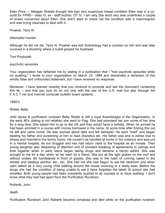Ellen Price --- Meagan Shields thought she had very suspicious breast condition Ellen was in a coaudit for FPRD - class VI, ex - staff auditor, OT IV. I am very (the word very was underlined a couple of times) concerned about Ellen. She didn't want to check out the condition with a mammogram and was trying cleanses to deal with it.

Prueher, Terry N.

attempted murder

Although he did not die, Terry N. Prueher was told Scientology had a contract on him and was later involved in a shooting where a bullet grazed his forehead.

Toni Przybylski

psychotic episodes

Your organization has defamed me by stating in a publication that I "had psychotic episodes while on auditing." I wrote to your organization on March 23, 1994 and demanded a retraction of this wholly false and unfounded statement, but I have received no response.

Moreover, I have learned recently that you continue to promote and sell the document containing this lie -- and that you now do so not only with the use of the U.S. mail but also through the F.A.C.T.net and Internet computer bulletin board systems...

1980's

Riddel, Betty

child abuse & purification rundown Betty Riddel is still a loyal Scientologist in the Organization. In the early 80's (dating is not reliable) she went to Flag. She had promised her son some of her time for a long time. She asked him to go to the US and they would have a holiday. When he arrived he had been enrolled in a course with money borrowed in his name. At some time after finding this out he left and came home. He was worried about debt and felt betrayed. He went "mad" and began beating his father and screaming at him to read Dianetics etc. His father was and is retired due to illness and maintains the family home. He couldn't be handled at home in his violence and was put in a mental hospital, let out drugged and has had return visits to the hospital as an inmate. Their young daughter also despairing of attention and of constant breaking of agreements to outings and time together when in early teens began taking drugs and became a heroin addict. She was brought to me for a day when 'at her best' by a friend. She put all the light globes on the roof and without undies did handstands in front of guests. She was in the habit of running naked in the streets and stealing alcohol, etc., etc. She told me she had begun to eat her bedroom and when calm talked as a very young child walking around the house crooning to a teddy bear. Before the drugs she had the condition of being unable to eat (I have forgotten the label) At school she had excelled. Both young people had been constantly pushed to do courses or to have auditing. I don't know what they had had apart from the Purification Rundown.

Roberts, John

death

Purification Rundown John Roberts became comatose and died while on the purification rundown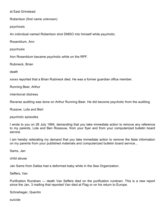at East Grinstead.

Robertson (first name unknown)

psychosis

An individual named Robertson shot DMSO into himself while psychotic.

Rosenblum, Ann

psychosis

Ann Rosenblum became psychotic while on the RPF.

Rubineck, Brian

death

xxxxx reported that a Brian Rubineck died. He was a former guardian office member.

Running Bear, Arthur

intentional distress

Reverse auditing was done on Arthur Running Bear. He did become psychotic from the auditing.

Russow, Lola and Bert

psychotic episodes

I wrote to you on 26 July 1994, demanding that you take immediate action to remove any reference to my parents, Lola and Ben Rossouw, from your flyer and from your computerized bulletin board service.

I am hereby reiterating my demand that you take immediate action to remove the false information on my parents from your published materials and computerized bulletin board service...

Sams, Jan

child abuse

Jan Sams from Dallas had a deformed baby while in the Sea Organization.

Seffers, Van

Purification Rundown --- death Van Seffers died on the purification rundown. This is a new report since the Jan. 3 mailing that reported Van died at Flag or on his return to Europe.

Schnehager, Quentin

suicide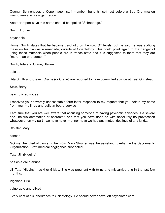Quentin Schnehager, a Copenhagen staff member, hung himself just before a Sea Org mission was to arrive in his organization.

Another report says this name should be spelled "Schnehage."

Smith, Homer

psychosis

Homer Smith states that he became psychotic on the solo OT levels, but he said he was auditing these on his own as a renegade, outside of Scientology. This could point again to the danger of using these materials when people are in trance state and it is suggested to them that they are "more than one person."

Smith, Rita and Crane, Steven

suicide

Rita Smith and Steven Craine (or Crane) are reported to have committed suicide at East Grinstead.

Stein, Barry

psychotic episodes

I received your severely unacceptable form letter response to my request that you delete my name from your mailings and bulletin board service

I am sure that you are well aware that accusing someone of having psychotic episodes is a severe and libelous defamation of character, and that you have done so with absolutely no provocation whatsoever on my part - we have never met nor have we had any mutual dealings of any kind...

Stouffer, Mary

cancer

GO member died of cancer in her 40's. Mary Stouffer was the assistant guardian in the Sacramento Organization. Staff medical negligence suspected.

Tate, Jill (Higgins)

possible child abuse

Jill Tate (Higgins) has 4 or 5 kids. She was pregnant with twins and miscarried one in the last few months.

Vigeland, Eric

vulnerable and bilked

Every cent of his inheritance to Scientology. He should never have left psychiatric care.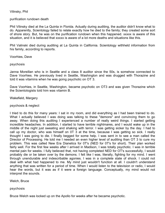Vilinsky, Phil

purification rundown death

Phil Vilinsky died at the La Quinta in Florida. Actually during auditing, the auditor didn't know what to do. Apparently, Scientology failed to relate exactly how he died to the family; they created some sort of shore story. But, he was on the purification rundown when this happened. xxxxx is aware of this situation, and it is believed that xxxxx is aware of a lot more deaths and situations like this.

Phil Valinski died during auditing at La Quinta in California. Scientology withheld information from his family, according to reports.

Voorhies, Dave

psychosis

Janna Moreillan who is in Seattle and a class 8 auditor since the 50s, is somehow connected to Dave Voorhies. He previously lived in Seattle, Washington and was drugged with Thorazine and told it was vitamins when he was going psychotic on OT 3.

Dave Voorhies, in Seattle, Washington, became psychotic on OT3 and was given Thorazine which the Scientologists told him was vitamin B.

Wakefield, Margery

psychosis & neglect

I tried to do this for many years: I sat in my room, and did everything as I had been trained to do. What I actually believed I was doing was talking to these "demons" and convincing them to go away. When doing this auditing I experienced a number of really weird things. I started getting incredible headaches. In addition, I started to have terrible nightmares, and I would wake up in the middle of the night just sweating and shaking with terror. I was getting sicker by the day. I had to call up my doctor, who was himself on 0T 3 at the time, because I was getting so sick. I really thought I was going to die. I finally begged for some help. I was sent in to see a man called the Director of Processing. He told me I needed an even higher level of auditing than OT 3 to cure my problem. This was called New Era Dianetics for 0T's (NED for 0T's for short). Their plan worked fairly well. For the first few weeks after I arrived in Madison, I was totally psychotic. I was in terrible mental pain for weeks. I fully believed that, not having completed NED for OT's successfully, I would probably die or be taken over by the demons. I felt like I was, literally, fighting for my mind. I went through unendurable and indescribable agonies. I was in a complete state of shock. I could not deal with what had happened to me. My mind just wouldn't function at all. I couldn't understand anything that was written for a period of time. When I would listen to the television or radio, I would hear the words, but it was as if it were a foreign language. Conceptually, my mind would not interpret the sounds.

Welch, Bruce

psychosis

Bruce Welch was locked up on the Apollo for weeks after he became psychotic.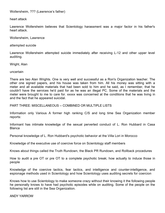Wollersheim, ??? (Lawrence's father)

heart attack

Lawrence Wollersheim believes that Scientology harassment was a major factor in his father's heart attack.

Wollersheim, Lawrence

attempted suicide

Lawrence Wollersheim attempted suicide immediately after receiving L-12 and other upper level auditing.

Wright, Alan

uncertain

There are two Alan Wrights. One is very well and successful as a Ron's Organization teacher. The other one signed papers, and his house was taken from him. All his money was sitting with a meter and all available materials that had been sold to him and he said, as I remember, that he couldn't have the services he'd paid for as he was an illegal PC. Some of the materials and the meter were brought to me to care for. xxxxx was concerned at the conditions that he was living in and the fact that he appeared suicidal.

PART THREE: MISCELLANEOUS -- COMBINED OR MULTIPLE LISTS

Information only Various A former high ranking C/S and long time Sea Organization member reports:

Informant has intimate knowledge of the sexual perverted conduct of L. Ron Hubbard in Casa Blanca

Personal knowledge of L. Ron Hubbard's psychotic behavior at the Villa Lori in Morocco

Knowledge of the executive use of coercive force on Scientology staff members

Knows about things called the Truth Rundown, the Black PR Rundown, and Rollback procedures

How to audit a pre OT or pre OT to a complete psychotic break; how actually to induce those in people

Knowledge of the coercive tactics, fear tactics, and intelligence and counter-intelligence, and espionage methods used in Scientology and how Scientology uses auditing secrets for coercion

Knows how to use Scientology to make someone crazy without their knowing it the following people he personally knows to have had psychotic episodes while on auditing. Some of the people on the following list are still in the Sea Organization.

ANDY YARROW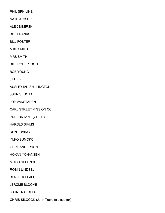PHIL SPHILINE

NATE JESSUP

ALEX SIBERSKI

BILL FRANKS

BILL FOSTER

MIKE SMITH

MRS SMITH

BILL ROBERTSON

BOB YOUNG

JILL LIZ

AUSLEY IAN SHILLINGTON

JOHN SEGOTA

JOE VANSTADEN

CARL STREET MISSION CC

PREFONTANE (CHILD)

HAROLD SIMMS

RON LOVING

YUKO SUMOKO

GERT ANDERSON

HOKAN YOHANSEN

MITCH SPERNSE

ROBIN LINDSEL

BLAKE HUFFAM

JEROME BLOOME

JOHN TRAVOLTA

CHRIS SILCOCK (John Travolta's auditor)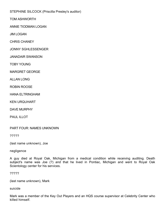STEPHINE SILCOCK (Priscilla Presley's auditor)

TOM ASHWORTH

ANNIE TIODMAN LOGAN

JIM LOGAN

CHRIS CHANEY

JONNY SGHLESSENGER

JANADAIR SWANSON

TOBY YOUNG

MARGRET GEORGE

ALLAN LONG

ROBIN ROOSE

HANA ELTRINGHAM

KEN URQUHART

DAVE MURPHY

PAUL ILLOT

PART FOUR: NAMES UNKNOWN

?????

(last name unknown), Joe

negligence

A guy died at Royal Oak, Michigan from a medical condition while receiving auditing. Death subject's name was Joe (?) and that he lived in Pontiac, Michigan and went to Royal Oak Scientology center for his services.

#### ?????

(last name unknown), Mark

suicide

Mark was a member of the Key Out Players and an HQS course supervisor at Celebrity Center who killed himself.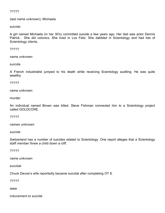?????

(last name unknown), Michaela

suicide

A girl named Michaela (in her 30's) committed suicide a few years ago. Her dad was actor Dennis Patrick . She did colonics. She lived in Los Feliz. She dabbled in Scientology and had lots of Scientology clients.

?????

name unknown

suicide

A French industrialist jumped to his death while receiving Scientology auditing. He was quite wealthy.

?????

name unknown

murder

An individual named Brown was killed. Steve Fishman connected him to a Scientology project called GOLDCORE.

?????

names unknown

suicide

Switzerland has a number of suicides related to Scientology. One report alleges that a Scientology staff member threw a child down a cliff.

?????

name unknown

suicidal

Chuck Devoe's wife reportedly became suicidal after completing OT 8.

?????

xxxxx

inducement to suicide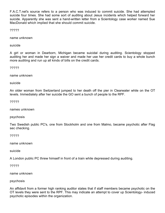F.A.C.T.net's source refers to a person who was induced to commit suicide. She had attempted suicide four times. She had some sort of auditing about Jesus incidents which helped forward her suicide. Apparently she was sent a hand-written letter from a Scientology case worker named Sue MacDonald which implied that she should commit suicide.

?????

name unknown

suicide

A girl or woman in Dearborn, Michigan became suicidal during auditing. Scientology stopped auditing her and made her sign a waiver and made her use her credit cards to buy a whole bunch more auditing and run up all kinds of bills on the credit cards.

?????

name unknown

suicide

An older woman from Switzerland jumped to her death off the pier in Clearwater while on the OT levels. Immediately after her suicide the GO sent a bunch of people to the RPF.

?????

names unknown

psychosis

Two Swedish public PC's, one from Stockholm and one from Malmo, became psychotic after Flag sec checking.

?????

name unknown

suicide

A London public PC threw himself in front of a train while depressed during auditing.

?????

name unknown

psychosis

An affidavit from a former high ranking auditor states that if staff members became psychotic on the OT levels they were sent to the RPF. This may indicate an attempt to cover up Scientology- induced psychotic episodes within the organization.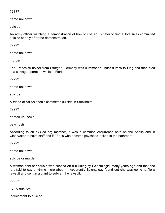?????

name unknown

suicide

An army officer watching a demonstration of how to use an E-meter to find subversives committed suicide shortly after the demonstration.

?????

name unknown

murder

The Franchise holder from Stuttgart Germany was summoned under duress to Flag and then died in a salvage operation while in Florida.

?????

name unknown

suicide

A friend of Ari Salonen's committed suicide in Stockholm.

?????

names unknown

psychosis

According to an ex-Sea org member, it was a common occurrence both on the Apollo and in Clearwater to have staff and RPFer's who became psychotic locked in the bathroom.

?????

name unknown

suicide or murder

A woman said her cousin was pushed off a building by Scientologist many years ago and that she is afraid to say anything more about it. Apparently Scientology found out she was going to file a lawsuit and sent in a plant to subvert the lawsuit.

?????

name unknown

inducement to suicide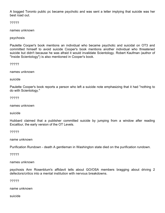A bogged Toronto public pc became psychotic and was sent a letter implying that suicide was her best road out.

?????

names unknown

psychosis

Paulette Cooper's book mentions an individual who became psychotic and suicidal on OT3 and committed himself to avoid suicide Cooper's book mentions another individual who threatened suicide but didn't because he was afraid it would invalidate Scientology. Robert Kaufman (author of "Inside Scientology") is also mentioned in Cooper's book.

?????

names unknown

suicide

Paulette Cooper's book reports a person who left a suicide note emphasizing that it had "nothing to do with Scientology."

# ?????

names unknown

suicide

Hubbard claimed that a publisher committed suicide by jumping from a window after reading Excalibur, the early version of the OT Levels.

?????

name unknown

Purification Rundown - death A gentleman in Washington state died on the purification rundown.

?????

names unknown

psychosis Ann Rosenblum's affidavit tells about GO/OSA members bragging about driving 2 defectors/critics into a mental institution with nervous breakdowns.

?????

name unknown

suicide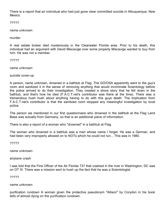There is a report that an individual who had just gone clear committed suicide in Albuquerque, New Mexico.

?????

name unknown

murder

A real estate broker died mysteriously in the Clearwater Florida area. Prior to his death, this individual had an argument with David Miscavige over some property Miscavige wanted to buy from him. He was not a member.

?????

name unknown

suicide cover-up

A person, name unknown, drowned in a bathtub at Flag. The GO/OSA apparently went to the guy's room and sanitized it in the sense of removing anything that would incriminate Scientology before the police arrived to do their investigation. They created a shore story that he fell down in the bathtub, and that's how he died (F.A.C.T.net's contributor was there at the time). There was a tremendous hush hush about anything having to do with this guys death. The implication from F.A.C.T.net's contributor is that the sanitized room stopped any meaningful investigation by local police.

The person we mentioned in our first questionnaire who drowned in the bathtub at the Flag Land Base was actually from Germany, so that is an additional piece of information.

There is also a report of a woman who "drowned" in a bathtub at Flag.

The woman who drowned in a bathtub was a man whose name I forget. He was a German, and had been very improperly allowed on to NOTs which he could not run... This was in 1980.

?????

name unknown

airplane crash

I was told that the First Officer of the Air Florida 737 that crashed in the river in Washington, DC was on OT III. There was a mission sent to hush up the fact that he was a Scientologist.

?????

name unknown

purification rundown A woman given the protective pseudonym "Allison" by Corydon in his book tells of almost dying on the purification rundown.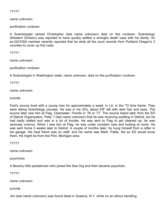?????

name unknown

purification rundown

A Scientologist named Christopher (last name unknown) died on this rundown. Scientology (Western Division) was reported to have quickly settled a wrongful death case with his family. An ex-GO/OSA member recently reported that he stole all the court records from Portland Oregon's 3 counties to cover up this case.

?????

name unknown

purification rundown

A Scientologist in Washington state, name unknown, died on the purification rundown.

?????

name unknown

suicide

Fact's source lived with a young man for approximately a week, in LA, in the '72 time frame. They were taking Scientology courses. He was in his 20's, about 5'8" tall with dark hair and eyes. The source later saw him at Flag, Clearwater, Florida in '76 or '77. The source heard later from the ED of Detroit Organization. Patty ? (last name unknown) that he was receiving auditing in Detroit, but he had badly stalled and was in a lot of trouble. He was sent to Flag to get cleaned up; he was seriously overrun. When I saw him at Flag, he was under constant care and looking at rocks. He was sent home 3 weeks later to Detroit. A couple of months later, he hung himself from a rafter in his garage. His best friend was on staff, and his name was Mark. Pattie, the ex ED would know them. He might be from the Flint, Michigan area.

?????

name unknown

psychosis

A Beverly Hills pediatrician who joined the Sea Org and then became psychotic.

?????

name unknown

suicide

Jim (last name unknown) was found dead in Queens, N.Y. while on an ethics handling.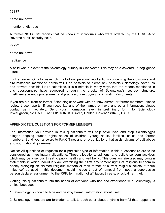?????

name unknown

intentional distress

A former NOTs C/S reports that he knows of individuals who were ordered by the GO/OSA to "reverse audit" security risks.

?????

name unknown

negligence

A child was run over at the Scientology nursery in Clearwater. This may be a covered up negligence situation.

To the reader: Only by assembling all of our personal recollections concerning the individuals and circumstances mentioned herein will it be possible to pierce any possible Scientology cover-ups and prevent possible future calamities. It is a miracle in many ways that the reports mentioned in this questionnaire have squeezed through the cracks of Scientology's secrecy structure, intelligence agency procedures, and practice of destroying incriminating documents.

If you are a current or former Scientologist or work with or know current or former members, please review these reports. If you recognize any of the names or have any other information, please contact us immediately. Send your information (even in preliminary form) to: Scientology Investigation, c/o F.A.C.T.net, 601 16th St. #C-217, Golden, Colorado 80403, U.S.A.

## APPENDIX TEN: QUESTIONS FOR FORMER MEMBERS

The information you provide in this questionnaire will help save lives and stop Scientology's alleged ongoing human rights abuse of children, young adults, families, critics and former members. Send your answers to F.A.C.T.net and or organizations that assist victims of cult abuse and your national government.

Notice: All questions or requests for a particular type of information in this questionnaire are to be considered as investigatory allegations. These allegations, opinions, and beliefs concern activities which may be a serious threat to public health and well being. This questionnaire also may contain statements in which individuals are exercising their first amendment rights of religious freedom in openly dialoging on claimed religious matters or their former or current religious beliefs. "Undue influence" as used in this document could include threat of removal from post, a suppressive person declare, assignment to the RPF, termination of affiliation, threats, physical harm, etc.

Getting this questionnaire into the hands of everyone who has had experience with Scientology is critical because:

- 1. Scientology is known to hide and destroy harmful information about itself.
- 2. Scientology members are forbidden to talk to each other about anything harmful that happens to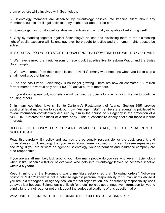them or others while involved with Scientology.

3. Scientology members are deceived by Scientology policies into keeping silent about any member casualties or illegal activities they might hear about or be part of.

4. Scientology has not stopped its abusive practices and is totally incapable of reforming itself.

5. Only by standing together against Scientology's abuses and disclosing them to the disinfecting light of public exposure will Scientology ever be brought to justice and the human rights abuses be solved.

IT IS CRITICAL FOR YOU TO STOP RATIONALIZING THAT SOMEONE ELSE WILL DO YOUR PART.

1. We have learned the tragic lessons of recent cult tragedies like Jonestown Waco, and the Swiss Solar temple.

2. We have learned from the historic lesson of Nazi Germany what happens when you fail to stop a small, loud group of bullies.

3. The tide has turned. Scientology is no longer growing. There are now an estimated 1-2 million former members versus only about 50,000 active current members.

4. If you do not speak out, your silence will be used by Scientology as ongoing license to continue abusing others.

5. In many countries, laws similar to California's Restatement of Agency, Section 395f, provide additional legal motivation to speak out now. "An agent [staff members are agents] is privileged to reveal information confidentially acquired by him in the course of his agency in the protection of a SUPERIOR interest of himself or a third party." This questionnaire clearly spells out those superior interests.

SPECIAL NOTE ONLY FOR CURRENT MEMBERS, STAFF, OR OTHER AGENTS OF **SCIENTOLOGY** 

Read this carefully! By policy and law you are personally responsible for the past, present, and future abuses of Scientology that you know about, were involved in, or can foresee repeating or occurring. If you are or were an agent of Scientology, your corporation and insurance company are also responsible.

If you are a staff member, look around you. How many people do you see who were in Scientology when it first began? (80-95% of everyone who gets into Scientology leaves or becomes inactive within 3-5 years).

Keep in mind that the Nuremberg war crime trials established that "following orders," "following policy" or "I didn't know" is not a defense against personal responsibility for human rights abuse if you are in a managerial or agency position for that organization. Your personally responsibility won't go away just because Scientology's childish "entheta" policies about negative information tell you to blindly ignore, not read, or not think about the serious allegations of this questionnaire.

WHAT WILL BE DONE WITH THE INFORMATION FROM THIS QUESTIONNAIRE?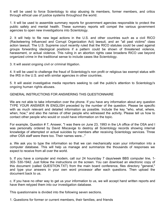It will be used to force Scientology to stop abusing its members, former members, and critics through ethical use of justice systems throughout the world.

1. It will be used to assemble summary reports for government agencies responsible to protect the public safety and mental health. These summary reports will compel the various government agencies to open new investigations into Scientology.

2. It will help to file new legal actions in the U.S. and other countries such as a civil RICO (Racketeering Influenced and Corrupt Organization Act) lawsuit, and an "all past victims" class action lawsuit. The U.S. Supreme court recently ruled that the RICO statutes could be used against groups forwarding ideological positions if a pattern could be shown of threatened violence, harassment, or actual violence. This ruling in an abortion rights case broadens RICO use beyond organized crime in the traditional sense to include cases like Scientology.

3. It will assist ongoing civil or criminal litigation.

4. It will be used to challenge the fraud of Scientology's non profit or religious tax exempt status with the IRS in the U.S. and with similar agencies in other countries.

5. It will assist investigative media reporters seeking to call the public's attention to Scientology's ongoing human rights abuses.

# GENERAL INSTRUCTIONS FOR ANSWERING THIS QUESTIONNAIRE

We are not able to take information over the phone. If you have any information about any question TYPE YOUR ANSWER IN ENGLISH preceded by the number of the question. Please be specific with as much relevant and detailed information as possible. Include the key "who, what, where, when, how," and also the names of other people who witnessed the activity. Please tell us how to contact other people who would or could have information on the topic.

For example, Question # 7, Answer, "I was there on June 23, 1993 in the LA office of the OSA and I was personally ordered by David Miscavige to destroy all Scientology records showing internal knowledge of attempted or actual suicides by members after receiving Scientology services. Three other OSA staff were there too. Their names were..."

a. We ask you to type the information so that we can mechanically scan your information into a computer database. This will help us manage and summarize the thousands of responses we expect to receive from all over the world.

b. If you have a computer and modem, call our 24 hours/day 7 days/week BBS computer line, 1- 303- 530-1942. Just follow the instructions on the screen. You can download an electronic copy of this document (called QUESTION.TXT) from the main board conference, files directory "general," and type your answers in your own word processor after each questions. Then upload the document back to us.

c. If you have no other way to get us your information to us, we will accept hand written reports and have them retyped them into our investigation database.

This questionnaire is divided into the following seven sections.

1. Questions for former or current members, their families, and friends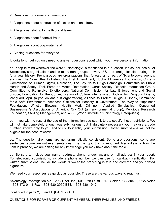- 2. Questions for former staff members
- 3. Allegations about obstruction of justice and conspiracy
- 4. Allegations relating to the IRS and taxes
- 5. Allegations about financial fraud
- 6. Allegations about corporate fraud
- 7. Closing questions for everyone

It looks long, but you only need to answer questions about which you have personal information.

aa. Keep in mind wherever the word "Scientology" is mentioned in a question, it also includes all of Scientology's organizations and its many front groups in every U.S. and foreign location during their forty year history. Front groups are organizations that forward all or part of Scientology's agenda, such as The Committee to Defend the First Amendment, Hubbard Dianetics Foundation, Citizens Commission on Human Rights, Narconon, The Say No to Drugs Campaign, Committee on Public Health and Safety, Task Force on Mental Retardation, Gerus Society, Dianetic Information Group, Committee to Re-involve Ex-offenders, National Commission for Law Enforcement and Social Justice, Foundation for the Communication of Culture International, Doctors for Religious Liberty, Vanguard, April (a pseudo anti cult organization), Alliance to Protect Religious Liberty, Committee for a Safe Environment, American Citizens for Honesty in Government, The Way to Happiness Foundation, Whistle Blowers, Health Med, Criminon, Applied Scholastics, Concerned Businessman's Association of America, Cry Out (an environmental group), Religious Research Foundation, Sterling Management, and WISE (World Institute of Scientology Enterprises).

bb. If you wish to restrict the use of the information you submit to us, specify these restrictions. We will not take completely anonymous submissions, but if absolutely necessary you may use a code number, known only to you and to us, to identify your submission. Coded submissions will not be eligible for the cash rewards.

cc. The questionnaire items are not grammatically consistent. Some are questions, some are sentences, some are not even sentences. It is the topic that is important. Regardless of how the item is phrased, we are asking for any knowledge you may have about the topic.

dd. Be sure to include your name, address, phone, and/or fax and e-mail address in your report. For electronic submissions, include a phone number we can use for call-back verification. For written submissions, include the words "I swear the preceding is true and correct," and your dated signature.

We need your responses as quickly as possible. These are the various ways to reach us.

Scientology Investigation c/o F.A.C.T.net, Inc., 601 16th St. #C-217, Golden, CO 80403, USA Voice 1-303-473-0111 Fax 1-303-530-2950 BBS 1-303-530-1942.

[continued in parts 2, 3, and 4] [PART 2 OF 4]

QUESTIONS FOR FORMER OR CURRENT MEMBERS, THEIR FAMILIES, AND FRIENDS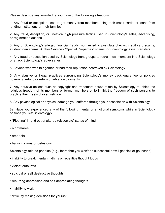Please describe any knowledge you have of the following situations.

1. Any fraud or deception used to get money from members using their credit cards, or loans from lending institutions or their families

2. Any fraud, deception, or unethical high pressure tactics used in Scientology's sales, advertising, or registration actions

3. Any of Scientology's alleged financial frauds, not limited to postulate checks, credit card scams, student loan scams, Author Services "Special Properties" scams, or Scientology asset transfers

4. Any fraud or deception used by Scientology front groups to recruit new members into Scientology or attack Scientology's adversaries

5. Anyone who was fair gamed or had their reputation destroyed by Scientology

6. Any abusive or illegal practices surrounding Scientology's money back guarantee or policies governing refund or return of advance payments

7. Any abusive actions such as copyright and trademark abuse taken by Scientology to inhibit the religious freedom of its members or former members or to inhibit the freedom of such persons to practice their freely chosen religion

8. Any psychological or physical damage you suffered through your association with Scientology

8a. Have you experienced any of the following mental or emotional symptoms while in Scientology or since you left Scientology?

- "Floating" in and out of altered (dissociate) states of mind
- nightmares
- amnesia
- hallucinations or delusions

Scientology-related phobias (e.g., fears that you won't be successful or will get sick or go insane)

- inability to break mental rhythms or repetitive thought loops
- violent outbursts
- suicidal or self destructive thoughts
- recurring depression and self depreciating thoughts
- inability to work
- difficulty making decisions for yourself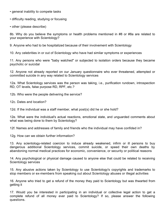• general inability to compete tasks

• difficulty reading, studying or focusing

• other (please describe)

8b. Why do you believe the symptoms or health problems mentioned in #8 or #8a are related to your experience with Scientology?

9. Anyone who had to be hospitalized because of their involvement with Scientology

10. Any celebrities in or out of Scientology who have had similar symptoms or experiences

11. Any persons who were "baby watched" or subjected to isolation orders because they became psychotic or suicidal

12. Anyone not already reported on our January questionnaire who ever threatened, attempted or committed suicide in any way related to Scientology services

12a. What Scientology services was the person was taking, i.e., purification rundown, introspection RD, OT levels, false purpose RD, RPF, etc.?

12b. Who were the people delivering the service?

12c. Dates and location?

12d. If the individual was a staff member, what post(s) did he or she hold?

12e. What were the individual's actual reactions, emotional state, and unguarded comments about what was being done to them by Scientology?

12f. Names and addresses of family and friends who the individual may have confided in?

12g. How can we obtain further information?

13. Any scientology-related coercion to induce already weakened, infirm or ill persons to buy dangerous additional Scientology services, commit suicide, or speed their own deaths by abandoning normal medical practices for economic, convenience, or security or political reasons

14. Any psychological or physical damage caused to anyone else that could be related to receiving Scientology services

15. Any abusive actions taken by Scientology to use Scientology's copyrights and trademarks to stop members or ex-members from speaking out about Scientology abuses or illegal activities

16. Anyone who tried to get a refund of the money they paid to Scientology but was thwarted from getting it

17. Would you be interested in participating in an individual or collective legal action to get a complete refund of all money ever paid to Scientology? If so, please answer the following questions.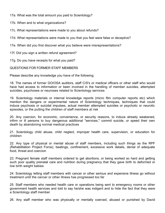17a. What was the total amount you paid to Scientology?

17b. When and to what organizations?

17c. What representations were made to you about refunds?

17d. What representations were made to you that you feel were false or deceptive?

17e. When did you first discover what you believe were misrepresentations?

17f. Did you sign a written refund agreement?

17g. Do you have receipts for what you paid?

## QUESTIONS FOR FORMER STAFF MEMBERS

Please describe any knowledge you have of the following.

18. The names of former GO/OSA auditors, staff C/S's or medical officers or other staff who would have had access to information or been involved in the handling of member suicides, attempted suicides, psychoses or neuroses related to Scientology services

19. Scientology materials or internal knowledge reports (micro film computer reports etc) which mention the dangers or experimental nature of Scientology techniques, techniques that could induce psychosis or suicidal impulses, actual member attempted suicides or psychotic or neurotic episodes, or the putting the children of staff members at risk

20. Any coercion, for economic, convenience, or security reasons, to induce already weakened, infirm or ill persons to buy dangerous additional "services," commit suicide, or speed their own death by abandoning normal medical practices

21. Scientology child abuse, child neglect, improper health care, supervision, or education for children

22. Any type of physical or mental abuse of staff members, including such things as the RPF (Rehabilitation Project Force), beatings, confinement, excessive work details, denial of adequate food, threat and coercion

23. Pregnant female staff members ordered to get abortions, or being worked so hard and getting such poor quality prenatal care and nutrition during pregnancy that they gave birth to deformed or low birth weight babies

24. Scientology letting staff members with cancer or other serious and expensive illness go without treatment until the cancer or other illness has progressed too far

25. Staff members who needed health care or operations being sent to emergency rooms or other government health services and told to say he/she was indigent and to hide the fact that they were a Scientology staff member

26. Any staff member who was physically or mentally coerced, abused or punished by David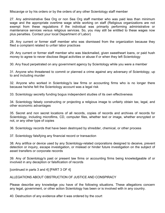Miscavige or by his orders or by the orders of any other Scientology staff member

27. Any administrative Sea Org or non Sea Org staff member who was paid less than minimum wage and the appropriate overtime wage while working on staff (Religious organizations are not exempt from these regulations if the individual was primarily performing administrative or maintenance services versus religious services. So, you may still be entitled to these wages now plus penalties. Contact your local Department of Labor)

28. Any current or former staff member who was dismissed from the organization because they filed a complaint related to unfair labor practices

29. Any current or former staff member who was blackmailed, given sweetheart loans, or paid hush money to agree to never disclose illegal activities or abuse if or when they left Scientology

30. Any fraud perpetrated on any government agency by Scientology while you were a member

31. Anyone who threatened to commit or planned a crime against any adversary of Scientology, up to and including murder

32. Anyone who worked in Scientology's law firms or accounting firms who is no longer there because he/she felt the Scientology account was a legal risk

33. Scientology secretly funding bogus independent studies of its own effectiveness

34. Scientology falsely constructing or projecting a religious image to unfairly obtain tax, legal, and other economic advantages

35. Secret and non secret locations of all records, copies of records and archives of records for Scientology, including microfilms, CD, computer files, whether text or image, whether encrypted or not, or any other type of copies

36. Scientology records that have been destroyed by shredder, chemical, or other process

37. Scientology falsifying any financial record or transaction

38. Any artifice or device used by any Scientology-related corporations designed to deceive, prevent detection or inquiry, escape investigation, or mislead or hinder future investigation on the subject of asset transfers or corporate records

39. Any of Scientology's past or present law firms or accounting firms being knowledgeable of or involved in any deception or falsification of records

[continued in parts 3 and 4] [PART 3 OF 4]

ALLEGATIONS ABOUT OBSTRUCTION OF JUSTICE AND CONSPIRACY

Please describe any knowledge you have of the following situations. These allegations concern any legal, government, or other action Scientology has been or is involved with in any country.

40. Destruction of any evidence after it was ordered by the court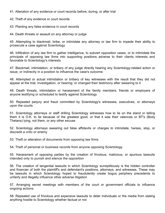41. Alteration of any evidence or court records before, during, or after trial

42. Theft of any evidence or court records

43. Planting any false evidence in court records

44. Death threats or assault on any attorney or judge

45. Attempting to blackmail, bribe, or intimidate any attorney or law firm to impede their ability to prosecute a case against Scientology

46. Infiltration of any law firm to gather intelligence, to subvert opposition cases, or to intimidate the principals of opposing law firms into supporting positions adverse to their clients interests and favorable to Scientology's interests

47. Blackmail, intimidation, or bribery of any judge directly hearing any Scientology-related action or issue, or indirectly in a position to influence the case's outcome

48. Attempted or actual intimidation or bribery of key witnesses with the result that they did not appear at the trial, investigation, or hearing; or changed their testimony after swearing to it

49. Death threats, intimidation or harassment of the family members, friends or employers of anyone testifying or scheduled to testify against Scientology

50. Repeated perjury and fraud committed by Scientology's witnesses, executives, or attorneys upon the courts

51. Scientology attorneys or staff drilling Scientology witnesses how to lie on the stand or telling them it is O.K. to lie because of the greatest good, or that it was their valences or BT's (Body Thetans) lying, not them, or any other excuse

52. Scientology attorneys swearing out false affidavits or charges to intimidate, harass, stop, or discredit a critic or enemy

53. Theft or alteration of documents from opposing law firms

54. Theft of personal or business records from anyone opposing Scientology

55. Harassment of opposing parties by the creation of frivolous, malicious, or spurious lawsuits intended only to punish and silence the opposition

56. The creation of tangential lawsuits in which Scientology surreptitiously is the hidden controller and financier of both the plaintiff's and defendant's positions, attorneys, and witnesses. These may be lawsuits in which Scientology hoped to fraudulently create bogus periphery precedents to unfairly and illegally influence other adverse litigation

57. Arranging secret meetings with members of the court or government officials to influence ongoing actions

58. Repeated use of frivolous and expensive lawsuits to deter individuals or the media from stating anything hostile to Scientology whether factual or not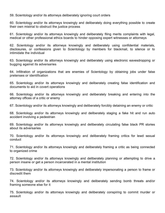59. Scientology and/or its attorneys deliberately ignoring court orders

60. Scientology and/or its attorneys knowingly and deliberately doing everything possible to create their own mistrial to obstruct the justice process

61. Scientology and/or its attorneys knowingly and deliberately filing merits complaints with legal, medical or other professional ethics boards to hinder opposing expert witnesses or attorneys

62. Scientology and/or its attorneys knowingly and deliberately using confidential materials, disclosures, or confessions given to Scientology by members for blackmail, to silence or to intimidate the individual

63. Scientology and/or its attorneys knowingly and deliberately using electronic eavesdropping or bugging against its adversaries

64. Infiltration of organizations that are enemies of Scientology by obtaining jobs under false pretenses or identification

65. Scientology and/or its attorneys knowingly and deliberately creating false identification and documents to aid in covert operations

66. Scientology and/or its attorneys knowingly and deliberately breaking and entering into the attorney offices of a critic or enemy

67. Scientology and/or its attorneys knowingly and deliberately forcibly detaining an enemy or critic

68. Scientology and/or its attorneys knowingly and deliberately staging a fake hit and run auto accident involving a pedestrian

69. Scientology and/or its attorneys knowingly and deliberately circulating false black PR stories about its adversaries

70. Scientology and/or its attorneys knowingly and deliberately framing critics for lewd sexual conduct

71. Scientology and/or its attorneys knowingly and deliberately framing a critic as being connected to organized crime

72. Scientology and/or its attorneys knowingly and deliberately planning or attempting to drive a person insane or get a person incarcerated in a mental institution

73. Scientology and/or its attorneys knowingly and deliberately impersonating a person to frame or discredit them

74. Scientology and/or its attorneys knowingly and deliberately sending bomb threats and/or framing someone else for it

75. Scientology and/or its attorneys knowingly and deliberately conspiring to commit murder or assault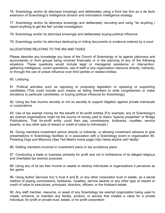76. Scientology and/or its attorneys knowingly and deliberately using a front law firm as a de facto extension of Scientology's intelligence division and intimidation intelligence strategy

77. Scientology and/or its attorneys knowingly and deliberately recruiting and using "do anything / report anything to get the fee" private investigators

78. Scientology and/or its attorneys knowingly and deliberately buying political influence

79. Scientology and/or its attorneys destroying or hiding documents or evidence ordered by a court

# ALLEGATIONS RELATING TO THE IRS AND TAXES

Please describe any knowledge you have of the Church of Scientology or its agents (attorneys and accountants) or front groups being involved financially or in the planning of any of the following situations. These questions would include legal or managerial assistance or intervention, gathering intelligence, covert operations, use of staff or any organization resource directly, indirectly, or through the use of undue influence over third parties or related entities.

80. Lobbying

81. Political activities such as opposing or proposing legislation or opposing or supporting candidates (This could include such means as telling members to write congressmen or make donations to particular candidates, or buying political influence for Scientology)

82. Using tax free income secretly or not so secretly to support litigation against private individuals or corporations

83. Use of tax exempt money for the benefit of for-profit entities (For example, any of Scientology's tax exempt organizations might be the source of money paid to Asia's "special properties" or Bridge Publications. That for-profit entity could then pay commissions, kickbacks, royalties, service awards, or any other type of reward or credit of value to individuals.)

84. Giving members investment advice directly or indirectly, or allowing investment advisors to give presentations in Scientology facilities or in association with a Scientology event or organization 85. Picketing Orgs and Missions (See Ted Meet's home page)<http://www.skylink.net/~teddy/>

86. Getting members involved in investment plans or tax avoidance plans

87. Conducting a trade or business primarily for profit and not in furtherance of its alleged religious and charitable tax exempt purposes

88. Using any of its tax free income or assets to destroy individuals or organizations it perceives as fair game

89. Using Author Services Incr.'s trust A and B, or any other corporation trust or estate, as a secret method of paying commissions, kickbacks, royalties, service awards or any other type of reward or credit of value to executives, principals, directors, officers, or the Hubbard estate

90. Any staff member, resource, or asset of any Scientology tax exempt organization being used to create, enhance, or maintain any facility, product, or service that creates a value for a private individual, for profit or private trust, estate, or for profit corporation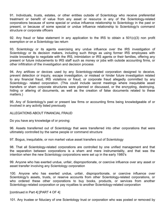91. Individuals, trusts, estates, or other entities outside of Scientology who receive preferential treatment or benefit of value from any asset or resource in any of the Scientology-related corporations because of some special or undue influence relationship to Scientology in the past or present, or because of some special or undue influence relationship to Scientology's command structure or corporate officers

92. Any fraud or false statement in any application to the IRS to obtain a 501(c)(3) non profit exemption or on a Scientology tax return

93. Scientology or its agents exercising any undue influence over the IRS investigation of Scientology or its decision makers, including such things as using former IRS employees with inside knowledge to negotiate with the IRS, intimidation or IRS agents or their families, offering any present or future inducements to IRS staff such as money or jobs with outside accounting firms, or other infiltration of the investigation and decision process

94. Any artifices or devices used by any Scientology-related corporation designed to deceive, prevent detection or inquiry, escape investigation, or mislead or hinder future investigation related to any financial fraud, IRS violations or fraud, or corporate fraud allegedly committed by any Scientology- related corporation. (This could include secret meetings where inequitable asset transfers or sham corporate structures were planned or discussed, or the encrypting, destroying, hiding or altering of documents, as well as the creation of false documents related to these matters.)

95. Any of Scientology's past or present law firms or accounting firms being knowledgeable of or involved in any activity listed previously

## ALLEGATIONS ABOUT FINANCIAL FRAUD

Do you have any knowledge of or proving:

96. Assets transferred out of Scientology that were transferred into other corporations that were ultimately controlled by the same people or command structure

97. Bogus, inequitable, or non market value asset transfers out of Scientology

98. That all Scientology-related corporations are controlled by one unified management and that the separation between corporations is a sham and mere instrumentality, and that was the intention when the new Scientology corporations were set up in the early 1980's

99. Anyone who has exerted undue, unfair, disproportionate, or coercive influence over any asset or asset transfer involving any Scientology corporation

100. Anyone who has exerted undue, unfair, disproportionate, or coercive influence over Scientology's assets, trusts, or reserve accounts from other Scientology-related corporations, or who ordered these other corporations to buy books, products, or services from another Scientology-related corporation or pay royalties to another Scientology-related corporation

#### [continued in Part 4] [PART 4 OF 4]

101. Any trustee or fiduciary of one Scientology trust or corporation who was posted or removed by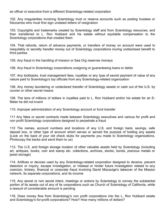an officer or executive from a different Scientology-related corporation

102. Any irregularities involving Scientology trust or reserve accounts such as posting trustees or fiduciaries who must first sign undated letters of resignation

103. Copyrights and trademarks created by Scientology staff and from Scientology resources, and then transferred to L. Ron Hubbard and his estate without equitable compensation to the Scientology corporations that created them

104. That refunds, return of advance payments, or transfers of money on account were used to inequitably or secretly transfer money out of Scientology corporations inuring undisclosed benefit to third parties

105. Any fraud in the handling of mission or Sea Org reserves moneys

106. Any fraud in Scientology corporations cosigning or guaranteeing loans or debts

107. Any kickbacks, trust management fees, royalties or any type of secret payment of value of any nature paid to Scientology's top officials from any Scientology-related organization

108. Any money laundering or undeclared transfer of Scientology assets or cash out of the U.S. by courier or other secret means

109. The tens of millions of dollars in royalties paid to L. Ron Hubbard and/or his estate for an E-Meter he did not invent

110. Improper administration of any Scientology account or fund transfer

111 Any false or secret contracts made between Scientology executives and various for profit and non profit Scientology corporations designed to perpetrate a fraud

112 The names, account numbers and locations of any U.S. and foreign bank, savings, safe deposit box, or other type of account which serves or served the purpose of holding any assets (Look on the back of your old check stubs for payments you made to Scientology organizations. Photocopy the backs and send them to us)

113. The U.S. and foreign storage location of other valuable assets held by Scientology (including art, antiques, books, coin and stamp etc. collections, archives, stocks, bonds, precious metals or jewel storage)

114. Artifices or devices used by any Scientology-related corporation designed to deceive, prevent detection or inquiry, escape investigation, or mislead or hinder future investigation related to any coercion, trickery, financial or corporate fraud involving David Miscavige's takeover of the Mission network, its separate corporations, and its income

115. Any secret or non secret intent, meetings or actions by Scientology to convey the substantial portion of its assets out of any of its corporations such as Church of Scientology of California, while a lawsuit of considerable amount is pending

116. Does money flow from Scientology's non profit corporations into the L. Ron Hubbard estate and Scientology's for-profit corporations? How? How many millions of dollars?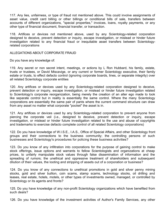117. Any lies, unfairness, or type of fraud not mentioned above. This could involve assignments of asset value, credit card billing or other billings or conditional bills of sale, transfers between accounts of different organizations, "special properties," invoices, loans, royalty payments, or any other type of financial document, financial transfer, or transaction.

118. Artifices or devices not mentioned above, used by any Scientology-related corporation designed to deceive, prevent detection or inquiry, escape investigation, or mislead or hinder future investigation related to any financial fraud or inequitable asset transfers between Scientologyrelated corporations

ALLEGATIONS ABOUT CORPORATE FRAUD

Do you have any knowledge of:

119. Any secret or non secret intent, meetings, or actions by L Ron Hubbard, his family, estate, trusts or trustees, or David Miscavige, or any current or former Scientology executive, their family estate or trusts, to effect defacto control (ignoring corporate boards, lines, or separate integrity) over all related Scientology corporate entities

120. Any artifices or devices used by any Scientology-related corporation designed to deceive, prevent detection or inquiry, escape investigation, or mislead or hinder future investigation related to Scientology's corporate reorganization, being merely the creation of an alter ego made to look like separate control but in reality is essentially the same control. Where the many Scientology corporations are essentially the same pair of pants where the current command structure can draw from any asset no matter what corporate "pocket" the asset is in.

121. Any artifices or devices used by any Scientology-related corporation to prevent anyone from piercing the corporate veil (i.e., designed to deceive, prevent detection or inquiry, escape investigation, or mislead or hinder future investigation related to the use and abuse of copyrights and trademarks to exercise defacto complete control of all related Scientology corporations)

122. Do you have knowledge of W.I.S.E., I.A.S., Office of Special Affairs, and other Scientology front groups and their connections to the business community; the controlling persons of such businesses and Scientology's procedures for policing these business activities?

123. Do you know of any infiltration into corporations for the purpose of gaining control to make stock offerings, issue options and warrants to fellow Scientologists and organizations at cheap prices, to unfairly manipulate stock values through false dissemination of information and the spreading of rumors; the unethical and oppressive treatment of shareholders and subsequent dilution of their values, the looting and stripping of assets out of a corporation or business?

124. Do you know of any connections to unethical promotions in gold and silver penny mining stocks, gold and silver bullion, coin scams, stamp scams, technology stocks, oil drilling and leases, real estate, hotels, motels, or other types of investments owned, managed, or controlled by Scientology or its agents and fronts?

125. Do you have knowledge of any non-profit Scientology organizations which have benefited from such deals?

126. Do you have knowledge of the investment activities of Author's Family Services, any other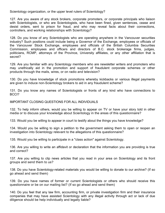Scientology organization, or the upper level rulers of Scientology?

127. Are you aware of any stock brokers, corporate promoters, or corporate principals who liaison with Scientologists, or who are Scientologists, who have been fined, given sentences, cease and desist orders, sent to prison for fraud, and who may reveal facts about their connections, controllers, and working relationships with Scientology?

128. Do you know of any Scientologists who are operating anywhere in the Vancouver securities industry? Such positions could include being a Governor of the Exchange, employees or officials of the Vancouver Stock Exchange, employees and officials of the British Columbia Securities Commission, employees and officers and directors of B.C. stock brokerage firms, judges, politicians, RCMP, attorneys of the Province, University affiliates, or any other affiliation that is secret?

129. Are you familiar with any Scientology members who are newsletter writers and promoters who may unethically aid in the promotion and support of fraudulent corporate schemes or other products through the mails, wires, or on radio and television?

130. Do you have knowledge of stock promotions whereby kickbacks or various illegal payments are given to induce non-Scientology brokers to aid in any fraudulent scheme?

131. Do you know any names of Scientologists or fronts of any kind who have connections to BCCI?

IMPORTANT CLOSING QUESTIONS FOR ALL INDIVIDUALS

132. To help inform others, would you be willing to appear on TV or have your story told in other media or to discuss your knowledge about Scientology in the areas of this questionnaire?

133. Would you be willing to appear in court to testify about the things you have knowledge?

134. Would you be willing to sign a petition to the government asking them to open or reopen an investigation into Scientology relevant to the allegations of this questionnaire?

135. Would you be willing to participate in a "class action" against Scientology.

136. Are you willing to write an affidavit or declaration that the information you are providing is true and correct?

137. Are you willing to clip news articles that you read in your area on Scientology and its front groups and send them to us?

138. Do you have Scientology-related materials you would be willing to donate to our archive? (If so go ahead and send them)

139. Do you have names of former or current Scientologists or others who should receive this questionnaire or be on our mailing list? (If so go ahead and send them)

140. Do you feel that any law firm, accounting firm, or private investigation firm and their insurance companies that may have assisted Scientology with any illegal activity through act or lack of due diligence should be help individually and legally liable?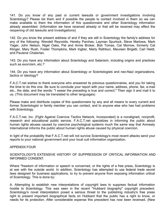141. Do you know of any past or current lawsuits or government investigations involving Scientology? Please list them and if possible the people to contact involved in them so we can make available to them the information of this questionnaire and other Scientology information already assembled. (Information we have received already or that will be received may effect the reopening of old lawsuits and investigations)

142. Do you know the present address of and if they are still in Scientology the family's address for any of the following: Wendell Reynolds, Hereby Parches, Layman Spurlock, Steve Marlowe, Mark Yager, John Nelson, Nigel Oaks, Pat and Annie Broker, Bob Tomas, Cat Morrow, formerly Cat Klinger, Mary Rush, Foster Thompkins, Mark Ingber, Marty Rathbun, Maureen Brigatti, Carl Heldt, and Paulene Chaterlan.

143. Do you have any information about Scientology and Satanism, including origins and practices such as exorcism, etc.?

144. Do you have any information about Scientology or Scientologists and neo-Nazi organizations, tactics or ideology?

F.A.C.T.net wishes to thank everyone who answered its previous questionnaires, and you for taking the time to do this one. Be sure to conclude your report with your name, address, phone, fax, e-mail etc., the date, and the words: "I swear the preceding is true and correct." Then sign it and mail it to us. (This document may be translated to other languages)

Please make and distribute copies of this questionnaire by any and all means to every current and former Scientologist or family member you can contact, and to anyone else who has had problems with Scientology.

F.A.C.T.net, Inc. (Fight Against Coercive Tactics Network, Incorporated) is a nonaligned, nonprofit, research and educational public service. F.A.C.T.net specializes in informing the public about human rights abuses caused by coercive psychological systems much the same way that Amnesty International informs the public about human rights abuse caused by physical coercion.

In light of the probability that F.A.C.T.net will not survive Scientology's most recent attacks send your reports to your national government and your local cult information organization.

## APPENDIX FOUR

SCIENTOLOGY'S EXTENSIVE HISTORY OF SUPPRESSION OF CRITICAL INFORMATION AND INFORMED CONSENT.

Where "freedom of information or speech is concerned, or the rights of a free press, Scientology is at war with the outside world. In addition, Scientology has attempted to use federal trade secret laws designed for business applications, to try to prevent anyone from exposing information critical of Scientology. This is done by:

A. Attempting to establish new interpretations of copyright laws to suppress factual information hostile to Scientology. This was seen in the recent "Hubbard biography" copyright precedent. Scientology's novel interpretation posed a serious threat to the publishing industry's free press right to present important biographical facts on Hubbard that the public has a right to know, or needs for its protection. After considerable expense this precedent has now been reversed. (New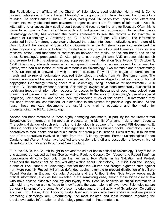Era Publications, an affiliate of the Church of Scientology, sued publisher Henry Hot & Co. to prevent publication of "Bare Faced Messiah," a biography of L. Ron Hubbard the Scientology founder. The book's author, Russell M. Miller, had quoted 132 pages from unpublished letters and documents, many obtained from government agencies under the Freedom of Information Act). B. Attempting to or successfully sealing court cases and records during or after litigation. Often this is clone by extorting a "gag order" from a litigant bludgeoned into submission. But in other cases Scientology actually has obtained the court's agreement to seal the records -- for example, in Church of Scientology v. Armstrong No. C. 420153 Cal. Super. CT. (1984). The information contained in the Armstrong case clearly showed the actual intentions, motivations, and nature of L Ron Hubbard the founder of Scientology. Documents in the Armstrong case also evidenced the actual origins and nature of Hubbard's created alter ego, Scientology and Dianetics. They show a massive, critical, and fundamental contradiction between the reality, on the one hand, and on the other, Scientology's propaganda. C. Attempting to use copyright laws AND unreasonable search and seizure to inhibit its adversaries and suppress archival material on Scientology. On October 3, 1990 Scientology allegedly arranged an entrapment operation on an uninvolved, former member (Bistro) who had a collection of archival materials on Scientology. Two marshals and approximately 15-20 Scientologists showed up with a search warrant. They all then began an unreasonable march and seizure of legitimately acquired Scientology materials from Mr. Bostrom's home. The warrant was issued because several days earlier, Mr. Bostrom allegedly had sold one of his old copyrighted Scientology training packs to a Scientology "sting" operative for approximately \$100 dollars. D. Restricting evidence access. Scientology lawyers have been temporarily successful in restricting freedom of information requests for access to the thousands of documents seized from church headquarters in an authorized search by the FBI. Because of Scientology's use of a special language, Scientologese, and special security encoding much of this seized FBI information may still need translation, coordination, or distribution to the victims for possible legal actions. At the least, these restricted documents are useful and vital to educators and the media for understanding the REAL Scientology.

Access has been restricted to these highly damaging documents, in part, by the requirement mat Scientology be informed, in the approval process, of the identity of anyone making such requests. The potential danger of such prior notice to Scientology is apparent from seized FBI documents. E. Stealing books and materials from public agencies. The Nazi's burned books. Scientology uses its operatives to steal books and materials critical of it from public libraries. I was directly in touch with one of the operatives involved in thefts from the LA library system. Former Scientologists Robert Dardano and Warren Friske have testified to the systematic theft and destruction of books critical of Scientology from libraries throughout New England.

F. In the 1970s, the Church fought to prevent the sale of books critical of Scientology. They failed in this attempt, but caused authors George Malko, Paulette Cooper, Cyril Vosper and Robert Kaufman considerable difficulty (not only from the law suits: Roy Wallis, in his Salvation and Protest, described the harassment he received after writing about Scientology). In 1982, Paulette Cooper, author of The Scandal of Scientology testified that the Church had brought eighteen suits against her. More recently Russell Miller has defended against attempts to prevent distribution of his Bare-Faced Messiah in England, Canada, Australia and the United States. Scientology keeps much critical information, such as that revealed in the Armstrong case, among those highest inner few who have passed extensive security and loyalty tests. Because sensitive or critical information is withheld, or given on a strict "need to know" basis, the vast majority of lower level Scientologists are generally ignorant of the contents of these materials and the real activity of Scientology. Celebrities such as Tom Cruise, John Travolta, Kirstie Alley and others, who have endorsed and are publicly promoting Scientology are, unfortunately, the most isolated and least informed regarding the crucial evaluative information on Scientology presented in these materials.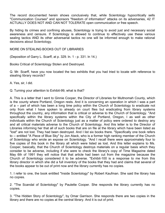The record documented herein shows conclusively that, while Scientology hypocritically sells "Communication Courses" and sponsors "freedom of information" attacks on its adversaries, 42 IT ACTUALLY DOES NOT AND CAN NOT TOLERATE open communication or free speech.

By hiding its crimes and confining abuses, Scientology is trying to avoid just and necessary social awareness and censure. If Scientology is allowed to continue to effectively use these various sealing tactics AND its other adversarial tactics no one will be informed enough to make rational decisions about Scientology.

MORE ON STEALING BOOKS OUT OF LIBRARIES

(Deposition of Garry L. Scarff, at p. 329. ln. 1 - p. 331. ln 14.)

Books Critical of Scientology Stolen and Destroyed.

Q. Mr. Scarff, have you now located the two exhibits that you had tried to locate with reference to stealing library records?

A. Yes, sir, I did.

Q. Turning your attention to Exhibit-99, what is that?

A. This is a letter that I sent to Ginnie Cooper, the Director of Libraries for Multnomah County, which is the county where Portland, Oregon rests. And it is concerning an operation in which I was a part of a -- part of which has been a long time policy within the Church of Scientology to eradicate not only from what I have spoken to already on court files but eradicating from library systems throughout the country, any information that is critical or adverse to the Church of Scientology. "And specifically within the library systems within the City of Portland, Oregon, I as well as other individuals within the Church of Scientology just as a matter of policy were ordered to destroy any and all critical materials adverse to the Church of Scientology. And this letter is to the Director of Libraries informing her that all of such books that are on file at the library which have been listed as "lost" are not lost. They had been destroyed. And I list six books there. "Specifically one book refers to -- entitled "A Piece of Blue Sky" by Jon Atack, who is a former high ranking member of the Church of Scientology who wrote an expose on Scientology. "And I recall there were approximately four to five copies of this book in the library all which were listed as lost. And this letter explains to Ms. Cooper, basically, that the Church of Scientology destroys materials on a regular basis which they consider to be adverse, including if she were to check the library's copy of Time Magazine dated May 6th of 1991 they will notice that that article had been cut from the magazine because the Church of Scientology considered it to be adverse. "Exhibit-100 is a response to me from this library director in which she did a full inventory of the books that they had and claims that several of the books appear to be out of print now and the library currently has no copies.

1. I refer to one, the book entitled "Inside Scientology" by Robert Kaufman. She said the library has no copies.

2. "The Scandal of Scientology" by Paulette Cooper. She responds the library currently has no copies.

3. "The Hidden Story of Scientology", by Omar Garrison. She responds there are two copies in the library and there are no copies at the central library. And it is out of print.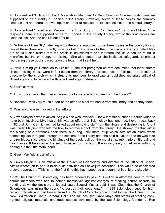4. Book entitled "L. Ron Hubbard, Messiah or Madman" by Bent Corydon. She responds there are supposed to be currently 13 copies in the library. However, seven of these copies are currently listed as lost and there are two copies on order to replace the two copies lost at the central library.

5. Book entitled "Bare-Faced Messiah: The True Story of L. Ron Hubbard" by Russell Miller. "She responds there are supposed to be four copies in the county library, two of the four copies are listed as lost. And the book is out of print.

6. "A Piece of Blue Sky", she responds there are supposed to be three copies in the county library, two of these three are currently listed as lost. "She refers to the Time magazine article dated May 6th of 1991 and claims that the article is on microfilm and therefore the issue can be found in microfilm, but the print copy is missing. "She also states that she instituted safeguards to protect reordering these books based upon the letter that I sent her.

Q. Now, turning your attention to Exhibit-99, the last paragraph on that document, that letter states: 'These missing books were in fact stolen from the library and destroyed in fulfillment of an internal directive by the church which instructs its members to eradicate all published materials critical of Scientology and to replace it with pro-Scientology materials.

A. That's correct.

Q. How do you know that these missing books were in fact stolen from the library?"

A. Because I was very much a part of the effort to steal the books from the library and destroy them.

Q. Was anyone else involved in that effort?

A. Gwen Mayfield was involved. Angie Mann was involved. I know that her husband Charles Mann to have been involved. Like I said, this was an effort that Scientology has long had. I even recall back in '82 that John Carmichael had talked about removing stuff from the library and destroying it. And it was Gwen Mayfield who told me how to remove a book from the library. She showed me that within the binding of a hardback book there is a long, thin, metal strip which sets off an alarm when something like that goes through the sensors in the library and she said all you had to do was take a razor blade, slice along the bindings of the book, pull out the metal strip, rub it into a little ball and flick it away. It takes away the security aspect of this book. It was very easy to get away with it by ripping out the little metal band.

Q. Gwen Mayfield is part of the –

A. Gwen Mayfield is an official of the Church of Scientology and director of the Office of Special Affairs whose job in part is to do such activities as I have just described. This would be considered a covert operation. "This is not the first time this has happened although not in a library situation.

1993: The Church of Scientology has been ordered to pay \$2.9 million in attorneys' fees to former church members who had to defend themselves against charges of stealing church secrets. In handing down the decision, a federal court Special Master said it was Clear that the Church of Scientology was using the courts "to destroy their opponents." In 1985 Scientology sued for highranking officials who had broken from the Church of Scientology and had formed the Church of the New Civilization in Santa Barbara, Calif. The suit accused David Mayo and others of stealing copyrighted religious materials and trade secrets developed by the late Scientology founder L. Ron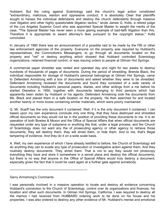Hubbard. But the ruling against Scientology said the church's legal action constituted "extraordinary, malicious, wanton and oppressive conduct. It is absolutely Clear that plaintiffs sought to harass the individual defendants and destroy the church defendants through massive over litigation and other highly questionable litigation tactics," wrote James G. Kolts, a retired judge of the Los Angeles Superior Court who was appointed Special Master to weight the merits of the case. "The Special Master has never seen a more glaring example of bad-faith litigation than this. Therefore it is appropriate to award attorney's fees pursuant to the copyright statue," Kolts concluded.

In January of 1980 there was an announcement of a possible raid to be made by the FBI or other law enforcement agencies of the property. Everyone on the property was required by Hubbard's representatives, the Commodore's Messengers, to go through all documents located on the property and "vet" or destroy anything which showed that Hubbard controlled Scientology organizations, retained financial control, or was issuing orders to people at Gilman Hot Springs.

A commercial paper shredder was rented and operated day and night for two weeks to destroy hundreds of thousands of pages of documents. During the period of shredding, Brenda Black, the individual responsible for storage of Hubbard's personal belongings at Gilman Hot Springs, came to Defendant Armstrong with a box of documents and asked whether they were to be shredded. Defendant Armstrong reviewed the documents and found they consisted of a wide variety of documents including Hubbard's personal papers, diaries, and other writings from a me before he started Dianetics in 1950, together with documents belonging to third persons which had apparently been stolen by Hubbard or his agents. Defendant Armstrong took the documents from Ms. Black and placed them in a safe location on the property. He then searched for and located another twenty or more boxes containing similar materials, which were poorly maintained.

Q. Mr. Scarff has the only document it contained. Well, if it is the only document it contained, I can based upon my own experience conclude only one thing, that they have destroyed and shredded official documents so they would not be in the position of providing these documents to me. It is an operation of both Bowles & Moxon and the Office of Special Affairs that when official documents are requested under any type of subpoena or anything like that, under a legal process, and the Church of Scientology does not want any the of prosecuting agency or other agency to retrieve those documents, they will destroy them, they will shred them, or hide them. And to me, that's illegal tampering of evidence. And they do it on a wide scale basis.

A. Well, my own experience of which l have already testified to before, the Church of Scientology will do anything they can to evade any type of prosecution or investigative action against them, And they routinely destroy documents. They shred them. That is not to say they would not photocopy everything they have and store it somewhere in a secret place and destroy the official documents, but there is no way that anyone in the Office of Special Affairs would truly destroy a document, especially given the fact that it could be used again at a further gate against somebody.

------------------------------------------------------------------------

Gerry Armstrong's Comments

I was personally involved in a massive operation to locate and destroy all evidence concerning Hubbard's connection to the Church of Scientology, control over its organizations and finances, his location and other such documents. In Gilman Hot Springs, California, I was required to destroy all the memos I had received from HUBBARD ordering work to be done on his house and his properties. I was also ordered to destroy any other evidence of Mr. Hubbard's mental and emotional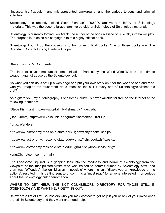illnesses, his fraudulent and misrepresented background, and the various tortious and criminal activities.

Scientology has recently seized Steve Fishman's 200,000 archive and library of Scientology materials. This was the second largest archive outside of Scientology of Scientology materials.

Scientology is currently forcing Jon Atack, the author of the book A Piece of Blue Sky into bankruptcy. The purpose is to seize his copyrights to this highly critical book.

Scientology bought up the copyrights to two other critical books. One of those books was The Scandal of Scientology by Paulette Cooper.

------------------------------------------------------------------------

Steve Fishman's Comments:

The Internet is your medium of communication. Particularly the World Wide Web is the ultimate weapon against abuse by the Scientology cult.

So what you can do is set up a web page and put your own story on it for the world to see and read. Can you imagine the mushroom cloud effect on the cult if every one of Scientology's victims did that?

As a gift to you, my autobiography, Lonesome Squirrel is now available for free on the Internet at the following locations:

[Steve Fishman] <http://www.xs4all.nl/~fishman/ls/indexls/html>

[Ben Grimm] <http://www.xs4all.nl/~bengrimm/fishman/squirrel.zip>

[Ignaz Wanders]

<http://www-astronomy.mps.ohio-state.edu/~ignaz/fishy/books/ls/ls.ps>

<http://www-astronomy.mps.ohio-state.edu/~ignaz/fishy/books/ls/ls.ps.gz>

<http://www-astronomy.mps.ohio-state.edu/~ignaz/fishy/books/ls/ls.tar.gz>

xenu@ix.netcom.com (e-mail)

The Lonesome Squirrel is a gripping look into the madness and horror of Scientology from the viewpoint of the manipulated victim who was trained to commit crimes by Scientology staff, and then was "offloaded" like on 'Mission Impossible' where the cult "disavowed all knowledge of his actions", resulted in his getting sent to prison. It is a "must read" for anyone interested in or curious about the Scientology cult phenomenon.

WHERE TO GET HELP: THE EXIT COUNSELORS DIRECTORY FOR THOSE STILL IN SCIENTOLOGY AND WANT HELP GETTING OUT:

Below are a list of Exit Counselors who you may contact to get help if you or any of your loved ones are still in Scientology and they want and need help.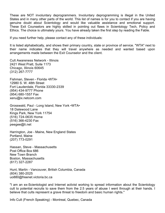These are NOT involuntary deprogrammers. Involuntary deprogramming is illegal in the United States and in many other parts of the world. This list of names is for you to contact if you are having genuine doubt about Scientology and would like valuable assistance and emotional support. These Exit Counselors are highly skilled in pointing out flaws in Scientology Tech, Policy and Ethics. The choice is ultimately yours. You have already taken the first step by reading the Fable.

If you need further help, please contact any of these individuals:

It is listed alphabetically, and shows their primary country, state or province of service. "WTA" next to their name indicates that they will travel anywhere as needed and wanted based upon arrangements made between the Exit Counselor and the client.

Cult Awareness Network - Illinois 2421 West Pratt, Suite 1173 Chicago, Illinois 60645 (312) 267-7777

Fishman, Steven - Florida •WTA• 12980 S. W. 48th Street Fort Lauderdale, Florida 33330-2339 (954) 434-9777 Phone (954) 680-1557 Fax xenu@ix.netcom.com

Grosswald, Paul - Long Island, New York •WTA• 18 Dalewood Lane Kings Park, New York 11754 (516) 724-0635 Home (516) 366-4230 Fax peegee@li.net

Harrington, Joe - Maine, New England States Portland, Maine (207) 773-0291

Hassan, Steve - Massachusetts Post Office Box 686 New Town Branch Boston, Massachusetts (617) 327-2287

Hunt, Martin - Vancouver, British Columbia, Canada (604) 380-2025 uo880@freenet.victoria.bc.ca

"I am an ex-Scientologist and Internet activist working to spread information about the Scientology cult to potential recruits to save them from the 2.5 years of abuse I went through at their hands. I believe that cults represent a grave threat to freedom and basic human rights."

Info Cult (French Speaking) - Montreal, Quebec, Canada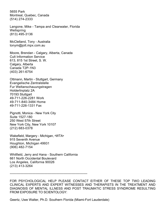5655 Park Montreal, Quebec, Canada (514) 274-2333

Langone, Mike - Tampa and Clearwater, Florida **Wellspring** (813) 495-3136

McClelland, Tony - Australia tonym@jolt.mpx.com.au

Moore, Brendan - Calgary, Alberta, Canada Cult Information Service 613, 815 1st Street, S. W. Calgary, Alberta Canada T2P-1N3 (403) 261-6754

Ottmann, Martin - Stuttgart, Germany Evangelische Zentralstelle Fur Weltanschauungstragen Holderlinplatz 2A 70193 Stuttgart 49-711-226-2281 Work 49-711-840-3484 Home 49-711-226-1331 Fax

Pignotti, Monica - New York City Suite 1527-180 250 West 57th Street New York City, New York 10107 (212) 683-0378

Wakefield, Margery - Michigan, •WTA• 915 Seventh Avenue Houghton, Michigan 49931 (906) 482-7154

Whitfield, Jerry and Hana - Southern California 661 North Occidental Boulevard Los Angeles, California 90026 (213) 413-3264

------------------------------------------------------------------------

FOR PSYCHOLOGICAL HELP PLEASE CONTACT EITHER OF THESE TOP TWO LEADING CLINICAL EXPERTS AND EXPERT WITNESSES AND THERAPISTS IN THE TREATMENT AND DIAGNOSIS OF MENTAL ILLNESS AND POST TRAUMATIC STRESS SYNDROME RESULTING FROM EXPOSURE TO SCIENTOLOGY:

Geertz, Uwe Walter, Ph.D. Southern Florida (Miami-Fort Lauderdale)